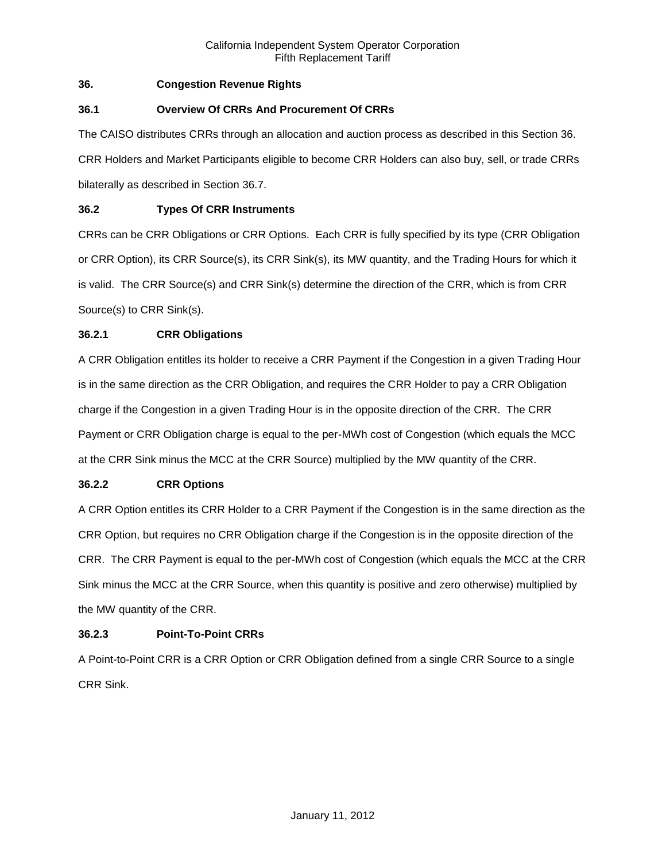# **36. Congestion Revenue Rights**

# **36.1 Overview Of CRRs And Procurement Of CRRs**

The CAISO distributes CRRs through an allocation and auction process as described in this Section 36. CRR Holders and Market Participants eligible to become CRR Holders can also buy, sell, or trade CRRs bilaterally as described in Section 36.7.

# **36.2 Types Of CRR Instruments**

CRRs can be CRR Obligations or CRR Options. Each CRR is fully specified by its type (CRR Obligation or CRR Option), its CRR Source(s), its CRR Sink(s), its MW quantity, and the Trading Hours for which it is valid. The CRR Source(s) and CRR Sink(s) determine the direction of the CRR, which is from CRR Source(s) to CRR Sink(s).

# **36.2.1 CRR Obligations**

A CRR Obligation entitles its holder to receive a CRR Payment if the Congestion in a given Trading Hour is in the same direction as the CRR Obligation, and requires the CRR Holder to pay a CRR Obligation charge if the Congestion in a given Trading Hour is in the opposite direction of the CRR. The CRR Payment or CRR Obligation charge is equal to the per-MWh cost of Congestion (which equals the MCC at the CRR Sink minus the MCC at the CRR Source) multiplied by the MW quantity of the CRR.

# **36.2.2 CRR Options**

A CRR Option entitles its CRR Holder to a CRR Payment if the Congestion is in the same direction as the CRR Option, but requires no CRR Obligation charge if the Congestion is in the opposite direction of the CRR. The CRR Payment is equal to the per-MWh cost of Congestion (which equals the MCC at the CRR Sink minus the MCC at the CRR Source, when this quantity is positive and zero otherwise) multiplied by the MW quantity of the CRR.

# **36.2.3 Point-To-Point CRRs**

A Point-to-Point CRR is a CRR Option or CRR Obligation defined from a single CRR Source to a single CRR Sink.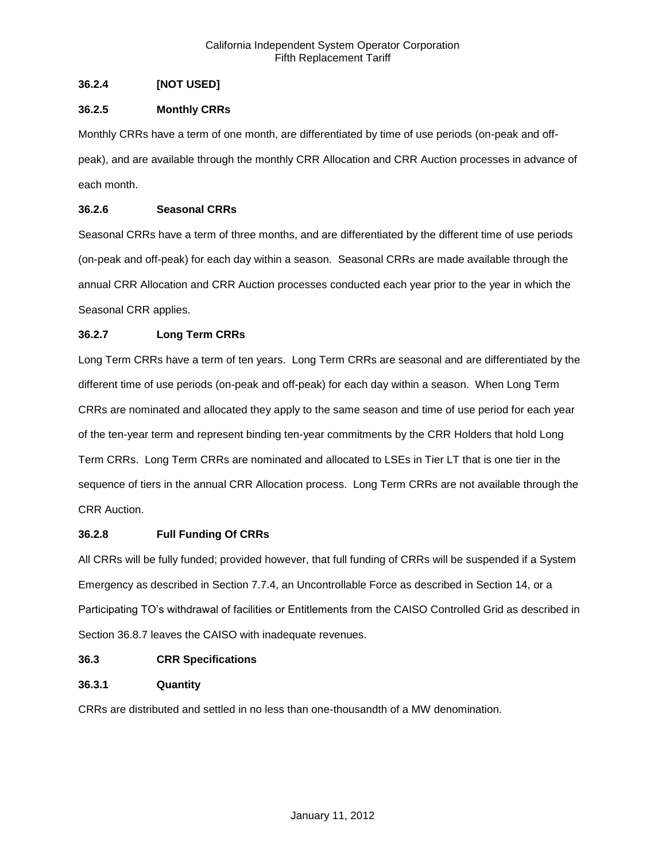# **36.2.4 [NOT USED]**

# **36.2.5 Monthly CRRs**

Monthly CRRs have a term of one month, are differentiated by time of use periods (on-peak and offpeak), and are available through the monthly CRR Allocation and CRR Auction processes in advance of each month.

# **36.2.6 Seasonal CRRs**

Seasonal CRRs have a term of three months, and are differentiated by the different time of use periods (on-peak and off-peak) for each day within a season. Seasonal CRRs are made available through the annual CRR Allocation and CRR Auction processes conducted each year prior to the year in which the Seasonal CRR applies.

# **36.2.7 Long Term CRRs**

Long Term CRRs have a term of ten years. Long Term CRRs are seasonal and are differentiated by the different time of use periods (on-peak and off-peak) for each day within a season. When Long Term CRRs are nominated and allocated they apply to the same season and time of use period for each year of the ten-year term and represent binding ten-year commitments by the CRR Holders that hold Long Term CRRs. Long Term CRRs are nominated and allocated to LSEs in Tier LT that is one tier in the sequence of tiers in the annual CRR Allocation process. Long Term CRRs are not available through the CRR Auction.

# **36.2.8 Full Funding Of CRRs**

All CRRs will be fully funded; provided however, that full funding of CRRs will be suspended if a System Emergency as described in Section 7.7.4, an Uncontrollable Force as described in Section 14, or a Participating TO's withdrawal of facilities or Entitlements from the CAISO Controlled Grid as described in Section 36.8.7 leaves the CAISO with inadequate revenues.

# **36.3 CRR Specifications**

# **36.3.1 Quantity**

CRRs are distributed and settled in no less than one-thousandth of a MW denomination.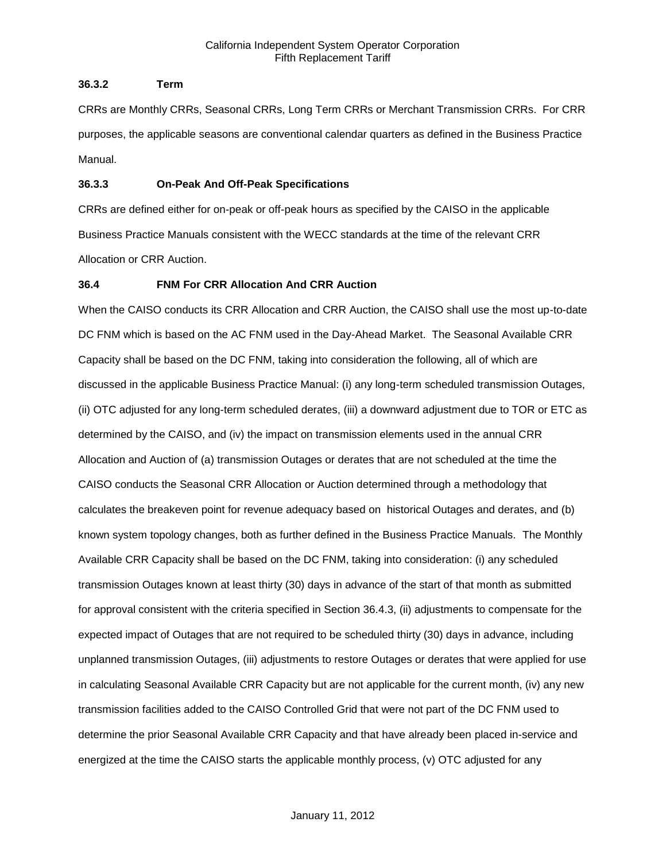# **36.3.2 Term**

CRRs are Monthly CRRs, Seasonal CRRs, Long Term CRRs or Merchant Transmission CRRs. For CRR purposes, the applicable seasons are conventional calendar quarters as defined in the Business Practice Manual.

# **36.3.3 On-Peak And Off-Peak Specifications**

CRRs are defined either for on-peak or off-peak hours as specified by the CAISO in the applicable Business Practice Manuals consistent with the WECC standards at the time of the relevant CRR Allocation or CRR Auction.

# **36.4 FNM For CRR Allocation And CRR Auction**

When the CAISO conducts its CRR Allocation and CRR Auction, the CAISO shall use the most up-to-date DC FNM which is based on the AC FNM used in the Day-Ahead Market. The Seasonal Available CRR Capacity shall be based on the DC FNM, taking into consideration the following, all of which are discussed in the applicable Business Practice Manual: (i) any long-term scheduled transmission Outages, (ii) OTC adjusted for any long-term scheduled derates, (iii) a downward adjustment due to TOR or ETC as determined by the CAISO, and (iv) the impact on transmission elements used in the annual CRR Allocation and Auction of (a) transmission Outages or derates that are not scheduled at the time the CAISO conducts the Seasonal CRR Allocation or Auction determined through a methodology that calculates the breakeven point for revenue adequacy based on historical Outages and derates, and (b) known system topology changes, both as further defined in the Business Practice Manuals. The Monthly Available CRR Capacity shall be based on the DC FNM, taking into consideration: (i) any scheduled transmission Outages known at least thirty (30) days in advance of the start of that month as submitted for approval consistent with the criteria specified in Section 36.4.3, (ii) adjustments to compensate for the expected impact of Outages that are not required to be scheduled thirty (30) days in advance, including unplanned transmission Outages, (iii) adjustments to restore Outages or derates that were applied for use in calculating Seasonal Available CRR Capacity but are not applicable for the current month, (iv) any new transmission facilities added to the CAISO Controlled Grid that were not part of the DC FNM used to determine the prior Seasonal Available CRR Capacity and that have already been placed in-service and energized at the time the CAISO starts the applicable monthly process, (v) OTC adjusted for any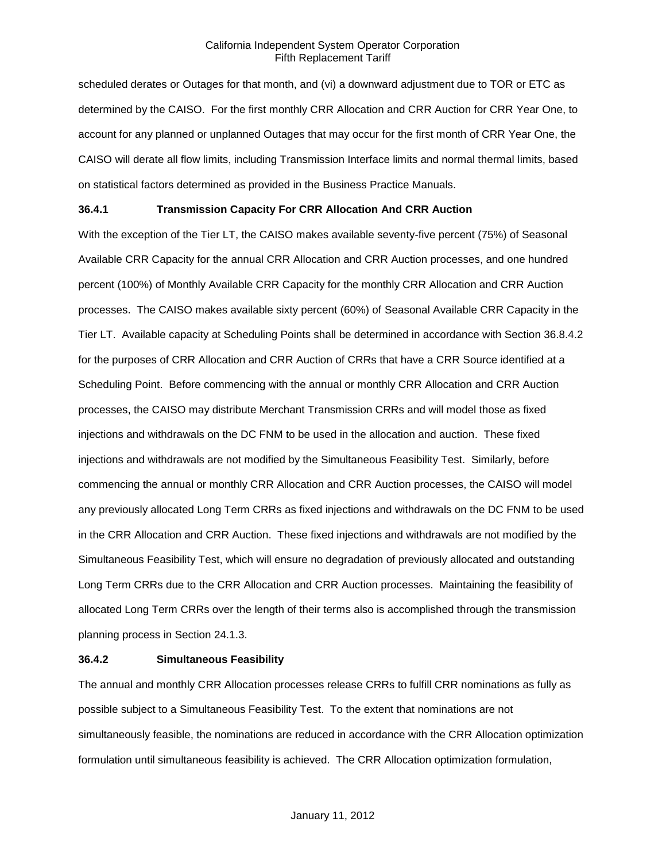scheduled derates or Outages for that month, and (vi) a downward adjustment due to TOR or ETC as determined by the CAISO. For the first monthly CRR Allocation and CRR Auction for CRR Year One, to account for any planned or unplanned Outages that may occur for the first month of CRR Year One, the CAISO will derate all flow limits, including Transmission Interface limits and normal thermal limits, based on statistical factors determined as provided in the Business Practice Manuals.

# **36.4.1 Transmission Capacity For CRR Allocation And CRR Auction**

With the exception of the Tier LT, the CAISO makes available seventy-five percent (75%) of Seasonal Available CRR Capacity for the annual CRR Allocation and CRR Auction processes, and one hundred percent (100%) of Monthly Available CRR Capacity for the monthly CRR Allocation and CRR Auction processes. The CAISO makes available sixty percent (60%) of Seasonal Available CRR Capacity in the Tier LT. Available capacity at Scheduling Points shall be determined in accordance with Section 36.8.4.2 for the purposes of CRR Allocation and CRR Auction of CRRs that have a CRR Source identified at a Scheduling Point. Before commencing with the annual or monthly CRR Allocation and CRR Auction processes, the CAISO may distribute Merchant Transmission CRRs and will model those as fixed injections and withdrawals on the DC FNM to be used in the allocation and auction. These fixed injections and withdrawals are not modified by the Simultaneous Feasibility Test. Similarly, before commencing the annual or monthly CRR Allocation and CRR Auction processes, the CAISO will model any previously allocated Long Term CRRs as fixed injections and withdrawals on the DC FNM to be used in the CRR Allocation and CRR Auction. These fixed injections and withdrawals are not modified by the Simultaneous Feasibility Test, which will ensure no degradation of previously allocated and outstanding Long Term CRRs due to the CRR Allocation and CRR Auction processes. Maintaining the feasibility of allocated Long Term CRRs over the length of their terms also is accomplished through the transmission planning process in Section 24.1.3.

#### **36.4.2 Simultaneous Feasibility**

The annual and monthly CRR Allocation processes release CRRs to fulfill CRR nominations as fully as possible subject to a Simultaneous Feasibility Test. To the extent that nominations are not simultaneously feasible, the nominations are reduced in accordance with the CRR Allocation optimization formulation until simultaneous feasibility is achieved. The CRR Allocation optimization formulation,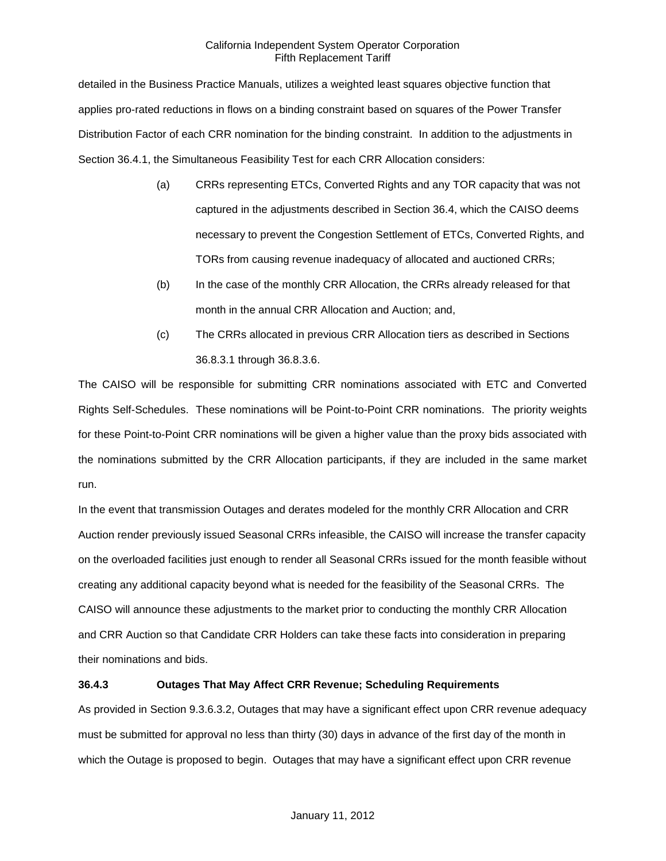detailed in the Business Practice Manuals, utilizes a weighted least squares objective function that applies pro-rated reductions in flows on a binding constraint based on squares of the Power Transfer Distribution Factor of each CRR nomination for the binding constraint. In addition to the adjustments in Section 36.4.1, the Simultaneous Feasibility Test for each CRR Allocation considers:

- (a) CRRs representing ETCs, Converted Rights and any TOR capacity that was not captured in the adjustments described in Section 36.4, which the CAISO deems necessary to prevent the Congestion Settlement of ETCs, Converted Rights, and TORs from causing revenue inadequacy of allocated and auctioned CRRs;
- (b) In the case of the monthly CRR Allocation, the CRRs already released for that month in the annual CRR Allocation and Auction; and,
- (c) The CRRs allocated in previous CRR Allocation tiers as described in Sections 36.8.3.1 through 36.8.3.6.

The CAISO will be responsible for submitting CRR nominations associated with ETC and Converted Rights Self-Schedules. These nominations will be Point-to-Point CRR nominations. The priority weights for these Point-to-Point CRR nominations will be given a higher value than the proxy bids associated with the nominations submitted by the CRR Allocation participants, if they are included in the same market run.

In the event that transmission Outages and derates modeled for the monthly CRR Allocation and CRR Auction render previously issued Seasonal CRRs infeasible, the CAISO will increase the transfer capacity on the overloaded facilities just enough to render all Seasonal CRRs issued for the month feasible without creating any additional capacity beyond what is needed for the feasibility of the Seasonal CRRs. The CAISO will announce these adjustments to the market prior to conducting the monthly CRR Allocation and CRR Auction so that Candidate CRR Holders can take these facts into consideration in preparing their nominations and bids.

# **36.4.3 Outages That May Affect CRR Revenue; Scheduling Requirements**

As provided in Section 9.3.6.3.2, Outages that may have a significant effect upon CRR revenue adequacy must be submitted for approval no less than thirty (30) days in advance of the first day of the month in which the Outage is proposed to begin. Outages that may have a significant effect upon CRR revenue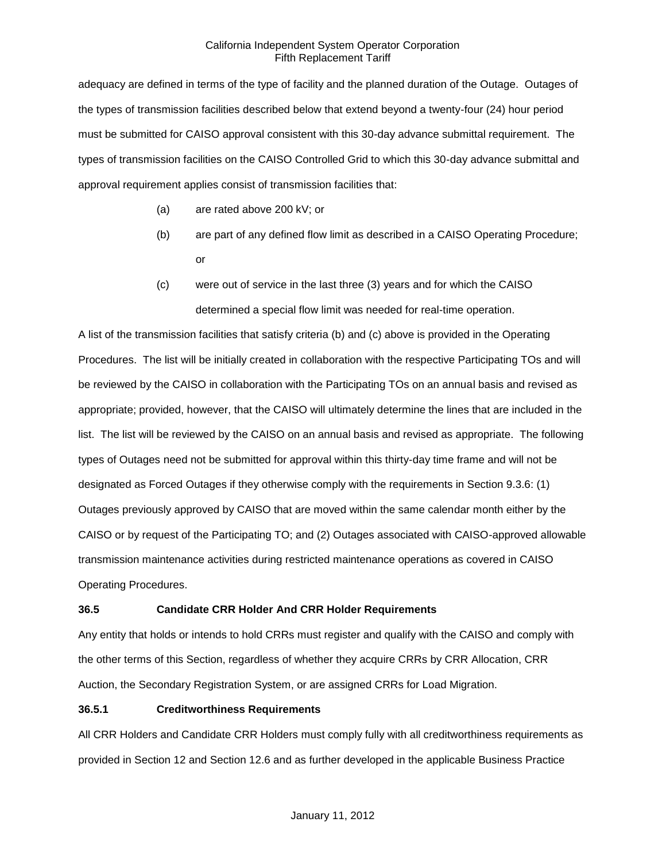adequacy are defined in terms of the type of facility and the planned duration of the Outage. Outages of the types of transmission facilities described below that extend beyond a twenty-four (24) hour period must be submitted for CAISO approval consistent with this 30-day advance submittal requirement. The types of transmission facilities on the CAISO Controlled Grid to which this 30-day advance submittal and approval requirement applies consist of transmission facilities that:

- (a) are rated above 200 kV; or
- (b) are part of any defined flow limit as described in a CAISO Operating Procedure; or
- (c) were out of service in the last three (3) years and for which the CAISO determined a special flow limit was needed for real-time operation.

A list of the transmission facilities that satisfy criteria (b) and (c) above is provided in the Operating Procedures. The list will be initially created in collaboration with the respective Participating TOs and will be reviewed by the CAISO in collaboration with the Participating TOs on an annual basis and revised as appropriate; provided, however, that the CAISO will ultimately determine the lines that are included in the list. The list will be reviewed by the CAISO on an annual basis and revised as appropriate. The following types of Outages need not be submitted for approval within this thirty-day time frame and will not be designated as Forced Outages if they otherwise comply with the requirements in Section 9.3.6: (1) Outages previously approved by CAISO that are moved within the same calendar month either by the CAISO or by request of the Participating TO; and (2) Outages associated with CAISO-approved allowable transmission maintenance activities during restricted maintenance operations as covered in CAISO Operating Procedures.

# **36.5 Candidate CRR Holder And CRR Holder Requirements**

Any entity that holds or intends to hold CRRs must register and qualify with the CAISO and comply with the other terms of this Section, regardless of whether they acquire CRRs by CRR Allocation, CRR Auction, the Secondary Registration System, or are assigned CRRs for Load Migration.

# **36.5.1 Creditworthiness Requirements**

All CRR Holders and Candidate CRR Holders must comply fully with all creditworthiness requirements as provided in Section 12 and Section 12.6 and as further developed in the applicable Business Practice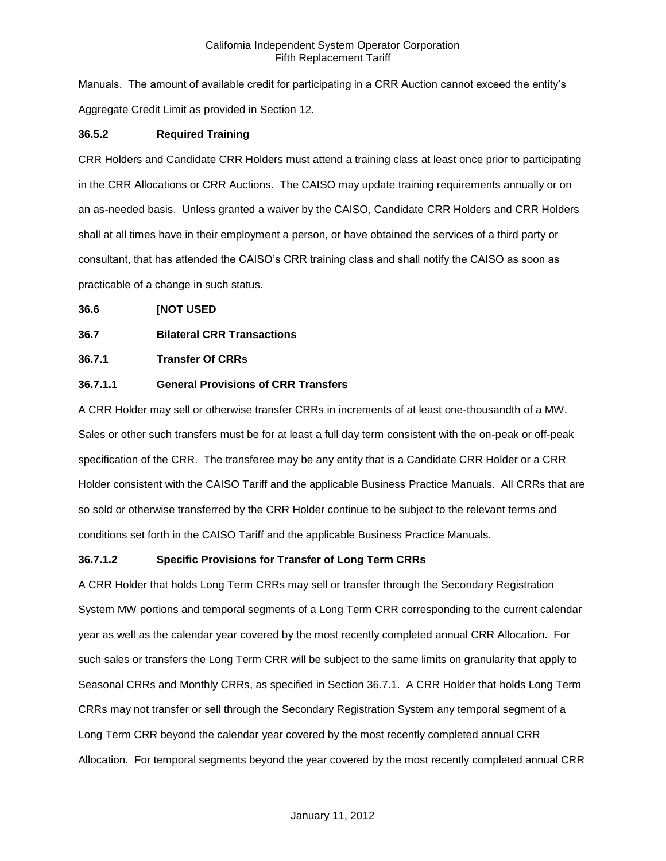Manuals. The amount of available credit for participating in a CRR Auction cannot exceed the entity's Aggregate Credit Limit as provided in Section 12.

# **36.5.2 Required Training**

CRR Holders and Candidate CRR Holders must attend a training class at least once prior to participating in the CRR Allocations or CRR Auctions. The CAISO may update training requirements annually or on an as-needed basis. Unless granted a waiver by the CAISO, Candidate CRR Holders and CRR Holders shall at all times have in their employment a person, or have obtained the services of a third party or consultant, that has attended the CAISO's CRR training class and shall notify the CAISO as soon as practicable of a change in such status.

# **36.6 [NOT USED**

# **36.7 Bilateral CRR Transactions**

# **36.7.1 Transfer Of CRRs**

# **36.7.1.1 General Provisions of CRR Transfers**

A CRR Holder may sell or otherwise transfer CRRs in increments of at least one-thousandth of a MW. Sales or other such transfers must be for at least a full day term consistent with the on-peak or off-peak specification of the CRR. The transferee may be any entity that is a Candidate CRR Holder or a CRR Holder consistent with the CAISO Tariff and the applicable Business Practice Manuals. All CRRs that are so sold or otherwise transferred by the CRR Holder continue to be subject to the relevant terms and conditions set forth in the CAISO Tariff and the applicable Business Practice Manuals.

# **36.7.1.2 Specific Provisions for Transfer of Long Term CRRs**

A CRR Holder that holds Long Term CRRs may sell or transfer through the Secondary Registration System MW portions and temporal segments of a Long Term CRR corresponding to the current calendar year as well as the calendar year covered by the most recently completed annual CRR Allocation. For such sales or transfers the Long Term CRR will be subject to the same limits on granularity that apply to Seasonal CRRs and Monthly CRRs, as specified in Section 36.7.1. A CRR Holder that holds Long Term CRRs may not transfer or sell through the Secondary Registration System any temporal segment of a Long Term CRR beyond the calendar year covered by the most recently completed annual CRR Allocation. For temporal segments beyond the year covered by the most recently completed annual CRR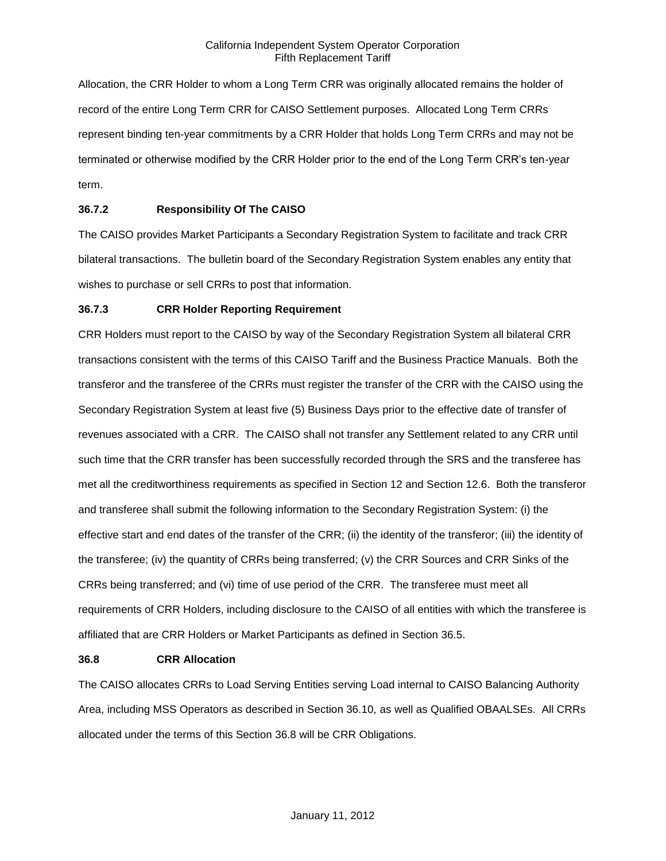Allocation, the CRR Holder to whom a Long Term CRR was originally allocated remains the holder of record of the entire Long Term CRR for CAISO Settlement purposes. Allocated Long Term CRRs represent binding ten-year commitments by a CRR Holder that holds Long Term CRRs and may not be terminated or otherwise modified by the CRR Holder prior to the end of the Long Term CRR's ten-year term.

# **36.7.2 Responsibility Of The CAISO**

The CAISO provides Market Participants a Secondary Registration System to facilitate and track CRR bilateral transactions. The bulletin board of the Secondary Registration System enables any entity that wishes to purchase or sell CRRs to post that information.

### **36.7.3 CRR Holder Reporting Requirement**

CRR Holders must report to the CAISO by way of the Secondary Registration System all bilateral CRR transactions consistent with the terms of this CAISO Tariff and the Business Practice Manuals. Both the transferor and the transferee of the CRRs must register the transfer of the CRR with the CAISO using the Secondary Registration System at least five (5) Business Days prior to the effective date of transfer of revenues associated with a CRR. The CAISO shall not transfer any Settlement related to any CRR until such time that the CRR transfer has been successfully recorded through the SRS and the transferee has met all the creditworthiness requirements as specified in Section 12 and Section 12.6. Both the transferor and transferee shall submit the following information to the Secondary Registration System: (i) the effective start and end dates of the transfer of the CRR; (ii) the identity of the transferor; (iii) the identity of the transferee; (iv) the quantity of CRRs being transferred; (v) the CRR Sources and CRR Sinks of the CRRs being transferred; and (vi) time of use period of the CRR. The transferee must meet all requirements of CRR Holders, including disclosure to the CAISO of all entities with which the transferee is affiliated that are CRR Holders or Market Participants as defined in Section 36.5.

### **36.8 CRR Allocation**

The CAISO allocates CRRs to Load Serving Entities serving Load internal to CAISO Balancing Authority Area, including MSS Operators as described in Section 36.10, as well as Qualified OBAALSEs. All CRRs allocated under the terms of this Section 36.8 will be CRR Obligations.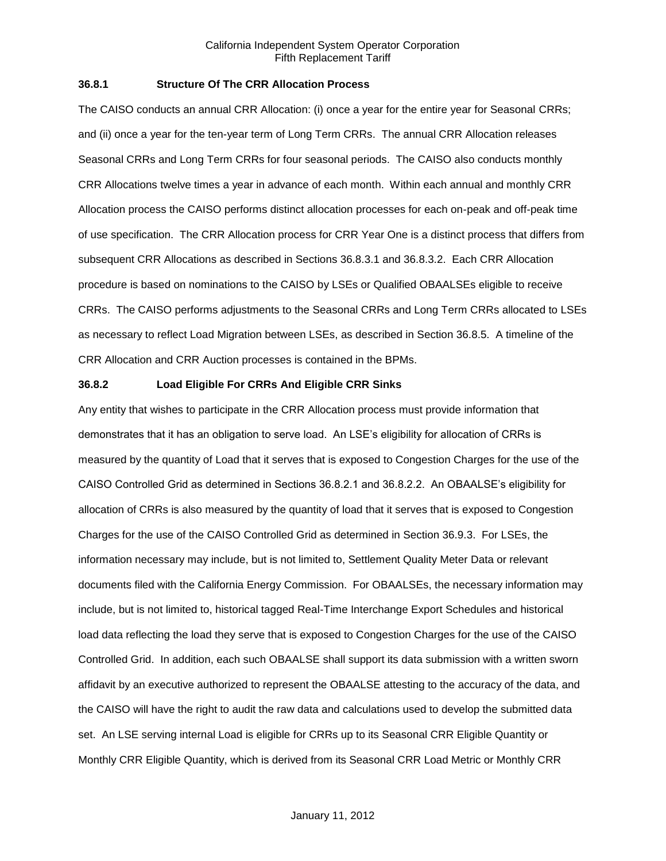# **36.8.1 Structure Of The CRR Allocation Process**

The CAISO conducts an annual CRR Allocation: (i) once a year for the entire year for Seasonal CRRs; and (ii) once a year for the ten-year term of Long Term CRRs. The annual CRR Allocation releases Seasonal CRRs and Long Term CRRs for four seasonal periods. The CAISO also conducts monthly CRR Allocations twelve times a year in advance of each month. Within each annual and monthly CRR Allocation process the CAISO performs distinct allocation processes for each on-peak and off-peak time of use specification. The CRR Allocation process for CRR Year One is a distinct process that differs from subsequent CRR Allocations as described in Sections 36.8.3.1 and 36.8.3.2. Each CRR Allocation procedure is based on nominations to the CAISO by LSEs or Qualified OBAALSEs eligible to receive CRRs. The CAISO performs adjustments to the Seasonal CRRs and Long Term CRRs allocated to LSEs as necessary to reflect Load Migration between LSEs, as described in Section 36.8.5. A timeline of the CRR Allocation and CRR Auction processes is contained in the BPMs.

## **36.8.2 Load Eligible For CRRs And Eligible CRR Sinks**

Any entity that wishes to participate in the CRR Allocation process must provide information that demonstrates that it has an obligation to serve load. An LSE's eligibility for allocation of CRRs is measured by the quantity of Load that it serves that is exposed to Congestion Charges for the use of the CAISO Controlled Grid as determined in Sections 36.8.2.1 and 36.8.2.2. An OBAALSE's eligibility for allocation of CRRs is also measured by the quantity of load that it serves that is exposed to Congestion Charges for the use of the CAISO Controlled Grid as determined in Section 36.9.3. For LSEs, the information necessary may include, but is not limited to, Settlement Quality Meter Data or relevant documents filed with the California Energy Commission. For OBAALSEs, the necessary information may include, but is not limited to, historical tagged Real-Time Interchange Export Schedules and historical load data reflecting the load they serve that is exposed to Congestion Charges for the use of the CAISO Controlled Grid. In addition, each such OBAALSE shall support its data submission with a written sworn affidavit by an executive authorized to represent the OBAALSE attesting to the accuracy of the data, and the CAISO will have the right to audit the raw data and calculations used to develop the submitted data set. An LSE serving internal Load is eligible for CRRs up to its Seasonal CRR Eligible Quantity or Monthly CRR Eligible Quantity, which is derived from its Seasonal CRR Load Metric or Monthly CRR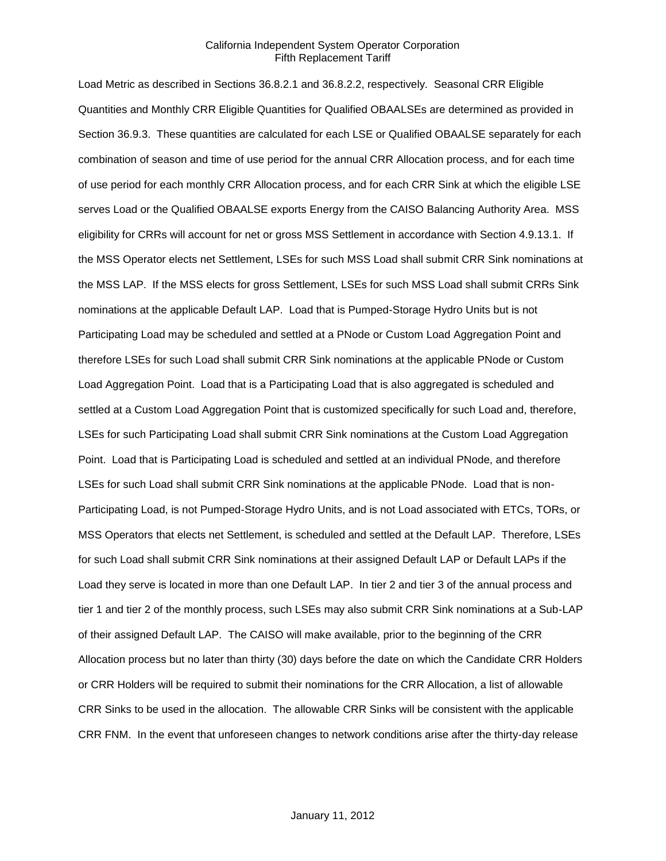Load Metric as described in Sections 36.8.2.1 and 36.8.2.2, respectively. Seasonal CRR Eligible Quantities and Monthly CRR Eligible Quantities for Qualified OBAALSEs are determined as provided in Section 36.9.3. These quantities are calculated for each LSE or Qualified OBAALSE separately for each combination of season and time of use period for the annual CRR Allocation process, and for each time of use period for each monthly CRR Allocation process, and for each CRR Sink at which the eligible LSE serves Load or the Qualified OBAALSE exports Energy from the CAISO Balancing Authority Area. MSS eligibility for CRRs will account for net or gross MSS Settlement in accordance with Section 4.9.13.1. If the MSS Operator elects net Settlement, LSEs for such MSS Load shall submit CRR Sink nominations at the MSS LAP. If the MSS elects for gross Settlement, LSEs for such MSS Load shall submit CRRs Sink nominations at the applicable Default LAP. Load that is Pumped-Storage Hydro Units but is not Participating Load may be scheduled and settled at a PNode or Custom Load Aggregation Point and therefore LSEs for such Load shall submit CRR Sink nominations at the applicable PNode or Custom Load Aggregation Point. Load that is a Participating Load that is also aggregated is scheduled and settled at a Custom Load Aggregation Point that is customized specifically for such Load and, therefore, LSEs for such Participating Load shall submit CRR Sink nominations at the Custom Load Aggregation Point. Load that is Participating Load is scheduled and settled at an individual PNode, and therefore LSEs for such Load shall submit CRR Sink nominations at the applicable PNode. Load that is non-Participating Load, is not Pumped-Storage Hydro Units, and is not Load associated with ETCs, TORs, or MSS Operators that elects net Settlement, is scheduled and settled at the Default LAP. Therefore, LSEs for such Load shall submit CRR Sink nominations at their assigned Default LAP or Default LAPs if the Load they serve is located in more than one Default LAP. In tier 2 and tier 3 of the annual process and tier 1 and tier 2 of the monthly process, such LSEs may also submit CRR Sink nominations at a Sub-LAP of their assigned Default LAP. The CAISO will make available, prior to the beginning of the CRR Allocation process but no later than thirty (30) days before the date on which the Candidate CRR Holders or CRR Holders will be required to submit their nominations for the CRR Allocation, a list of allowable CRR Sinks to be used in the allocation. The allowable CRR Sinks will be consistent with the applicable CRR FNM. In the event that unforeseen changes to network conditions arise after the thirty-day release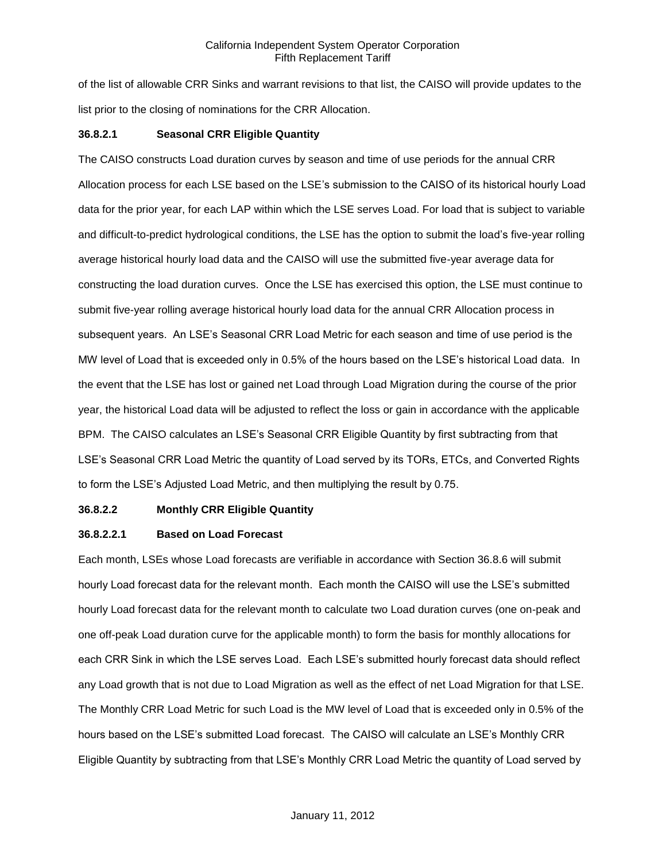of the list of allowable CRR Sinks and warrant revisions to that list, the CAISO will provide updates to the list prior to the closing of nominations for the CRR Allocation.

# **36.8.2.1 Seasonal CRR Eligible Quantity**

The CAISO constructs Load duration curves by season and time of use periods for the annual CRR Allocation process for each LSE based on the LSE's submission to the CAISO of its historical hourly Load data for the prior year, for each LAP within which the LSE serves Load. For load that is subject to variable and difficult-to-predict hydrological conditions, the LSE has the option to submit the load's five-year rolling average historical hourly load data and the CAISO will use the submitted five-year average data for constructing the load duration curves. Once the LSE has exercised this option, the LSE must continue to submit five-year rolling average historical hourly load data for the annual CRR Allocation process in subsequent years. An LSE's Seasonal CRR Load Metric for each season and time of use period is the MW level of Load that is exceeded only in 0.5% of the hours based on the LSE's historical Load data. In the event that the LSE has lost or gained net Load through Load Migration during the course of the prior year, the historical Load data will be adjusted to reflect the loss or gain in accordance with the applicable BPM. The CAISO calculates an LSE's Seasonal CRR Eligible Quantity by first subtracting from that LSE's Seasonal CRR Load Metric the quantity of Load served by its TORs, ETCs, and Converted Rights to form the LSE's Adjusted Load Metric, and then multiplying the result by 0.75.

# **36.8.2.2 Monthly CRR Eligible Quantity**

# **36.8.2.2.1 Based on Load Forecast**

Each month, LSEs whose Load forecasts are verifiable in accordance with Section 36.8.6 will submit hourly Load forecast data for the relevant month. Each month the CAISO will use the LSE's submitted hourly Load forecast data for the relevant month to calculate two Load duration curves (one on-peak and one off-peak Load duration curve for the applicable month) to form the basis for monthly allocations for each CRR Sink in which the LSE serves Load. Each LSE's submitted hourly forecast data should reflect any Load growth that is not due to Load Migration as well as the effect of net Load Migration for that LSE. The Monthly CRR Load Metric for such Load is the MW level of Load that is exceeded only in 0.5% of the hours based on the LSE's submitted Load forecast. The CAISO will calculate an LSE's Monthly CRR Eligible Quantity by subtracting from that LSE's Monthly CRR Load Metric the quantity of Load served by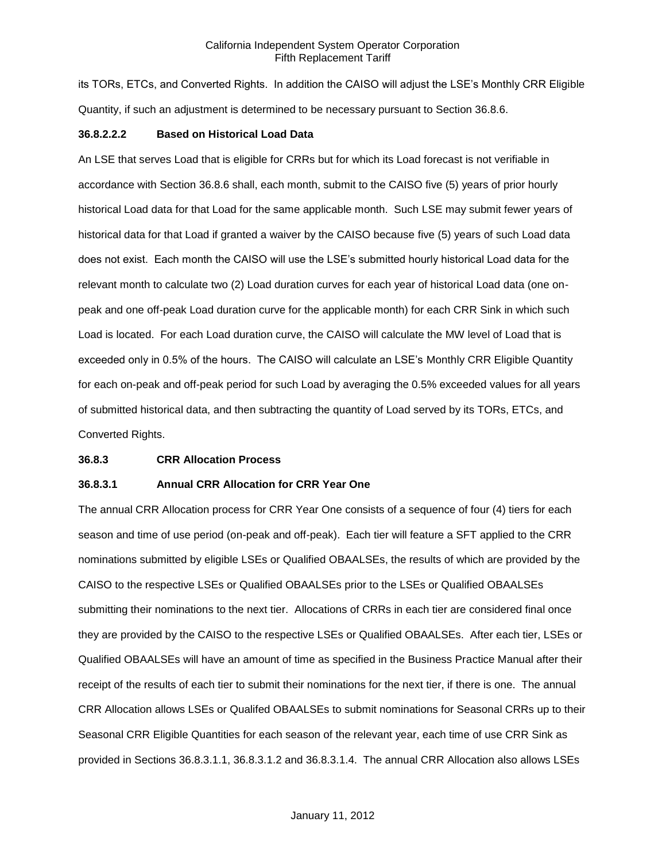its TORs, ETCs, and Converted Rights. In addition the CAISO will adjust the LSE's Monthly CRR Eligible Quantity, if such an adjustment is determined to be necessary pursuant to Section 36.8.6.

### **36.8.2.2.2 Based on Historical Load Data**

An LSE that serves Load that is eligible for CRRs but for which its Load forecast is not verifiable in accordance with Section 36.8.6 shall, each month, submit to the CAISO five (5) years of prior hourly historical Load data for that Load for the same applicable month. Such LSE may submit fewer years of historical data for that Load if granted a waiver by the CAISO because five (5) years of such Load data does not exist. Each month the CAISO will use the LSE's submitted hourly historical Load data for the relevant month to calculate two (2) Load duration curves for each year of historical Load data (one onpeak and one off-peak Load duration curve for the applicable month) for each CRR Sink in which such Load is located. For each Load duration curve, the CAISO will calculate the MW level of Load that is exceeded only in 0.5% of the hours. The CAISO will calculate an LSE's Monthly CRR Eligible Quantity for each on-peak and off-peak period for such Load by averaging the 0.5% exceeded values for all years of submitted historical data, and then subtracting the quantity of Load served by its TORs, ETCs, and Converted Rights.

### **36.8.3 CRR Allocation Process**

## **36.8.3.1 Annual CRR Allocation for CRR Year One**

The annual CRR Allocation process for CRR Year One consists of a sequence of four (4) tiers for each season and time of use period (on-peak and off-peak). Each tier will feature a SFT applied to the CRR nominations submitted by eligible LSEs or Qualified OBAALSEs, the results of which are provided by the CAISO to the respective LSEs or Qualified OBAALSEs prior to the LSEs or Qualified OBAALSEs submitting their nominations to the next tier. Allocations of CRRs in each tier are considered final once they are provided by the CAISO to the respective LSEs or Qualified OBAALSEs. After each tier, LSEs or Qualified OBAALSEs will have an amount of time as specified in the Business Practice Manual after their receipt of the results of each tier to submit their nominations for the next tier, if there is one. The annual CRR Allocation allows LSEs or Qualifed OBAALSEs to submit nominations for Seasonal CRRs up to their Seasonal CRR Eligible Quantities for each season of the relevant year, each time of use CRR Sink as provided in Sections 36.8.3.1.1, 36.8.3.1.2 and 36.8.3.1.4. The annual CRR Allocation also allows LSEs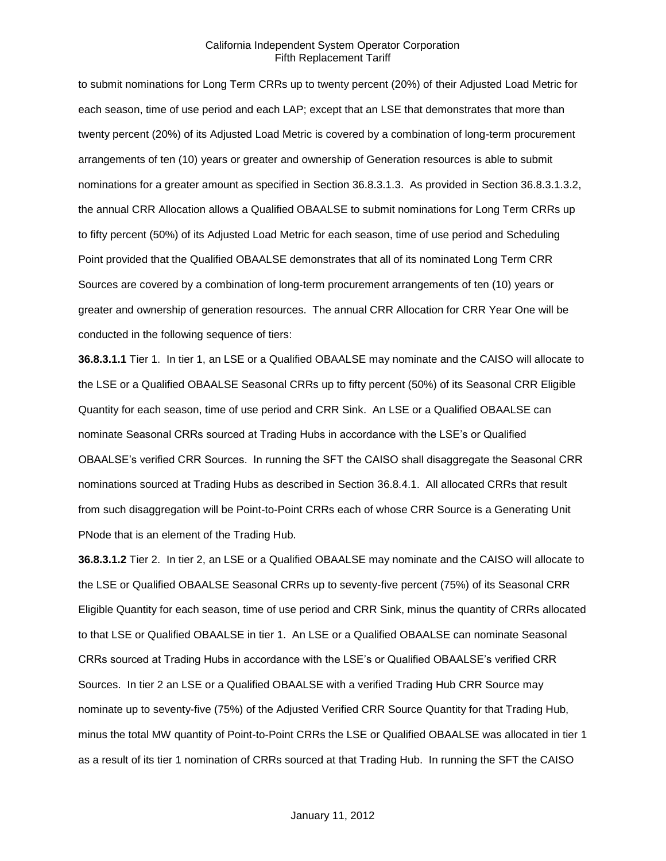to submit nominations for Long Term CRRs up to twenty percent (20%) of their Adjusted Load Metric for each season, time of use period and each LAP; except that an LSE that demonstrates that more than twenty percent (20%) of its Adjusted Load Metric is covered by a combination of long-term procurement arrangements of ten (10) years or greater and ownership of Generation resources is able to submit nominations for a greater amount as specified in Section 36.8.3.1.3. As provided in Section 36.8.3.1.3.2, the annual CRR Allocation allows a Qualified OBAALSE to submit nominations for Long Term CRRs up to fifty percent (50%) of its Adjusted Load Metric for each season, time of use period and Scheduling Point provided that the Qualified OBAALSE demonstrates that all of its nominated Long Term CRR Sources are covered by a combination of long-term procurement arrangements of ten (10) years or greater and ownership of generation resources. The annual CRR Allocation for CRR Year One will be conducted in the following sequence of tiers:

**36.8.3.1.1** Tier 1. In tier 1, an LSE or a Qualified OBAALSE may nominate and the CAISO will allocate to the LSE or a Qualified OBAALSE Seasonal CRRs up to fifty percent (50%) of its Seasonal CRR Eligible Quantity for each season, time of use period and CRR Sink. An LSE or a Qualified OBAALSE can nominate Seasonal CRRs sourced at Trading Hubs in accordance with the LSE's or Qualified OBAALSE's verified CRR Sources. In running the SFT the CAISO shall disaggregate the Seasonal CRR nominations sourced at Trading Hubs as described in Section 36.8.4.1. All allocated CRRs that result from such disaggregation will be Point-to-Point CRRs each of whose CRR Source is a Generating Unit PNode that is an element of the Trading Hub.

**36.8.3.1.2** Tier 2. In tier 2, an LSE or a Qualified OBAALSE may nominate and the CAISO will allocate to the LSE or Qualified OBAALSE Seasonal CRRs up to seventy-five percent (75%) of its Seasonal CRR Eligible Quantity for each season, time of use period and CRR Sink, minus the quantity of CRRs allocated to that LSE or Qualified OBAALSE in tier 1. An LSE or a Qualified OBAALSE can nominate Seasonal CRRs sourced at Trading Hubs in accordance with the LSE's or Qualified OBAALSE's verified CRR Sources. In tier 2 an LSE or a Qualified OBAALSE with a verified Trading Hub CRR Source may nominate up to seventy-five (75%) of the Adjusted Verified CRR Source Quantity for that Trading Hub, minus the total MW quantity of Point-to-Point CRRs the LSE or Qualified OBAALSE was allocated in tier 1 as a result of its tier 1 nomination of CRRs sourced at that Trading Hub. In running the SFT the CAISO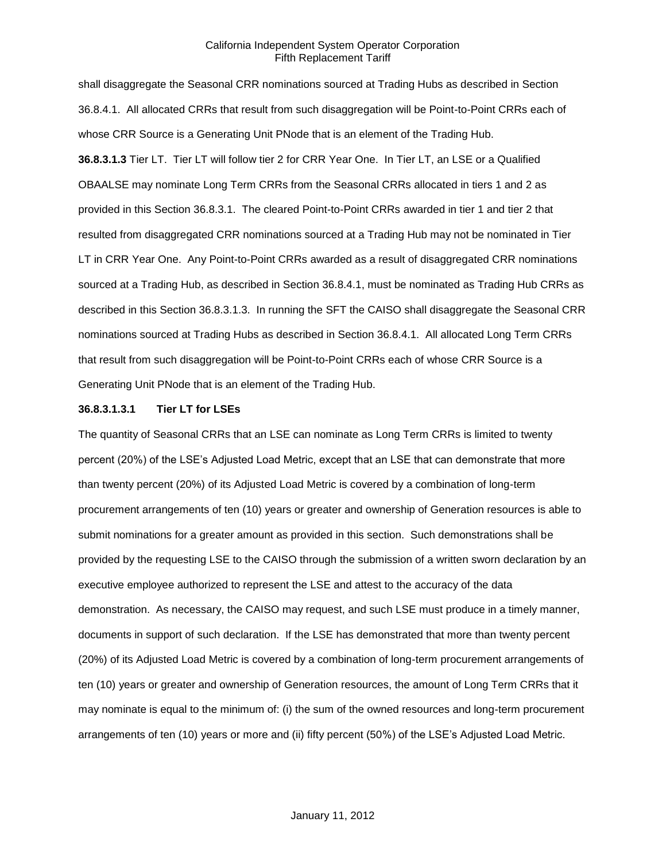shall disaggregate the Seasonal CRR nominations sourced at Trading Hubs as described in Section 36.8.4.1. All allocated CRRs that result from such disaggregation will be Point-to-Point CRRs each of whose CRR Source is a Generating Unit PNode that is an element of the Trading Hub. **36.8.3.1.3** Tier LT. Tier LT will follow tier 2 for CRR Year One. In Tier LT, an LSE or a Qualified OBAALSE may nominate Long Term CRRs from the Seasonal CRRs allocated in tiers 1 and 2 as provided in this Section 36.8.3.1. The cleared Point-to-Point CRRs awarded in tier 1 and tier 2 that resulted from disaggregated CRR nominations sourced at a Trading Hub may not be nominated in Tier LT in CRR Year One. Any Point-to-Point CRRs awarded as a result of disaggregated CRR nominations sourced at a Trading Hub, as described in Section 36.8.4.1, must be nominated as Trading Hub CRRs as described in this Section 36.8.3.1.3. In running the SFT the CAISO shall disaggregate the Seasonal CRR nominations sourced at Trading Hubs as described in Section 36.8.4.1. All allocated Long Term CRRs that result from such disaggregation will be Point-to-Point CRRs each of whose CRR Source is a Generating Unit PNode that is an element of the Trading Hub.

# **36.8.3.1.3.1 Tier LT for LSEs**

The quantity of Seasonal CRRs that an LSE can nominate as Long Term CRRs is limited to twenty percent (20%) of the LSE's Adjusted Load Metric, except that an LSE that can demonstrate that more than twenty percent (20%) of its Adjusted Load Metric is covered by a combination of long-term procurement arrangements of ten (10) years or greater and ownership of Generation resources is able to submit nominations for a greater amount as provided in this section. Such demonstrations shall be provided by the requesting LSE to the CAISO through the submission of a written sworn declaration by an executive employee authorized to represent the LSE and attest to the accuracy of the data demonstration. As necessary, the CAISO may request, and such LSE must produce in a timely manner, documents in support of such declaration. If the LSE has demonstrated that more than twenty percent (20%) of its Adjusted Load Metric is covered by a combination of long-term procurement arrangements of ten (10) years or greater and ownership of Generation resources, the amount of Long Term CRRs that it may nominate is equal to the minimum of: (i) the sum of the owned resources and long-term procurement arrangements of ten (10) years or more and (ii) fifty percent (50%) of the LSE's Adjusted Load Metric.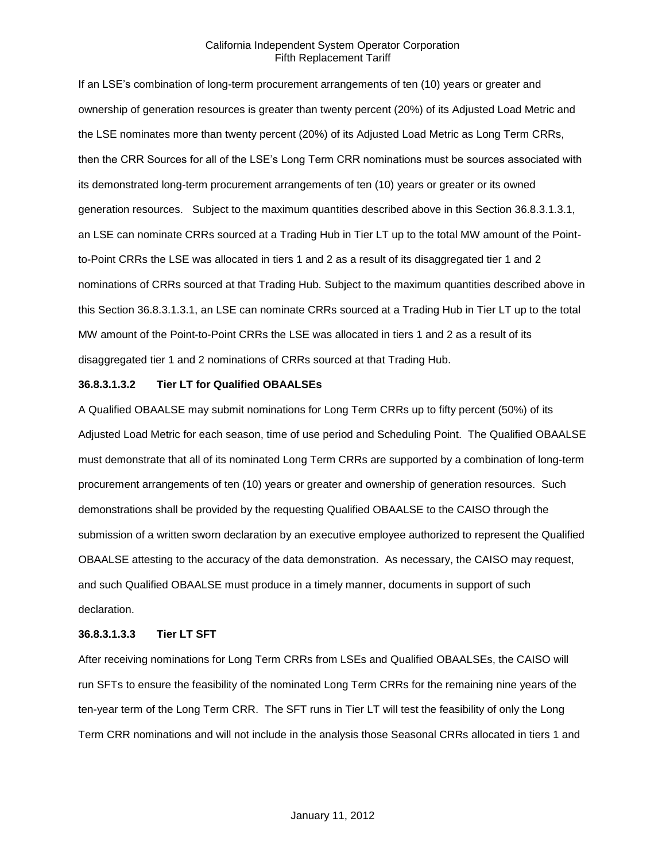If an LSE's combination of long-term procurement arrangements of ten (10) years or greater and ownership of generation resources is greater than twenty percent (20%) of its Adjusted Load Metric and the LSE nominates more than twenty percent (20%) of its Adjusted Load Metric as Long Term CRRs, then the CRR Sources for all of the LSE's Long Term CRR nominations must be sources associated with its demonstrated long-term procurement arrangements of ten (10) years or greater or its owned generation resources. Subject to the maximum quantities described above in this Section 36.8.3.1.3.1, an LSE can nominate CRRs sourced at a Trading Hub in Tier LT up to the total MW amount of the Pointto-Point CRRs the LSE was allocated in tiers 1 and 2 as a result of its disaggregated tier 1 and 2 nominations of CRRs sourced at that Trading Hub. Subject to the maximum quantities described above in this Section 36.8.3.1.3.1, an LSE can nominate CRRs sourced at a Trading Hub in Tier LT up to the total MW amount of the Point-to-Point CRRs the LSE was allocated in tiers 1 and 2 as a result of its disaggregated tier 1 and 2 nominations of CRRs sourced at that Trading Hub.

## **36.8.3.1.3.2 Tier LT for Qualified OBAALSEs**

A Qualified OBAALSE may submit nominations for Long Term CRRs up to fifty percent (50%) of its Adjusted Load Metric for each season, time of use period and Scheduling Point. The Qualified OBAALSE must demonstrate that all of its nominated Long Term CRRs are supported by a combination of long-term procurement arrangements of ten (10) years or greater and ownership of generation resources. Such demonstrations shall be provided by the requesting Qualified OBAALSE to the CAISO through the submission of a written sworn declaration by an executive employee authorized to represent the Qualified OBAALSE attesting to the accuracy of the data demonstration. As necessary, the CAISO may request, and such Qualified OBAALSE must produce in a timely manner, documents in support of such declaration.

#### **36.8.3.1.3.3 Tier LT SFT**

After receiving nominations for Long Term CRRs from LSEs and Qualified OBAALSEs, the CAISO will run SFTs to ensure the feasibility of the nominated Long Term CRRs for the remaining nine years of the ten-year term of the Long Term CRR. The SFT runs in Tier LT will test the feasibility of only the Long Term CRR nominations and will not include in the analysis those Seasonal CRRs allocated in tiers 1 and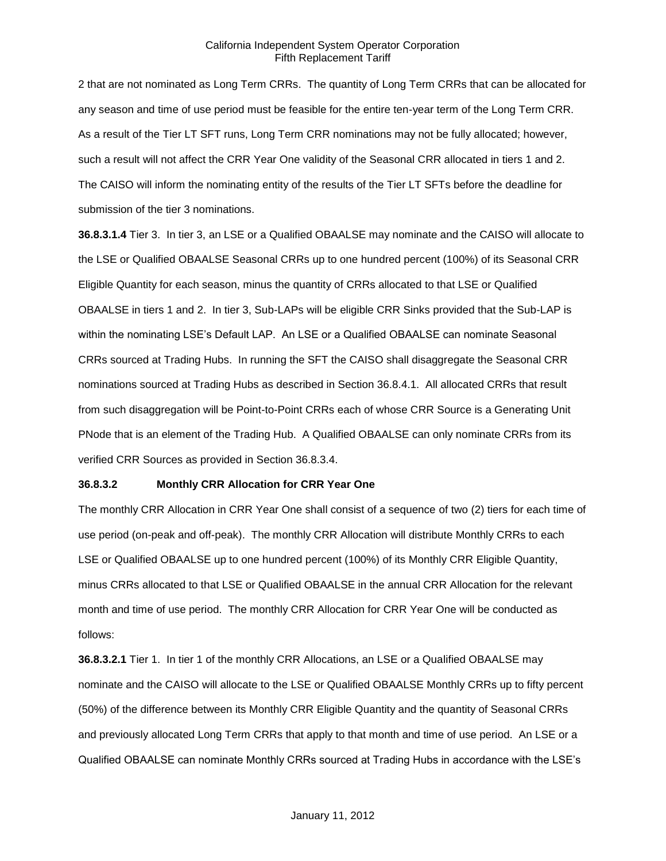2 that are not nominated as Long Term CRRs. The quantity of Long Term CRRs that can be allocated for any season and time of use period must be feasible for the entire ten-year term of the Long Term CRR. As a result of the Tier LT SFT runs, Long Term CRR nominations may not be fully allocated; however, such a result will not affect the CRR Year One validity of the Seasonal CRR allocated in tiers 1 and 2. The CAISO will inform the nominating entity of the results of the Tier LT SFTs before the deadline for submission of the tier 3 nominations.

**36.8.3.1.4** Tier 3. In tier 3, an LSE or a Qualified OBAALSE may nominate and the CAISO will allocate to the LSE or Qualified OBAALSE Seasonal CRRs up to one hundred percent (100%) of its Seasonal CRR Eligible Quantity for each season, minus the quantity of CRRs allocated to that LSE or Qualified OBAALSE in tiers 1 and 2. In tier 3, Sub-LAPs will be eligible CRR Sinks provided that the Sub-LAP is within the nominating LSE's Default LAP. An LSE or a Qualified OBAALSE can nominate Seasonal CRRs sourced at Trading Hubs. In running the SFT the CAISO shall disaggregate the Seasonal CRR nominations sourced at Trading Hubs as described in Section 36.8.4.1. All allocated CRRs that result from such disaggregation will be Point-to-Point CRRs each of whose CRR Source is a Generating Unit PNode that is an element of the Trading Hub. A Qualified OBAALSE can only nominate CRRs from its verified CRR Sources as provided in Section 36.8.3.4.

# **36.8.3.2 Monthly CRR Allocation for CRR Year One**

The monthly CRR Allocation in CRR Year One shall consist of a sequence of two (2) tiers for each time of use period (on-peak and off-peak). The monthly CRR Allocation will distribute Monthly CRRs to each LSE or Qualified OBAALSE up to one hundred percent (100%) of its Monthly CRR Eligible Quantity, minus CRRs allocated to that LSE or Qualified OBAALSE in the annual CRR Allocation for the relevant month and time of use period. The monthly CRR Allocation for CRR Year One will be conducted as follows:

**36.8.3.2.1** Tier 1. In tier 1 of the monthly CRR Allocations, an LSE or a Qualified OBAALSE may nominate and the CAISO will allocate to the LSE or Qualified OBAALSE Monthly CRRs up to fifty percent (50%) of the difference between its Monthly CRR Eligible Quantity and the quantity of Seasonal CRRs and previously allocated Long Term CRRs that apply to that month and time of use period. An LSE or a Qualified OBAALSE can nominate Monthly CRRs sourced at Trading Hubs in accordance with the LSE's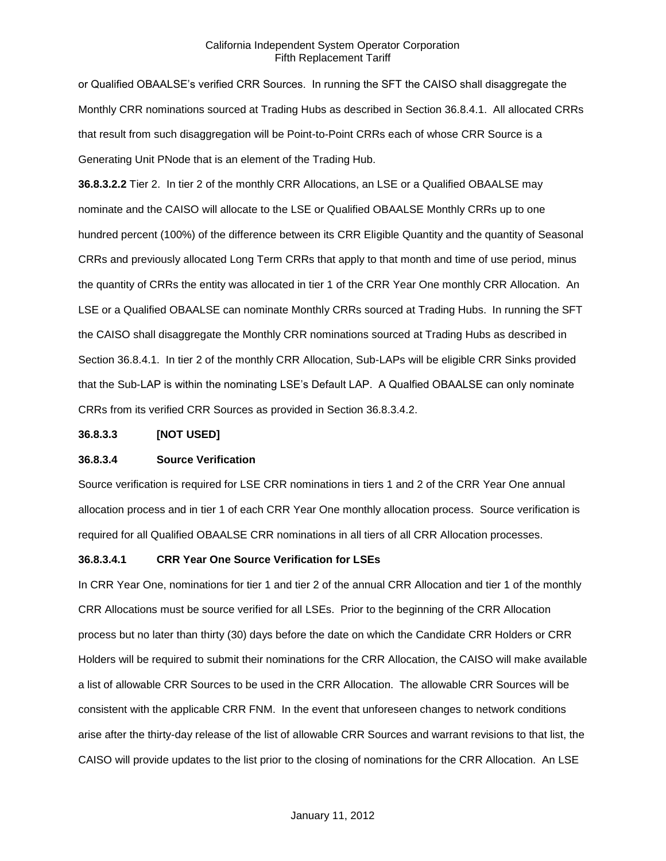or Qualified OBAALSE's verified CRR Sources. In running the SFT the CAISO shall disaggregate the Monthly CRR nominations sourced at Trading Hubs as described in Section 36.8.4.1. All allocated CRRs that result from such disaggregation will be Point-to-Point CRRs each of whose CRR Source is a Generating Unit PNode that is an element of the Trading Hub.

**36.8.3.2.2** Tier 2. In tier 2 of the monthly CRR Allocations, an LSE or a Qualified OBAALSE may nominate and the CAISO will allocate to the LSE or Qualified OBAALSE Monthly CRRs up to one hundred percent (100%) of the difference between its CRR Eligible Quantity and the quantity of Seasonal CRRs and previously allocated Long Term CRRs that apply to that month and time of use period, minus the quantity of CRRs the entity was allocated in tier 1 of the CRR Year One monthly CRR Allocation. An LSE or a Qualified OBAALSE can nominate Monthly CRRs sourced at Trading Hubs. In running the SFT the CAISO shall disaggregate the Monthly CRR nominations sourced at Trading Hubs as described in Section 36.8.4.1. In tier 2 of the monthly CRR Allocation, Sub-LAPs will be eligible CRR Sinks provided that the Sub-LAP is within the nominating LSE's Default LAP. A Qualfied OBAALSE can only nominate CRRs from its verified CRR Sources as provided in Section 36.8.3.4.2.

### **36.8.3.3 [NOT USED]**

### **36.8.3.4 Source Verification**

Source verification is required for LSE CRR nominations in tiers 1 and 2 of the CRR Year One annual allocation process and in tier 1 of each CRR Year One monthly allocation process. Source verification is required for all Qualified OBAALSE CRR nominations in all tiers of all CRR Allocation processes.

## **36.8.3.4.1 CRR Year One Source Verification for LSEs**

In CRR Year One, nominations for tier 1 and tier 2 of the annual CRR Allocation and tier 1 of the monthly CRR Allocations must be source verified for all LSEs. Prior to the beginning of the CRR Allocation process but no later than thirty (30) days before the date on which the Candidate CRR Holders or CRR Holders will be required to submit their nominations for the CRR Allocation, the CAISO will make available a list of allowable CRR Sources to be used in the CRR Allocation. The allowable CRR Sources will be consistent with the applicable CRR FNM. In the event that unforeseen changes to network conditions arise after the thirty-day release of the list of allowable CRR Sources and warrant revisions to that list, the CAISO will provide updates to the list prior to the closing of nominations for the CRR Allocation. An LSE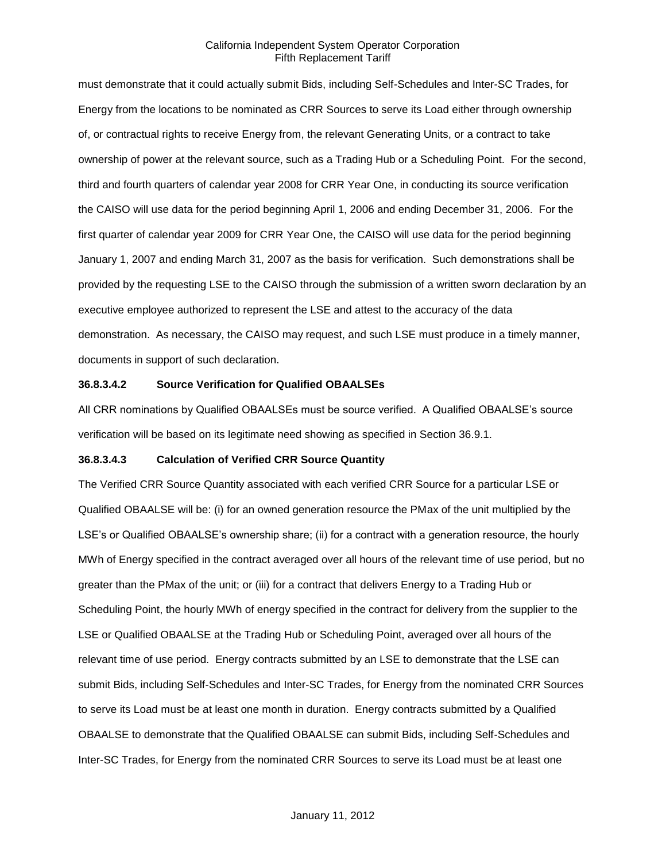must demonstrate that it could actually submit Bids, including Self-Schedules and Inter-SC Trades, for Energy from the locations to be nominated as CRR Sources to serve its Load either through ownership of, or contractual rights to receive Energy from, the relevant Generating Units, or a contract to take ownership of power at the relevant source, such as a Trading Hub or a Scheduling Point. For the second, third and fourth quarters of calendar year 2008 for CRR Year One, in conducting its source verification the CAISO will use data for the period beginning April 1, 2006 and ending December 31, 2006. For the first quarter of calendar year 2009 for CRR Year One, the CAISO will use data for the period beginning January 1, 2007 and ending March 31, 2007 as the basis for verification. Such demonstrations shall be provided by the requesting LSE to the CAISO through the submission of a written sworn declaration by an executive employee authorized to represent the LSE and attest to the accuracy of the data demonstration. As necessary, the CAISO may request, and such LSE must produce in a timely manner, documents in support of such declaration.

# **36.8.3.4.2 Source Verification for Qualified OBAALSEs**

All CRR nominations by Qualified OBAALSEs must be source verified. A Qualified OBAALSE's source verification will be based on its legitimate need showing as specified in Section 36.9.1.

#### **36.8.3.4.3 Calculation of Verified CRR Source Quantity**

The Verified CRR Source Quantity associated with each verified CRR Source for a particular LSE or Qualified OBAALSE will be: (i) for an owned generation resource the PMax of the unit multiplied by the LSE's or Qualified OBAALSE's ownership share; (ii) for a contract with a generation resource, the hourly MWh of Energy specified in the contract averaged over all hours of the relevant time of use period, but no greater than the PMax of the unit; or (iii) for a contract that delivers Energy to a Trading Hub or Scheduling Point, the hourly MWh of energy specified in the contract for delivery from the supplier to the LSE or Qualified OBAALSE at the Trading Hub or Scheduling Point, averaged over all hours of the relevant time of use period. Energy contracts submitted by an LSE to demonstrate that the LSE can submit Bids, including Self-Schedules and Inter-SC Trades, for Energy from the nominated CRR Sources to serve its Load must be at least one month in duration. Energy contracts submitted by a Qualified OBAALSE to demonstrate that the Qualified OBAALSE can submit Bids, including Self-Schedules and Inter-SC Trades, for Energy from the nominated CRR Sources to serve its Load must be at least one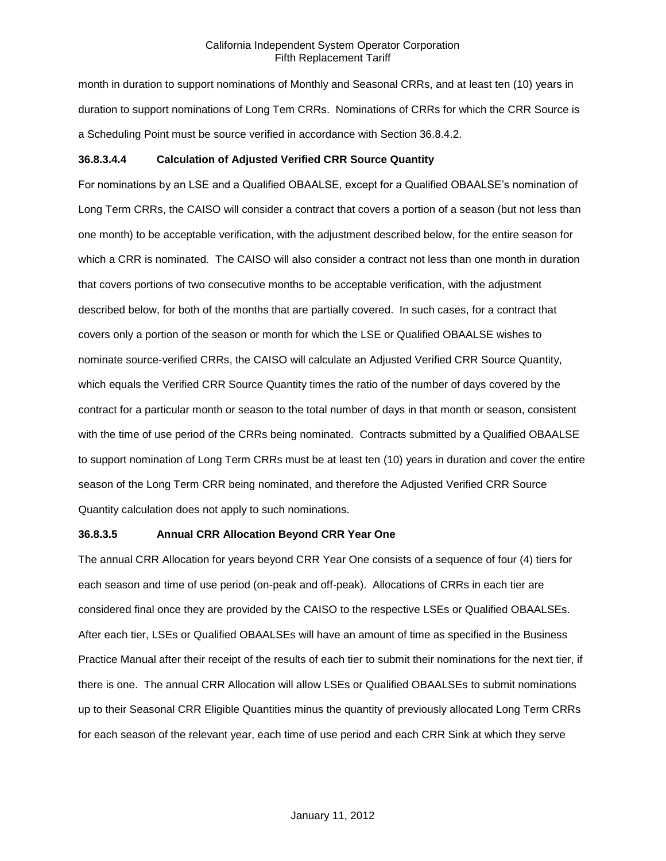month in duration to support nominations of Monthly and Seasonal CRRs, and at least ten (10) years in duration to support nominations of Long Tem CRRs. Nominations of CRRs for which the CRR Source is a Scheduling Point must be source verified in accordance with Section 36.8.4.2.

# **36.8.3.4.4 Calculation of Adjusted Verified CRR Source Quantity**

For nominations by an LSE and a Qualified OBAALSE, except for a Qualified OBAALSE's nomination of Long Term CRRs, the CAISO will consider a contract that covers a portion of a season (but not less than one month) to be acceptable verification, with the adjustment described below, for the entire season for which a CRR is nominated. The CAISO will also consider a contract not less than one month in duration that covers portions of two consecutive months to be acceptable verification, with the adjustment described below, for both of the months that are partially covered. In such cases, for a contract that covers only a portion of the season or month for which the LSE or Qualified OBAALSE wishes to nominate source-verified CRRs, the CAISO will calculate an Adjusted Verified CRR Source Quantity, which equals the Verified CRR Source Quantity times the ratio of the number of days covered by the contract for a particular month or season to the total number of days in that month or season, consistent with the time of use period of the CRRs being nominated. Contracts submitted by a Qualified OBAALSE to support nomination of Long Term CRRs must be at least ten (10) years in duration and cover the entire season of the Long Term CRR being nominated, and therefore the Adjusted Verified CRR Source Quantity calculation does not apply to such nominations.

# **36.8.3.5 Annual CRR Allocation Beyond CRR Year One**

The annual CRR Allocation for years beyond CRR Year One consists of a sequence of four (4) tiers for each season and time of use period (on-peak and off-peak). Allocations of CRRs in each tier are considered final once they are provided by the CAISO to the respective LSEs or Qualified OBAALSEs. After each tier, LSEs or Qualified OBAALSEs will have an amount of time as specified in the Business Practice Manual after their receipt of the results of each tier to submit their nominations for the next tier, if there is one. The annual CRR Allocation will allow LSEs or Qualified OBAALSEs to submit nominations up to their Seasonal CRR Eligible Quantities minus the quantity of previously allocated Long Term CRRs for each season of the relevant year, each time of use period and each CRR Sink at which they serve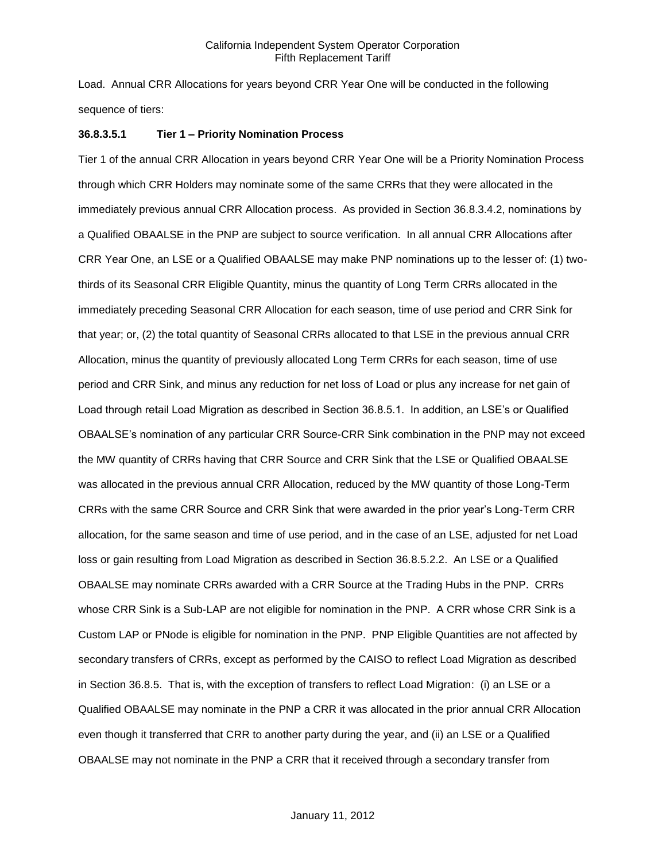Load. Annual CRR Allocations for years beyond CRR Year One will be conducted in the following sequence of tiers:

## **36.8.3.5.1 Tier 1 – Priority Nomination Process**

Tier 1 of the annual CRR Allocation in years beyond CRR Year One will be a Priority Nomination Process through which CRR Holders may nominate some of the same CRRs that they were allocated in the immediately previous annual CRR Allocation process. As provided in Section 36.8.3.4.2, nominations by a Qualified OBAALSE in the PNP are subject to source verification. In all annual CRR Allocations after CRR Year One, an LSE or a Qualified OBAALSE may make PNP nominations up to the lesser of: (1) twothirds of its Seasonal CRR Eligible Quantity, minus the quantity of Long Term CRRs allocated in the immediately preceding Seasonal CRR Allocation for each season, time of use period and CRR Sink for that year; or, (2) the total quantity of Seasonal CRRs allocated to that LSE in the previous annual CRR Allocation, minus the quantity of previously allocated Long Term CRRs for each season, time of use period and CRR Sink, and minus any reduction for net loss of Load or plus any increase for net gain of Load through retail Load Migration as described in Section 36.8.5.1. In addition, an LSE's or Qualified OBAALSE's nomination of any particular CRR Source-CRR Sink combination in the PNP may not exceed the MW quantity of CRRs having that CRR Source and CRR Sink that the LSE or Qualified OBAALSE was allocated in the previous annual CRR Allocation, reduced by the MW quantity of those Long-Term CRRs with the same CRR Source and CRR Sink that were awarded in the prior year's Long-Term CRR allocation, for the same season and time of use period, and in the case of an LSE, adjusted for net Load loss or gain resulting from Load Migration as described in Section 36.8.5.2.2. An LSE or a Qualified OBAALSE may nominate CRRs awarded with a CRR Source at the Trading Hubs in the PNP. CRRs whose CRR Sink is a Sub-LAP are not eligible for nomination in the PNP. A CRR whose CRR Sink is a Custom LAP or PNode is eligible for nomination in the PNP. PNP Eligible Quantities are not affected by secondary transfers of CRRs, except as performed by the CAISO to reflect Load Migration as described in Section 36.8.5. That is, with the exception of transfers to reflect Load Migration: (i) an LSE or a Qualified OBAALSE may nominate in the PNP a CRR it was allocated in the prior annual CRR Allocation even though it transferred that CRR to another party during the year, and (ii) an LSE or a Qualified OBAALSE may not nominate in the PNP a CRR that it received through a secondary transfer from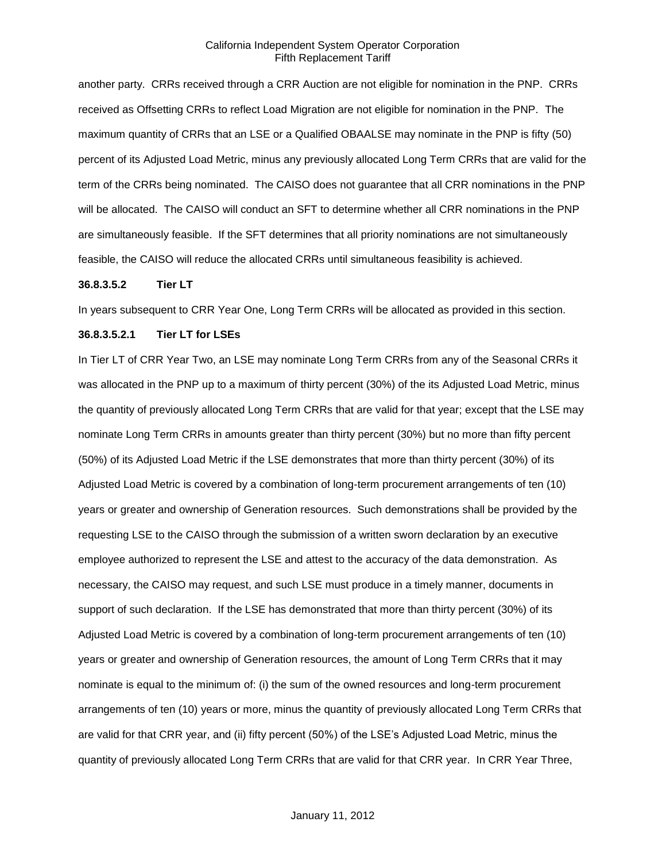another party. CRRs received through a CRR Auction are not eligible for nomination in the PNP. CRRs received as Offsetting CRRs to reflect Load Migration are not eligible for nomination in the PNP. The maximum quantity of CRRs that an LSE or a Qualified OBAALSE may nominate in the PNP is fifty (50) percent of its Adjusted Load Metric, minus any previously allocated Long Term CRRs that are valid for the term of the CRRs being nominated. The CAISO does not guarantee that all CRR nominations in the PNP will be allocated. The CAISO will conduct an SFT to determine whether all CRR nominations in the PNP are simultaneously feasible. If the SFT determines that all priority nominations are not simultaneously feasible, the CAISO will reduce the allocated CRRs until simultaneous feasibility is achieved.

### **36.8.3.5.2 Tier LT**

In years subsequent to CRR Year One, Long Term CRRs will be allocated as provided in this section.

# **36.8.3.5.2.1 Tier LT for LSEs**

In Tier LT of CRR Year Two, an LSE may nominate Long Term CRRs from any of the Seasonal CRRs it was allocated in the PNP up to a maximum of thirty percent (30%) of the its Adjusted Load Metric, minus the quantity of previously allocated Long Term CRRs that are valid for that year; except that the LSE may nominate Long Term CRRs in amounts greater than thirty percent (30%) but no more than fifty percent (50%) of its Adjusted Load Metric if the LSE demonstrates that more than thirty percent (30%) of its Adjusted Load Metric is covered by a combination of long-term procurement arrangements of ten (10) years or greater and ownership of Generation resources. Such demonstrations shall be provided by the requesting LSE to the CAISO through the submission of a written sworn declaration by an executive employee authorized to represent the LSE and attest to the accuracy of the data demonstration. As necessary, the CAISO may request, and such LSE must produce in a timely manner, documents in support of such declaration. If the LSE has demonstrated that more than thirty percent (30%) of its Adjusted Load Metric is covered by a combination of long-term procurement arrangements of ten (10) years or greater and ownership of Generation resources, the amount of Long Term CRRs that it may nominate is equal to the minimum of: (i) the sum of the owned resources and long-term procurement arrangements of ten (10) years or more, minus the quantity of previously allocated Long Term CRRs that are valid for that CRR year, and (ii) fifty percent (50%) of the LSE's Adjusted Load Metric, minus the quantity of previously allocated Long Term CRRs that are valid for that CRR year. In CRR Year Three,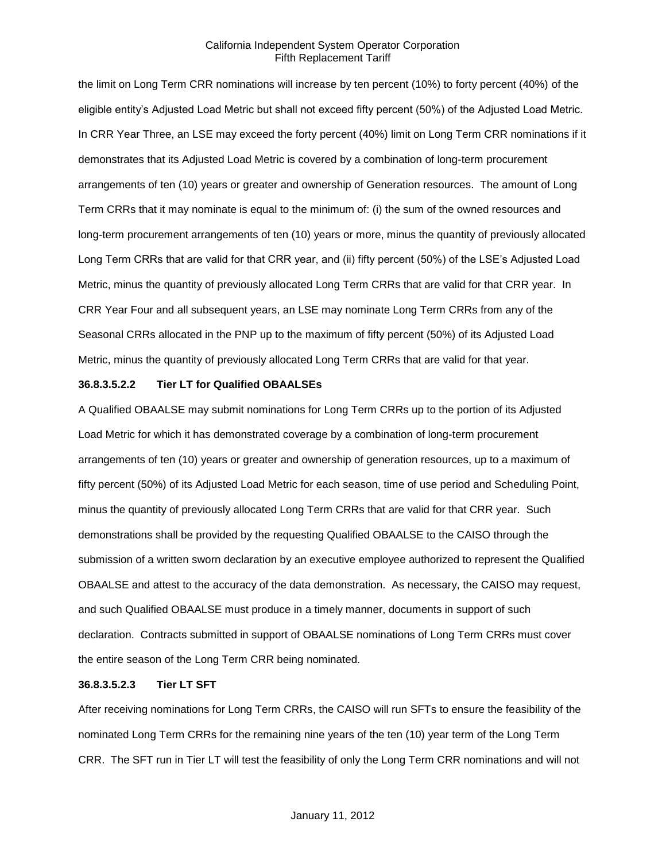the limit on Long Term CRR nominations will increase by ten percent (10%) to forty percent (40%) of the eligible entity's Adjusted Load Metric but shall not exceed fifty percent (50%) of the Adjusted Load Metric. In CRR Year Three, an LSE may exceed the forty percent (40%) limit on Long Term CRR nominations if it demonstrates that its Adjusted Load Metric is covered by a combination of long-term procurement arrangements of ten (10) years or greater and ownership of Generation resources. The amount of Long Term CRRs that it may nominate is equal to the minimum of: (i) the sum of the owned resources and long-term procurement arrangements of ten (10) years or more, minus the quantity of previously allocated Long Term CRRs that are valid for that CRR year, and (ii) fifty percent (50%) of the LSE's Adjusted Load Metric, minus the quantity of previously allocated Long Term CRRs that are valid for that CRR year. In CRR Year Four and all subsequent years, an LSE may nominate Long Term CRRs from any of the Seasonal CRRs allocated in the PNP up to the maximum of fifty percent (50%) of its Adjusted Load Metric, minus the quantity of previously allocated Long Term CRRs that are valid for that year.

### **36.8.3.5.2.2 Tier LT for Qualified OBAALSEs**

A Qualified OBAALSE may submit nominations for Long Term CRRs up to the portion of its Adjusted Load Metric for which it has demonstrated coverage by a combination of long-term procurement arrangements of ten (10) years or greater and ownership of generation resources, up to a maximum of fifty percent (50%) of its Adjusted Load Metric for each season, time of use period and Scheduling Point, minus the quantity of previously allocated Long Term CRRs that are valid for that CRR year. Such demonstrations shall be provided by the requesting Qualified OBAALSE to the CAISO through the submission of a written sworn declaration by an executive employee authorized to represent the Qualified OBAALSE and attest to the accuracy of the data demonstration. As necessary, the CAISO may request, and such Qualified OBAALSE must produce in a timely manner, documents in support of such declaration. Contracts submitted in support of OBAALSE nominations of Long Term CRRs must cover the entire season of the Long Term CRR being nominated.

### **36.8.3.5.2.3 Tier LT SFT**

After receiving nominations for Long Term CRRs, the CAISO will run SFTs to ensure the feasibility of the nominated Long Term CRRs for the remaining nine years of the ten (10) year term of the Long Term CRR. The SFT run in Tier LT will test the feasibility of only the Long Term CRR nominations and will not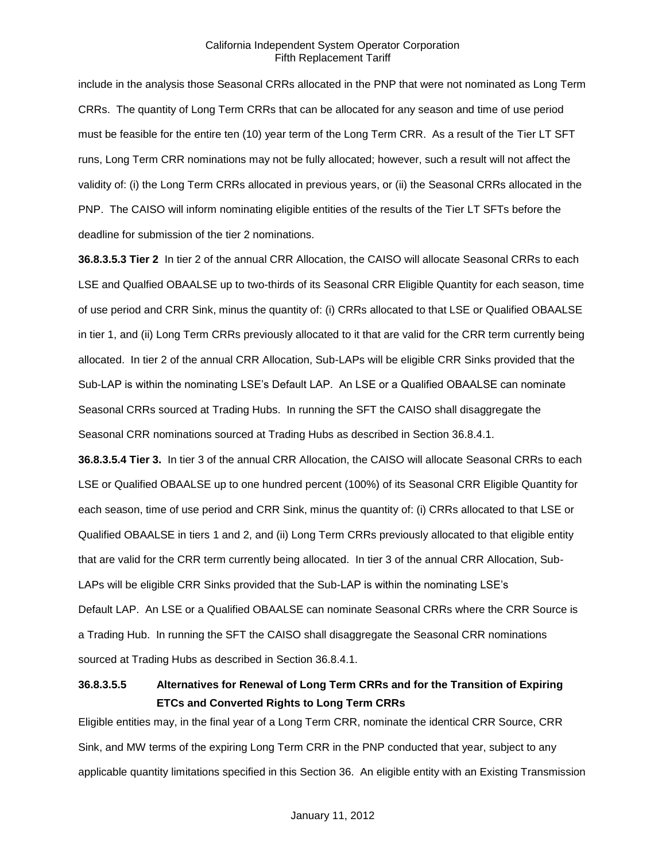include in the analysis those Seasonal CRRs allocated in the PNP that were not nominated as Long Term CRRs. The quantity of Long Term CRRs that can be allocated for any season and time of use period must be feasible for the entire ten (10) year term of the Long Term CRR. As a result of the Tier LT SFT runs, Long Term CRR nominations may not be fully allocated; however, such a result will not affect the validity of: (i) the Long Term CRRs allocated in previous years, or (ii) the Seasonal CRRs allocated in the PNP. The CAISO will inform nominating eligible entities of the results of the Tier LT SFTs before the deadline for submission of the tier 2 nominations.

**36.8.3.5.3 Tier 2** In tier 2 of the annual CRR Allocation, the CAISO will allocate Seasonal CRRs to each LSE and Qualfied OBAALSE up to two-thirds of its Seasonal CRR Eligible Quantity for each season, time of use period and CRR Sink, minus the quantity of: (i) CRRs allocated to that LSE or Qualified OBAALSE in tier 1, and (ii) Long Term CRRs previously allocated to it that are valid for the CRR term currently being allocated. In tier 2 of the annual CRR Allocation, Sub-LAPs will be eligible CRR Sinks provided that the Sub-LAP is within the nominating LSE's Default LAP. An LSE or a Qualified OBAALSE can nominate Seasonal CRRs sourced at Trading Hubs. In running the SFT the CAISO shall disaggregate the Seasonal CRR nominations sourced at Trading Hubs as described in Section 36.8.4.1.

**36.8.3.5.4 Tier 3.** In tier 3 of the annual CRR Allocation, the CAISO will allocate Seasonal CRRs to each LSE or Qualified OBAALSE up to one hundred percent (100%) of its Seasonal CRR Eligible Quantity for each season, time of use period and CRR Sink, minus the quantity of: (i) CRRs allocated to that LSE or Qualified OBAALSE in tiers 1 and 2, and (ii) Long Term CRRs previously allocated to that eligible entity that are valid for the CRR term currently being allocated. In tier 3 of the annual CRR Allocation, Sub-LAPs will be eligible CRR Sinks provided that the Sub-LAP is within the nominating LSE's Default LAP. An LSE or a Qualified OBAALSE can nominate Seasonal CRRs where the CRR Source is a Trading Hub. In running the SFT the CAISO shall disaggregate the Seasonal CRR nominations sourced at Trading Hubs as described in Section 36.8.4.1.

# **36.8.3.5.5 Alternatives for Renewal of Long Term CRRs and for the Transition of Expiring ETCs and Converted Rights to Long Term CRRs**

Eligible entities may, in the final year of a Long Term CRR, nominate the identical CRR Source, CRR Sink, and MW terms of the expiring Long Term CRR in the PNP conducted that year, subject to any applicable quantity limitations specified in this Section 36. An eligible entity with an Existing Transmission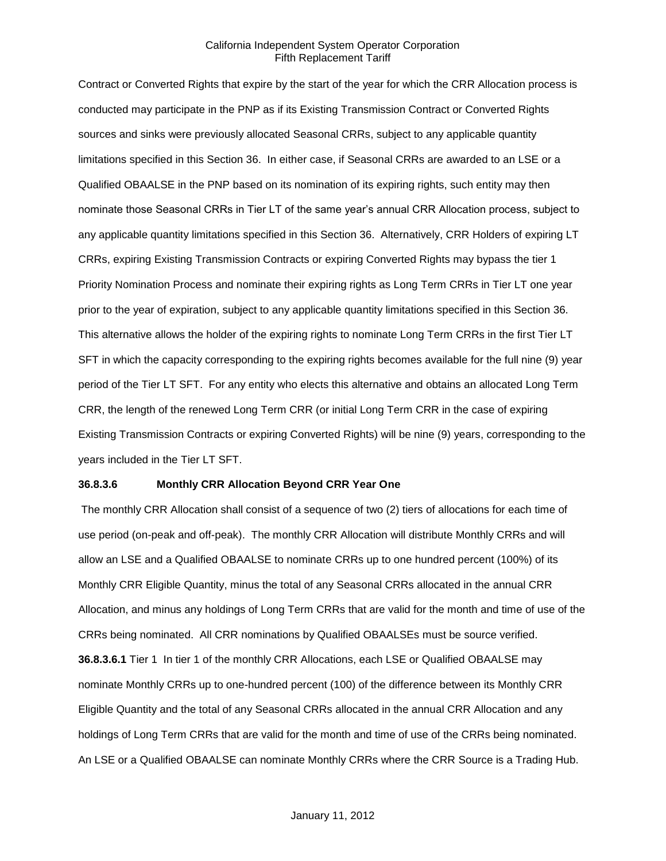Contract or Converted Rights that expire by the start of the year for which the CRR Allocation process is conducted may participate in the PNP as if its Existing Transmission Contract or Converted Rights sources and sinks were previously allocated Seasonal CRRs, subject to any applicable quantity limitations specified in this Section 36. In either case, if Seasonal CRRs are awarded to an LSE or a Qualified OBAALSE in the PNP based on its nomination of its expiring rights, such entity may then nominate those Seasonal CRRs in Tier LT of the same year's annual CRR Allocation process, subject to any applicable quantity limitations specified in this Section 36. Alternatively, CRR Holders of expiring LT CRRs, expiring Existing Transmission Contracts or expiring Converted Rights may bypass the tier 1 Priority Nomination Process and nominate their expiring rights as Long Term CRRs in Tier LT one year prior to the year of expiration, subject to any applicable quantity limitations specified in this Section 36. This alternative allows the holder of the expiring rights to nominate Long Term CRRs in the first Tier LT SFT in which the capacity corresponding to the expiring rights becomes available for the full nine (9) year period of the Tier LT SFT. For any entity who elects this alternative and obtains an allocated Long Term CRR, the length of the renewed Long Term CRR (or initial Long Term CRR in the case of expiring Existing Transmission Contracts or expiring Converted Rights) will be nine (9) years, corresponding to the years included in the Tier LT SFT.

## **36.8.3.6 Monthly CRR Allocation Beyond CRR Year One**

The monthly CRR Allocation shall consist of a sequence of two (2) tiers of allocations for each time of use period (on-peak and off-peak). The monthly CRR Allocation will distribute Monthly CRRs and will allow an LSE and a Qualified OBAALSE to nominate CRRs up to one hundred percent (100%) of its Monthly CRR Eligible Quantity, minus the total of any Seasonal CRRs allocated in the annual CRR Allocation, and minus any holdings of Long Term CRRs that are valid for the month and time of use of the CRRs being nominated. All CRR nominations by Qualified OBAALSEs must be source verified. **36.8.3.6.1** Tier 1 In tier 1 of the monthly CRR Allocations, each LSE or Qualified OBAALSE may nominate Monthly CRRs up to one-hundred percent (100) of the difference between its Monthly CRR Eligible Quantity and the total of any Seasonal CRRs allocated in the annual CRR Allocation and any holdings of Long Term CRRs that are valid for the month and time of use of the CRRs being nominated. An LSE or a Qualified OBAALSE can nominate Monthly CRRs where the CRR Source is a Trading Hub.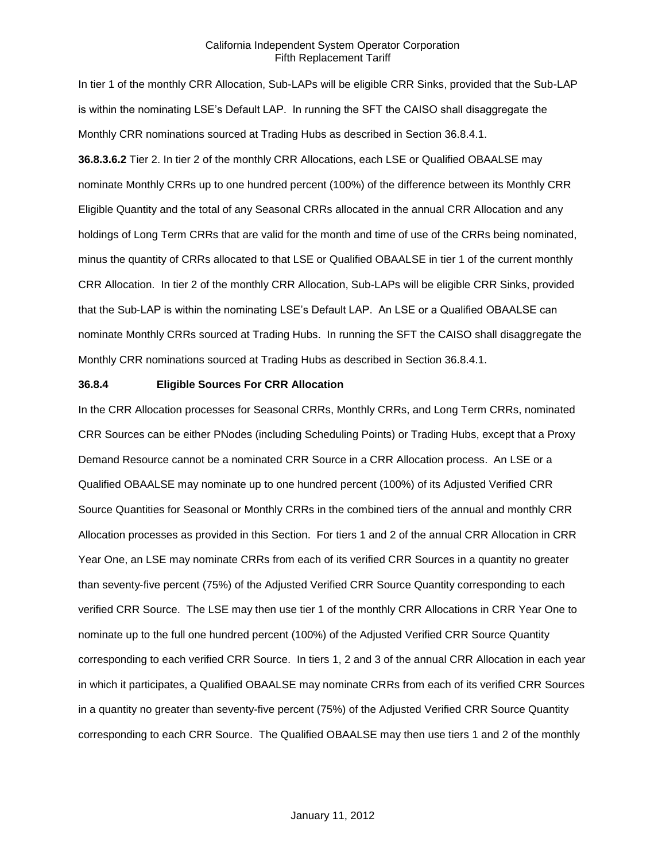In tier 1 of the monthly CRR Allocation, Sub-LAPs will be eligible CRR Sinks, provided that the Sub-LAP is within the nominating LSE's Default LAP. In running the SFT the CAISO shall disaggregate the Monthly CRR nominations sourced at Trading Hubs as described in Section 36.8.4.1. **36.8.3.6.2** Tier 2. In tier 2 of the monthly CRR Allocations, each LSE or Qualified OBAALSE may nominate Monthly CRRs up to one hundred percent (100%) of the difference between its Monthly CRR Eligible Quantity and the total of any Seasonal CRRs allocated in the annual CRR Allocation and any holdings of Long Term CRRs that are valid for the month and time of use of the CRRs being nominated, minus the quantity of CRRs allocated to that LSE or Qualified OBAALSE in tier 1 of the current monthly CRR Allocation. In tier 2 of the monthly CRR Allocation, Sub-LAPs will be eligible CRR Sinks, provided that the Sub-LAP is within the nominating LSE's Default LAP. An LSE or a Qualified OBAALSE can nominate Monthly CRRs sourced at Trading Hubs. In running the SFT the CAISO shall disaggregate the Monthly CRR nominations sourced at Trading Hubs as described in Section 36.8.4.1.

### **36.8.4 Eligible Sources For CRR Allocation**

In the CRR Allocation processes for Seasonal CRRs, Monthly CRRs, and Long Term CRRs, nominated CRR Sources can be either PNodes (including Scheduling Points) or Trading Hubs, except that a Proxy Demand Resource cannot be a nominated CRR Source in a CRR Allocation process. An LSE or a Qualified OBAALSE may nominate up to one hundred percent (100%) of its Adjusted Verified CRR Source Quantities for Seasonal or Monthly CRRs in the combined tiers of the annual and monthly CRR Allocation processes as provided in this Section. For tiers 1 and 2 of the annual CRR Allocation in CRR Year One, an LSE may nominate CRRs from each of its verified CRR Sources in a quantity no greater than seventy-five percent (75%) of the Adjusted Verified CRR Source Quantity corresponding to each verified CRR Source. The LSE may then use tier 1 of the monthly CRR Allocations in CRR Year One to nominate up to the full one hundred percent (100%) of the Adjusted Verified CRR Source Quantity corresponding to each verified CRR Source. In tiers 1, 2 and 3 of the annual CRR Allocation in each year in which it participates, a Qualified OBAALSE may nominate CRRs from each of its verified CRR Sources in a quantity no greater than seventy-five percent (75%) of the Adjusted Verified CRR Source Quantity corresponding to each CRR Source. The Qualified OBAALSE may then use tiers 1 and 2 of the monthly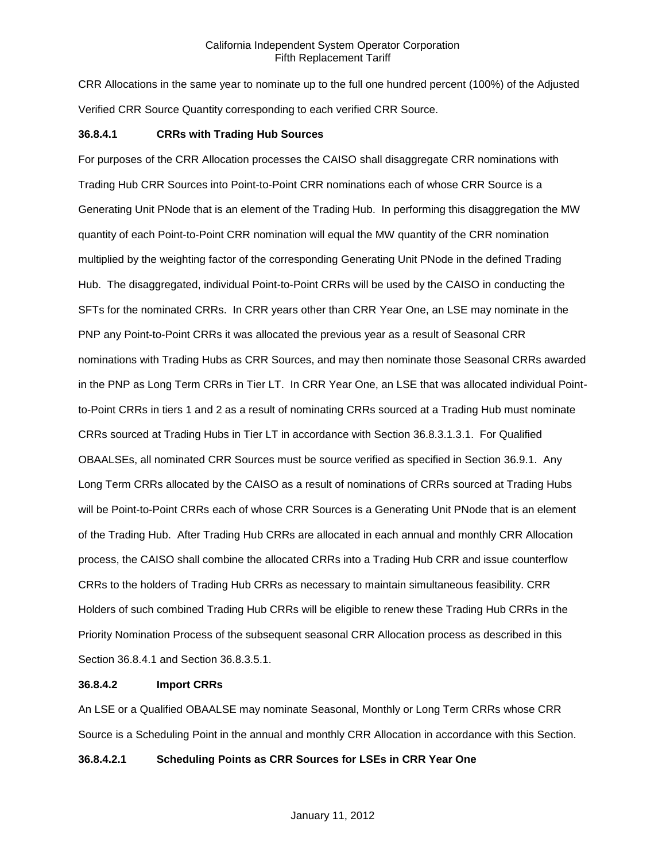CRR Allocations in the same year to nominate up to the full one hundred percent (100%) of the Adjusted Verified CRR Source Quantity corresponding to each verified CRR Source.

### **36.8.4.1 CRRs with Trading Hub Sources**

For purposes of the CRR Allocation processes the CAISO shall disaggregate CRR nominations with Trading Hub CRR Sources into Point-to-Point CRR nominations each of whose CRR Source is a Generating Unit PNode that is an element of the Trading Hub. In performing this disaggregation the MW quantity of each Point-to-Point CRR nomination will equal the MW quantity of the CRR nomination multiplied by the weighting factor of the corresponding Generating Unit PNode in the defined Trading Hub. The disaggregated, individual Point-to-Point CRRs will be used by the CAISO in conducting the SFTs for the nominated CRRs. In CRR years other than CRR Year One, an LSE may nominate in the PNP any Point-to-Point CRRs it was allocated the previous year as a result of Seasonal CRR nominations with Trading Hubs as CRR Sources, and may then nominate those Seasonal CRRs awarded in the PNP as Long Term CRRs in Tier LT. In CRR Year One, an LSE that was allocated individual Pointto-Point CRRs in tiers 1 and 2 as a result of nominating CRRs sourced at a Trading Hub must nominate CRRs sourced at Trading Hubs in Tier LT in accordance with Section 36.8.3.1.3.1. For Qualified OBAALSEs, all nominated CRR Sources must be source verified as specified in Section 36.9.1. Any Long Term CRRs allocated by the CAISO as a result of nominations of CRRs sourced at Trading Hubs will be Point-to-Point CRRs each of whose CRR Sources is a Generating Unit PNode that is an element of the Trading Hub. After Trading Hub CRRs are allocated in each annual and monthly CRR Allocation process, the CAISO shall combine the allocated CRRs into a Trading Hub CRR and issue counterflow CRRs to the holders of Trading Hub CRRs as necessary to maintain simultaneous feasibility. CRR Holders of such combined Trading Hub CRRs will be eligible to renew these Trading Hub CRRs in the Priority Nomination Process of the subsequent seasonal CRR Allocation process as described in this Section 36.8.4.1 and Section 36.8.3.5.1.

### **36.8.4.2 Import CRRs**

An LSE or a Qualified OBAALSE may nominate Seasonal, Monthly or Long Term CRRs whose CRR Source is a Scheduling Point in the annual and monthly CRR Allocation in accordance with this Section.

# **36.8.4.2.1 Scheduling Points as CRR Sources for LSEs in CRR Year One**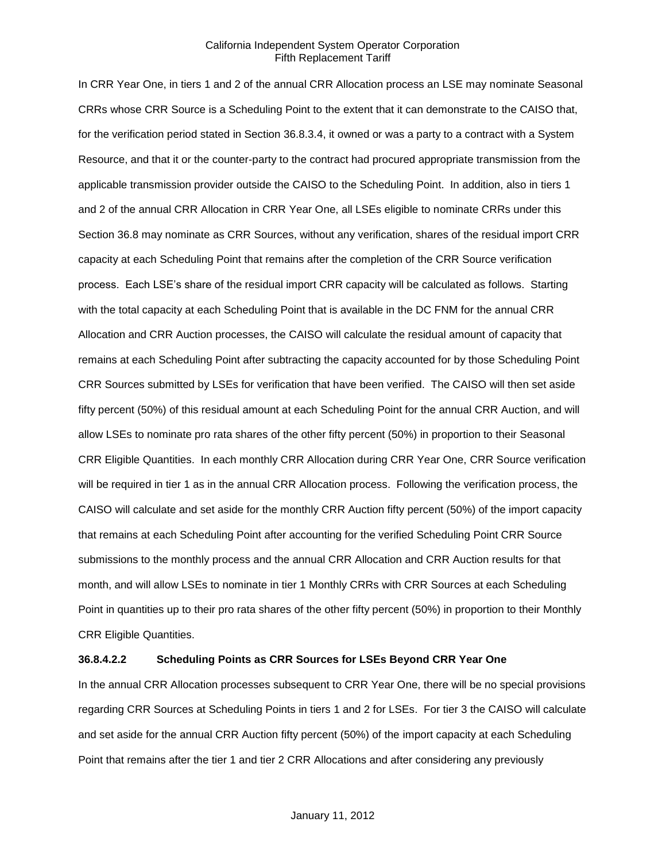In CRR Year One, in tiers 1 and 2 of the annual CRR Allocation process an LSE may nominate Seasonal CRRs whose CRR Source is a Scheduling Point to the extent that it can demonstrate to the CAISO that, for the verification period stated in Section 36.8.3.4, it owned or was a party to a contract with a System Resource, and that it or the counter-party to the contract had procured appropriate transmission from the applicable transmission provider outside the CAISO to the Scheduling Point. In addition, also in tiers 1 and 2 of the annual CRR Allocation in CRR Year One, all LSEs eligible to nominate CRRs under this Section 36.8 may nominate as CRR Sources, without any verification, shares of the residual import CRR capacity at each Scheduling Point that remains after the completion of the CRR Source verification process. Each LSE's share of the residual import CRR capacity will be calculated as follows. Starting with the total capacity at each Scheduling Point that is available in the DC FNM for the annual CRR Allocation and CRR Auction processes, the CAISO will calculate the residual amount of capacity that remains at each Scheduling Point after subtracting the capacity accounted for by those Scheduling Point CRR Sources submitted by LSEs for verification that have been verified. The CAISO will then set aside fifty percent (50%) of this residual amount at each Scheduling Point for the annual CRR Auction, and will allow LSEs to nominate pro rata shares of the other fifty percent (50%) in proportion to their Seasonal CRR Eligible Quantities. In each monthly CRR Allocation during CRR Year One, CRR Source verification will be required in tier 1 as in the annual CRR Allocation process. Following the verification process, the CAISO will calculate and set aside for the monthly CRR Auction fifty percent (50%) of the import capacity that remains at each Scheduling Point after accounting for the verified Scheduling Point CRR Source submissions to the monthly process and the annual CRR Allocation and CRR Auction results for that month, and will allow LSEs to nominate in tier 1 Monthly CRRs with CRR Sources at each Scheduling Point in quantities up to their pro rata shares of the other fifty percent (50%) in proportion to their Monthly CRR Eligible Quantities.

# **36.8.4.2.2 Scheduling Points as CRR Sources for LSEs Beyond CRR Year One**

In the annual CRR Allocation processes subsequent to CRR Year One, there will be no special provisions regarding CRR Sources at Scheduling Points in tiers 1 and 2 for LSEs. For tier 3 the CAISO will calculate and set aside for the annual CRR Auction fifty percent (50%) of the import capacity at each Scheduling Point that remains after the tier 1 and tier 2 CRR Allocations and after considering any previously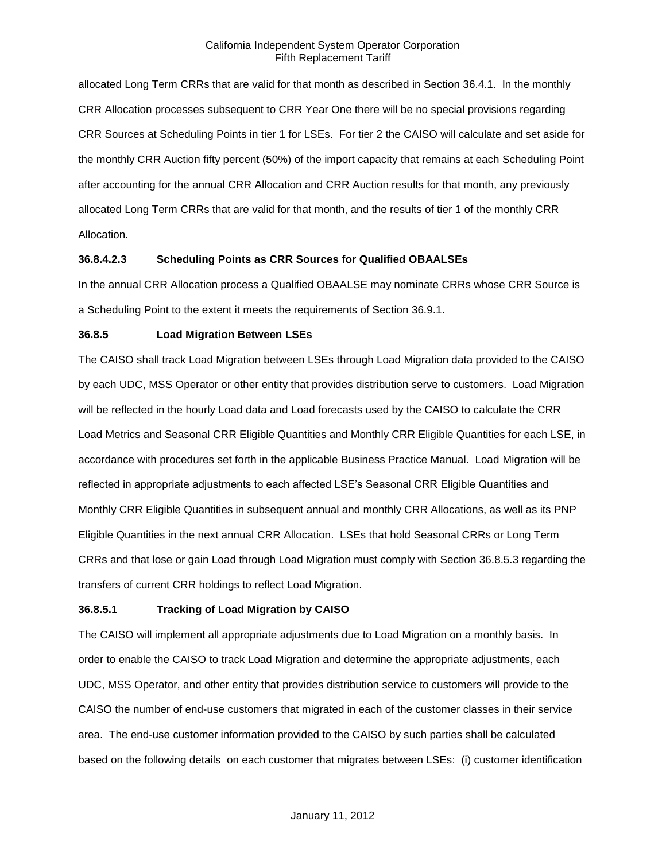allocated Long Term CRRs that are valid for that month as described in Section 36.4.1. In the monthly CRR Allocation processes subsequent to CRR Year One there will be no special provisions regarding CRR Sources at Scheduling Points in tier 1 for LSEs. For tier 2 the CAISO will calculate and set aside for the monthly CRR Auction fifty percent (50%) of the import capacity that remains at each Scheduling Point after accounting for the annual CRR Allocation and CRR Auction results for that month, any previously allocated Long Term CRRs that are valid for that month, and the results of tier 1 of the monthly CRR Allocation.

# **36.8.4.2.3 Scheduling Points as CRR Sources for Qualified OBAALSEs**

In the annual CRR Allocation process a Qualified OBAALSE may nominate CRRs whose CRR Source is a Scheduling Point to the extent it meets the requirements of Section 36.9.1.

### **36.8.5 Load Migration Between LSEs**

The CAISO shall track Load Migration between LSEs through Load Migration data provided to the CAISO by each UDC, MSS Operator or other entity that provides distribution serve to customers. Load Migration will be reflected in the hourly Load data and Load forecasts used by the CAISO to calculate the CRR Load Metrics and Seasonal CRR Eligible Quantities and Monthly CRR Eligible Quantities for each LSE, in accordance with procedures set forth in the applicable Business Practice Manual. Load Migration will be reflected in appropriate adjustments to each affected LSE's Seasonal CRR Eligible Quantities and Monthly CRR Eligible Quantities in subsequent annual and monthly CRR Allocations, as well as its PNP Eligible Quantities in the next annual CRR Allocation. LSEs that hold Seasonal CRRs or Long Term CRRs and that lose or gain Load through Load Migration must comply with Section 36.8.5.3 regarding the transfers of current CRR holdings to reflect Load Migration.

### **36.8.5.1 Tracking of Load Migration by CAISO**

The CAISO will implement all appropriate adjustments due to Load Migration on a monthly basis. In order to enable the CAISO to track Load Migration and determine the appropriate adjustments, each UDC, MSS Operator, and other entity that provides distribution service to customers will provide to the CAISO the number of end-use customers that migrated in each of the customer classes in their service area. The end-use customer information provided to the CAISO by such parties shall be calculated based on the following details on each customer that migrates between LSEs: (i) customer identification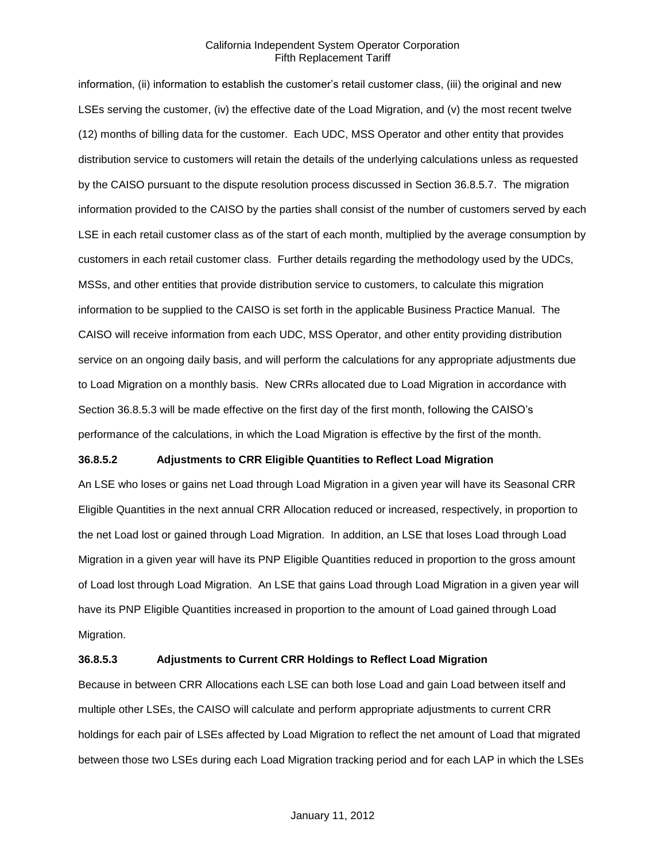information, (ii) information to establish the customer's retail customer class, (iii) the original and new LSEs serving the customer, (iv) the effective date of the Load Migration, and (v) the most recent twelve (12) months of billing data for the customer. Each UDC, MSS Operator and other entity that provides distribution service to customers will retain the details of the underlying calculations unless as requested by the CAISO pursuant to the dispute resolution process discussed in Section 36.8.5.7. The migration information provided to the CAISO by the parties shall consist of the number of customers served by each LSE in each retail customer class as of the start of each month, multiplied by the average consumption by customers in each retail customer class. Further details regarding the methodology used by the UDCs, MSSs, and other entities that provide distribution service to customers, to calculate this migration information to be supplied to the CAISO is set forth in the applicable Business Practice Manual. The CAISO will receive information from each UDC, MSS Operator, and other entity providing distribution service on an ongoing daily basis, and will perform the calculations for any appropriate adjustments due to Load Migration on a monthly basis. New CRRs allocated due to Load Migration in accordance with Section 36.8.5.3 will be made effective on the first day of the first month, following the CAISO's performance of the calculations, in which the Load Migration is effective by the first of the month.

### **36.8.5.2 Adjustments to CRR Eligible Quantities to Reflect Load Migration**

An LSE who loses or gains net Load through Load Migration in a given year will have its Seasonal CRR Eligible Quantities in the next annual CRR Allocation reduced or increased, respectively, in proportion to the net Load lost or gained through Load Migration. In addition, an LSE that loses Load through Load Migration in a given year will have its PNP Eligible Quantities reduced in proportion to the gross amount of Load lost through Load Migration. An LSE that gains Load through Load Migration in a given year will have its PNP Eligible Quantities increased in proportion to the amount of Load gained through Load Migration.

# **36.8.5.3 Adjustments to Current CRR Holdings to Reflect Load Migration**

Because in between CRR Allocations each LSE can both lose Load and gain Load between itself and multiple other LSEs, the CAISO will calculate and perform appropriate adjustments to current CRR holdings for each pair of LSEs affected by Load Migration to reflect the net amount of Load that migrated between those two LSEs during each Load Migration tracking period and for each LAP in which the LSEs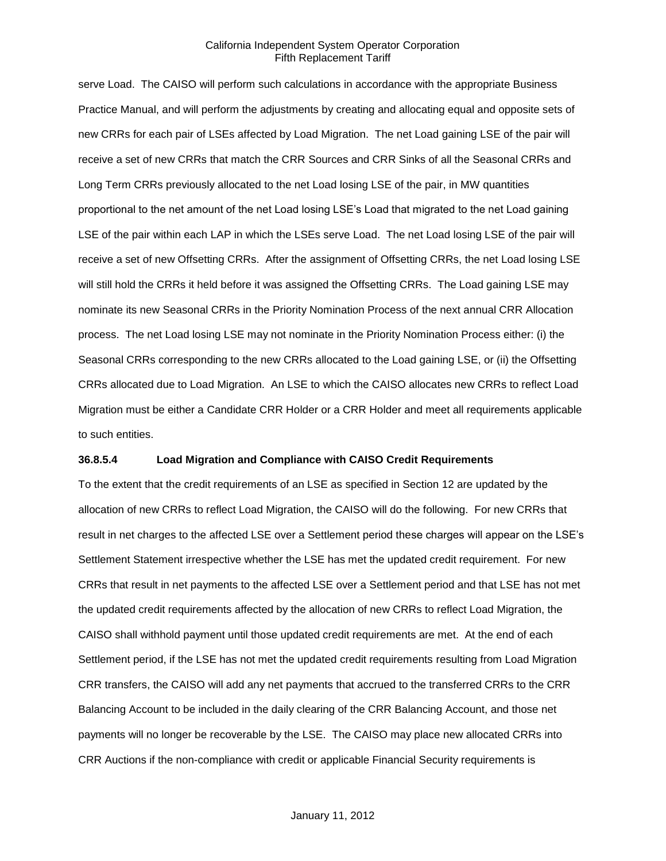serve Load. The CAISO will perform such calculations in accordance with the appropriate Business Practice Manual, and will perform the adjustments by creating and allocating equal and opposite sets of new CRRs for each pair of LSEs affected by Load Migration. The net Load gaining LSE of the pair will receive a set of new CRRs that match the CRR Sources and CRR Sinks of all the Seasonal CRRs and Long Term CRRs previously allocated to the net Load losing LSE of the pair, in MW quantities proportional to the net amount of the net Load losing LSE's Load that migrated to the net Load gaining LSE of the pair within each LAP in which the LSEs serve Load. The net Load losing LSE of the pair will receive a set of new Offsetting CRRs. After the assignment of Offsetting CRRs, the net Load losing LSE will still hold the CRRs it held before it was assigned the Offsetting CRRs. The Load gaining LSE may nominate its new Seasonal CRRs in the Priority Nomination Process of the next annual CRR Allocation process. The net Load losing LSE may not nominate in the Priority Nomination Process either: (i) the Seasonal CRRs corresponding to the new CRRs allocated to the Load gaining LSE, or (ii) the Offsetting CRRs allocated due to Load Migration. An LSE to which the CAISO allocates new CRRs to reflect Load Migration must be either a Candidate CRR Holder or a CRR Holder and meet all requirements applicable to such entities.

### **36.8.5.4 Load Migration and Compliance with CAISO Credit Requirements**

To the extent that the credit requirements of an LSE as specified in Section 12 are updated by the allocation of new CRRs to reflect Load Migration, the CAISO will do the following. For new CRRs that result in net charges to the affected LSE over a Settlement period these charges will appear on the LSE's Settlement Statement irrespective whether the LSE has met the updated credit requirement. For new CRRs that result in net payments to the affected LSE over a Settlement period and that LSE has not met the updated credit requirements affected by the allocation of new CRRs to reflect Load Migration, the CAISO shall withhold payment until those updated credit requirements are met. At the end of each Settlement period, if the LSE has not met the updated credit requirements resulting from Load Migration CRR transfers, the CAISO will add any net payments that accrued to the transferred CRRs to the CRR Balancing Account to be included in the daily clearing of the CRR Balancing Account, and those net payments will no longer be recoverable by the LSE. The CAISO may place new allocated CRRs into CRR Auctions if the non-compliance with credit or applicable Financial Security requirements is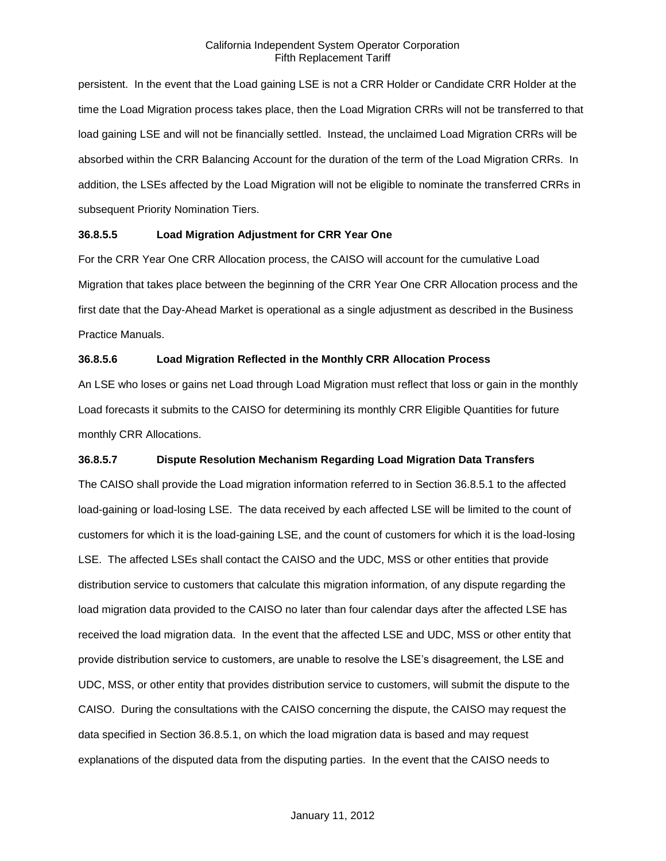persistent. In the event that the Load gaining LSE is not a CRR Holder or Candidate CRR Holder at the time the Load Migration process takes place, then the Load Migration CRRs will not be transferred to that load gaining LSE and will not be financially settled. Instead, the unclaimed Load Migration CRRs will be absorbed within the CRR Balancing Account for the duration of the term of the Load Migration CRRs. In addition, the LSEs affected by the Load Migration will not be eligible to nominate the transferred CRRs in subsequent Priority Nomination Tiers.

# **36.8.5.5 Load Migration Adjustment for CRR Year One**

For the CRR Year One CRR Allocation process, the CAISO will account for the cumulative Load Migration that takes place between the beginning of the CRR Year One CRR Allocation process and the first date that the Day-Ahead Market is operational as a single adjustment as described in the Business Practice Manuals.

# **36.8.5.6 Load Migration Reflected in the Monthly CRR Allocation Process**

An LSE who loses or gains net Load through Load Migration must reflect that loss or gain in the monthly Load forecasts it submits to the CAISO for determining its monthly CRR Eligible Quantities for future monthly CRR Allocations.

# **36.8.5.7 Dispute Resolution Mechanism Regarding Load Migration Data Transfers**

The CAISO shall provide the Load migration information referred to in Section 36.8.5.1 to the affected load-gaining or load-losing LSE. The data received by each affected LSE will be limited to the count of customers for which it is the load-gaining LSE, and the count of customers for which it is the load-losing LSE. The affected LSEs shall contact the CAISO and the UDC, MSS or other entities that provide distribution service to customers that calculate this migration information, of any dispute regarding the load migration data provided to the CAISO no later than four calendar days after the affected LSE has received the load migration data. In the event that the affected LSE and UDC, MSS or other entity that provide distribution service to customers, are unable to resolve the LSE's disagreement, the LSE and UDC, MSS, or other entity that provides distribution service to customers, will submit the dispute to the CAISO. During the consultations with the CAISO concerning the dispute, the CAISO may request the data specified in Section 36.8.5.1, on which the load migration data is based and may request explanations of the disputed data from the disputing parties. In the event that the CAISO needs to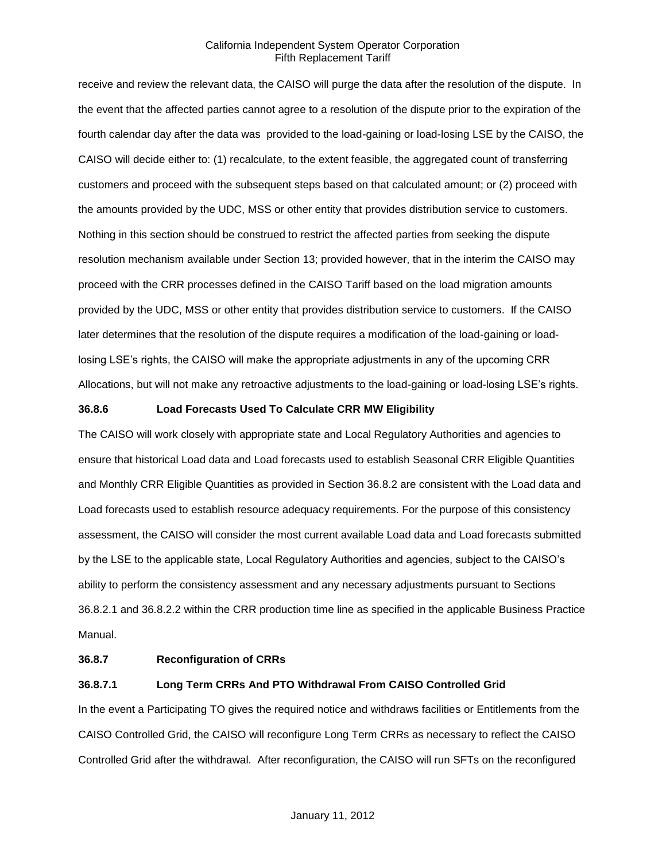receive and review the relevant data, the CAISO will purge the data after the resolution of the dispute. In the event that the affected parties cannot agree to a resolution of the dispute prior to the expiration of the fourth calendar day after the data was provided to the load-gaining or load-losing LSE by the CAISO, the CAISO will decide either to: (1) recalculate, to the extent feasible, the aggregated count of transferring customers and proceed with the subsequent steps based on that calculated amount; or (2) proceed with the amounts provided by the UDC, MSS or other entity that provides distribution service to customers. Nothing in this section should be construed to restrict the affected parties from seeking the dispute resolution mechanism available under Section 13; provided however, that in the interim the CAISO may proceed with the CRR processes defined in the CAISO Tariff based on the load migration amounts provided by the UDC, MSS or other entity that provides distribution service to customers. If the CAISO later determines that the resolution of the dispute requires a modification of the load-gaining or loadlosing LSE's rights, the CAISO will make the appropriate adjustments in any of the upcoming CRR Allocations, but will not make any retroactive adjustments to the load-gaining or load-losing LSE's rights.

## **36.8.6 Load Forecasts Used To Calculate CRR MW Eligibility**

The CAISO will work closely with appropriate state and Local Regulatory Authorities and agencies to ensure that historical Load data and Load forecasts used to establish Seasonal CRR Eligible Quantities and Monthly CRR Eligible Quantities as provided in Section 36.8.2 are consistent with the Load data and Load forecasts used to establish resource adequacy requirements. For the purpose of this consistency assessment, the CAISO will consider the most current available Load data and Load forecasts submitted by the LSE to the applicable state, Local Regulatory Authorities and agencies, subject to the CAISO's ability to perform the consistency assessment and any necessary adjustments pursuant to Sections 36.8.2.1 and 36.8.2.2 within the CRR production time line as specified in the applicable Business Practice Manual.

## **36.8.7 Reconfiguration of CRRs**

## **36.8.7.1 Long Term CRRs And PTO Withdrawal From CAISO Controlled Grid**

In the event a Participating TO gives the required notice and withdraws facilities or Entitlements from the CAISO Controlled Grid, the CAISO will reconfigure Long Term CRRs as necessary to reflect the CAISO Controlled Grid after the withdrawal. After reconfiguration, the CAISO will run SFTs on the reconfigured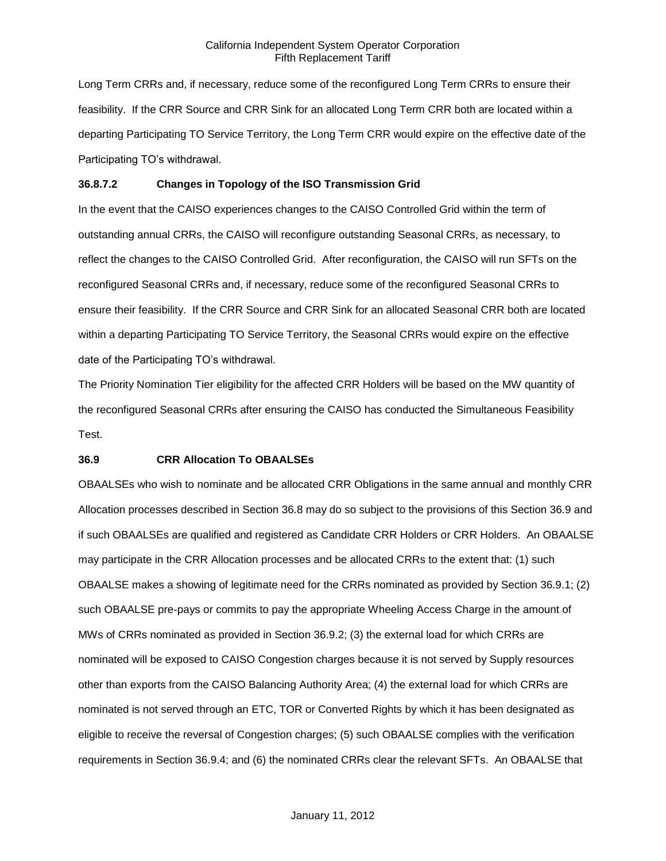Long Term CRRs and, if necessary, reduce some of the reconfigured Long Term CRRs to ensure their feasibility. If the CRR Source and CRR Sink for an allocated Long Term CRR both are located within a departing Participating TO Service Territory, the Long Term CRR would expire on the effective date of the Participating TO's withdrawal.

## **36.8.7.2 Changes in Topology of the ISO Transmission Grid**

In the event that the CAISO experiences changes to the CAISO Controlled Grid within the term of outstanding annual CRRs, the CAISO will reconfigure outstanding Seasonal CRRs, as necessary, to reflect the changes to the CAISO Controlled Grid. After reconfiguration, the CAISO will run SFTs on the reconfigured Seasonal CRRs and, if necessary, reduce some of the reconfigured Seasonal CRRs to ensure their feasibility. If the CRR Source and CRR Sink for an allocated Seasonal CRR both are located within a departing Participating TO Service Territory, the Seasonal CRRs would expire on the effective date of the Participating TO's withdrawal.

The Priority Nomination Tier eligibility for the affected CRR Holders will be based on the MW quantity of the reconfigured Seasonal CRRs after ensuring the CAISO has conducted the Simultaneous Feasibility Test.

### **36.9 CRR Allocation To OBAALSEs**

OBAALSEs who wish to nominate and be allocated CRR Obligations in the same annual and monthly CRR Allocation processes described in Section 36.8 may do so subject to the provisions of this Section 36.9 and if such OBAALSEs are qualified and registered as Candidate CRR Holders or CRR Holders. An OBAALSE may participate in the CRR Allocation processes and be allocated CRRs to the extent that: (1) such OBAALSE makes a showing of legitimate need for the CRRs nominated as provided by Section 36.9.1; (2) such OBAALSE pre-pays or commits to pay the appropriate Wheeling Access Charge in the amount of MWs of CRRs nominated as provided in Section 36.9.2; (3) the external load for which CRRs are nominated will be exposed to CAISO Congestion charges because it is not served by Supply resources other than exports from the CAISO Balancing Authority Area; (4) the external load for which CRRs are nominated is not served through an ETC, TOR or Converted Rights by which it has been designated as eligible to receive the reversal of Congestion charges; (5) such OBAALSE complies with the verification requirements in Section 36.9.4; and (6) the nominated CRRs clear the relevant SFTs. An OBAALSE that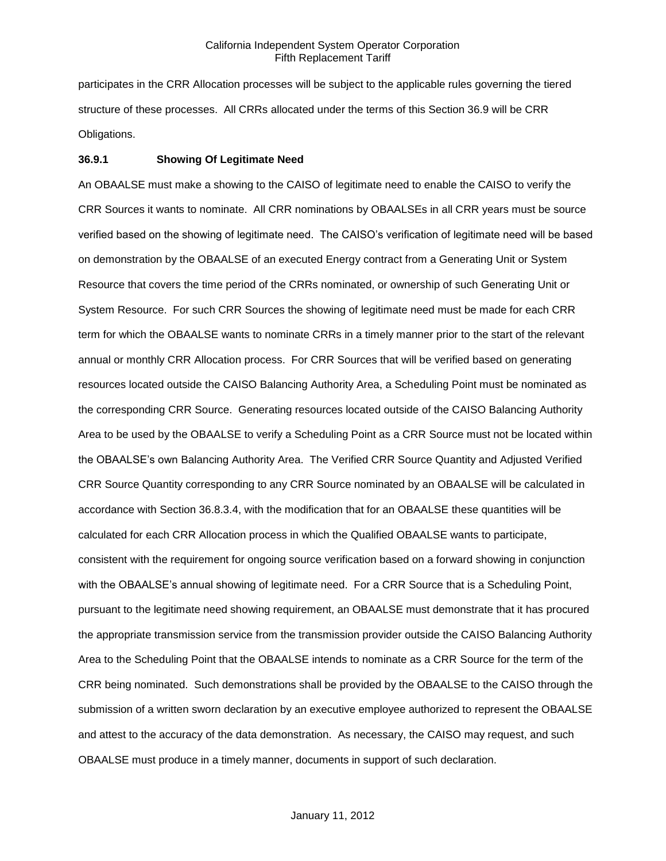participates in the CRR Allocation processes will be subject to the applicable rules governing the tiered structure of these processes. All CRRs allocated under the terms of this Section 36.9 will be CRR Obligations.

### **36.9.1 Showing Of Legitimate Need**

An OBAALSE must make a showing to the CAISO of legitimate need to enable the CAISO to verify the CRR Sources it wants to nominate. All CRR nominations by OBAALSEs in all CRR years must be source verified based on the showing of legitimate need. The CAISO's verification of legitimate need will be based on demonstration by the OBAALSE of an executed Energy contract from a Generating Unit or System Resource that covers the time period of the CRRs nominated, or ownership of such Generating Unit or System Resource. For such CRR Sources the showing of legitimate need must be made for each CRR term for which the OBAALSE wants to nominate CRRs in a timely manner prior to the start of the relevant annual or monthly CRR Allocation process. For CRR Sources that will be verified based on generating resources located outside the CAISO Balancing Authority Area, a Scheduling Point must be nominated as the corresponding CRR Source. Generating resources located outside of the CAISO Balancing Authority Area to be used by the OBAALSE to verify a Scheduling Point as a CRR Source must not be located within the OBAALSE's own Balancing Authority Area. The Verified CRR Source Quantity and Adjusted Verified CRR Source Quantity corresponding to any CRR Source nominated by an OBAALSE will be calculated in accordance with Section 36.8.3.4, with the modification that for an OBAALSE these quantities will be calculated for each CRR Allocation process in which the Qualified OBAALSE wants to participate, consistent with the requirement for ongoing source verification based on a forward showing in conjunction with the OBAALSE's annual showing of legitimate need. For a CRR Source that is a Scheduling Point, pursuant to the legitimate need showing requirement, an OBAALSE must demonstrate that it has procured the appropriate transmission service from the transmission provider outside the CAISO Balancing Authority Area to the Scheduling Point that the OBAALSE intends to nominate as a CRR Source for the term of the CRR being nominated. Such demonstrations shall be provided by the OBAALSE to the CAISO through the submission of a written sworn declaration by an executive employee authorized to represent the OBAALSE and attest to the accuracy of the data demonstration. As necessary, the CAISO may request, and such OBAALSE must produce in a timely manner, documents in support of such declaration.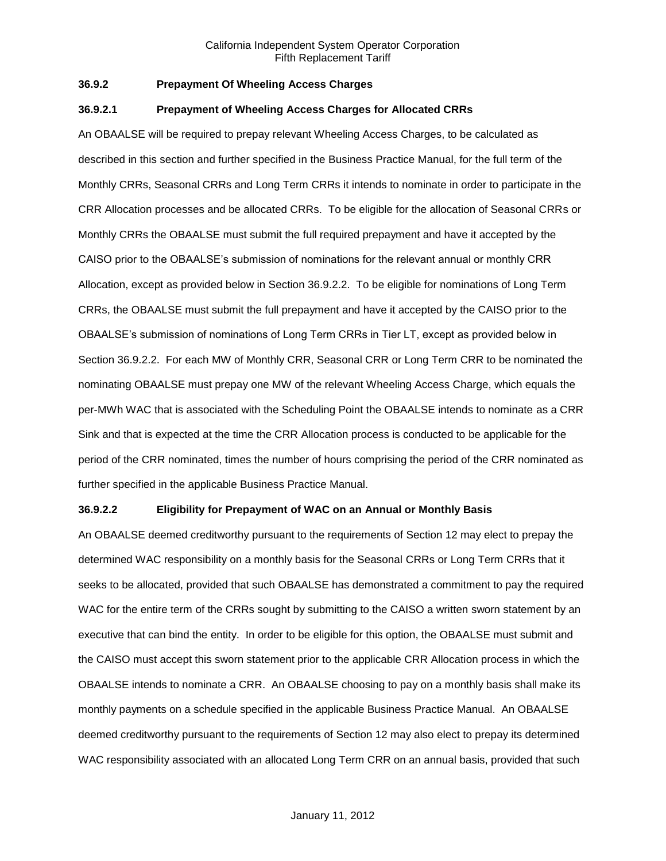# **36.9.2 Prepayment Of Wheeling Access Charges**

#### **36.9.2.1 Prepayment of Wheeling Access Charges for Allocated CRRs**

An OBAALSE will be required to prepay relevant Wheeling Access Charges, to be calculated as described in this section and further specified in the Business Practice Manual, for the full term of the Monthly CRRs, Seasonal CRRs and Long Term CRRs it intends to nominate in order to participate in the CRR Allocation processes and be allocated CRRs. To be eligible for the allocation of Seasonal CRRs or Monthly CRRs the OBAALSE must submit the full required prepayment and have it accepted by the CAISO prior to the OBAALSE's submission of nominations for the relevant annual or monthly CRR Allocation, except as provided below in Section 36.9.2.2. To be eligible for nominations of Long Term CRRs, the OBAALSE must submit the full prepayment and have it accepted by the CAISO prior to the OBAALSE's submission of nominations of Long Term CRRs in Tier LT, except as provided below in Section 36.9.2.2. For each MW of Monthly CRR, Seasonal CRR or Long Term CRR to be nominated the nominating OBAALSE must prepay one MW of the relevant Wheeling Access Charge, which equals the per-MWh WAC that is associated with the Scheduling Point the OBAALSE intends to nominate as a CRR Sink and that is expected at the time the CRR Allocation process is conducted to be applicable for the period of the CRR nominated, times the number of hours comprising the period of the CRR nominated as further specified in the applicable Business Practice Manual.

### **36.9.2.2 Eligibility for Prepayment of WAC on an Annual or Monthly Basis**

An OBAALSE deemed creditworthy pursuant to the requirements of Section 12 may elect to prepay the determined WAC responsibility on a monthly basis for the Seasonal CRRs or Long Term CRRs that it seeks to be allocated, provided that such OBAALSE has demonstrated a commitment to pay the required WAC for the entire term of the CRRs sought by submitting to the CAISO a written sworn statement by an executive that can bind the entity. In order to be eligible for this option, the OBAALSE must submit and the CAISO must accept this sworn statement prior to the applicable CRR Allocation process in which the OBAALSE intends to nominate a CRR. An OBAALSE choosing to pay on a monthly basis shall make its monthly payments on a schedule specified in the applicable Business Practice Manual. An OBAALSE deemed creditworthy pursuant to the requirements of Section 12 may also elect to prepay its determined WAC responsibility associated with an allocated Long Term CRR on an annual basis, provided that such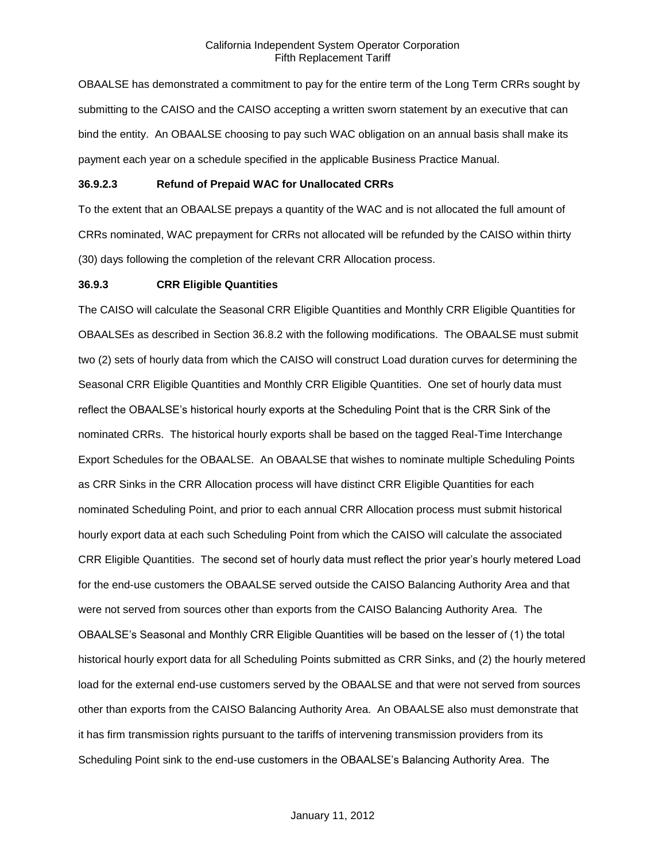OBAALSE has demonstrated a commitment to pay for the entire term of the Long Term CRRs sought by submitting to the CAISO and the CAISO accepting a written sworn statement by an executive that can bind the entity. An OBAALSE choosing to pay such WAC obligation on an annual basis shall make its payment each year on a schedule specified in the applicable Business Practice Manual.

# **36.9.2.3 Refund of Prepaid WAC for Unallocated CRRs**

To the extent that an OBAALSE prepays a quantity of the WAC and is not allocated the full amount of CRRs nominated, WAC prepayment for CRRs not allocated will be refunded by the CAISO within thirty (30) days following the completion of the relevant CRR Allocation process.

### **36.9.3 CRR Eligible Quantities**

The CAISO will calculate the Seasonal CRR Eligible Quantities and Monthly CRR Eligible Quantities for OBAALSEs as described in Section 36.8.2 with the following modifications. The OBAALSE must submit two (2) sets of hourly data from which the CAISO will construct Load duration curves for determining the Seasonal CRR Eligible Quantities and Monthly CRR Eligible Quantities. One set of hourly data must reflect the OBAALSE's historical hourly exports at the Scheduling Point that is the CRR Sink of the nominated CRRs. The historical hourly exports shall be based on the tagged Real-Time Interchange Export Schedules for the OBAALSE. An OBAALSE that wishes to nominate multiple Scheduling Points as CRR Sinks in the CRR Allocation process will have distinct CRR Eligible Quantities for each nominated Scheduling Point, and prior to each annual CRR Allocation process must submit historical hourly export data at each such Scheduling Point from which the CAISO will calculate the associated CRR Eligible Quantities. The second set of hourly data must reflect the prior year's hourly metered Load for the end-use customers the OBAALSE served outside the CAISO Balancing Authority Area and that were not served from sources other than exports from the CAISO Balancing Authority Area. The OBAALSE's Seasonal and Monthly CRR Eligible Quantities will be based on the lesser of (1) the total historical hourly export data for all Scheduling Points submitted as CRR Sinks, and (2) the hourly metered load for the external end-use customers served by the OBAALSE and that were not served from sources other than exports from the CAISO Balancing Authority Area. An OBAALSE also must demonstrate that it has firm transmission rights pursuant to the tariffs of intervening transmission providers from its Scheduling Point sink to the end-use customers in the OBAALSE's Balancing Authority Area. The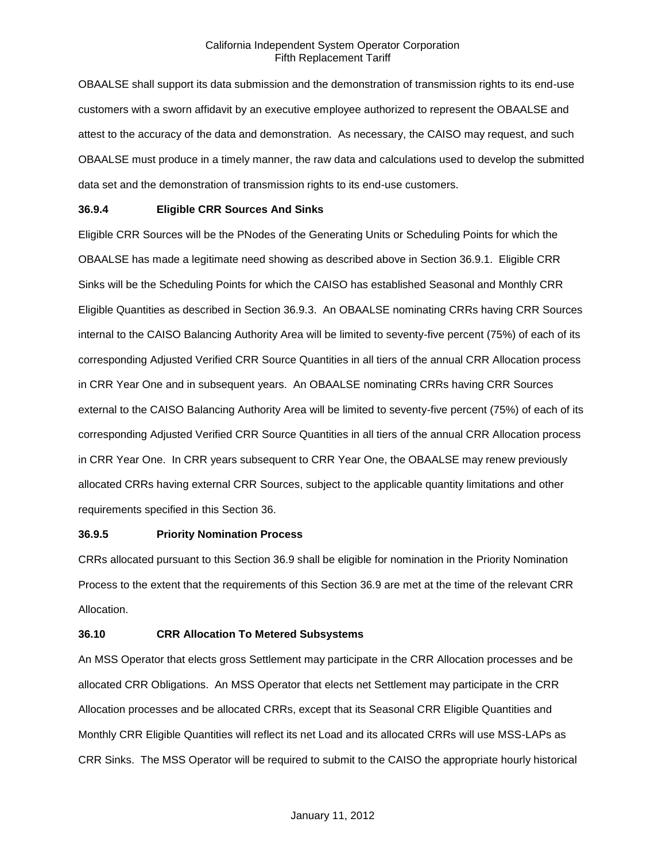OBAALSE shall support its data submission and the demonstration of transmission rights to its end-use customers with a sworn affidavit by an executive employee authorized to represent the OBAALSE and attest to the accuracy of the data and demonstration. As necessary, the CAISO may request, and such OBAALSE must produce in a timely manner, the raw data and calculations used to develop the submitted data set and the demonstration of transmission rights to its end-use customers.

### **36.9.4 Eligible CRR Sources And Sinks**

Eligible CRR Sources will be the PNodes of the Generating Units or Scheduling Points for which the OBAALSE has made a legitimate need showing as described above in Section 36.9.1. Eligible CRR Sinks will be the Scheduling Points for which the CAISO has established Seasonal and Monthly CRR Eligible Quantities as described in Section 36.9.3. An OBAALSE nominating CRRs having CRR Sources internal to the CAISO Balancing Authority Area will be limited to seventy-five percent (75%) of each of its corresponding Adjusted Verified CRR Source Quantities in all tiers of the annual CRR Allocation process in CRR Year One and in subsequent years. An OBAALSE nominating CRRs having CRR Sources external to the CAISO Balancing Authority Area will be limited to seventy-five percent (75%) of each of its corresponding Adjusted Verified CRR Source Quantities in all tiers of the annual CRR Allocation process in CRR Year One. In CRR years subsequent to CRR Year One, the OBAALSE may renew previously allocated CRRs having external CRR Sources, subject to the applicable quantity limitations and other requirements specified in this Section 36.

### **36.9.5 Priority Nomination Process**

CRRs allocated pursuant to this Section 36.9 shall be eligible for nomination in the Priority Nomination Process to the extent that the requirements of this Section 36.9 are met at the time of the relevant CRR Allocation.

### **36.10 CRR Allocation To Metered Subsystems**

An MSS Operator that elects gross Settlement may participate in the CRR Allocation processes and be allocated CRR Obligations. An MSS Operator that elects net Settlement may participate in the CRR Allocation processes and be allocated CRRs, except that its Seasonal CRR Eligible Quantities and Monthly CRR Eligible Quantities will reflect its net Load and its allocated CRRs will use MSS-LAPs as CRR Sinks. The MSS Operator will be required to submit to the CAISO the appropriate hourly historical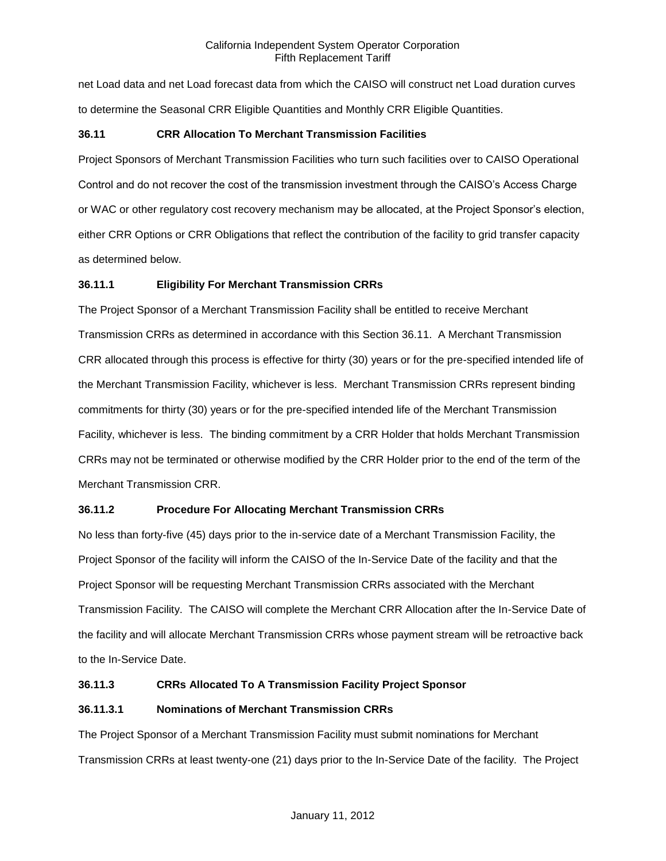net Load data and net Load forecast data from which the CAISO will construct net Load duration curves to determine the Seasonal CRR Eligible Quantities and Monthly CRR Eligible Quantities.

### **36.11 CRR Allocation To Merchant Transmission Facilities**

Project Sponsors of Merchant Transmission Facilities who turn such facilities over to CAISO Operational Control and do not recover the cost of the transmission investment through the CAISO's Access Charge or WAC or other regulatory cost recovery mechanism may be allocated, at the Project Sponsor's election, either CRR Options or CRR Obligations that reflect the contribution of the facility to grid transfer capacity as determined below.

### **36.11.1 Eligibility For Merchant Transmission CRRs**

The Project Sponsor of a Merchant Transmission Facility shall be entitled to receive Merchant Transmission CRRs as determined in accordance with this Section 36.11. A Merchant Transmission CRR allocated through this process is effective for thirty (30) years or for the pre-specified intended life of the Merchant Transmission Facility, whichever is less. Merchant Transmission CRRs represent binding commitments for thirty (30) years or for the pre-specified intended life of the Merchant Transmission Facility, whichever is less. The binding commitment by a CRR Holder that holds Merchant Transmission CRRs may not be terminated or otherwise modified by the CRR Holder prior to the end of the term of the Merchant Transmission CRR.

### **36.11.2 Procedure For Allocating Merchant Transmission CRRs**

No less than forty-five (45) days prior to the in-service date of a Merchant Transmission Facility, the Project Sponsor of the facility will inform the CAISO of the In-Service Date of the facility and that the Project Sponsor will be requesting Merchant Transmission CRRs associated with the Merchant Transmission Facility. The CAISO will complete the Merchant CRR Allocation after the In-Service Date of the facility and will allocate Merchant Transmission CRRs whose payment stream will be retroactive back to the In-Service Date.

## **36.11.3 CRRs Allocated To A Transmission Facility Project Sponsor**

### **36.11.3.1 Nominations of Merchant Transmission CRRs**

The Project Sponsor of a Merchant Transmission Facility must submit nominations for Merchant Transmission CRRs at least twenty-one (21) days prior to the In-Service Date of the facility. The Project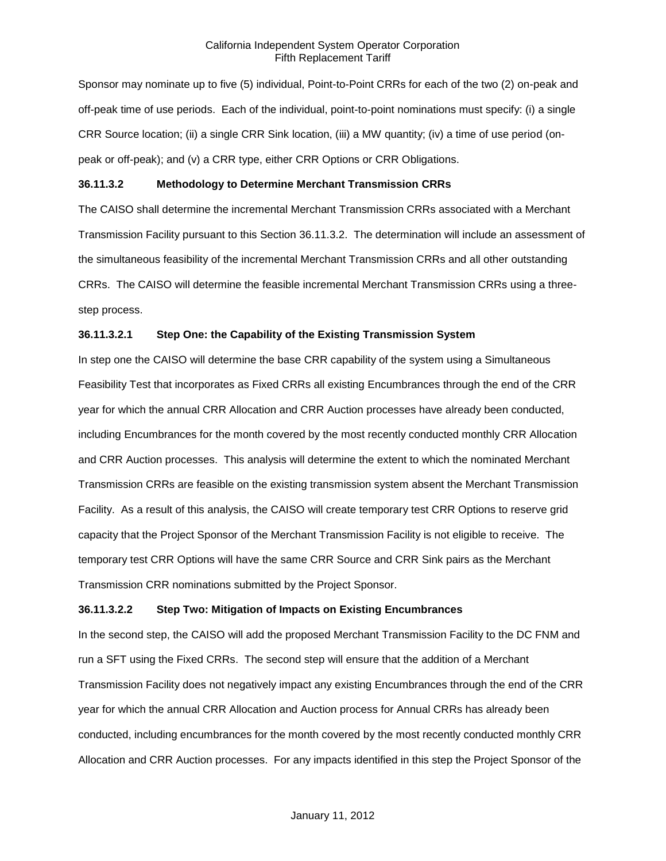Sponsor may nominate up to five (5) individual, Point-to-Point CRRs for each of the two (2) on-peak and off-peak time of use periods. Each of the individual, point-to-point nominations must specify: (i) a single CRR Source location; (ii) a single CRR Sink location, (iii) a MW quantity; (iv) a time of use period (onpeak or off-peak); and (v) a CRR type, either CRR Options or CRR Obligations.

### **36.11.3.2 Methodology to Determine Merchant Transmission CRRs**

The CAISO shall determine the incremental Merchant Transmission CRRs associated with a Merchant Transmission Facility pursuant to this Section 36.11.3.2. The determination will include an assessment of the simultaneous feasibility of the incremental Merchant Transmission CRRs and all other outstanding CRRs. The CAISO will determine the feasible incremental Merchant Transmission CRRs using a threestep process.

### **36.11.3.2.1 Step One: the Capability of the Existing Transmission System**

In step one the CAISO will determine the base CRR capability of the system using a Simultaneous Feasibility Test that incorporates as Fixed CRRs all existing Encumbrances through the end of the CRR year for which the annual CRR Allocation and CRR Auction processes have already been conducted, including Encumbrances for the month covered by the most recently conducted monthly CRR Allocation and CRR Auction processes. This analysis will determine the extent to which the nominated Merchant Transmission CRRs are feasible on the existing transmission system absent the Merchant Transmission Facility. As a result of this analysis, the CAISO will create temporary test CRR Options to reserve grid capacity that the Project Sponsor of the Merchant Transmission Facility is not eligible to receive. The temporary test CRR Options will have the same CRR Source and CRR Sink pairs as the Merchant Transmission CRR nominations submitted by the Project Sponsor.

#### **36.11.3.2.2 Step Two: Mitigation of Impacts on Existing Encumbrances**

In the second step, the CAISO will add the proposed Merchant Transmission Facility to the DC FNM and run a SFT using the Fixed CRRs. The second step will ensure that the addition of a Merchant Transmission Facility does not negatively impact any existing Encumbrances through the end of the CRR year for which the annual CRR Allocation and Auction process for Annual CRRs has already been conducted, including encumbrances for the month covered by the most recently conducted monthly CRR Allocation and CRR Auction processes. For any impacts identified in this step the Project Sponsor of the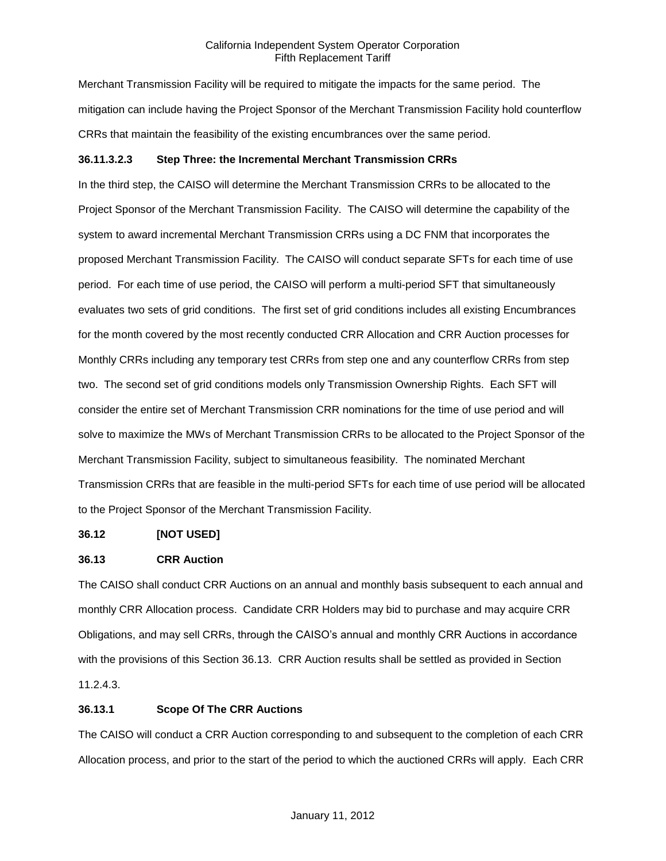Merchant Transmission Facility will be required to mitigate the impacts for the same period. The mitigation can include having the Project Sponsor of the Merchant Transmission Facility hold counterflow CRRs that maintain the feasibility of the existing encumbrances over the same period.

### **36.11.3.2.3 Step Three: the Incremental Merchant Transmission CRRs**

In the third step, the CAISO will determine the Merchant Transmission CRRs to be allocated to the Project Sponsor of the Merchant Transmission Facility. The CAISO will determine the capability of the system to award incremental Merchant Transmission CRRs using a DC FNM that incorporates the proposed Merchant Transmission Facility. The CAISO will conduct separate SFTs for each time of use period. For each time of use period, the CAISO will perform a multi-period SFT that simultaneously evaluates two sets of grid conditions. The first set of grid conditions includes all existing Encumbrances for the month covered by the most recently conducted CRR Allocation and CRR Auction processes for Monthly CRRs including any temporary test CRRs from step one and any counterflow CRRs from step two. The second set of grid conditions models only Transmission Ownership Rights. Each SFT will consider the entire set of Merchant Transmission CRR nominations for the time of use period and will solve to maximize the MWs of Merchant Transmission CRRs to be allocated to the Project Sponsor of the Merchant Transmission Facility, subject to simultaneous feasibility. The nominated Merchant Transmission CRRs that are feasible in the multi-period SFTs for each time of use period will be allocated to the Project Sponsor of the Merchant Transmission Facility.

### **36.12 [NOT USED]**

### **36.13 CRR Auction**

The CAISO shall conduct CRR Auctions on an annual and monthly basis subsequent to each annual and monthly CRR Allocation process. Candidate CRR Holders may bid to purchase and may acquire CRR Obligations, and may sell CRRs, through the CAISO's annual and monthly CRR Auctions in accordance with the provisions of this Section 36.13. CRR Auction results shall be settled as provided in Section 11.2.4.3.

### **36.13.1 Scope Of The CRR Auctions**

The CAISO will conduct a CRR Auction corresponding to and subsequent to the completion of each CRR Allocation process, and prior to the start of the period to which the auctioned CRRs will apply. Each CRR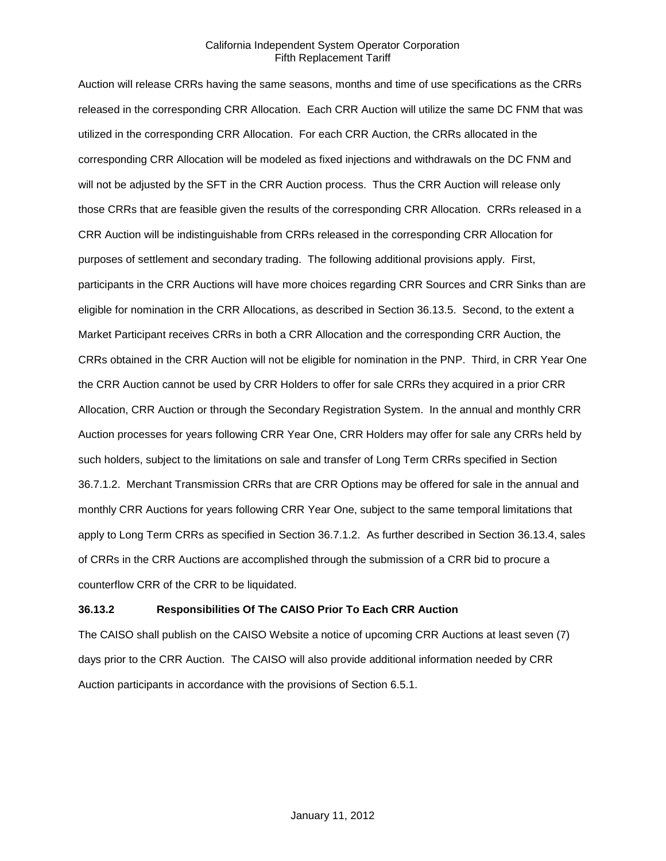Auction will release CRRs having the same seasons, months and time of use specifications as the CRRs released in the corresponding CRR Allocation. Each CRR Auction will utilize the same DC FNM that was utilized in the corresponding CRR Allocation. For each CRR Auction, the CRRs allocated in the corresponding CRR Allocation will be modeled as fixed injections and withdrawals on the DC FNM and will not be adjusted by the SFT in the CRR Auction process. Thus the CRR Auction will release only those CRRs that are feasible given the results of the corresponding CRR Allocation. CRRs released in a CRR Auction will be indistinguishable from CRRs released in the corresponding CRR Allocation for purposes of settlement and secondary trading. The following additional provisions apply. First, participants in the CRR Auctions will have more choices regarding CRR Sources and CRR Sinks than are eligible for nomination in the CRR Allocations, as described in Section 36.13.5. Second, to the extent a Market Participant receives CRRs in both a CRR Allocation and the corresponding CRR Auction, the CRRs obtained in the CRR Auction will not be eligible for nomination in the PNP. Third, in CRR Year One the CRR Auction cannot be used by CRR Holders to offer for sale CRRs they acquired in a prior CRR Allocation, CRR Auction or through the Secondary Registration System. In the annual and monthly CRR Auction processes for years following CRR Year One, CRR Holders may offer for sale any CRRs held by such holders, subject to the limitations on sale and transfer of Long Term CRRs specified in Section 36.7.1.2. Merchant Transmission CRRs that are CRR Options may be offered for sale in the annual and monthly CRR Auctions for years following CRR Year One, subject to the same temporal limitations that apply to Long Term CRRs as specified in Section 36.7.1.2. As further described in Section 36.13.4, sales of CRRs in the CRR Auctions are accomplished through the submission of a CRR bid to procure a counterflow CRR of the CRR to be liquidated.

### **36.13.2 Responsibilities Of The CAISO Prior To Each CRR Auction**

The CAISO shall publish on the CAISO Website a notice of upcoming CRR Auctions at least seven (7) days prior to the CRR Auction. The CAISO will also provide additional information needed by CRR Auction participants in accordance with the provisions of Section 6.5.1.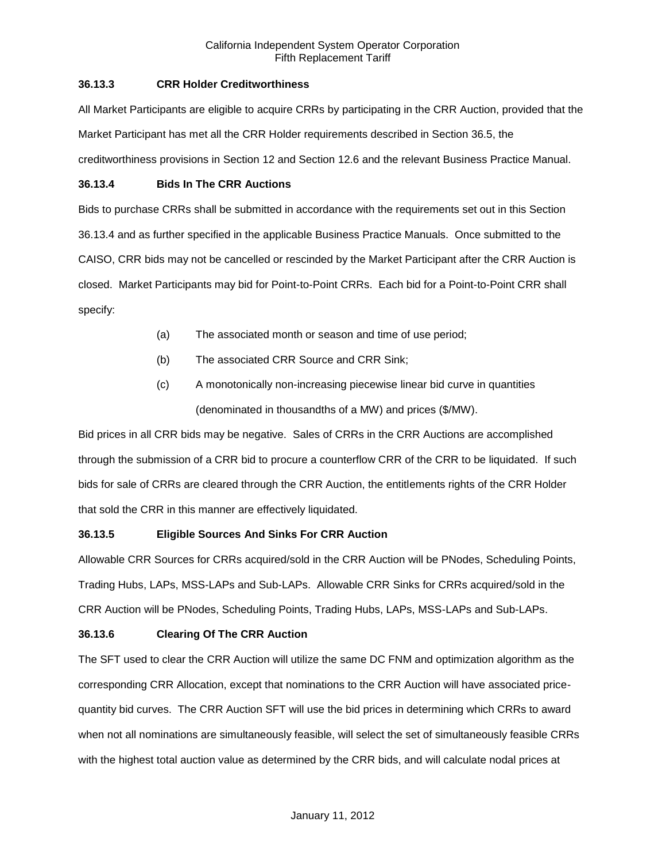### **36.13.3 CRR Holder Creditworthiness**

All Market Participants are eligible to acquire CRRs by participating in the CRR Auction, provided that the Market Participant has met all the CRR Holder requirements described in Section 36.5, the creditworthiness provisions in Section 12 and Section 12.6 and the relevant Business Practice Manual.

### **36.13.4 Bids In The CRR Auctions**

Bids to purchase CRRs shall be submitted in accordance with the requirements set out in this Section 36.13.4 and as further specified in the applicable Business Practice Manuals. Once submitted to the CAISO, CRR bids may not be cancelled or rescinded by the Market Participant after the CRR Auction is closed. Market Participants may bid for Point-to-Point CRRs. Each bid for a Point-to-Point CRR shall specify:

- (a) The associated month or season and time of use period;
- (b) The associated CRR Source and CRR Sink;
- (c) A monotonically non-increasing piecewise linear bid curve in quantities (denominated in thousandths of a MW) and prices (\$/MW).

Bid prices in all CRR bids may be negative. Sales of CRRs in the CRR Auctions are accomplished through the submission of a CRR bid to procure a counterflow CRR of the CRR to be liquidated. If such bids for sale of CRRs are cleared through the CRR Auction, the entitlements rights of the CRR Holder that sold the CRR in this manner are effectively liquidated.

## **36.13.5 Eligible Sources And Sinks For CRR Auction**

Allowable CRR Sources for CRRs acquired/sold in the CRR Auction will be PNodes, Scheduling Points, Trading Hubs, LAPs, MSS-LAPs and Sub-LAPs. Allowable CRR Sinks for CRRs acquired/sold in the CRR Auction will be PNodes, Scheduling Points, Trading Hubs, LAPs, MSS-LAPs and Sub-LAPs.

## **36.13.6 Clearing Of The CRR Auction**

The SFT used to clear the CRR Auction will utilize the same DC FNM and optimization algorithm as the corresponding CRR Allocation, except that nominations to the CRR Auction will have associated pricequantity bid curves. The CRR Auction SFT will use the bid prices in determining which CRRs to award when not all nominations are simultaneously feasible, will select the set of simultaneously feasible CRRs with the highest total auction value as determined by the CRR bids, and will calculate nodal prices at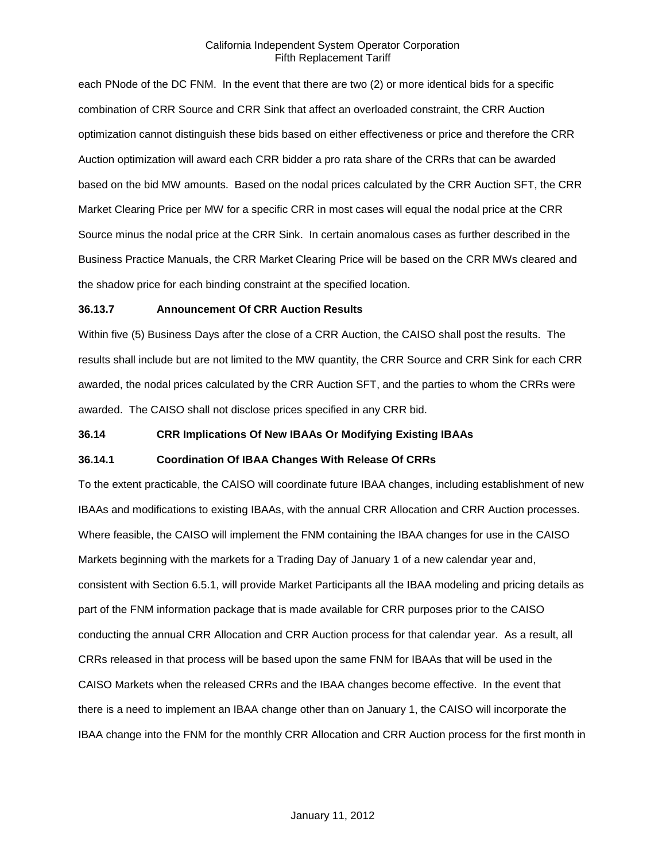each PNode of the DC FNM. In the event that there are two (2) or more identical bids for a specific combination of CRR Source and CRR Sink that affect an overloaded constraint, the CRR Auction optimization cannot distinguish these bids based on either effectiveness or price and therefore the CRR Auction optimization will award each CRR bidder a pro rata share of the CRRs that can be awarded based on the bid MW amounts. Based on the nodal prices calculated by the CRR Auction SFT, the CRR Market Clearing Price per MW for a specific CRR in most cases will equal the nodal price at the CRR Source minus the nodal price at the CRR Sink. In certain anomalous cases as further described in the Business Practice Manuals, the CRR Market Clearing Price will be based on the CRR MWs cleared and the shadow price for each binding constraint at the specified location.

#### **36.13.7 Announcement Of CRR Auction Results**

Within five (5) Business Days after the close of a CRR Auction, the CAISO shall post the results. The results shall include but are not limited to the MW quantity, the CRR Source and CRR Sink for each CRR awarded, the nodal prices calculated by the CRR Auction SFT, and the parties to whom the CRRs were awarded. The CAISO shall not disclose prices specified in any CRR bid.

### **36.14 CRR Implications Of New IBAAs Or Modifying Existing IBAAs**

#### **36.14.1 Coordination Of IBAA Changes With Release Of CRRs**

To the extent practicable, the CAISO will coordinate future IBAA changes, including establishment of new IBAAs and modifications to existing IBAAs, with the annual CRR Allocation and CRR Auction processes. Where feasible, the CAISO will implement the FNM containing the IBAA changes for use in the CAISO Markets beginning with the markets for a Trading Day of January 1 of a new calendar year and, consistent with Section 6.5.1, will provide Market Participants all the IBAA modeling and pricing details as part of the FNM information package that is made available for CRR purposes prior to the CAISO conducting the annual CRR Allocation and CRR Auction process for that calendar year. As a result, all CRRs released in that process will be based upon the same FNM for IBAAs that will be used in the CAISO Markets when the released CRRs and the IBAA changes become effective. In the event that there is a need to implement an IBAA change other than on January 1, the CAISO will incorporate the IBAA change into the FNM for the monthly CRR Allocation and CRR Auction process for the first month in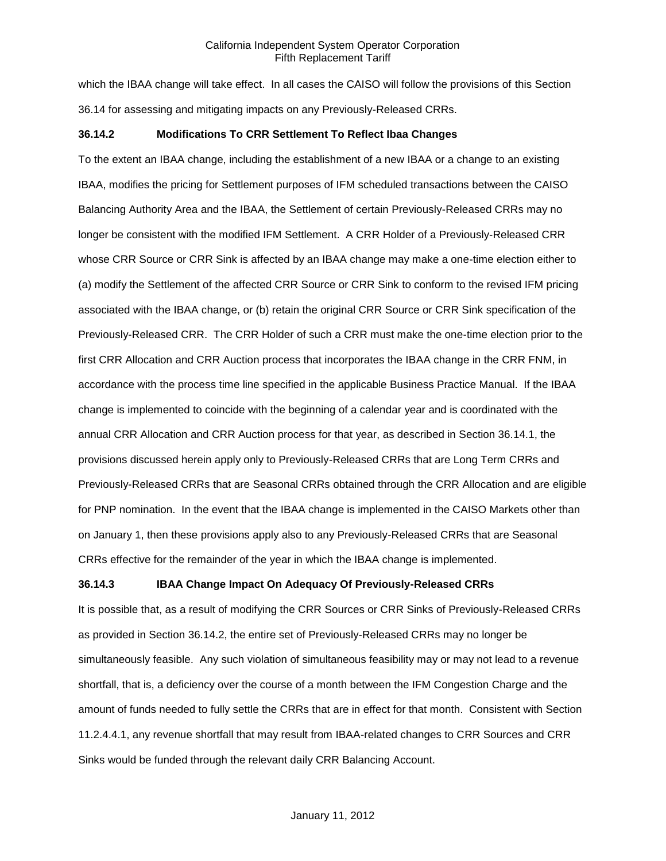which the IBAA change will take effect. In all cases the CAISO will follow the provisions of this Section 36.14 for assessing and mitigating impacts on any Previously-Released CRRs.

#### **36.14.2 Modifications To CRR Settlement To Reflect Ibaa Changes**

To the extent an IBAA change, including the establishment of a new IBAA or a change to an existing IBAA, modifies the pricing for Settlement purposes of IFM scheduled transactions between the CAISO Balancing Authority Area and the IBAA, the Settlement of certain Previously-Released CRRs may no longer be consistent with the modified IFM Settlement. A CRR Holder of a Previously-Released CRR whose CRR Source or CRR Sink is affected by an IBAA change may make a one-time election either to (a) modify the Settlement of the affected CRR Source or CRR Sink to conform to the revised IFM pricing associated with the IBAA change, or (b) retain the original CRR Source or CRR Sink specification of the Previously-Released CRR. The CRR Holder of such a CRR must make the one-time election prior to the first CRR Allocation and CRR Auction process that incorporates the IBAA change in the CRR FNM, in accordance with the process time line specified in the applicable Business Practice Manual. If the IBAA change is implemented to coincide with the beginning of a calendar year and is coordinated with the annual CRR Allocation and CRR Auction process for that year, as described in Section 36.14.1, the provisions discussed herein apply only to Previously-Released CRRs that are Long Term CRRs and Previously-Released CRRs that are Seasonal CRRs obtained through the CRR Allocation and are eligible for PNP nomination. In the event that the IBAA change is implemented in the CAISO Markets other than on January 1, then these provisions apply also to any Previously-Released CRRs that are Seasonal CRRs effective for the remainder of the year in which the IBAA change is implemented.

### **36.14.3 IBAA Change Impact On Adequacy Of Previously-Released CRRs**

It is possible that, as a result of modifying the CRR Sources or CRR Sinks of Previously-Released CRRs as provided in Section 36.14.2, the entire set of Previously-Released CRRs may no longer be simultaneously feasible. Any such violation of simultaneous feasibility may or may not lead to a revenue shortfall, that is, a deficiency over the course of a month between the IFM Congestion Charge and the amount of funds needed to fully settle the CRRs that are in effect for that month. Consistent with Section 11.2.4.4.1, any revenue shortfall that may result from IBAA-related changes to CRR Sources and CRR Sinks would be funded through the relevant daily CRR Balancing Account.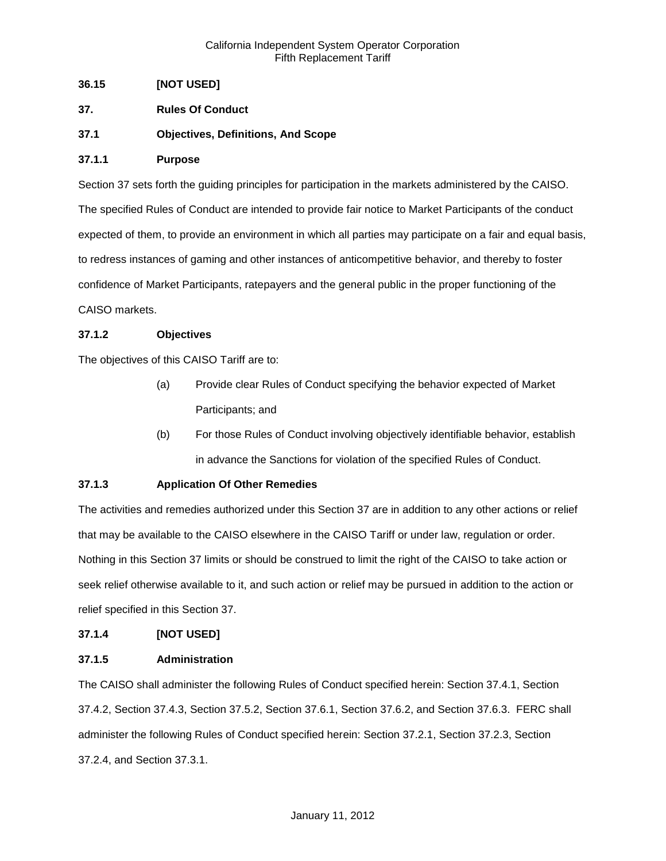## **36.15 [NOT USED]**

- **37. Rules Of Conduct**
- **37.1 Objectives, Definitions, And Scope**

### **37.1.1 Purpose**

Section 37 sets forth the guiding principles for participation in the markets administered by the CAISO. The specified Rules of Conduct are intended to provide fair notice to Market Participants of the conduct expected of them, to provide an environment in which all parties may participate on a fair and equal basis, to redress instances of gaming and other instances of anticompetitive behavior, and thereby to foster confidence of Market Participants, ratepayers and the general public in the proper functioning of the CAISO markets.

### **37.1.2 Objectives**

The objectives of this CAISO Tariff are to:

- (a) Provide clear Rules of Conduct specifying the behavior expected of Market Participants; and
- (b) For those Rules of Conduct involving objectively identifiable behavior, establish in advance the Sanctions for violation of the specified Rules of Conduct.

## **37.1.3 Application Of Other Remedies**

The activities and remedies authorized under this Section 37 are in addition to any other actions or relief that may be available to the CAISO elsewhere in the CAISO Tariff or under law, regulation or order. Nothing in this Section 37 limits or should be construed to limit the right of the CAISO to take action or seek relief otherwise available to it, and such action or relief may be pursued in addition to the action or relief specified in this Section 37.

### **37.1.4 [NOT USED]**

### **37.1.5 Administration**

The CAISO shall administer the following Rules of Conduct specified herein: Section 37.4.1, Section 37.4.2, Section 37.4.3, Section 37.5.2, Section 37.6.1, Section 37.6.2, and Section 37.6.3. FERC shall administer the following Rules of Conduct specified herein: Section 37.2.1, Section 37.2.3, Section 37.2.4, and Section 37.3.1.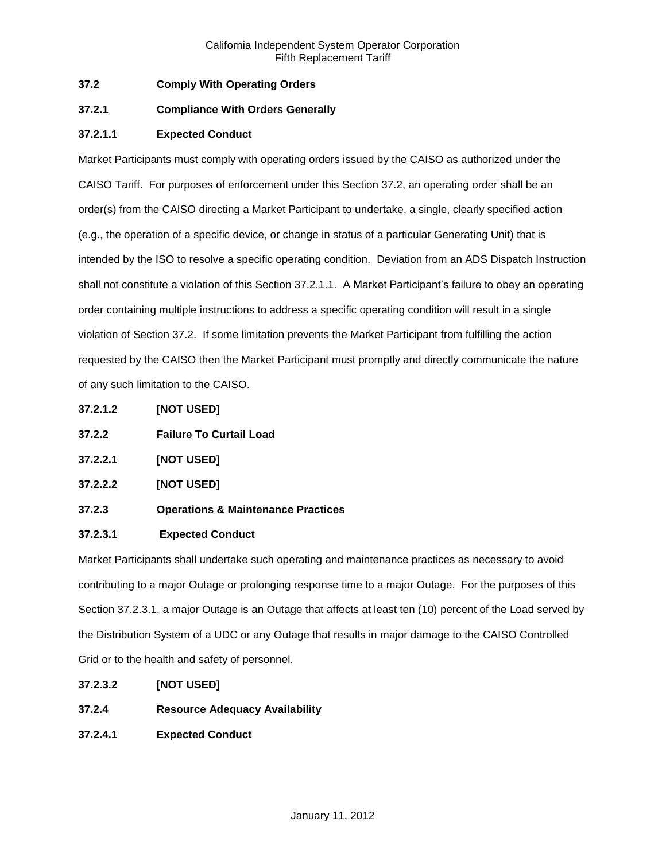## **37.2 Comply With Operating Orders**

### **37.2.1 Compliance With Orders Generally**

## **37.2.1.1 Expected Conduct**

Market Participants must comply with operating orders issued by the CAISO as authorized under the CAISO Tariff. For purposes of enforcement under this Section 37.2, an operating order shall be an order(s) from the CAISO directing a Market Participant to undertake, a single, clearly specified action (e.g., the operation of a specific device, or change in status of a particular Generating Unit) that is intended by the ISO to resolve a specific operating condition. Deviation from an ADS Dispatch Instruction shall not constitute a violation of this Section 37.2.1.1. A Market Participant's failure to obey an operating order containing multiple instructions to address a specific operating condition will result in a single violation of Section 37.2. If some limitation prevents the Market Participant from fulfilling the action requested by the CAISO then the Market Participant must promptly and directly communicate the nature of any such limitation to the CAISO.

- **37.2.1.2 [NOT USED]**
- **37.2.2 Failure To Curtail Load**
- **37.2.2.1 [NOT USED]**
- **37.2.2.2 [NOT USED]**
- **37.2.3 Operations & Maintenance Practices**

### **37.2.3.1 Expected Conduct**

Market Participants shall undertake such operating and maintenance practices as necessary to avoid contributing to a major Outage or prolonging response time to a major Outage. For the purposes of this Section 37.2.3.1, a major Outage is an Outage that affects at least ten (10) percent of the Load served by the Distribution System of a UDC or any Outage that results in major damage to the CAISO Controlled Grid or to the health and safety of personnel.

- **37.2.3.2 [NOT USED]**
- **37.2.4 Resource Adequacy Availability**
- **37.2.4.1 Expected Conduct**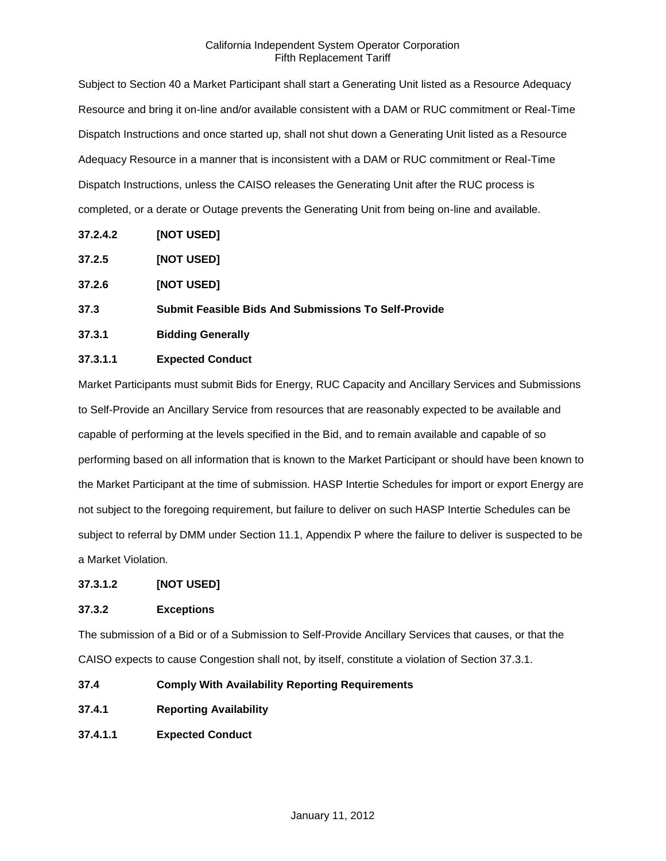Subject to Section 40 a Market Participant shall start a Generating Unit listed as a Resource Adequacy Resource and bring it on-line and/or available consistent with a DAM or RUC commitment or Real-Time Dispatch Instructions and once started up, shall not shut down a Generating Unit listed as a Resource Adequacy Resource in a manner that is inconsistent with a DAM or RUC commitment or Real-Time Dispatch Instructions, unless the CAISO releases the Generating Unit after the RUC process is completed, or a derate or Outage prevents the Generating Unit from being on-line and available.

- **37.2.4.2 [NOT USED]**
- **37.2.5 [NOT USED]**
- **37.2.6 [NOT USED]**
- **37.3 Submit Feasible Bids And Submissions To Self-Provide**
- **37.3.1 Bidding Generally**

## **37.3.1.1 Expected Conduct**

Market Participants must submit Bids for Energy, RUC Capacity and Ancillary Services and Submissions to Self-Provide an Ancillary Service from resources that are reasonably expected to be available and capable of performing at the levels specified in the Bid, and to remain available and capable of so performing based on all information that is known to the Market Participant or should have been known to the Market Participant at the time of submission. HASP Intertie Schedules for import or export Energy are not subject to the foregoing requirement, but failure to deliver on such HASP Intertie Schedules can be subject to referral by DMM under Section 11.1, Appendix P where the failure to deliver is suspected to be a Market Violation.

### **37.3.1.2 [NOT USED]**

## **37.3.2 Exceptions**

The submission of a Bid or of a Submission to Self-Provide Ancillary Services that causes, or that the CAISO expects to cause Congestion shall not, by itself, constitute a violation of Section 37.3.1.

- **37.4 Comply With Availability Reporting Requirements**
- **37.4.1 Reporting Availability**
- **37.4.1.1 Expected Conduct**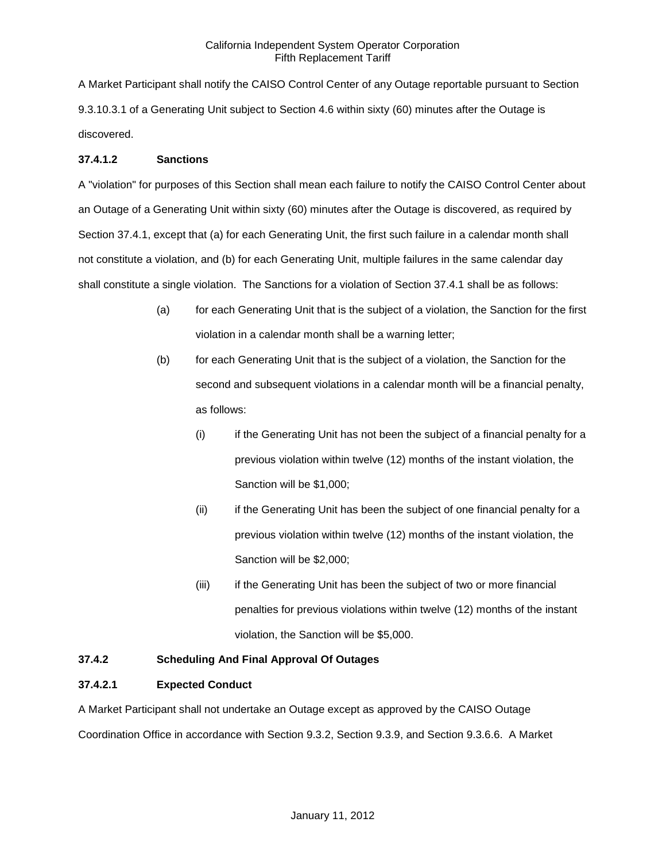A Market Participant shall notify the CAISO Control Center of any Outage reportable pursuant to Section 9.3.10.3.1 of a Generating Unit subject to Section 4.6 within sixty (60) minutes after the Outage is discovered.

### **37.4.1.2 Sanctions**

A "violation" for purposes of this Section shall mean each failure to notify the CAISO Control Center about an Outage of a Generating Unit within sixty (60) minutes after the Outage is discovered, as required by Section 37.4.1, except that (a) for each Generating Unit, the first such failure in a calendar month shall not constitute a violation, and (b) for each Generating Unit, multiple failures in the same calendar day shall constitute a single violation. The Sanctions for a violation of Section 37.4.1 shall be as follows:

- (a) for each Generating Unit that is the subject of a violation, the Sanction for the first violation in a calendar month shall be a warning letter;
- (b) for each Generating Unit that is the subject of a violation, the Sanction for the second and subsequent violations in a calendar month will be a financial penalty, as follows:
	- (i) if the Generating Unit has not been the subject of a financial penalty for a previous violation within twelve (12) months of the instant violation, the Sanction will be \$1,000;
	- (ii) if the Generating Unit has been the subject of one financial penalty for a previous violation within twelve (12) months of the instant violation, the Sanction will be \$2,000;
	- (iii) if the Generating Unit has been the subject of two or more financial penalties for previous violations within twelve (12) months of the instant violation, the Sanction will be \$5,000.

## **37.4.2 Scheduling And Final Approval Of Outages**

### **37.4.2.1 Expected Conduct**

A Market Participant shall not undertake an Outage except as approved by the CAISO Outage Coordination Office in accordance with Section 9.3.2, Section 9.3.9, and Section 9.3.6.6. A Market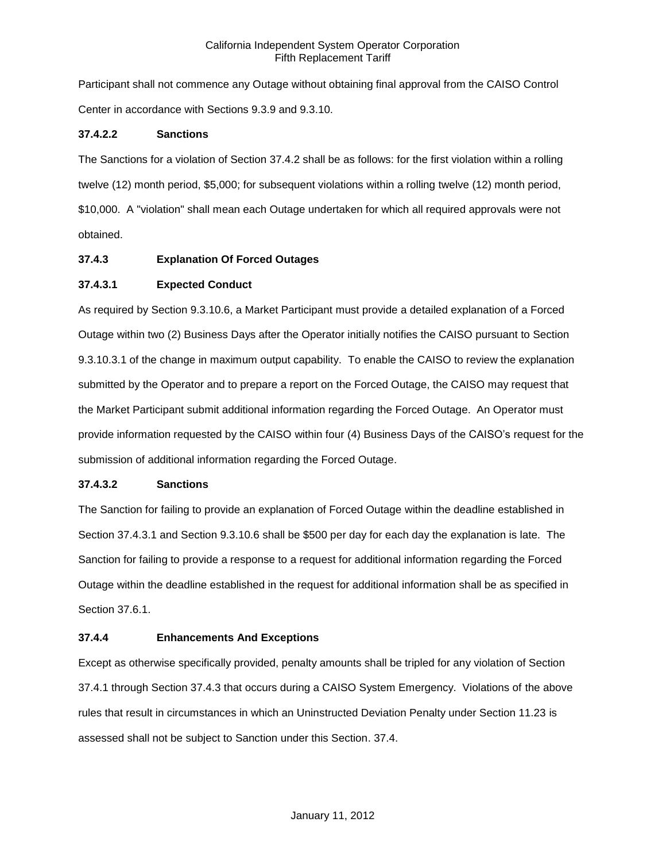Participant shall not commence any Outage without obtaining final approval from the CAISO Control Center in accordance with Sections 9.3.9 and 9.3.10.

### **37.4.2.2 Sanctions**

The Sanctions for a violation of Section 37.4.2 shall be as follows: for the first violation within a rolling twelve (12) month period, \$5,000; for subsequent violations within a rolling twelve (12) month period, \$10,000. A "violation" shall mean each Outage undertaken for which all required approvals were not obtained.

### **37.4.3 Explanation Of Forced Outages**

## **37.4.3.1 Expected Conduct**

As required by Section 9.3.10.6, a Market Participant must provide a detailed explanation of a Forced Outage within two (2) Business Days after the Operator initially notifies the CAISO pursuant to Section 9.3.10.3.1 of the change in maximum output capability. To enable the CAISO to review the explanation submitted by the Operator and to prepare a report on the Forced Outage, the CAISO may request that the Market Participant submit additional information regarding the Forced Outage. An Operator must provide information requested by the CAISO within four (4) Business Days of the CAISO's request for the submission of additional information regarding the Forced Outage.

### **37.4.3.2 Sanctions**

The Sanction for failing to provide an explanation of Forced Outage within the deadline established in Section 37.4.3.1 and Section 9.3.10.6 shall be \$500 per day for each day the explanation is late. The Sanction for failing to provide a response to a request for additional information regarding the Forced Outage within the deadline established in the request for additional information shall be as specified in Section 37.6.1.

### **37.4.4 Enhancements And Exceptions**

Except as otherwise specifically provided, penalty amounts shall be tripled for any violation of Section 37.4.1 through Section 37.4.3 that occurs during a CAISO System Emergency. Violations of the above rules that result in circumstances in which an Uninstructed Deviation Penalty under Section 11.23 is assessed shall not be subject to Sanction under this Section. 37.4.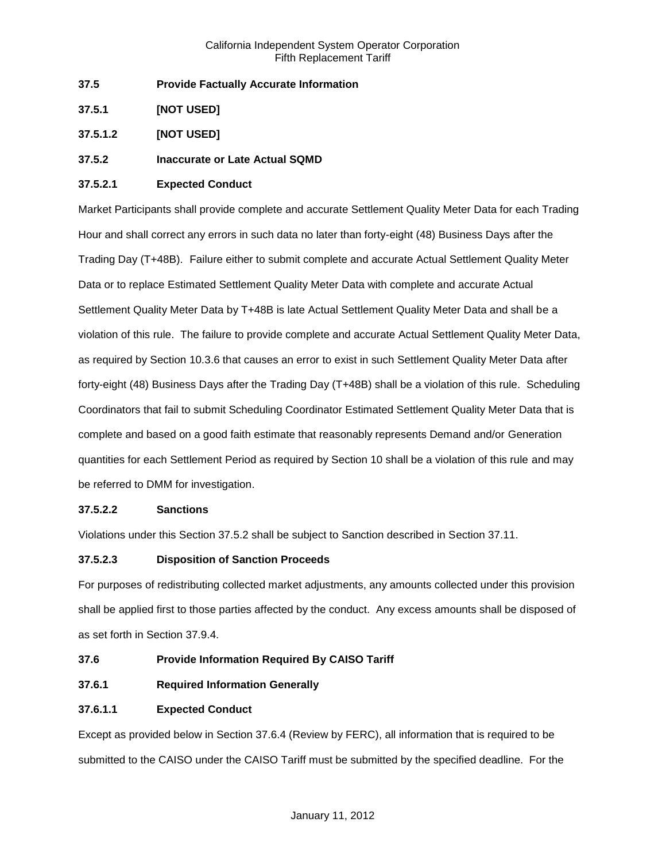- **37.5 Provide Factually Accurate Information**
- **37.5.1 [NOT USED]**
- **37.5.1.2 [NOT USED]**

## **37.5.2 Inaccurate or Late Actual SQMD**

## **37.5.2.1 Expected Conduct**

Market Participants shall provide complete and accurate Settlement Quality Meter Data for each Trading Hour and shall correct any errors in such data no later than forty-eight (48) Business Days after the Trading Day (T+48B). Failure either to submit complete and accurate Actual Settlement Quality Meter Data or to replace Estimated Settlement Quality Meter Data with complete and accurate Actual Settlement Quality Meter Data by T+48B is late Actual Settlement Quality Meter Data and shall be a violation of this rule. The failure to provide complete and accurate Actual Settlement Quality Meter Data, as required by Section 10.3.6 that causes an error to exist in such Settlement Quality Meter Data after forty-eight (48) Business Days after the Trading Day (T+48B) shall be a violation of this rule. Scheduling Coordinators that fail to submit Scheduling Coordinator Estimated Settlement Quality Meter Data that is complete and based on a good faith estimate that reasonably represents Demand and/or Generation quantities for each Settlement Period as required by Section 10 shall be a violation of this rule and may be referred to DMM for investigation.

## **37.5.2.2 Sanctions**

Violations under this Section 37.5.2 shall be subject to Sanction described in Section 37.11.

## **37.5.2.3 Disposition of Sanction Proceeds**

For purposes of redistributing collected market adjustments, any amounts collected under this provision shall be applied first to those parties affected by the conduct. Any excess amounts shall be disposed of as set forth in Section 37.9.4.

## **37.6 Provide Information Required By CAISO Tariff**

**37.6.1 Required Information Generally**

## **37.6.1.1 Expected Conduct**

Except as provided below in Section 37.6.4 (Review by FERC), all information that is required to be submitted to the CAISO under the CAISO Tariff must be submitted by the specified deadline. For the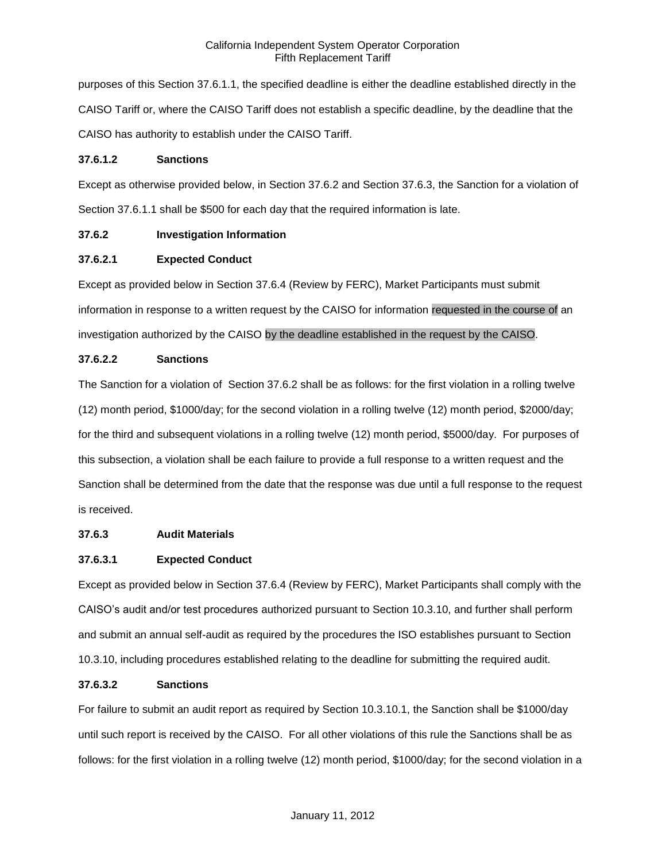purposes of this Section 37.6.1.1, the specified deadline is either the deadline established directly in the CAISO Tariff or, where the CAISO Tariff does not establish a specific deadline, by the deadline that the CAISO has authority to establish under the CAISO Tariff.

### **37.6.1.2 Sanctions**

Except as otherwise provided below, in Section 37.6.2 and Section 37.6.3, the Sanction for a violation of Section 37.6.1.1 shall be \$500 for each day that the required information is late.

## **37.6.2 Investigation Information**

## **37.6.2.1 Expected Conduct**

Except as provided below in Section 37.6.4 (Review by FERC), Market Participants must submit information in response to a written request by the CAISO for information requested in the course of an investigation authorized by the CAISO by the deadline established in the request by the CAISO.

# **37.6.2.2 Sanctions**

The Sanction for a violation of Section 37.6.2 shall be as follows: for the first violation in a rolling twelve (12) month period, \$1000/day; for the second violation in a rolling twelve (12) month period, \$2000/day; for the third and subsequent violations in a rolling twelve (12) month period, \$5000/day. For purposes of this subsection, a violation shall be each failure to provide a full response to a written request and the Sanction shall be determined from the date that the response was due until a full response to the request is received.

## **37.6.3 Audit Materials**

## **37.6.3.1 Expected Conduct**

Except as provided below in Section 37.6.4 (Review by FERC), Market Participants shall comply with the CAISO's audit and/or test procedures authorized pursuant to Section 10.3.10, and further shall perform and submit an annual self-audit as required by the procedures the ISO establishes pursuant to Section 10.3.10, including procedures established relating to the deadline for submitting the required audit.

## **37.6.3.2 Sanctions**

For failure to submit an audit report as required by Section 10.3.10.1, the Sanction shall be \$1000/day until such report is received by the CAISO. For all other violations of this rule the Sanctions shall be as follows: for the first violation in a rolling twelve (12) month period, \$1000/day; for the second violation in a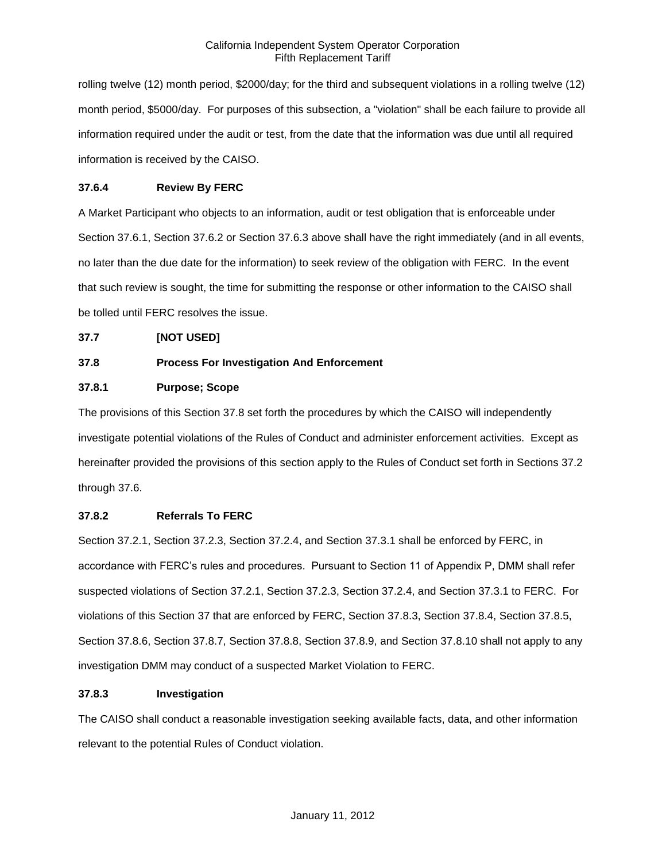rolling twelve (12) month period, \$2000/day; for the third and subsequent violations in a rolling twelve (12) month period, \$5000/day. For purposes of this subsection, a "violation" shall be each failure to provide all information required under the audit or test, from the date that the information was due until all required information is received by the CAISO.

## **37.6.4 Review By FERC**

A Market Participant who objects to an information, audit or test obligation that is enforceable under Section 37.6.1, Section 37.6.2 or Section 37.6.3 above shall have the right immediately (and in all events, no later than the due date for the information) to seek review of the obligation with FERC. In the event that such review is sought, the time for submitting the response or other information to the CAISO shall be tolled until FERC resolves the issue.

### **37.7 [NOT USED]**

## **37.8 Process For Investigation And Enforcement**

## **37.8.1 Purpose; Scope**

The provisions of this Section 37.8 set forth the procedures by which the CAISO will independently investigate potential violations of the Rules of Conduct and administer enforcement activities. Except as hereinafter provided the provisions of this section apply to the Rules of Conduct set forth in Sections 37.2 through 37.6.

### **37.8.2 Referrals To FERC**

Section 37.2.1, Section 37.2.3, Section 37.2.4, and Section 37.3.1 shall be enforced by FERC, in accordance with FERC's rules and procedures. Pursuant to Section 11 of Appendix P, DMM shall refer suspected violations of Section 37.2.1, Section 37.2.3, Section 37.2.4, and Section 37.3.1 to FERC. For violations of this Section 37 that are enforced by FERC, Section 37.8.3, Section 37.8.4, Section 37.8.5, Section 37.8.6, Section 37.8.7, Section 37.8.8, Section 37.8.9, and Section 37.8.10 shall not apply to any investigation DMM may conduct of a suspected Market Violation to FERC.

### **37.8.3 Investigation**

The CAISO shall conduct a reasonable investigation seeking available facts, data, and other information relevant to the potential Rules of Conduct violation.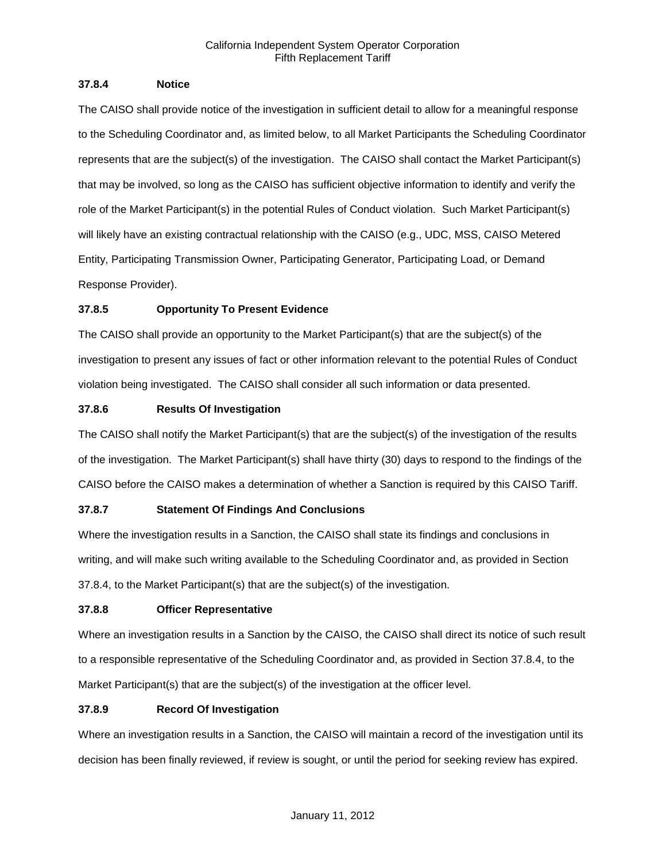### **37.8.4 Notice**

The CAISO shall provide notice of the investigation in sufficient detail to allow for a meaningful response to the Scheduling Coordinator and, as limited below, to all Market Participants the Scheduling Coordinator represents that are the subject(s) of the investigation. The CAISO shall contact the Market Participant(s) that may be involved, so long as the CAISO has sufficient objective information to identify and verify the role of the Market Participant(s) in the potential Rules of Conduct violation. Such Market Participant(s) will likely have an existing contractual relationship with the CAISO (e.g., UDC, MSS, CAISO Metered Entity, Participating Transmission Owner, Participating Generator, Participating Load, or Demand Response Provider).

## **37.8.5 Opportunity To Present Evidence**

The CAISO shall provide an opportunity to the Market Participant(s) that are the subject(s) of the investigation to present any issues of fact or other information relevant to the potential Rules of Conduct violation being investigated. The CAISO shall consider all such information or data presented.

## **37.8.6 Results Of Investigation**

The CAISO shall notify the Market Participant(s) that are the subject(s) of the investigation of the results of the investigation. The Market Participant(s) shall have thirty (30) days to respond to the findings of the CAISO before the CAISO makes a determination of whether a Sanction is required by this CAISO Tariff.

## **37.8.7 Statement Of Findings And Conclusions**

Where the investigation results in a Sanction, the CAISO shall state its findings and conclusions in writing, and will make such writing available to the Scheduling Coordinator and, as provided in Section 37.8.4, to the Market Participant(s) that are the subject(s) of the investigation.

## **37.8.8 Officer Representative**

Where an investigation results in a Sanction by the CAISO, the CAISO shall direct its notice of such result to a responsible representative of the Scheduling Coordinator and, as provided in Section 37.8.4, to the Market Participant(s) that are the subject(s) of the investigation at the officer level.

## **37.8.9 Record Of Investigation**

Where an investigation results in a Sanction, the CAISO will maintain a record of the investigation until its decision has been finally reviewed, if review is sought, or until the period for seeking review has expired.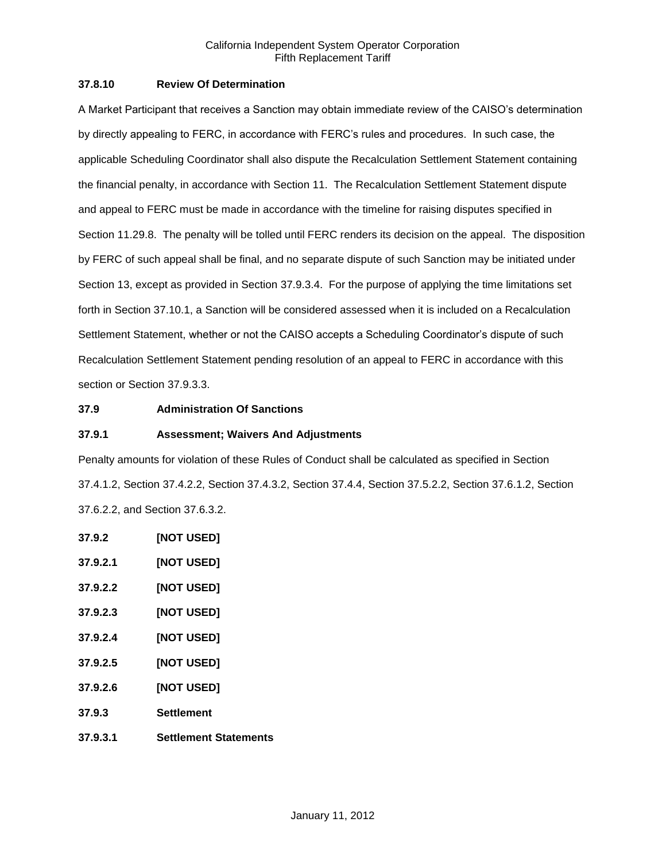### **37.8.10 Review Of Determination**

A Market Participant that receives a Sanction may obtain immediate review of the CAISO's determination by directly appealing to FERC, in accordance with FERC's rules and procedures. In such case, the applicable Scheduling Coordinator shall also dispute the Recalculation Settlement Statement containing the financial penalty, in accordance with Section 11. The Recalculation Settlement Statement dispute and appeal to FERC must be made in accordance with the timeline for raising disputes specified in Section 11.29.8. The penalty will be tolled until FERC renders its decision on the appeal. The disposition by FERC of such appeal shall be final, and no separate dispute of such Sanction may be initiated under Section 13, except as provided in Section 37.9.3.4. For the purpose of applying the time limitations set forth in Section 37.10.1, a Sanction will be considered assessed when it is included on a Recalculation Settlement Statement, whether or not the CAISO accepts a Scheduling Coordinator's dispute of such Recalculation Settlement Statement pending resolution of an appeal to FERC in accordance with this section or Section 37.9.3.3.

### **37.9 Administration Of Sanctions**

### **37.9.1 Assessment; Waivers And Adjustments**

Penalty amounts for violation of these Rules of Conduct shall be calculated as specified in Section 37.4.1.2, Section 37.4.2.2, Section 37.4.3.2, Section 37.4.4, Section 37.5.2.2, Section 37.6.1.2, Section 37.6.2.2, and Section 37.6.3.2.

**37.9.2 [NOT USED] 37.9.2.1 [NOT USED] 37.9.2.2 [NOT USED] 37.9.2.3 [NOT USED] 37.9.2.4 [NOT USED] 37.9.2.5 [NOT USED] 37.9.2.6 [NOT USED] 37.9.3 Settlement 37.9.3.1 Settlement Statements**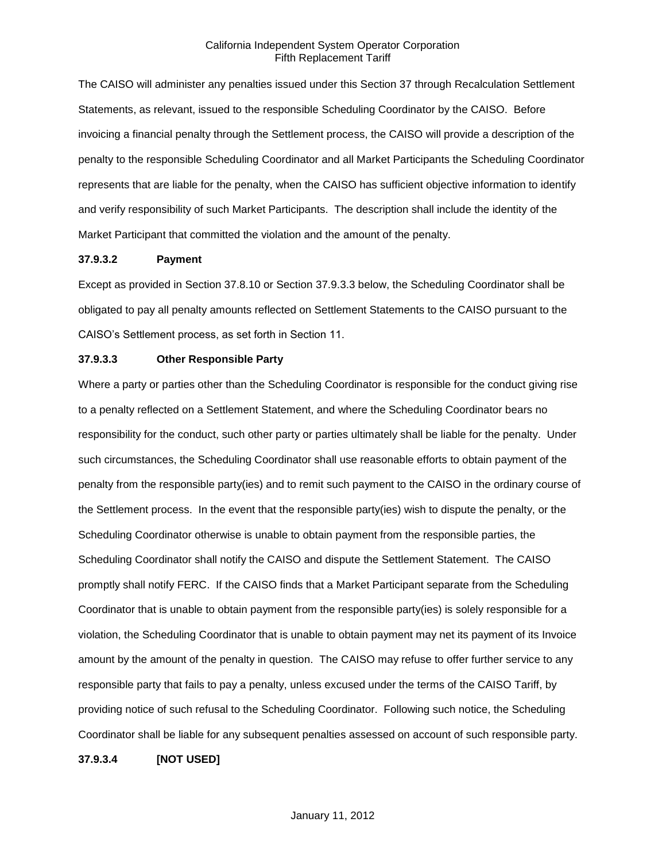The CAISO will administer any penalties issued under this Section 37 through Recalculation Settlement Statements, as relevant, issued to the responsible Scheduling Coordinator by the CAISO. Before invoicing a financial penalty through the Settlement process, the CAISO will provide a description of the penalty to the responsible Scheduling Coordinator and all Market Participants the Scheduling Coordinator represents that are liable for the penalty, when the CAISO has sufficient objective information to identify and verify responsibility of such Market Participants. The description shall include the identity of the Market Participant that committed the violation and the amount of the penalty.

#### **37.9.3.2 Payment**

Except as provided in Section 37.8.10 or Section 37.9.3.3 below, the Scheduling Coordinator shall be obligated to pay all penalty amounts reflected on Settlement Statements to the CAISO pursuant to the CAISO's Settlement process, as set forth in Section 11.

#### **37.9.3.3 Other Responsible Party**

Where a party or parties other than the Scheduling Coordinator is responsible for the conduct giving rise to a penalty reflected on a Settlement Statement, and where the Scheduling Coordinator bears no responsibility for the conduct, such other party or parties ultimately shall be liable for the penalty. Under such circumstances, the Scheduling Coordinator shall use reasonable efforts to obtain payment of the penalty from the responsible party(ies) and to remit such payment to the CAISO in the ordinary course of the Settlement process. In the event that the responsible party(ies) wish to dispute the penalty, or the Scheduling Coordinator otherwise is unable to obtain payment from the responsible parties, the Scheduling Coordinator shall notify the CAISO and dispute the Settlement Statement. The CAISO promptly shall notify FERC. If the CAISO finds that a Market Participant separate from the Scheduling Coordinator that is unable to obtain payment from the responsible party(ies) is solely responsible for a violation, the Scheduling Coordinator that is unable to obtain payment may net its payment of its Invoice amount by the amount of the penalty in question. The CAISO may refuse to offer further service to any responsible party that fails to pay a penalty, unless excused under the terms of the CAISO Tariff, by providing notice of such refusal to the Scheduling Coordinator. Following such notice, the Scheduling Coordinator shall be liable for any subsequent penalties assessed on account of such responsible party.

**37.9.3.4 [NOT USED]**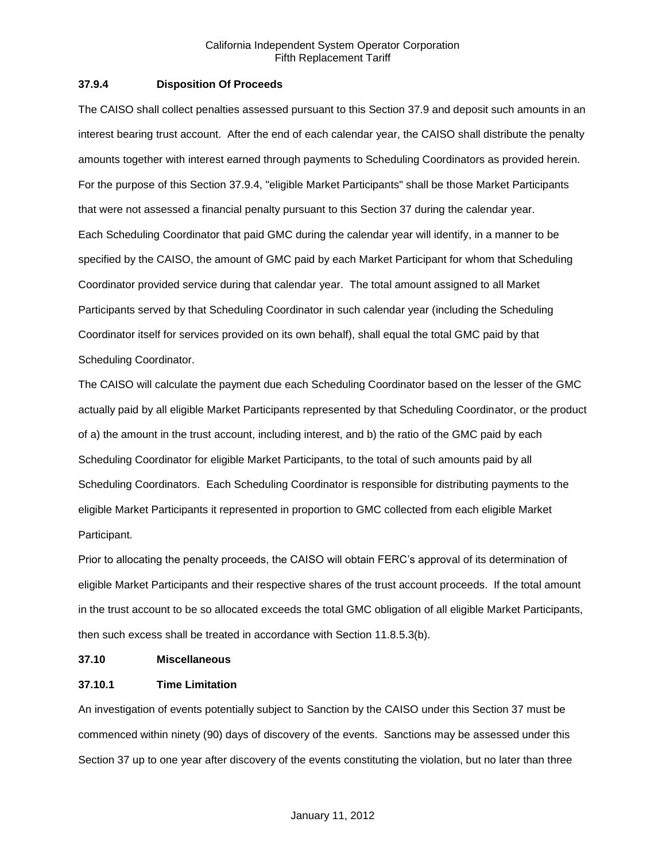### **37.9.4 Disposition Of Proceeds**

The CAISO shall collect penalties assessed pursuant to this Section 37.9 and deposit such amounts in an interest bearing trust account. After the end of each calendar year, the CAISO shall distribute the penalty amounts together with interest earned through payments to Scheduling Coordinators as provided herein. For the purpose of this Section 37.9.4, "eligible Market Participants" shall be those Market Participants that were not assessed a financial penalty pursuant to this Section 37 during the calendar year. Each Scheduling Coordinator that paid GMC during the calendar year will identify, in a manner to be specified by the CAISO, the amount of GMC paid by each Market Participant for whom that Scheduling Coordinator provided service during that calendar year. The total amount assigned to all Market Participants served by that Scheduling Coordinator in such calendar year (including the Scheduling Coordinator itself for services provided on its own behalf), shall equal the total GMC paid by that Scheduling Coordinator.

The CAISO will calculate the payment due each Scheduling Coordinator based on the lesser of the GMC actually paid by all eligible Market Participants represented by that Scheduling Coordinator, or the product of a) the amount in the trust account, including interest, and b) the ratio of the GMC paid by each Scheduling Coordinator for eligible Market Participants, to the total of such amounts paid by all Scheduling Coordinators. Each Scheduling Coordinator is responsible for distributing payments to the eligible Market Participants it represented in proportion to GMC collected from each eligible Market Participant.

Prior to allocating the penalty proceeds, the CAISO will obtain FERC's approval of its determination of eligible Market Participants and their respective shares of the trust account proceeds. If the total amount in the trust account to be so allocated exceeds the total GMC obligation of all eligible Market Participants, then such excess shall be treated in accordance with Section 11.8.5.3(b).

#### **37.10 Miscellaneous**

### **37.10.1 Time Limitation**

An investigation of events potentially subject to Sanction by the CAISO under this Section 37 must be commenced within ninety (90) days of discovery of the events. Sanctions may be assessed under this Section 37 up to one year after discovery of the events constituting the violation, but no later than three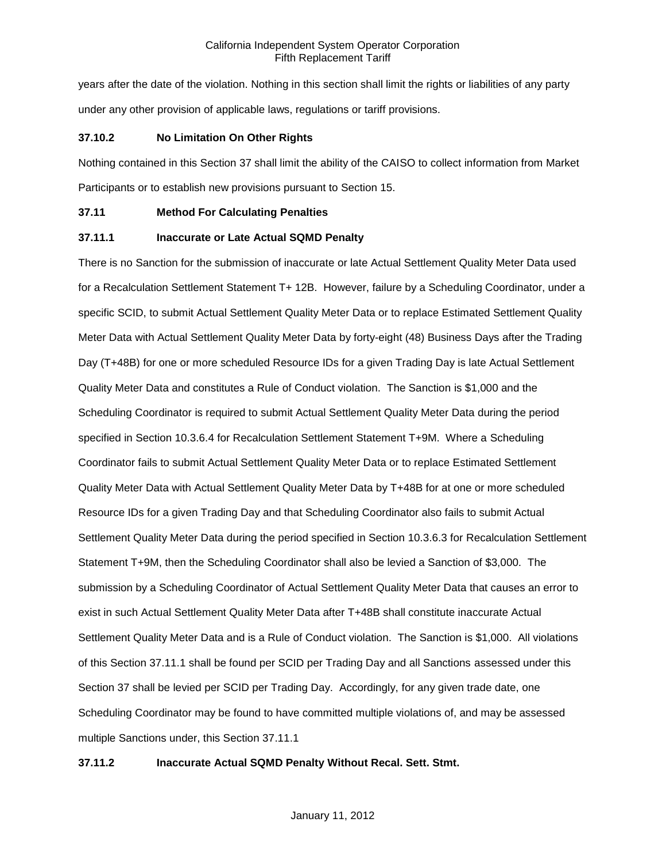years after the date of the violation. Nothing in this section shall limit the rights or liabilities of any party under any other provision of applicable laws, regulations or tariff provisions.

### **37.10.2 No Limitation On Other Rights**

Nothing contained in this Section 37 shall limit the ability of the CAISO to collect information from Market Participants or to establish new provisions pursuant to Section 15.

### **37.11 Method For Calculating Penalties**

### **37.11.1 Inaccurate or Late Actual SQMD Penalty**

There is no Sanction for the submission of inaccurate or late Actual Settlement Quality Meter Data used for a Recalculation Settlement Statement T+ 12B. However, failure by a Scheduling Coordinator, under a specific SCID, to submit Actual Settlement Quality Meter Data or to replace Estimated Settlement Quality Meter Data with Actual Settlement Quality Meter Data by forty-eight (48) Business Days after the Trading Day (T+48B) for one or more scheduled Resource IDs for a given Trading Day is late Actual Settlement Quality Meter Data and constitutes a Rule of Conduct violation. The Sanction is \$1,000 and the Scheduling Coordinator is required to submit Actual Settlement Quality Meter Data during the period specified in Section 10.3.6.4 for Recalculation Settlement Statement T+9M. Where a Scheduling Coordinator fails to submit Actual Settlement Quality Meter Data or to replace Estimated Settlement Quality Meter Data with Actual Settlement Quality Meter Data by T+48B for at one or more scheduled Resource IDs for a given Trading Day and that Scheduling Coordinator also fails to submit Actual Settlement Quality Meter Data during the period specified in Section 10.3.6.3 for Recalculation Settlement Statement T+9M, then the Scheduling Coordinator shall also be levied a Sanction of \$3,000. The submission by a Scheduling Coordinator of Actual Settlement Quality Meter Data that causes an error to exist in such Actual Settlement Quality Meter Data after T+48B shall constitute inaccurate Actual Settlement Quality Meter Data and is a Rule of Conduct violation. The Sanction is \$1,000. All violations of this Section 37.11.1 shall be found per SCID per Trading Day and all Sanctions assessed under this Section 37 shall be levied per SCID per Trading Day. Accordingly, for any given trade date, one Scheduling Coordinator may be found to have committed multiple violations of, and may be assessed multiple Sanctions under, this Section 37.11.1

## **37.11.2 Inaccurate Actual SQMD Penalty Without Recal. Sett. Stmt.**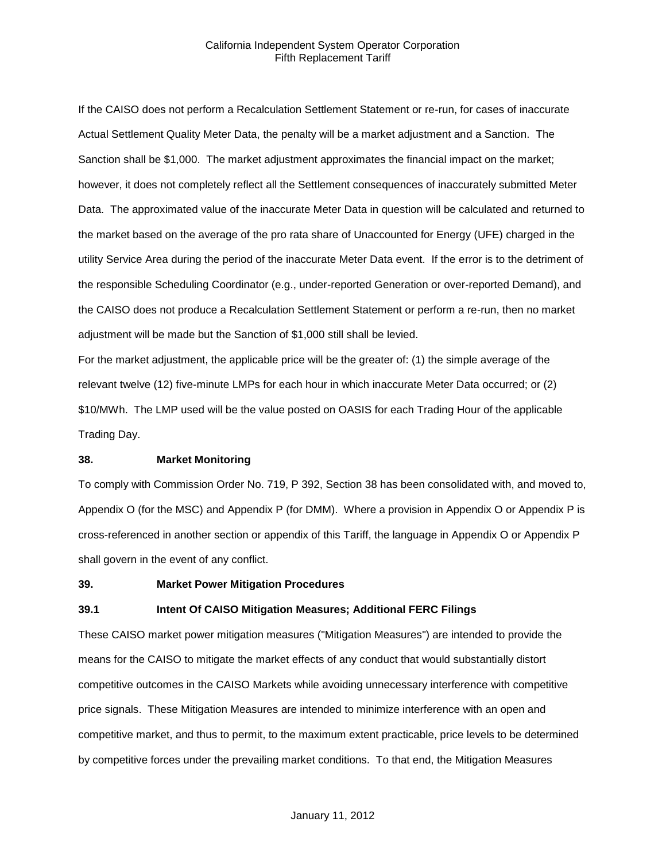If the CAISO does not perform a Recalculation Settlement Statement or re-run, for cases of inaccurate Actual Settlement Quality Meter Data, the penalty will be a market adjustment and a Sanction. The Sanction shall be \$1,000. The market adjustment approximates the financial impact on the market; however, it does not completely reflect all the Settlement consequences of inaccurately submitted Meter Data. The approximated value of the inaccurate Meter Data in question will be calculated and returned to the market based on the average of the pro rata share of Unaccounted for Energy (UFE) charged in the utility Service Area during the period of the inaccurate Meter Data event. If the error is to the detriment of the responsible Scheduling Coordinator (e.g., under-reported Generation or over-reported Demand), and the CAISO does not produce a Recalculation Settlement Statement or perform a re-run, then no market adjustment will be made but the Sanction of \$1,000 still shall be levied.

For the market adjustment, the applicable price will be the greater of: (1) the simple average of the relevant twelve (12) five-minute LMPs for each hour in which inaccurate Meter Data occurred; or (2) \$10/MWh. The LMP used will be the value posted on OASIS for each Trading Hour of the applicable Trading Day.

#### **38. Market Monitoring**

To comply with Commission Order No. 719, P 392, Section 38 has been consolidated with, and moved to, Appendix O (for the MSC) and Appendix P (for DMM). Where a provision in Appendix O or Appendix P is cross-referenced in another section or appendix of this Tariff, the language in Appendix O or Appendix P shall govern in the event of any conflict.

#### **39. Market Power Mitigation Procedures**

#### **39.1 Intent Of CAISO Mitigation Measures; Additional FERC Filings**

These CAISO market power mitigation measures ("Mitigation Measures") are intended to provide the means for the CAISO to mitigate the market effects of any conduct that would substantially distort competitive outcomes in the CAISO Markets while avoiding unnecessary interference with competitive price signals. These Mitigation Measures are intended to minimize interference with an open and competitive market, and thus to permit, to the maximum extent practicable, price levels to be determined by competitive forces under the prevailing market conditions. To that end, the Mitigation Measures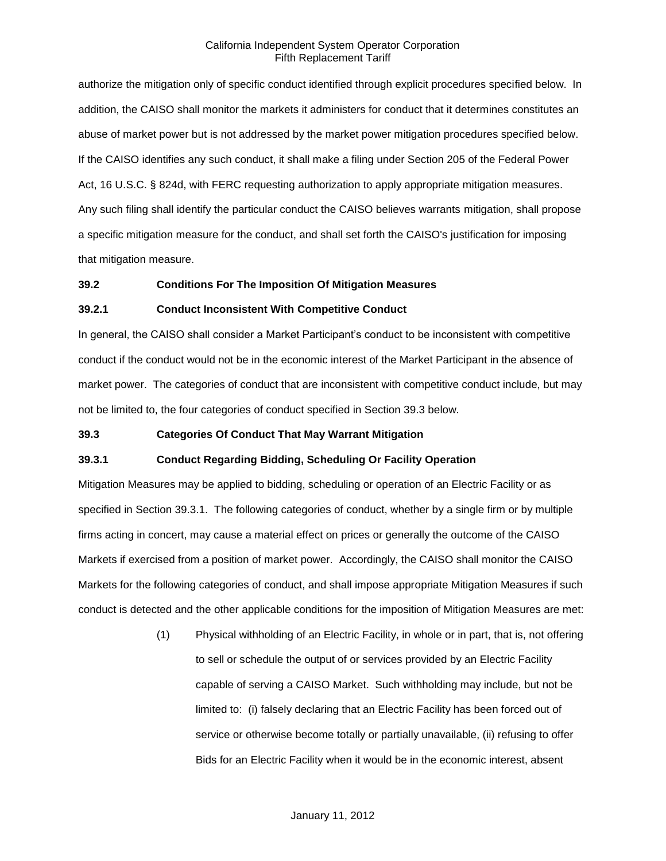authorize the mitigation only of specific conduct identified through explicit procedures specified below. In addition, the CAISO shall monitor the markets it administers for conduct that it determines constitutes an abuse of market power but is not addressed by the market power mitigation procedures specified below. If the CAISO identifies any such conduct, it shall make a filing under Section 205 of the Federal Power Act, 16 U.S.C. § 824d, with FERC requesting authorization to apply appropriate mitigation measures. Any such filing shall identify the particular conduct the CAISO believes warrants mitigation, shall propose a specific mitigation measure for the conduct, and shall set forth the CAISO's justification for imposing that mitigation measure.

### **39.2 Conditions For The Imposition Of Mitigation Measures**

#### **39.2.1 Conduct Inconsistent With Competitive Conduct**

In general, the CAISO shall consider a Market Participant's conduct to be inconsistent with competitive conduct if the conduct would not be in the economic interest of the Market Participant in the absence of market power. The categories of conduct that are inconsistent with competitive conduct include, but may not be limited to, the four categories of conduct specified in Section 39.3 below.

#### **39.3 Categories Of Conduct That May Warrant Mitigation**

### **39.3.1 Conduct Regarding Bidding, Scheduling Or Facility Operation**

Mitigation Measures may be applied to bidding, scheduling or operation of an Electric Facility or as specified in Section 39.3.1. The following categories of conduct, whether by a single firm or by multiple firms acting in concert, may cause a material effect on prices or generally the outcome of the CAISO Markets if exercised from a position of market power. Accordingly, the CAISO shall monitor the CAISO Markets for the following categories of conduct, and shall impose appropriate Mitigation Measures if such conduct is detected and the other applicable conditions for the imposition of Mitigation Measures are met:

> (1) Physical withholding of an Electric Facility, in whole or in part, that is, not offering to sell or schedule the output of or services provided by an Electric Facility capable of serving a CAISO Market. Such withholding may include, but not be limited to: (i) falsely declaring that an Electric Facility has been forced out of service or otherwise become totally or partially unavailable, (ii) refusing to offer Bids for an Electric Facility when it would be in the economic interest, absent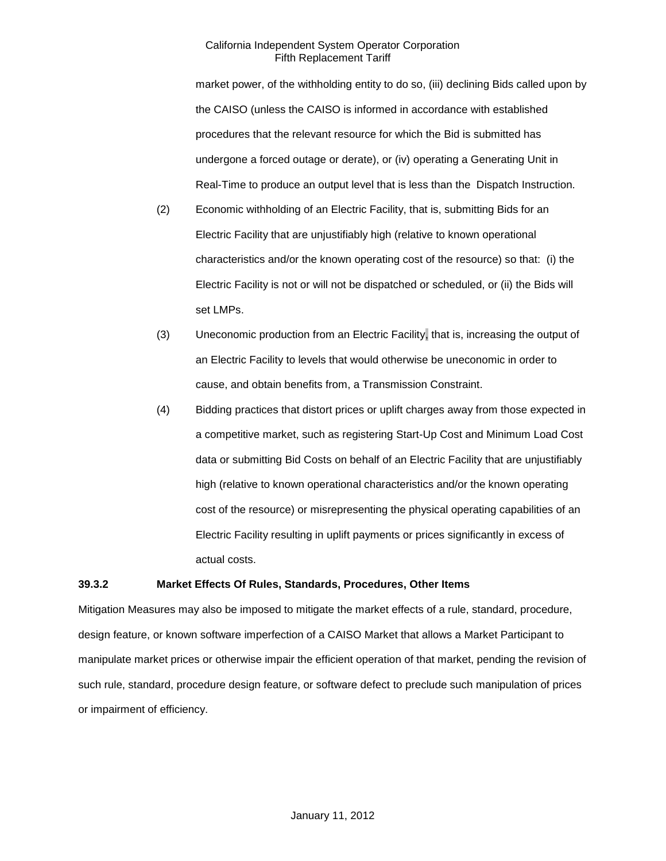market power, of the withholding entity to do so, (iii) declining Bids called upon by the CAISO (unless the CAISO is informed in accordance with established procedures that the relevant resource for which the Bid is submitted has undergone a forced outage or derate), or (iv) operating a Generating Unit in Real-Time to produce an output level that is less than the Dispatch Instruction.

- (2) Economic withholding of an Electric Facility, that is, submitting Bids for an Electric Facility that are unjustifiably high (relative to known operational characteristics and/or the known operating cost of the resource) so that: (i) the Electric Facility is not or will not be dispatched or scheduled, or (ii) the Bids will set LMPs.
- (3) Uneconomic production from an Electric Facility, that is, increasing the output of an Electric Facility to levels that would otherwise be uneconomic in order to cause, and obtain benefits from, a Transmission Constraint.
- (4) Bidding practices that distort prices or uplift charges away from those expected in a competitive market, such as registering Start-Up Cost and Minimum Load Cost data or submitting Bid Costs on behalf of an Electric Facility that are unjustifiably high (relative to known operational characteristics and/or the known operating cost of the resource) or misrepresenting the physical operating capabilities of an Electric Facility resulting in uplift payments or prices significantly in excess of actual costs.

### **39.3.2 Market Effects Of Rules, Standards, Procedures, Other Items**

Mitigation Measures may also be imposed to mitigate the market effects of a rule, standard, procedure, design feature, or known software imperfection of a CAISO Market that allows a Market Participant to manipulate market prices or otherwise impair the efficient operation of that market, pending the revision of such rule, standard, procedure design feature, or software defect to preclude such manipulation of prices or impairment of efficiency.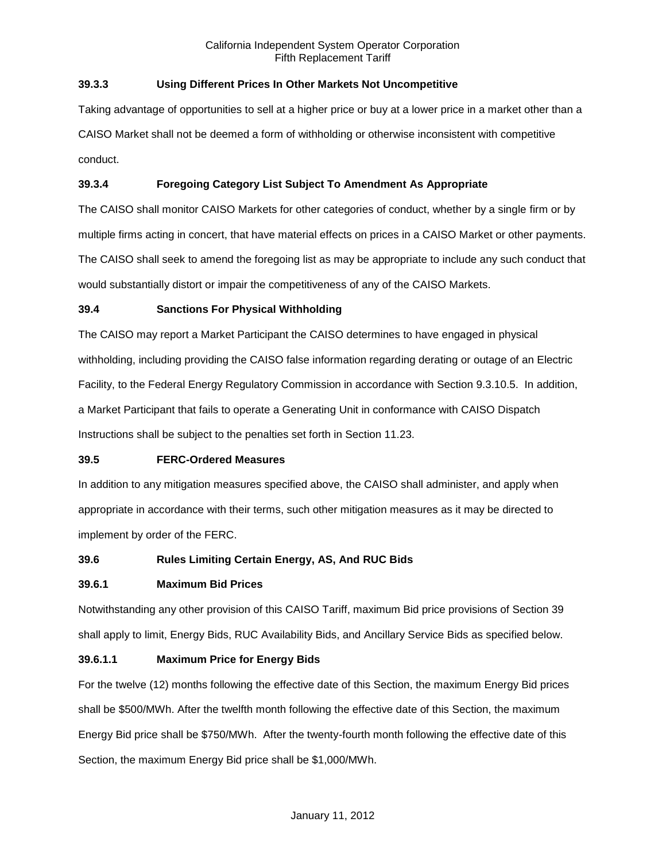## **39.3.3 Using Different Prices In Other Markets Not Uncompetitive**

Taking advantage of opportunities to sell at a higher price or buy at a lower price in a market other than a CAISO Market shall not be deemed a form of withholding or otherwise inconsistent with competitive conduct.

## **39.3.4 Foregoing Category List Subject To Amendment As Appropriate**

The CAISO shall monitor CAISO Markets for other categories of conduct, whether by a single firm or by multiple firms acting in concert, that have material effects on prices in a CAISO Market or other payments. The CAISO shall seek to amend the foregoing list as may be appropriate to include any such conduct that would substantially distort or impair the competitiveness of any of the CAISO Markets.

### **39.4 Sanctions For Physical Withholding**

The CAISO may report a Market Participant the CAISO determines to have engaged in physical withholding, including providing the CAISO false information regarding derating or outage of an Electric Facility, to the Federal Energy Regulatory Commission in accordance with Section 9.3.10.5. In addition, a Market Participant that fails to operate a Generating Unit in conformance with CAISO Dispatch Instructions shall be subject to the penalties set forth in Section 11.23.

### **39.5 FERC-Ordered Measures**

In addition to any mitigation measures specified above, the CAISO shall administer, and apply when appropriate in accordance with their terms, such other mitigation measures as it may be directed to implement by order of the FERC.

## **39.6 Rules Limiting Certain Energy, AS, And RUC Bids**

### **39.6.1 Maximum Bid Prices**

Notwithstanding any other provision of this CAISO Tariff, maximum Bid price provisions of Section 39 shall apply to limit, Energy Bids, RUC Availability Bids, and Ancillary Service Bids as specified below.

### **39.6.1.1 Maximum Price for Energy Bids**

For the twelve (12) months following the effective date of this Section, the maximum Energy Bid prices shall be \$500/MWh. After the twelfth month following the effective date of this Section, the maximum Energy Bid price shall be \$750/MWh. After the twenty-fourth month following the effective date of this Section, the maximum Energy Bid price shall be \$1,000/MWh.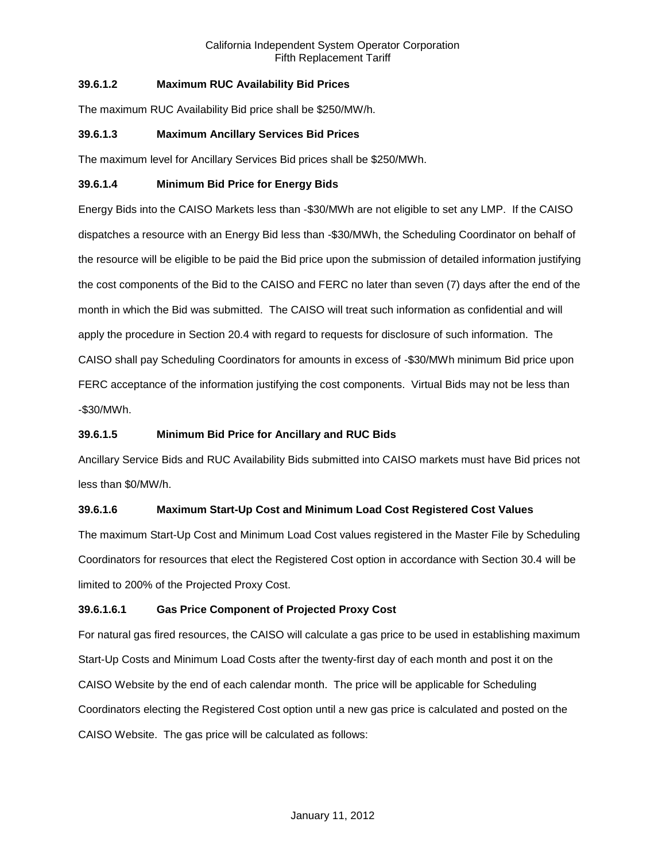## **39.6.1.2 Maximum RUC Availability Bid Prices**

The maximum RUC Availability Bid price shall be \$250/MW/h.

### **39.6.1.3 Maximum Ancillary Services Bid Prices**

The maximum level for Ancillary Services Bid prices shall be \$250/MWh.

### **39.6.1.4 Minimum Bid Price for Energy Bids**

Energy Bids into the CAISO Markets less than -\$30/MWh are not eligible to set any LMP. If the CAISO dispatches a resource with an Energy Bid less than -\$30/MWh, the Scheduling Coordinator on behalf of the resource will be eligible to be paid the Bid price upon the submission of detailed information justifying the cost components of the Bid to the CAISO and FERC no later than seven (7) days after the end of the month in which the Bid was submitted. The CAISO will treat such information as confidential and will apply the procedure in Section 20.4 with regard to requests for disclosure of such information. The CAISO shall pay Scheduling Coordinators for amounts in excess of -\$30/MWh minimum Bid price upon FERC acceptance of the information justifying the cost components. Virtual Bids may not be less than -\$30/MWh.

## **39.6.1.5 Minimum Bid Price for Ancillary and RUC Bids**

Ancillary Service Bids and RUC Availability Bids submitted into CAISO markets must have Bid prices not less than \$0/MW/h.

## **39.6.1.6 Maximum Start-Up Cost and Minimum Load Cost Registered Cost Values**

The maximum Start-Up Cost and Minimum Load Cost values registered in the Master File by Scheduling Coordinators for resources that elect the Registered Cost option in accordance with Section 30.4 will be limited to 200% of the Projected Proxy Cost.

### **39.6.1.6.1 Gas Price Component of Projected Proxy Cost**

For natural gas fired resources, the CAISO will calculate a gas price to be used in establishing maximum Start-Up Costs and Minimum Load Costs after the twenty-first day of each month and post it on the CAISO Website by the end of each calendar month. The price will be applicable for Scheduling Coordinators electing the Registered Cost option until a new gas price is calculated and posted on the CAISO Website. The gas price will be calculated as follows: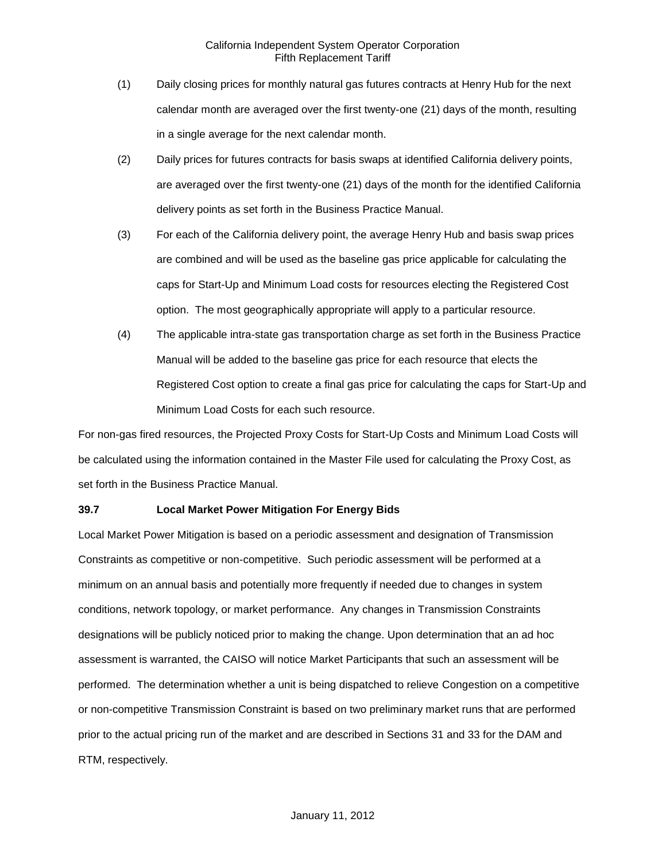- (1) Daily closing prices for monthly natural gas futures contracts at Henry Hub for the next calendar month are averaged over the first twenty-one (21) days of the month, resulting in a single average for the next calendar month.
- (2) Daily prices for futures contracts for basis swaps at identified California delivery points, are averaged over the first twenty-one (21) days of the month for the identified California delivery points as set forth in the Business Practice Manual.
- (3) For each of the California delivery point, the average Henry Hub and basis swap prices are combined and will be used as the baseline gas price applicable for calculating the caps for Start-Up and Minimum Load costs for resources electing the Registered Cost option. The most geographically appropriate will apply to a particular resource.
- (4) The applicable intra-state gas transportation charge as set forth in the Business Practice Manual will be added to the baseline gas price for each resource that elects the Registered Cost option to create a final gas price for calculating the caps for Start-Up and Minimum Load Costs for each such resource.

For non-gas fired resources, the Projected Proxy Costs for Start-Up Costs and Minimum Load Costs will be calculated using the information contained in the Master File used for calculating the Proxy Cost, as set forth in the Business Practice Manual.

### **39.7 Local Market Power Mitigation For Energy Bids**

Local Market Power Mitigation is based on a periodic assessment and designation of Transmission Constraints as competitive or non-competitive. Such periodic assessment will be performed at a minimum on an annual basis and potentially more frequently if needed due to changes in system conditions, network topology, or market performance. Any changes in Transmission Constraints designations will be publicly noticed prior to making the change. Upon determination that an ad hoc assessment is warranted, the CAISO will notice Market Participants that such an assessment will be performed. The determination whether a unit is being dispatched to relieve Congestion on a competitive or non-competitive Transmission Constraint is based on two preliminary market runs that are performed prior to the actual pricing run of the market and are described in Sections 31 and 33 for the DAM and RTM, respectively.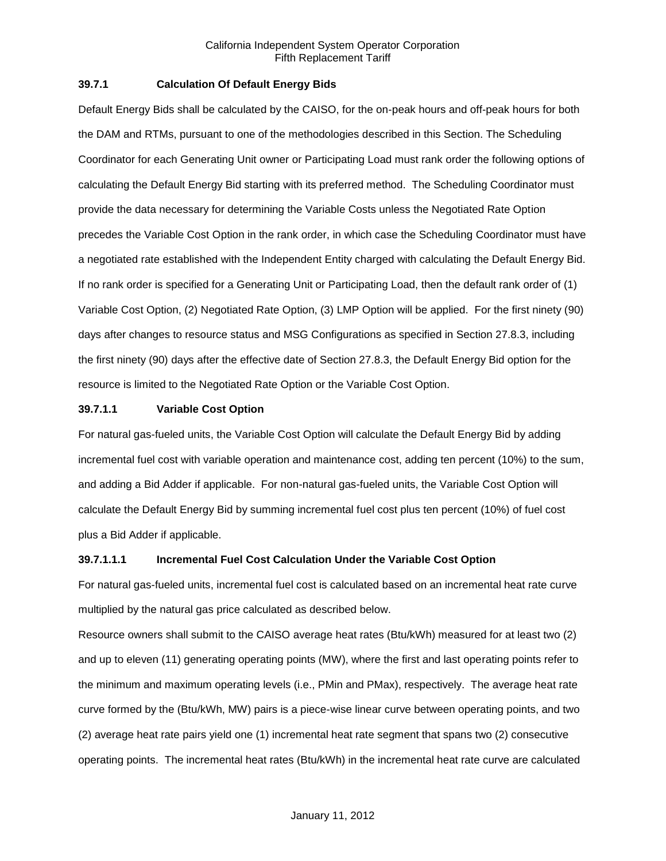### **39.7.1 Calculation Of Default Energy Bids**

Default Energy Bids shall be calculated by the CAISO, for the on-peak hours and off-peak hours for both the DAM and RTMs, pursuant to one of the methodologies described in this Section. The Scheduling Coordinator for each Generating Unit owner or Participating Load must rank order the following options of calculating the Default Energy Bid starting with its preferred method. The Scheduling Coordinator must provide the data necessary for determining the Variable Costs unless the Negotiated Rate Option precedes the Variable Cost Option in the rank order, in which case the Scheduling Coordinator must have a negotiated rate established with the Independent Entity charged with calculating the Default Energy Bid. If no rank order is specified for a Generating Unit or Participating Load, then the default rank order of (1) Variable Cost Option, (2) Negotiated Rate Option, (3) LMP Option will be applied. For the first ninety (90) days after changes to resource status and MSG Configurations as specified in Section 27.8.3, including the first ninety (90) days after the effective date of Section 27.8.3, the Default Energy Bid option for the resource is limited to the Negotiated Rate Option or the Variable Cost Option.

### **39.7.1.1 Variable Cost Option**

For natural gas-fueled units, the Variable Cost Option will calculate the Default Energy Bid by adding incremental fuel cost with variable operation and maintenance cost, adding ten percent (10%) to the sum, and adding a Bid Adder if applicable. For non-natural gas-fueled units, the Variable Cost Option will calculate the Default Energy Bid by summing incremental fuel cost plus ten percent (10%) of fuel cost plus a Bid Adder if applicable.

### **39.7.1.1.1 Incremental Fuel Cost Calculation Under the Variable Cost Option**

For natural gas-fueled units, incremental fuel cost is calculated based on an incremental heat rate curve multiplied by the natural gas price calculated as described below.

Resource owners shall submit to the CAISO average heat rates (Btu/kWh) measured for at least two (2) and up to eleven (11) generating operating points (MW), where the first and last operating points refer to the minimum and maximum operating levels (i.e., PMin and PMax), respectively. The average heat rate curve formed by the (Btu/kWh, MW) pairs is a piece-wise linear curve between operating points, and two (2) average heat rate pairs yield one (1) incremental heat rate segment that spans two (2) consecutive operating points. The incremental heat rates (Btu/kWh) in the incremental heat rate curve are calculated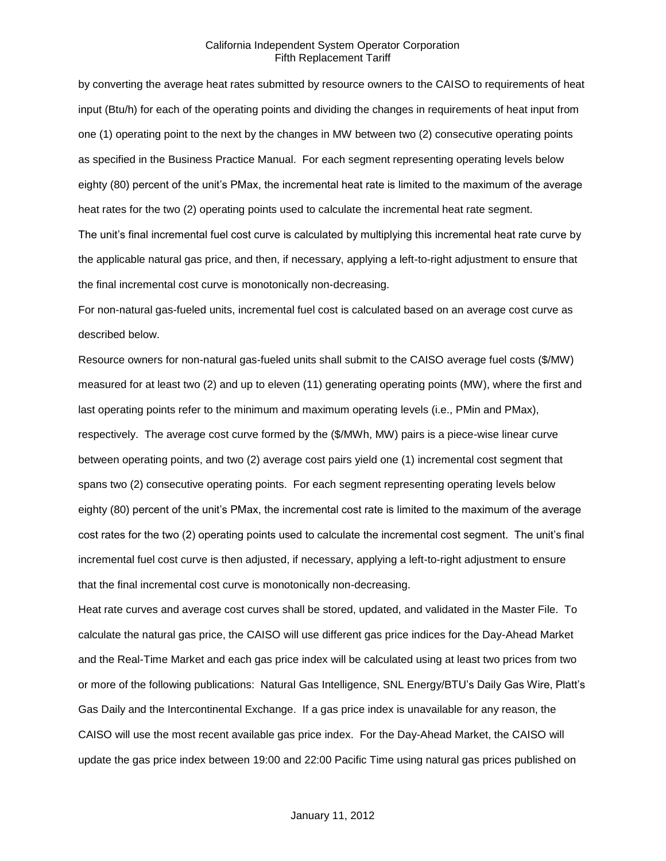by converting the average heat rates submitted by resource owners to the CAISO to requirements of heat input (Btu/h) for each of the operating points and dividing the changes in requirements of heat input from one (1) operating point to the next by the changes in MW between two (2) consecutive operating points as specified in the Business Practice Manual. For each segment representing operating levels below eighty (80) percent of the unit's PMax, the incremental heat rate is limited to the maximum of the average heat rates for the two (2) operating points used to calculate the incremental heat rate segment. The unit's final incremental fuel cost curve is calculated by multiplying this incremental heat rate curve by the applicable natural gas price, and then, if necessary, applying a left-to-right adjustment to ensure that the final incremental cost curve is monotonically non-decreasing.

For non-natural gas-fueled units, incremental fuel cost is calculated based on an average cost curve as described below.

Resource owners for non-natural gas-fueled units shall submit to the CAISO average fuel costs (\$/MW) measured for at least two (2) and up to eleven (11) generating operating points (MW), where the first and last operating points refer to the minimum and maximum operating levels (i.e., PMin and PMax), respectively. The average cost curve formed by the (\$/MWh, MW) pairs is a piece-wise linear curve between operating points, and two (2) average cost pairs yield one (1) incremental cost segment that spans two (2) consecutive operating points. For each segment representing operating levels below eighty (80) percent of the unit's PMax, the incremental cost rate is limited to the maximum of the average cost rates for the two (2) operating points used to calculate the incremental cost segment. The unit's final incremental fuel cost curve is then adjusted, if necessary, applying a left-to-right adjustment to ensure that the final incremental cost curve is monotonically non-decreasing.

Heat rate curves and average cost curves shall be stored, updated, and validated in the Master File. To calculate the natural gas price, the CAISO will use different gas price indices for the Day-Ahead Market and the Real-Time Market and each gas price index will be calculated using at least two prices from two or more of the following publications: Natural Gas Intelligence, SNL Energy/BTU's Daily Gas Wire, Platt's Gas Daily and the Intercontinental Exchange. If a gas price index is unavailable for any reason, the CAISO will use the most recent available gas price index. For the Day-Ahead Market, the CAISO will update the gas price index between 19:00 and 22:00 Pacific Time using natural gas prices published on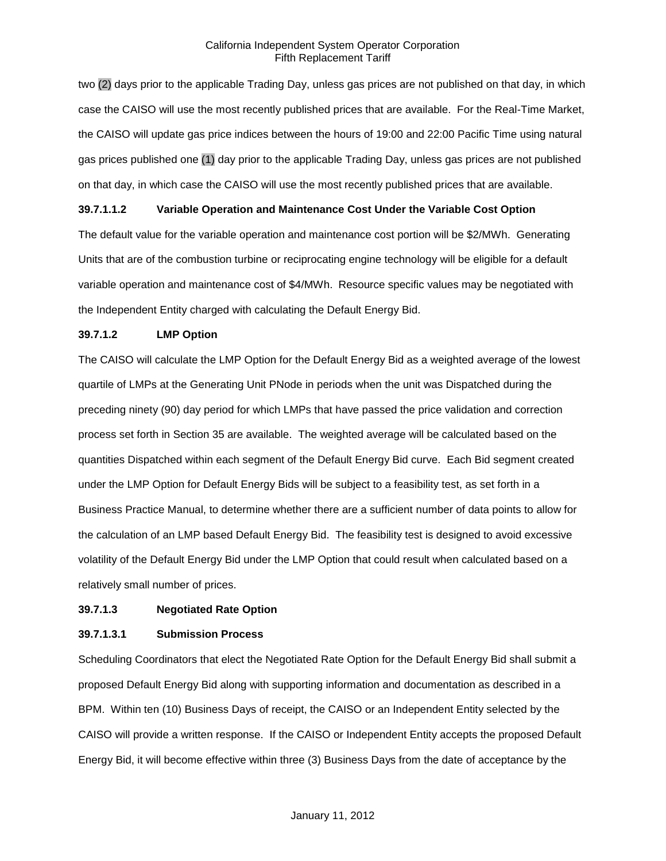two (2) days prior to the applicable Trading Day, unless gas prices are not published on that day, in which case the CAISO will use the most recently published prices that are available. For the Real-Time Market, the CAISO will update gas price indices between the hours of 19:00 and 22:00 Pacific Time using natural gas prices published one (1) day prior to the applicable Trading Day, unless gas prices are not published on that day, in which case the CAISO will use the most recently published prices that are available.

### **39.7.1.1.2 Variable Operation and Maintenance Cost Under the Variable Cost Option**

The default value for the variable operation and maintenance cost portion will be \$2/MWh. Generating Units that are of the combustion turbine or reciprocating engine technology will be eligible for a default variable operation and maintenance cost of \$4/MWh. Resource specific values may be negotiated with the Independent Entity charged with calculating the Default Energy Bid.

### **39.7.1.2 LMP Option**

The CAISO will calculate the LMP Option for the Default Energy Bid as a weighted average of the lowest quartile of LMPs at the Generating Unit PNode in periods when the unit was Dispatched during the preceding ninety (90) day period for which LMPs that have passed the price validation and correction process set forth in Section 35 are available. The weighted average will be calculated based on the quantities Dispatched within each segment of the Default Energy Bid curve. Each Bid segment created under the LMP Option for Default Energy Bids will be subject to a feasibility test, as set forth in a Business Practice Manual, to determine whether there are a sufficient number of data points to allow for the calculation of an LMP based Default Energy Bid. The feasibility test is designed to avoid excessive volatility of the Default Energy Bid under the LMP Option that could result when calculated based on a relatively small number of prices.

### **39.7.1.3 Negotiated Rate Option**

### **39.7.1.3.1 Submission Process**

Scheduling Coordinators that elect the Negotiated Rate Option for the Default Energy Bid shall submit a proposed Default Energy Bid along with supporting information and documentation as described in a BPM. Within ten (10) Business Days of receipt, the CAISO or an Independent Entity selected by the CAISO will provide a written response. If the CAISO or Independent Entity accepts the proposed Default Energy Bid, it will become effective within three (3) Business Days from the date of acceptance by the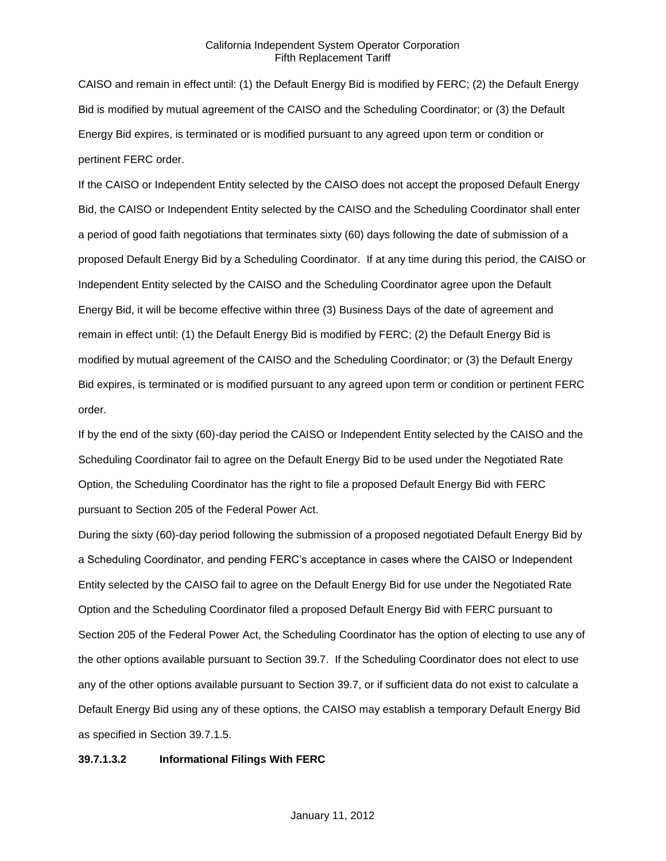CAISO and remain in effect until: (1) the Default Energy Bid is modified by FERC; (2) the Default Energy Bid is modified by mutual agreement of the CAISO and the Scheduling Coordinator; or (3) the Default Energy Bid expires, is terminated or is modified pursuant to any agreed upon term or condition or pertinent FERC order.

If the CAISO or Independent Entity selected by the CAISO does not accept the proposed Default Energy Bid, the CAISO or Independent Entity selected by the CAISO and the Scheduling Coordinator shall enter a period of good faith negotiations that terminates sixty (60) days following the date of submission of a proposed Default Energy Bid by a Scheduling Coordinator. If at any time during this period, the CAISO or Independent Entity selected by the CAISO and the Scheduling Coordinator agree upon the Default Energy Bid, it will be become effective within three (3) Business Days of the date of agreement and remain in effect until: (1) the Default Energy Bid is modified by FERC; (2) the Default Energy Bid is modified by mutual agreement of the CAISO and the Scheduling Coordinator; or (3) the Default Energy Bid expires, is terminated or is modified pursuant to any agreed upon term or condition or pertinent FERC order.

If by the end of the sixty (60)-day period the CAISO or Independent Entity selected by the CAISO and the Scheduling Coordinator fail to agree on the Default Energy Bid to be used under the Negotiated Rate Option, the Scheduling Coordinator has the right to file a proposed Default Energy Bid with FERC pursuant to Section 205 of the Federal Power Act.

During the sixty (60)-day period following the submission of a proposed negotiated Default Energy Bid by a Scheduling Coordinator, and pending FERC's acceptance in cases where the CAISO or Independent Entity selected by the CAISO fail to agree on the Default Energy Bid for use under the Negotiated Rate Option and the Scheduling Coordinator filed a proposed Default Energy Bid with FERC pursuant to Section 205 of the Federal Power Act, the Scheduling Coordinator has the option of electing to use any of the other options available pursuant to Section 39.7. If the Scheduling Coordinator does not elect to use any of the other options available pursuant to Section 39.7, or if sufficient data do not exist to calculate a Default Energy Bid using any of these options, the CAISO may establish a temporary Default Energy Bid as specified in Section 39.7.1.5.

#### **39.7.1.3.2 Informational Filings With FERC**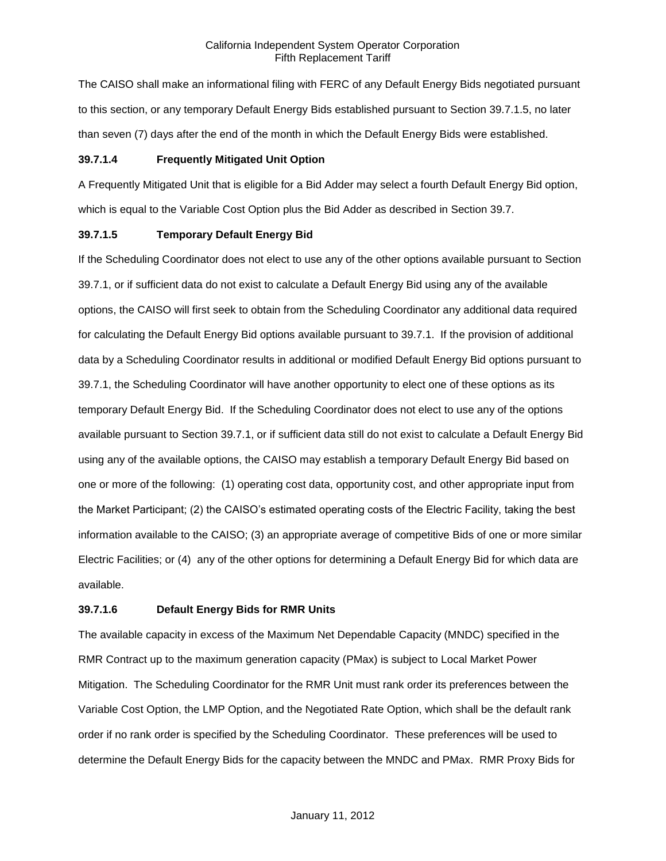The CAISO shall make an informational filing with FERC of any Default Energy Bids negotiated pursuant to this section, or any temporary Default Energy Bids established pursuant to Section 39.7.1.5, no later than seven (7) days after the end of the month in which the Default Energy Bids were established.

### **39.7.1.4 Frequently Mitigated Unit Option**

A Frequently Mitigated Unit that is eligible for a Bid Adder may select a fourth Default Energy Bid option, which is equal to the Variable Cost Option plus the Bid Adder as described in Section 39.7.

#### **39.7.1.5 Temporary Default Energy Bid**

If the Scheduling Coordinator does not elect to use any of the other options available pursuant to Section 39.7.1, or if sufficient data do not exist to calculate a Default Energy Bid using any of the available options, the CAISO will first seek to obtain from the Scheduling Coordinator any additional data required for calculating the Default Energy Bid options available pursuant to 39.7.1. If the provision of additional data by a Scheduling Coordinator results in additional or modified Default Energy Bid options pursuant to 39.7.1, the Scheduling Coordinator will have another opportunity to elect one of these options as its temporary Default Energy Bid. If the Scheduling Coordinator does not elect to use any of the options available pursuant to Section 39.7.1, or if sufficient data still do not exist to calculate a Default Energy Bid using any of the available options, the CAISO may establish a temporary Default Energy Bid based on one or more of the following: (1) operating cost data, opportunity cost, and other appropriate input from the Market Participant; (2) the CAISO's estimated operating costs of the Electric Facility, taking the best information available to the CAISO; (3) an appropriate average of competitive Bids of one or more similar Electric Facilities; or (4) any of the other options for determining a Default Energy Bid for which data are available.

### **39.7.1.6 Default Energy Bids for RMR Units**

The available capacity in excess of the Maximum Net Dependable Capacity (MNDC) specified in the RMR Contract up to the maximum generation capacity (PMax) is subject to Local Market Power Mitigation. The Scheduling Coordinator for the RMR Unit must rank order its preferences between the Variable Cost Option, the LMP Option, and the Negotiated Rate Option, which shall be the default rank order if no rank order is specified by the Scheduling Coordinator. These preferences will be used to determine the Default Energy Bids for the capacity between the MNDC and PMax. RMR Proxy Bids for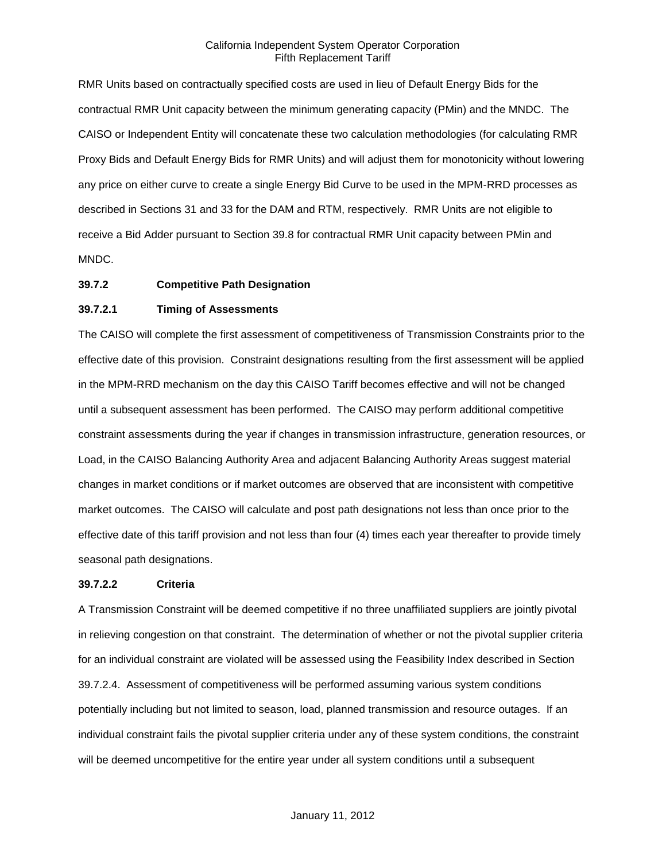RMR Units based on contractually specified costs are used in lieu of Default Energy Bids for the contractual RMR Unit capacity between the minimum generating capacity (PMin) and the MNDC. The CAISO or Independent Entity will concatenate these two calculation methodologies (for calculating RMR Proxy Bids and Default Energy Bids for RMR Units) and will adjust them for monotonicity without lowering any price on either curve to create a single Energy Bid Curve to be used in the MPM-RRD processes as described in Sections 31 and 33 for the DAM and RTM, respectively. RMR Units are not eligible to receive a Bid Adder pursuant to Section 39.8 for contractual RMR Unit capacity between PMin and MNDC.

#### **39.7.2 Competitive Path Designation**

### **39.7.2.1 Timing of Assessments**

The CAISO will complete the first assessment of competitiveness of Transmission Constraints prior to the effective date of this provision. Constraint designations resulting from the first assessment will be applied in the MPM-RRD mechanism on the day this CAISO Tariff becomes effective and will not be changed until a subsequent assessment has been performed. The CAISO may perform additional competitive constraint assessments during the year if changes in transmission infrastructure, generation resources, or Load, in the CAISO Balancing Authority Area and adjacent Balancing Authority Areas suggest material changes in market conditions or if market outcomes are observed that are inconsistent with competitive market outcomes. The CAISO will calculate and post path designations not less than once prior to the effective date of this tariff provision and not less than four (4) times each year thereafter to provide timely seasonal path designations.

#### **39.7.2.2 Criteria**

A Transmission Constraint will be deemed competitive if no three unaffiliated suppliers are jointly pivotal in relieving congestion on that constraint. The determination of whether or not the pivotal supplier criteria for an individual constraint are violated will be assessed using the Feasibility Index described in Section 39.7.2.4. Assessment of competitiveness will be performed assuming various system conditions potentially including but not limited to season, load, planned transmission and resource outages. If an individual constraint fails the pivotal supplier criteria under any of these system conditions, the constraint will be deemed uncompetitive for the entire year under all system conditions until a subsequent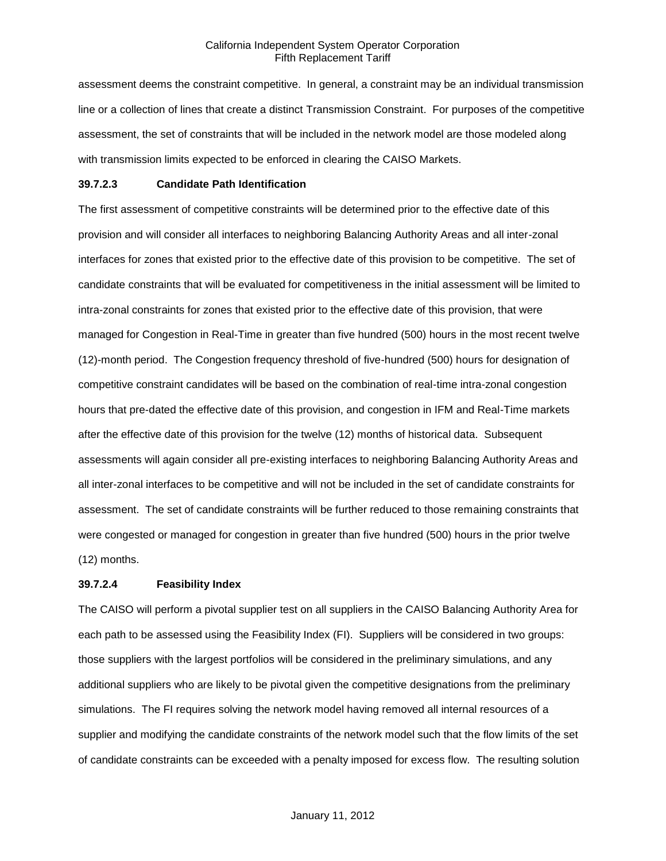assessment deems the constraint competitive. In general, a constraint may be an individual transmission line or a collection of lines that create a distinct Transmission Constraint. For purposes of the competitive assessment, the set of constraints that will be included in the network model are those modeled along with transmission limits expected to be enforced in clearing the CAISO Markets.

#### **39.7.2.3 Candidate Path Identification**

The first assessment of competitive constraints will be determined prior to the effective date of this provision and will consider all interfaces to neighboring Balancing Authority Areas and all inter-zonal interfaces for zones that existed prior to the effective date of this provision to be competitive. The set of candidate constraints that will be evaluated for competitiveness in the initial assessment will be limited to intra-zonal constraints for zones that existed prior to the effective date of this provision, that were managed for Congestion in Real-Time in greater than five hundred (500) hours in the most recent twelve (12)-month period. The Congestion frequency threshold of five-hundred (500) hours for designation of competitive constraint candidates will be based on the combination of real-time intra-zonal congestion hours that pre-dated the effective date of this provision, and congestion in IFM and Real-Time markets after the effective date of this provision for the twelve (12) months of historical data. Subsequent assessments will again consider all pre-existing interfaces to neighboring Balancing Authority Areas and all inter-zonal interfaces to be competitive and will not be included in the set of candidate constraints for assessment. The set of candidate constraints will be further reduced to those remaining constraints that were congested or managed for congestion in greater than five hundred (500) hours in the prior twelve (12) months.

#### **39.7.2.4 Feasibility Index**

The CAISO will perform a pivotal supplier test on all suppliers in the CAISO Balancing Authority Area for each path to be assessed using the Feasibility Index (FI). Suppliers will be considered in two groups: those suppliers with the largest portfolios will be considered in the preliminary simulations, and any additional suppliers who are likely to be pivotal given the competitive designations from the preliminary simulations. The FI requires solving the network model having removed all internal resources of a supplier and modifying the candidate constraints of the network model such that the flow limits of the set of candidate constraints can be exceeded with a penalty imposed for excess flow. The resulting solution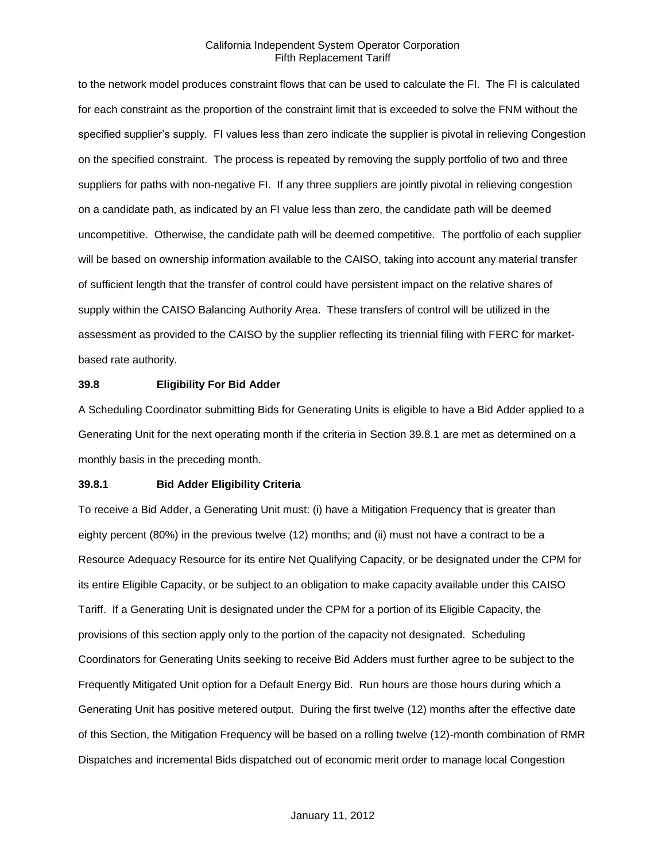to the network model produces constraint flows that can be used to calculate the FI. The FI is calculated for each constraint as the proportion of the constraint limit that is exceeded to solve the FNM without the specified supplier's supply. FI values less than zero indicate the supplier is pivotal in relieving Congestion on the specified constraint. The process is repeated by removing the supply portfolio of two and three suppliers for paths with non-negative FI. If any three suppliers are jointly pivotal in relieving congestion on a candidate path, as indicated by an FI value less than zero, the candidate path will be deemed uncompetitive. Otherwise, the candidate path will be deemed competitive. The portfolio of each supplier will be based on ownership information available to the CAISO, taking into account any material transfer of sufficient length that the transfer of control could have persistent impact on the relative shares of supply within the CAISO Balancing Authority Area. These transfers of control will be utilized in the assessment as provided to the CAISO by the supplier reflecting its triennial filing with FERC for marketbased rate authority.

#### **39.8 Eligibility For Bid Adder**

A Scheduling Coordinator submitting Bids for Generating Units is eligible to have a Bid Adder applied to a Generating Unit for the next operating month if the criteria in Section 39.8.1 are met as determined on a monthly basis in the preceding month.

#### **39.8.1 Bid Adder Eligibility Criteria**

To receive a Bid Adder, a Generating Unit must: (i) have a Mitigation Frequency that is greater than eighty percent (80%) in the previous twelve (12) months; and (ii) must not have a contract to be a Resource Adequacy Resource for its entire Net Qualifying Capacity, or be designated under the CPM for its entire Eligible Capacity, or be subject to an obligation to make capacity available under this CAISO Tariff. If a Generating Unit is designated under the CPM for a portion of its Eligible Capacity, the provisions of this section apply only to the portion of the capacity not designated. Scheduling Coordinators for Generating Units seeking to receive Bid Adders must further agree to be subject to the Frequently Mitigated Unit option for a Default Energy Bid. Run hours are those hours during which a Generating Unit has positive metered output. During the first twelve (12) months after the effective date of this Section, the Mitigation Frequency will be based on a rolling twelve (12)-month combination of RMR Dispatches and incremental Bids dispatched out of economic merit order to manage local Congestion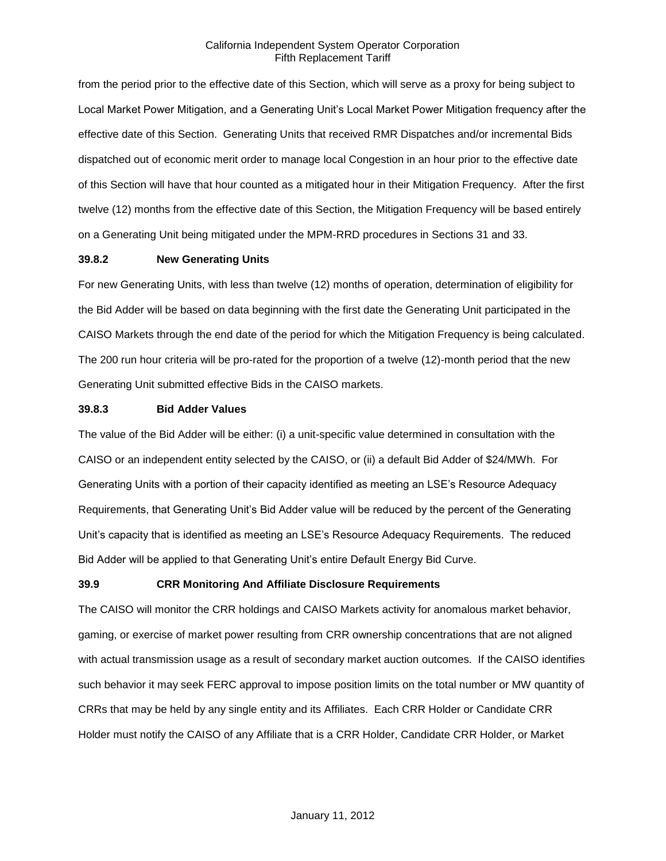from the period prior to the effective date of this Section, which will serve as a proxy for being subject to Local Market Power Mitigation, and a Generating Unit's Local Market Power Mitigation frequency after the effective date of this Section. Generating Units that received RMR Dispatches and/or incremental Bids dispatched out of economic merit order to manage local Congestion in an hour prior to the effective date of this Section will have that hour counted as a mitigated hour in their Mitigation Frequency. After the first twelve (12) months from the effective date of this Section, the Mitigation Frequency will be based entirely on a Generating Unit being mitigated under the MPM-RRD procedures in Sections 31 and 33.

### **39.8.2 New Generating Units**

For new Generating Units, with less than twelve (12) months of operation, determination of eligibility for the Bid Adder will be based on data beginning with the first date the Generating Unit participated in the CAISO Markets through the end date of the period for which the Mitigation Frequency is being calculated. The 200 run hour criteria will be pro-rated for the proportion of a twelve (12)-month period that the new Generating Unit submitted effective Bids in the CAISO markets.

#### **39.8.3 Bid Adder Values**

The value of the Bid Adder will be either: (i) a unit-specific value determined in consultation with the CAISO or an independent entity selected by the CAISO, or (ii) a default Bid Adder of \$24/MWh. For Generating Units with a portion of their capacity identified as meeting an LSE's Resource Adequacy Requirements, that Generating Unit's Bid Adder value will be reduced by the percent of the Generating Unit's capacity that is identified as meeting an LSE's Resource Adequacy Requirements. The reduced Bid Adder will be applied to that Generating Unit's entire Default Energy Bid Curve.

### **39.9 CRR Monitoring And Affiliate Disclosure Requirements**

The CAISO will monitor the CRR holdings and CAISO Markets activity for anomalous market behavior, gaming, or exercise of market power resulting from CRR ownership concentrations that are not aligned with actual transmission usage as a result of secondary market auction outcomes. If the CAISO identifies such behavior it may seek FERC approval to impose position limits on the total number or MW quantity of CRRs that may be held by any single entity and its Affiliates. Each CRR Holder or Candidate CRR Holder must notify the CAISO of any Affiliate that is a CRR Holder, Candidate CRR Holder, or Market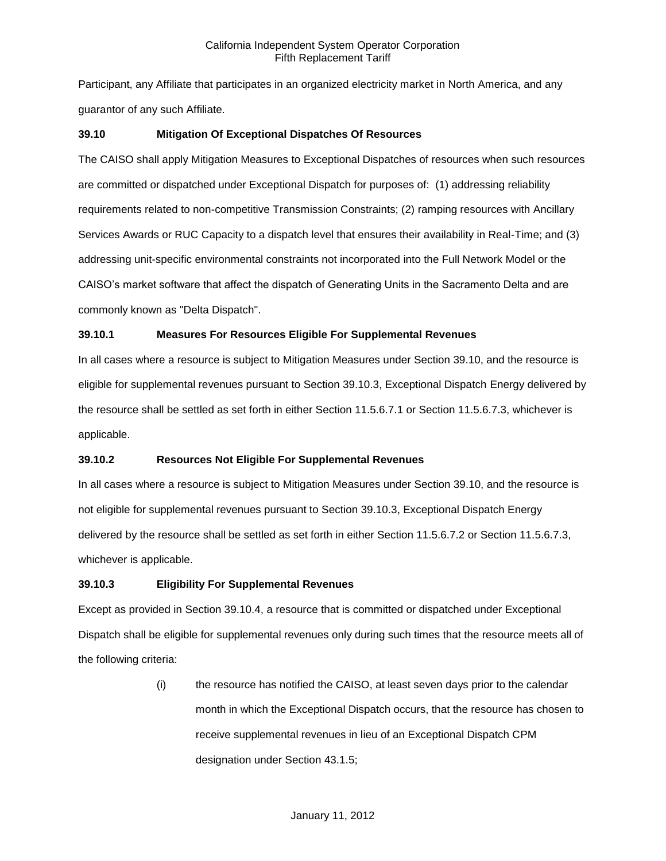Participant, any Affiliate that participates in an organized electricity market in North America, and any guarantor of any such Affiliate.

## **39.10 Mitigation Of Exceptional Dispatches Of Resources**

The CAISO shall apply Mitigation Measures to Exceptional Dispatches of resources when such resources are committed or dispatched under Exceptional Dispatch for purposes of: (1) addressing reliability requirements related to non-competitive Transmission Constraints; (2) ramping resources with Ancillary Services Awards or RUC Capacity to a dispatch level that ensures their availability in Real-Time; and (3) addressing unit-specific environmental constraints not incorporated into the Full Network Model or the CAISO's market software that affect the dispatch of Generating Units in the Sacramento Delta and are commonly known as "Delta Dispatch".

## **39.10.1 Measures For Resources Eligible For Supplemental Revenues**

In all cases where a resource is subject to Mitigation Measures under Section 39.10, and the resource is eligible for supplemental revenues pursuant to Section 39.10.3, Exceptional Dispatch Energy delivered by the resource shall be settled as set forth in either Section 11.5.6.7.1 or Section 11.5.6.7.3, whichever is applicable.

## **39.10.2 Resources Not Eligible For Supplemental Revenues**

In all cases where a resource is subject to Mitigation Measures under Section 39.10, and the resource is not eligible for supplemental revenues pursuant to Section 39.10.3, Exceptional Dispatch Energy delivered by the resource shall be settled as set forth in either Section 11.5.6.7.2 or Section 11.5.6.7.3, whichever is applicable.

## **39.10.3 Eligibility For Supplemental Revenues**

Except as provided in Section 39.10.4, a resource that is committed or dispatched under Exceptional Dispatch shall be eligible for supplemental revenues only during such times that the resource meets all of the following criteria:

> (i) the resource has notified the CAISO, at least seven days prior to the calendar month in which the Exceptional Dispatch occurs, that the resource has chosen to receive supplemental revenues in lieu of an Exceptional Dispatch CPM designation under Section 43.1.5;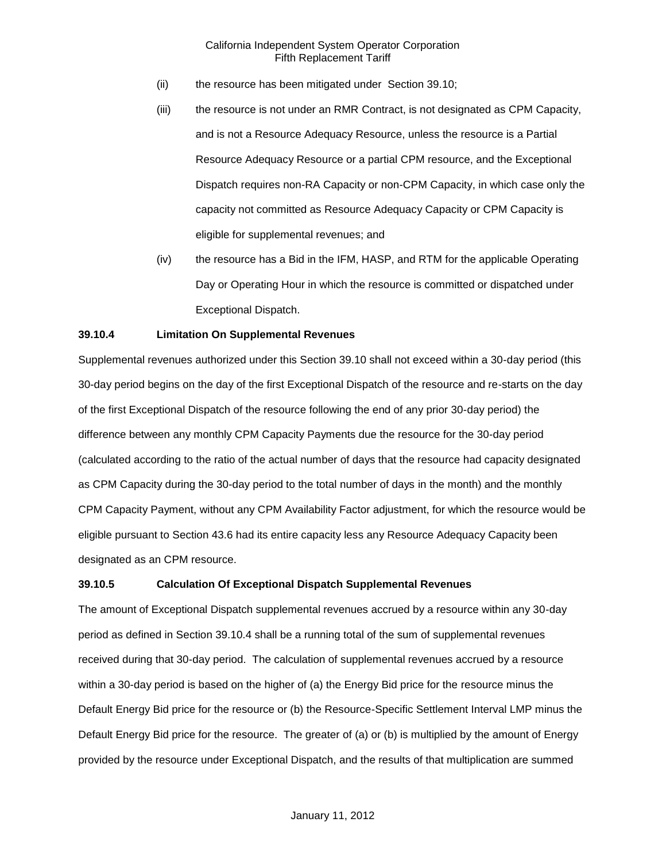- (ii) the resource has been mitigated under Section 39.10;
- (iii) the resource is not under an RMR Contract, is not designated as CPM Capacity, and is not a Resource Adequacy Resource, unless the resource is a Partial Resource Adequacy Resource or a partial CPM resource, and the Exceptional Dispatch requires non-RA Capacity or non-CPM Capacity, in which case only the capacity not committed as Resource Adequacy Capacity or CPM Capacity is eligible for supplemental revenues; and
- (iv) the resource has a Bid in the IFM, HASP, and RTM for the applicable Operating Day or Operating Hour in which the resource is committed or dispatched under Exceptional Dispatch.

## **39.10.4 Limitation On Supplemental Revenues**

Supplemental revenues authorized under this Section 39.10 shall not exceed within a 30-day period (this 30-day period begins on the day of the first Exceptional Dispatch of the resource and re-starts on the day of the first Exceptional Dispatch of the resource following the end of any prior 30-day period) the difference between any monthly CPM Capacity Payments due the resource for the 30-day period (calculated according to the ratio of the actual number of days that the resource had capacity designated as CPM Capacity during the 30-day period to the total number of days in the month) and the monthly CPM Capacity Payment, without any CPM Availability Factor adjustment, for which the resource would be eligible pursuant to Section 43.6 had its entire capacity less any Resource Adequacy Capacity been designated as an CPM resource.

#### **39.10.5 Calculation Of Exceptional Dispatch Supplemental Revenues**

The amount of Exceptional Dispatch supplemental revenues accrued by a resource within any 30-day period as defined in Section 39.10.4 shall be a running total of the sum of supplemental revenues received during that 30-day period. The calculation of supplemental revenues accrued by a resource within a 30-day period is based on the higher of (a) the Energy Bid price for the resource minus the Default Energy Bid price for the resource or (b) the Resource-Specific Settlement Interval LMP minus the Default Energy Bid price for the resource. The greater of (a) or (b) is multiplied by the amount of Energy provided by the resource under Exceptional Dispatch, and the results of that multiplication are summed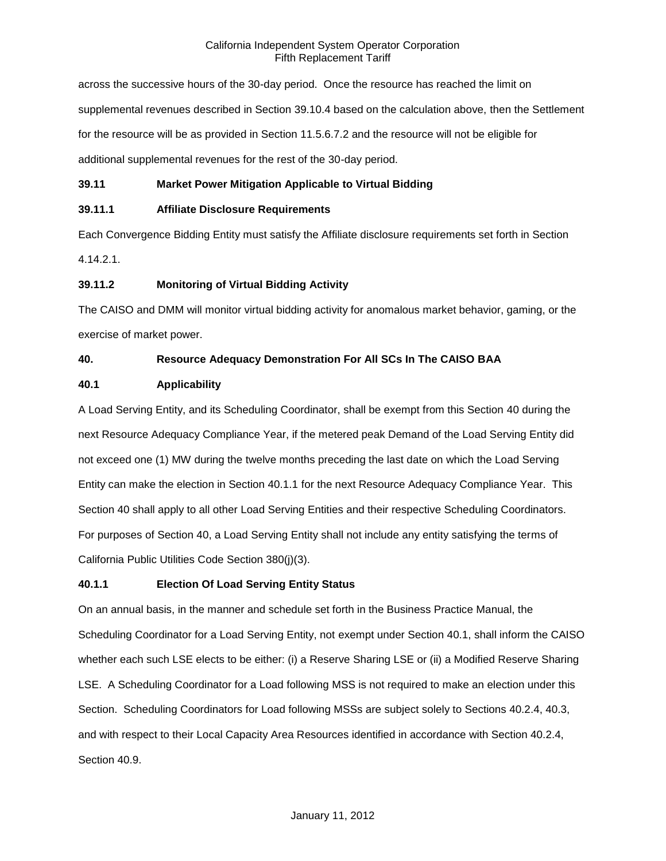across the successive hours of the 30-day period. Once the resource has reached the limit on supplemental revenues described in Section 39.10.4 based on the calculation above, then the Settlement for the resource will be as provided in Section 11.5.6.7.2 and the resource will not be eligible for additional supplemental revenues for the rest of the 30-day period.

### **39.11 Market Power Mitigation Applicable to Virtual Bidding**

### **39.11.1 Affiliate Disclosure Requirements**

Each Convergence Bidding Entity must satisfy the Affiliate disclosure requirements set forth in Section 4.14.2.1.

### **39.11.2 Monitoring of Virtual Bidding Activity**

The CAISO and DMM will monitor virtual bidding activity for anomalous market behavior, gaming, or the exercise of market power.

### **40. Resource Adequacy Demonstration For All SCs In The CAISO BAA**

### **40.1 Applicability**

A Load Serving Entity, and its Scheduling Coordinator, shall be exempt from this Section 40 during the next Resource Adequacy Compliance Year, if the metered peak Demand of the Load Serving Entity did not exceed one (1) MW during the twelve months preceding the last date on which the Load Serving Entity can make the election in Section 40.1.1 for the next Resource Adequacy Compliance Year. This Section 40 shall apply to all other Load Serving Entities and their respective Scheduling Coordinators. For purposes of Section 40, a Load Serving Entity shall not include any entity satisfying the terms of California Public Utilities Code Section 380(j)(3).

### **40.1.1 Election Of Load Serving Entity Status**

On an annual basis, in the manner and schedule set forth in the Business Practice Manual, the Scheduling Coordinator for a Load Serving Entity, not exempt under Section 40.1, shall inform the CAISO whether each such LSE elects to be either: (i) a Reserve Sharing LSE or (ii) a Modified Reserve Sharing LSE. A Scheduling Coordinator for a Load following MSS is not required to make an election under this Section. Scheduling Coordinators for Load following MSSs are subject solely to Sections 40.2.4, 40.3, and with respect to their Local Capacity Area Resources identified in accordance with Section 40.2.4, Section 40.9.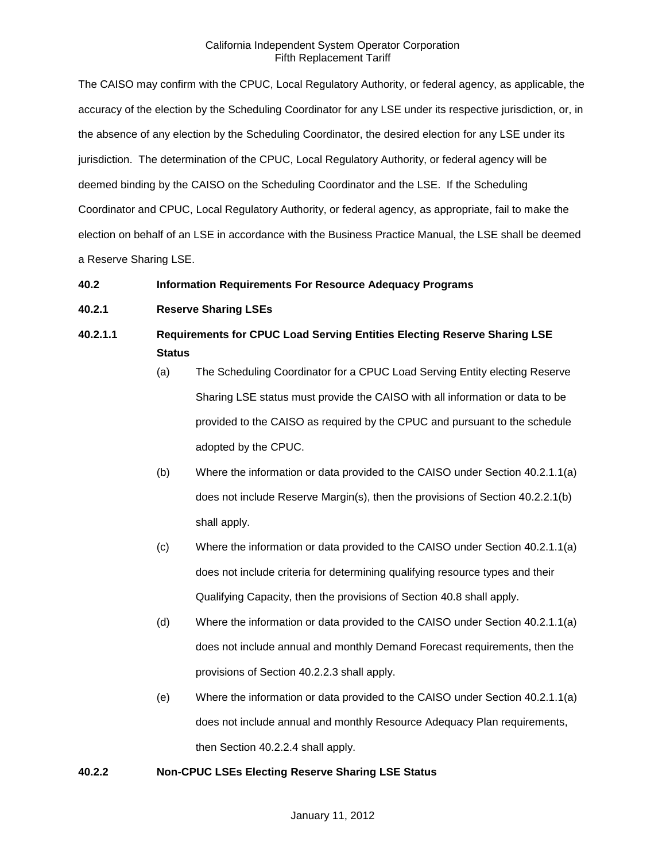The CAISO may confirm with the CPUC, Local Regulatory Authority, or federal agency, as applicable, the accuracy of the election by the Scheduling Coordinator for any LSE under its respective jurisdiction, or, in the absence of any election by the Scheduling Coordinator, the desired election for any LSE under its jurisdiction. The determination of the CPUC, Local Regulatory Authority, or federal agency will be deemed binding by the CAISO on the Scheduling Coordinator and the LSE. If the Scheduling Coordinator and CPUC, Local Regulatory Authority, or federal agency, as appropriate, fail to make the election on behalf of an LSE in accordance with the Business Practice Manual, the LSE shall be deemed a Reserve Sharing LSE.

### **40.2 Information Requirements For Resource Adequacy Programs**

### **40.2.1 Reserve Sharing LSEs**

# **40.2.1.1 Requirements for CPUC Load Serving Entities Electing Reserve Sharing LSE Status**

- (a) The Scheduling Coordinator for a CPUC Load Serving Entity electing Reserve Sharing LSE status must provide the CAISO with all information or data to be provided to the CAISO as required by the CPUC and pursuant to the schedule adopted by the CPUC.
- (b) Where the information or data provided to the CAISO under Section 40.2.1.1(a) does not include Reserve Margin(s), then the provisions of Section 40.2.2.1(b) shall apply.
- (c) Where the information or data provided to the CAISO under Section 40.2.1.1(a) does not include criteria for determining qualifying resource types and their Qualifying Capacity, then the provisions of Section 40.8 shall apply.
- (d) Where the information or data provided to the CAISO under Section 40.2.1.1(a) does not include annual and monthly Demand Forecast requirements, then the provisions of Section 40.2.2.3 shall apply.
- (e) Where the information or data provided to the CAISO under Section 40.2.1.1(a) does not include annual and monthly Resource Adequacy Plan requirements, then Section 40.2.2.4 shall apply.

### **40.2.2 Non-CPUC LSEs Electing Reserve Sharing LSE Status**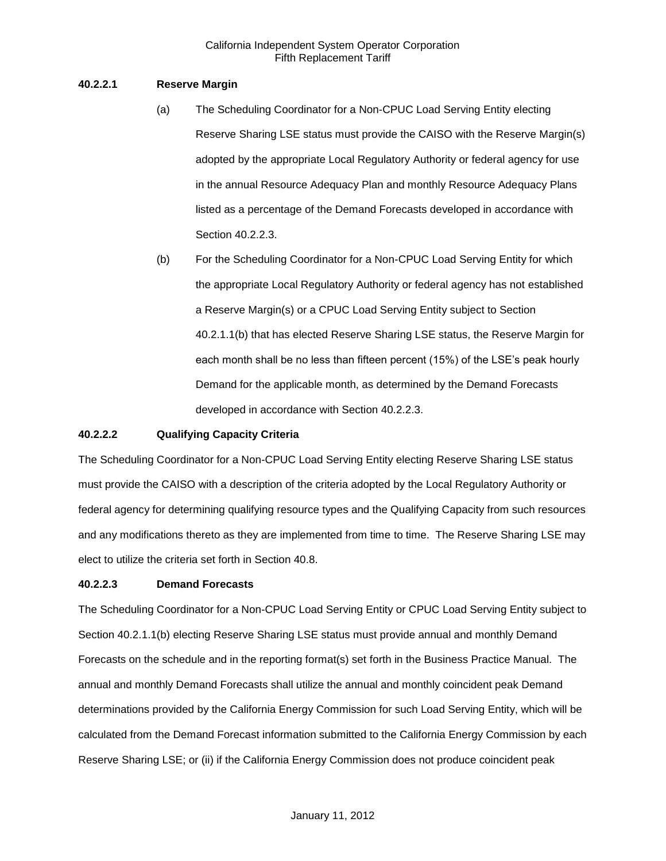### **40.2.2.1 Reserve Margin**

- (a) The Scheduling Coordinator for a Non-CPUC Load Serving Entity electing Reserve Sharing LSE status must provide the CAISO with the Reserve Margin(s) adopted by the appropriate Local Regulatory Authority or federal agency for use in the annual Resource Adequacy Plan and monthly Resource Adequacy Plans listed as a percentage of the Demand Forecasts developed in accordance with Section 40.2.2.3.
- (b) For the Scheduling Coordinator for a Non-CPUC Load Serving Entity for which the appropriate Local Regulatory Authority or federal agency has not established a Reserve Margin(s) or a CPUC Load Serving Entity subject to Section 40.2.1.1(b) that has elected Reserve Sharing LSE status, the Reserve Margin for each month shall be no less than fifteen percent (15%) of the LSE's peak hourly Demand for the applicable month, as determined by the Demand Forecasts developed in accordance with Section 40.2.2.3.

### **40.2.2.2 Qualifying Capacity Criteria**

The Scheduling Coordinator for a Non-CPUC Load Serving Entity electing Reserve Sharing LSE status must provide the CAISO with a description of the criteria adopted by the Local Regulatory Authority or federal agency for determining qualifying resource types and the Qualifying Capacity from such resources and any modifications thereto as they are implemented from time to time. The Reserve Sharing LSE may elect to utilize the criteria set forth in Section 40.8.

### **40.2.2.3 Demand Forecasts**

The Scheduling Coordinator for a Non-CPUC Load Serving Entity or CPUC Load Serving Entity subject to Section 40.2.1.1(b) electing Reserve Sharing LSE status must provide annual and monthly Demand Forecasts on the schedule and in the reporting format(s) set forth in the Business Practice Manual. The annual and monthly Demand Forecasts shall utilize the annual and monthly coincident peak Demand determinations provided by the California Energy Commission for such Load Serving Entity, which will be calculated from the Demand Forecast information submitted to the California Energy Commission by each Reserve Sharing LSE; or (ii) if the California Energy Commission does not produce coincident peak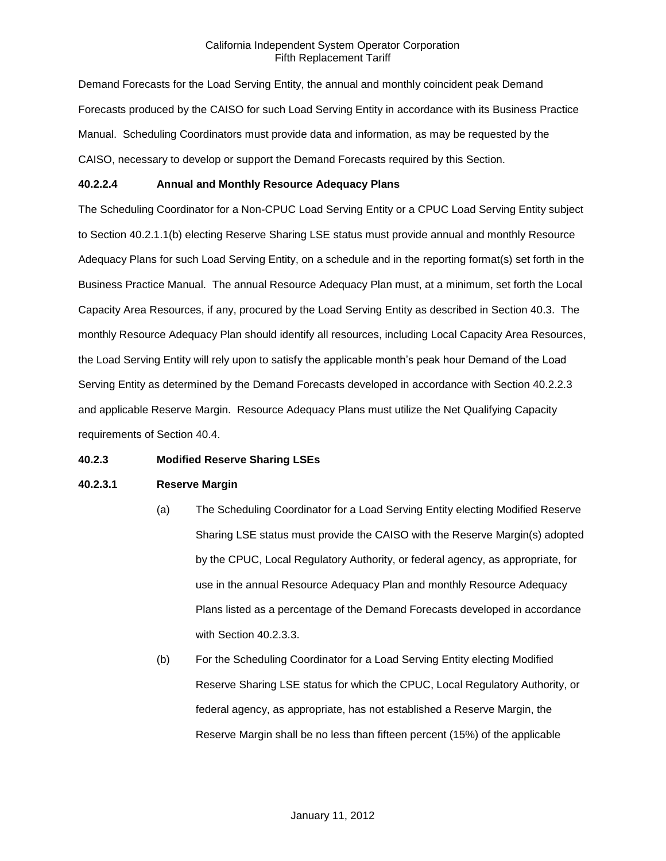Demand Forecasts for the Load Serving Entity, the annual and monthly coincident peak Demand Forecasts produced by the CAISO for such Load Serving Entity in accordance with its Business Practice Manual. Scheduling Coordinators must provide data and information, as may be requested by the CAISO, necessary to develop or support the Demand Forecasts required by this Section.

### **40.2.2.4 Annual and Monthly Resource Adequacy Plans**

The Scheduling Coordinator for a Non-CPUC Load Serving Entity or a CPUC Load Serving Entity subject to Section 40.2.1.1(b) electing Reserve Sharing LSE status must provide annual and monthly Resource Adequacy Plans for such Load Serving Entity, on a schedule and in the reporting format(s) set forth in the Business Practice Manual. The annual Resource Adequacy Plan must, at a minimum, set forth the Local Capacity Area Resources, if any, procured by the Load Serving Entity as described in Section 40.3. The monthly Resource Adequacy Plan should identify all resources, including Local Capacity Area Resources, the Load Serving Entity will rely upon to satisfy the applicable month's peak hour Demand of the Load Serving Entity as determined by the Demand Forecasts developed in accordance with Section 40.2.2.3 and applicable Reserve Margin. Resource Adequacy Plans must utilize the Net Qualifying Capacity requirements of Section 40.4.

### **40.2.3 Modified Reserve Sharing LSEs**

### **40.2.3.1 Reserve Margin**

- (a) The Scheduling Coordinator for a Load Serving Entity electing Modified Reserve Sharing LSE status must provide the CAISO with the Reserve Margin(s) adopted by the CPUC, Local Regulatory Authority, or federal agency, as appropriate, for use in the annual Resource Adequacy Plan and monthly Resource Adequacy Plans listed as a percentage of the Demand Forecasts developed in accordance with Section 40.2.3.3.
- (b) For the Scheduling Coordinator for a Load Serving Entity electing Modified Reserve Sharing LSE status for which the CPUC, Local Regulatory Authority, or federal agency, as appropriate, has not established a Reserve Margin, the Reserve Margin shall be no less than fifteen percent (15%) of the applicable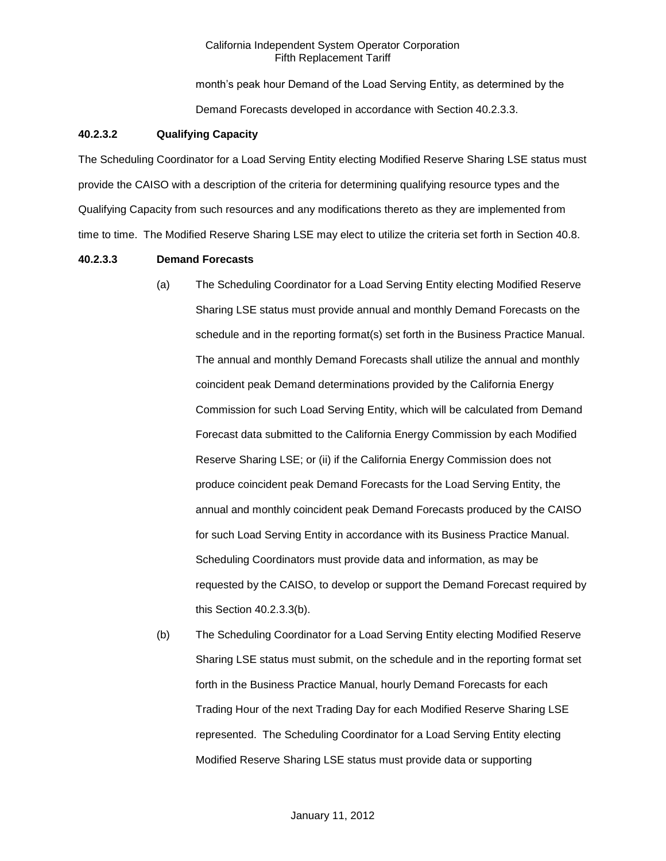month's peak hour Demand of the Load Serving Entity, as determined by the Demand Forecasts developed in accordance with Section 40.2.3.3.

### **40.2.3.2 Qualifying Capacity**

The Scheduling Coordinator for a Load Serving Entity electing Modified Reserve Sharing LSE status must provide the CAISO with a description of the criteria for determining qualifying resource types and the Qualifying Capacity from such resources and any modifications thereto as they are implemented from time to time. The Modified Reserve Sharing LSE may elect to utilize the criteria set forth in Section 40.8.

#### **40.2.3.3 Demand Forecasts**

- (a) The Scheduling Coordinator for a Load Serving Entity electing Modified Reserve Sharing LSE status must provide annual and monthly Demand Forecasts on the schedule and in the reporting format(s) set forth in the Business Practice Manual. The annual and monthly Demand Forecasts shall utilize the annual and monthly coincident peak Demand determinations provided by the California Energy Commission for such Load Serving Entity, which will be calculated from Demand Forecast data submitted to the California Energy Commission by each Modified Reserve Sharing LSE; or (ii) if the California Energy Commission does not produce coincident peak Demand Forecasts for the Load Serving Entity, the annual and monthly coincident peak Demand Forecasts produced by the CAISO for such Load Serving Entity in accordance with its Business Practice Manual. Scheduling Coordinators must provide data and information, as may be requested by the CAISO, to develop or support the Demand Forecast required by this Section 40.2.3.3(b).
- (b) The Scheduling Coordinator for a Load Serving Entity electing Modified Reserve Sharing LSE status must submit, on the schedule and in the reporting format set forth in the Business Practice Manual, hourly Demand Forecasts for each Trading Hour of the next Trading Day for each Modified Reserve Sharing LSE represented. The Scheduling Coordinator for a Load Serving Entity electing Modified Reserve Sharing LSE status must provide data or supporting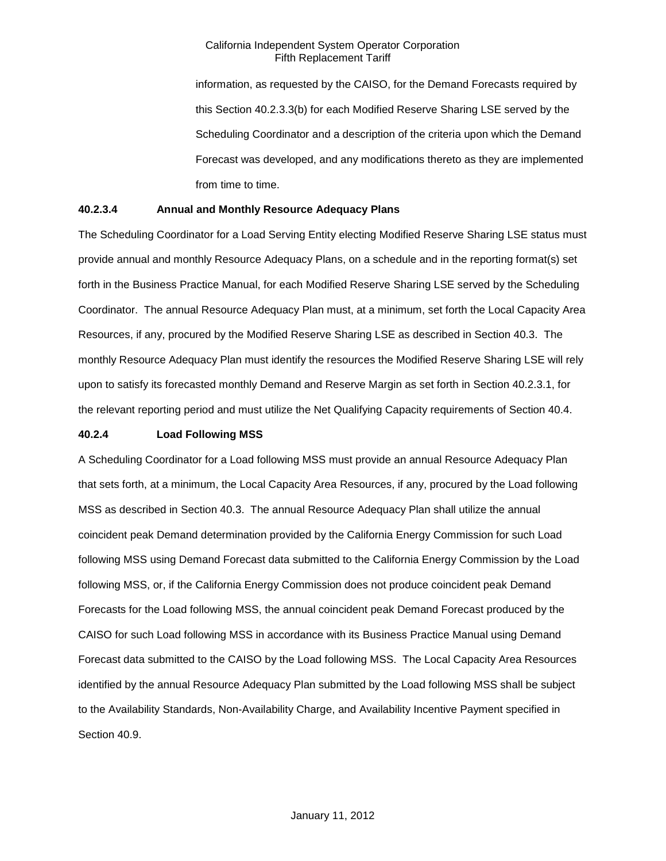information, as requested by the CAISO, for the Demand Forecasts required by this Section 40.2.3.3(b) for each Modified Reserve Sharing LSE served by the Scheduling Coordinator and a description of the criteria upon which the Demand Forecast was developed, and any modifications thereto as they are implemented from time to time.

### **40.2.3.4 Annual and Monthly Resource Adequacy Plans**

The Scheduling Coordinator for a Load Serving Entity electing Modified Reserve Sharing LSE status must provide annual and monthly Resource Adequacy Plans, on a schedule and in the reporting format(s) set forth in the Business Practice Manual, for each Modified Reserve Sharing LSE served by the Scheduling Coordinator. The annual Resource Adequacy Plan must, at a minimum, set forth the Local Capacity Area Resources, if any, procured by the Modified Reserve Sharing LSE as described in Section 40.3. The monthly Resource Adequacy Plan must identify the resources the Modified Reserve Sharing LSE will rely upon to satisfy its forecasted monthly Demand and Reserve Margin as set forth in Section 40.2.3.1, for the relevant reporting period and must utilize the Net Qualifying Capacity requirements of Section 40.4.

### **40.2.4 Load Following MSS**

A Scheduling Coordinator for a Load following MSS must provide an annual Resource Adequacy Plan that sets forth, at a minimum, the Local Capacity Area Resources, if any, procured by the Load following MSS as described in Section 40.3. The annual Resource Adequacy Plan shall utilize the annual coincident peak Demand determination provided by the California Energy Commission for such Load following MSS using Demand Forecast data submitted to the California Energy Commission by the Load following MSS, or, if the California Energy Commission does not produce coincident peak Demand Forecasts for the Load following MSS, the annual coincident peak Demand Forecast produced by the CAISO for such Load following MSS in accordance with its Business Practice Manual using Demand Forecast data submitted to the CAISO by the Load following MSS. The Local Capacity Area Resources identified by the annual Resource Adequacy Plan submitted by the Load following MSS shall be subject to the Availability Standards, Non-Availability Charge, and Availability Incentive Payment specified in Section 40.9.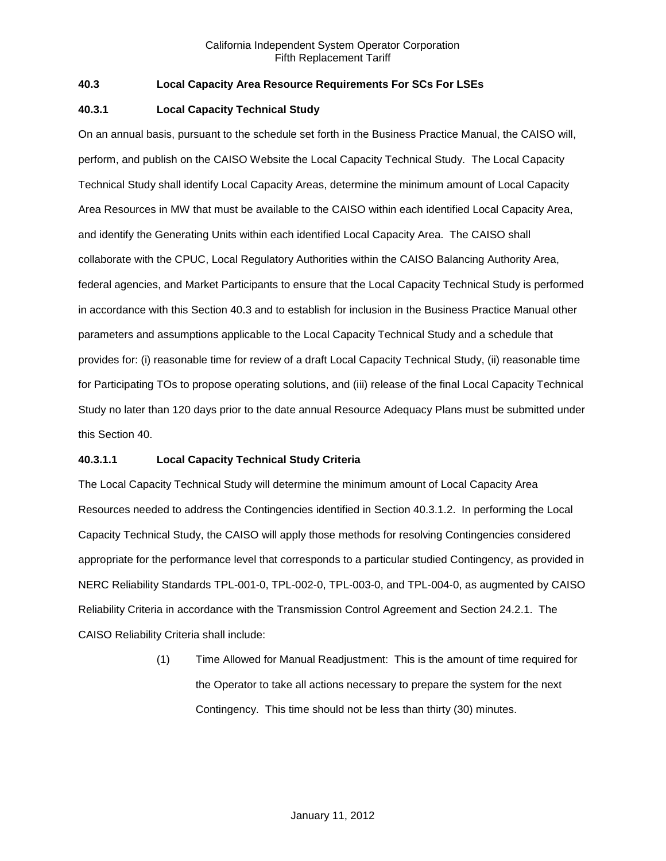### **40.3 Local Capacity Area Resource Requirements For SCs For LSEs**

### **40.3.1 Local Capacity Technical Study**

On an annual basis, pursuant to the schedule set forth in the Business Practice Manual, the CAISO will, perform, and publish on the CAISO Website the Local Capacity Technical Study. The Local Capacity Technical Study shall identify Local Capacity Areas, determine the minimum amount of Local Capacity Area Resources in MW that must be available to the CAISO within each identified Local Capacity Area, and identify the Generating Units within each identified Local Capacity Area. The CAISO shall collaborate with the CPUC, Local Regulatory Authorities within the CAISO Balancing Authority Area, federal agencies, and Market Participants to ensure that the Local Capacity Technical Study is performed in accordance with this Section 40.3 and to establish for inclusion in the Business Practice Manual other parameters and assumptions applicable to the Local Capacity Technical Study and a schedule that provides for: (i) reasonable time for review of a draft Local Capacity Technical Study, (ii) reasonable time for Participating TOs to propose operating solutions, and (iii) release of the final Local Capacity Technical Study no later than 120 days prior to the date annual Resource Adequacy Plans must be submitted under this Section 40.

### **40.3.1.1 Local Capacity Technical Study Criteria**

The Local Capacity Technical Study will determine the minimum amount of Local Capacity Area Resources needed to address the Contingencies identified in Section 40.3.1.2. In performing the Local Capacity Technical Study, the CAISO will apply those methods for resolving Contingencies considered appropriate for the performance level that corresponds to a particular studied Contingency, as provided in NERC Reliability Standards TPL-001-0, TPL-002-0, TPL-003-0, and TPL-004-0, as augmented by CAISO Reliability Criteria in accordance with the Transmission Control Agreement and Section 24.2.1. The CAISO Reliability Criteria shall include:

> (1) Time Allowed for Manual Readjustment: This is the amount of time required for the Operator to take all actions necessary to prepare the system for the next Contingency. This time should not be less than thirty (30) minutes.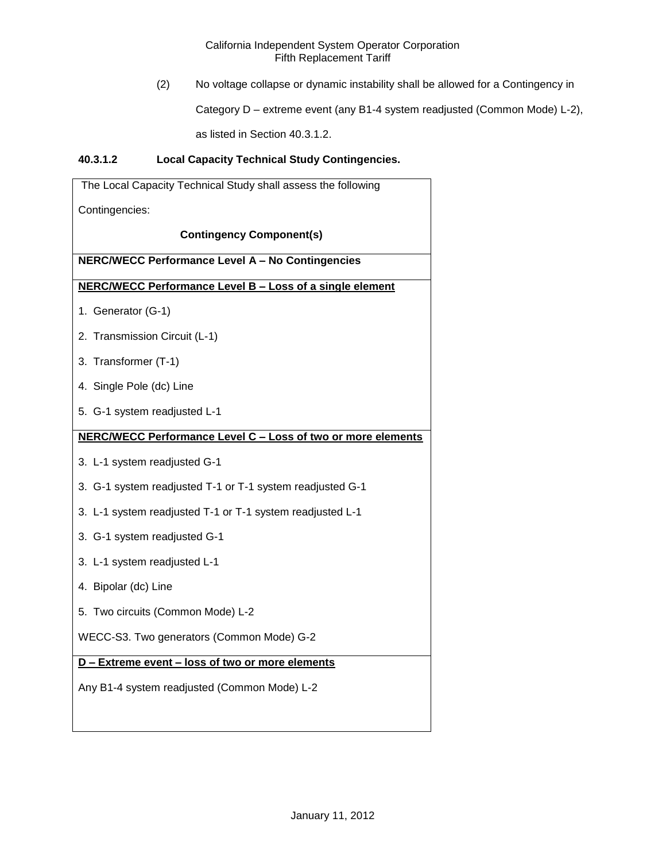(2) No voltage collapse or dynamic instability shall be allowed for a Contingency in

Category D – extreme event (any B1-4 system readjusted (Common Mode) L-2),

as listed in Section 40.3.1.2.

## **40.3.1.2 Local Capacity Technical Study Contingencies.**

| The Local Capacity Technical Study shall assess the following |
|---------------------------------------------------------------|
| Contingencies:                                                |
| <b>Contingency Component(s)</b>                               |
| <b>NERC/WECC Performance Level A - No Contingencies</b>       |
| NERC/WECC Performance Level B - Loss of a single element      |
| 1. Generator (G-1)                                            |
| 2. Transmission Circuit (L-1)                                 |
| 3. Transformer (T-1)                                          |
| 4. Single Pole (dc) Line                                      |
| 5. G-1 system readjusted L-1                                  |
| NERC/WECC Performance Level C - Loss of two or more elements  |
| 3. L-1 system readjusted G-1                                  |
| 3. G-1 system readjusted T-1 or T-1 system readjusted G-1     |
| 3. L-1 system readjusted T-1 or T-1 system readjusted L-1     |
| 3. G-1 system readjusted G-1                                  |
| 3. L-1 system readjusted L-1                                  |
| 4. Bipolar (dc) Line                                          |
| 5. Two circuits (Common Mode) L-2                             |
| WECC-S3. Two generators (Common Mode) G-2                     |
| D - Extreme event - loss of two or more elements              |
| Any B1-4 system readjusted (Common Mode) L-2                  |
|                                                               |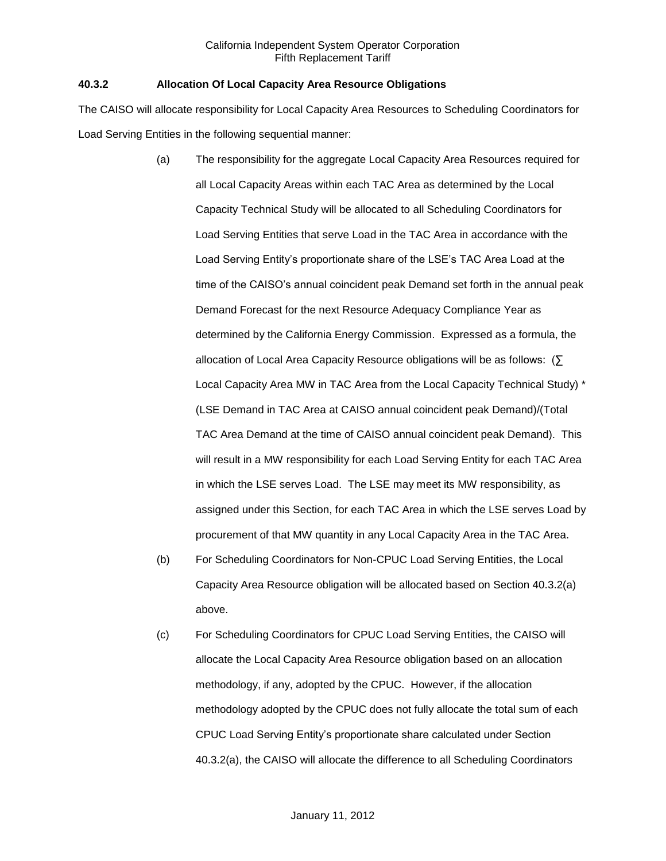### **40.3.2 Allocation Of Local Capacity Area Resource Obligations**

The CAISO will allocate responsibility for Local Capacity Area Resources to Scheduling Coordinators for Load Serving Entities in the following sequential manner:

- (a) The responsibility for the aggregate Local Capacity Area Resources required for all Local Capacity Areas within each TAC Area as determined by the Local Capacity Technical Study will be allocated to all Scheduling Coordinators for Load Serving Entities that serve Load in the TAC Area in accordance with the Load Serving Entity's proportionate share of the LSE's TAC Area Load at the time of the CAISO's annual coincident peak Demand set forth in the annual peak Demand Forecast for the next Resource Adequacy Compliance Year as determined by the California Energy Commission. Expressed as a formula, the allocation of Local Area Capacity Resource obligations will be as follows: (∑ Local Capacity Area MW in TAC Area from the Local Capacity Technical Study) \* (LSE Demand in TAC Area at CAISO annual coincident peak Demand)/(Total TAC Area Demand at the time of CAISO annual coincident peak Demand). This will result in a MW responsibility for each Load Serving Entity for each TAC Area in which the LSE serves Load. The LSE may meet its MW responsibility, as assigned under this Section, for each TAC Area in which the LSE serves Load by procurement of that MW quantity in any Local Capacity Area in the TAC Area.
- (b) For Scheduling Coordinators for Non-CPUC Load Serving Entities, the Local Capacity Area Resource obligation will be allocated based on Section 40.3.2(a) above.
- (c) For Scheduling Coordinators for CPUC Load Serving Entities, the CAISO will allocate the Local Capacity Area Resource obligation based on an allocation methodology, if any, adopted by the CPUC. However, if the allocation methodology adopted by the CPUC does not fully allocate the total sum of each CPUC Load Serving Entity's proportionate share calculated under Section 40.3.2(a), the CAISO will allocate the difference to all Scheduling Coordinators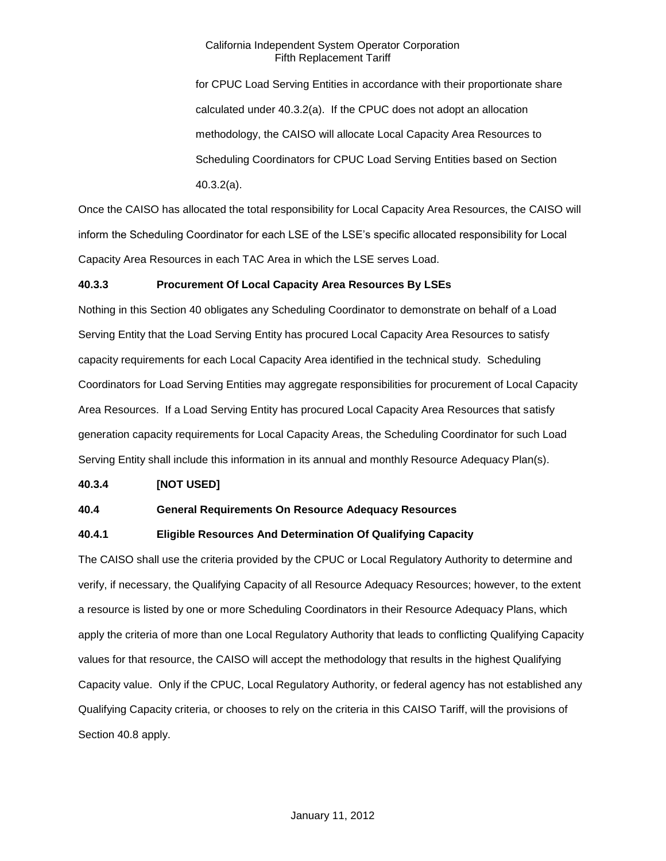for CPUC Load Serving Entities in accordance with their proportionate share calculated under 40.3.2(a). If the CPUC does not adopt an allocation methodology, the CAISO will allocate Local Capacity Area Resources to Scheduling Coordinators for CPUC Load Serving Entities based on Section 40.3.2(a).

Once the CAISO has allocated the total responsibility for Local Capacity Area Resources, the CAISO will inform the Scheduling Coordinator for each LSE of the LSE's specific allocated responsibility for Local Capacity Area Resources in each TAC Area in which the LSE serves Load.

### **40.3.3 Procurement Of Local Capacity Area Resources By LSEs**

Nothing in this Section 40 obligates any Scheduling Coordinator to demonstrate on behalf of a Load Serving Entity that the Load Serving Entity has procured Local Capacity Area Resources to satisfy capacity requirements for each Local Capacity Area identified in the technical study. Scheduling Coordinators for Load Serving Entities may aggregate responsibilities for procurement of Local Capacity Area Resources. If a Load Serving Entity has procured Local Capacity Area Resources that satisfy generation capacity requirements for Local Capacity Areas, the Scheduling Coordinator for such Load Serving Entity shall include this information in its annual and monthly Resource Adequacy Plan(s).

### **40.3.4 [NOT USED]**

### **40.4 General Requirements On Resource Adequacy Resources**

### **40.4.1 Eligible Resources And Determination Of Qualifying Capacity**

The CAISO shall use the criteria provided by the CPUC or Local Regulatory Authority to determine and verify, if necessary, the Qualifying Capacity of all Resource Adequacy Resources; however, to the extent a resource is listed by one or more Scheduling Coordinators in their Resource Adequacy Plans, which apply the criteria of more than one Local Regulatory Authority that leads to conflicting Qualifying Capacity values for that resource, the CAISO will accept the methodology that results in the highest Qualifying Capacity value. Only if the CPUC, Local Regulatory Authority, or federal agency has not established any Qualifying Capacity criteria, or chooses to rely on the criteria in this CAISO Tariff, will the provisions of Section 40.8 apply.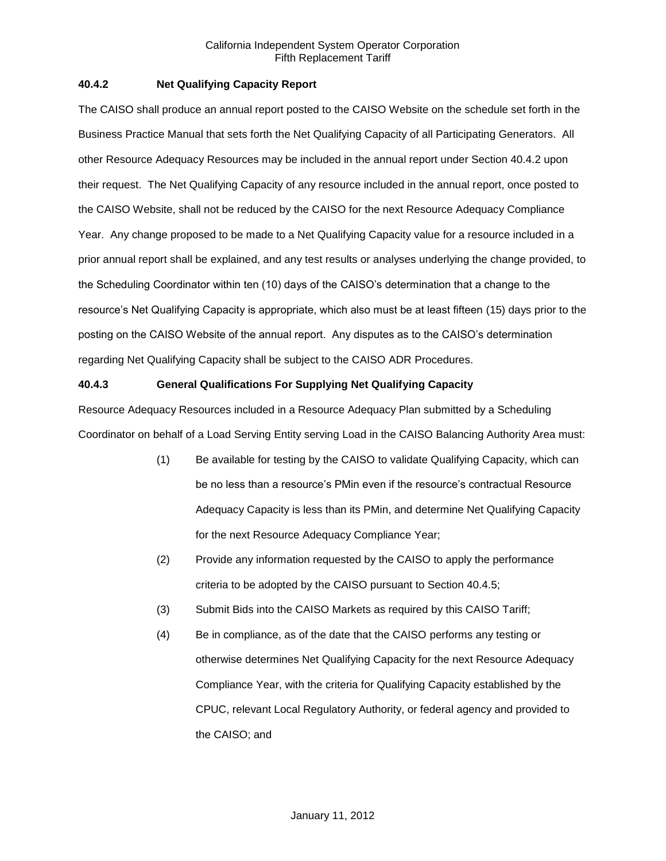### **40.4.2 Net Qualifying Capacity Report**

The CAISO shall produce an annual report posted to the CAISO Website on the schedule set forth in the Business Practice Manual that sets forth the Net Qualifying Capacity of all Participating Generators. All other Resource Adequacy Resources may be included in the annual report under Section 40.4.2 upon their request. The Net Qualifying Capacity of any resource included in the annual report, once posted to the CAISO Website, shall not be reduced by the CAISO for the next Resource Adequacy Compliance Year. Any change proposed to be made to a Net Qualifying Capacity value for a resource included in a prior annual report shall be explained, and any test results or analyses underlying the change provided, to the Scheduling Coordinator within ten (10) days of the CAISO's determination that a change to the resource's Net Qualifying Capacity is appropriate, which also must be at least fifteen (15) days prior to the posting on the CAISO Website of the annual report. Any disputes as to the CAISO's determination regarding Net Qualifying Capacity shall be subject to the CAISO ADR Procedures.

### **40.4.3 General Qualifications For Supplying Net Qualifying Capacity**

Resource Adequacy Resources included in a Resource Adequacy Plan submitted by a Scheduling Coordinator on behalf of a Load Serving Entity serving Load in the CAISO Balancing Authority Area must:

- (1) Be available for testing by the CAISO to validate Qualifying Capacity, which can be no less than a resource's PMin even if the resource's contractual Resource Adequacy Capacity is less than its PMin, and determine Net Qualifying Capacity for the next Resource Adequacy Compliance Year;
- (2) Provide any information requested by the CAISO to apply the performance criteria to be adopted by the CAISO pursuant to Section 40.4.5;
- (3) Submit Bids into the CAISO Markets as required by this CAISO Tariff;
- (4) Be in compliance, as of the date that the CAISO performs any testing or otherwise determines Net Qualifying Capacity for the next Resource Adequacy Compliance Year, with the criteria for Qualifying Capacity established by the CPUC, relevant Local Regulatory Authority, or federal agency and provided to the CAISO; and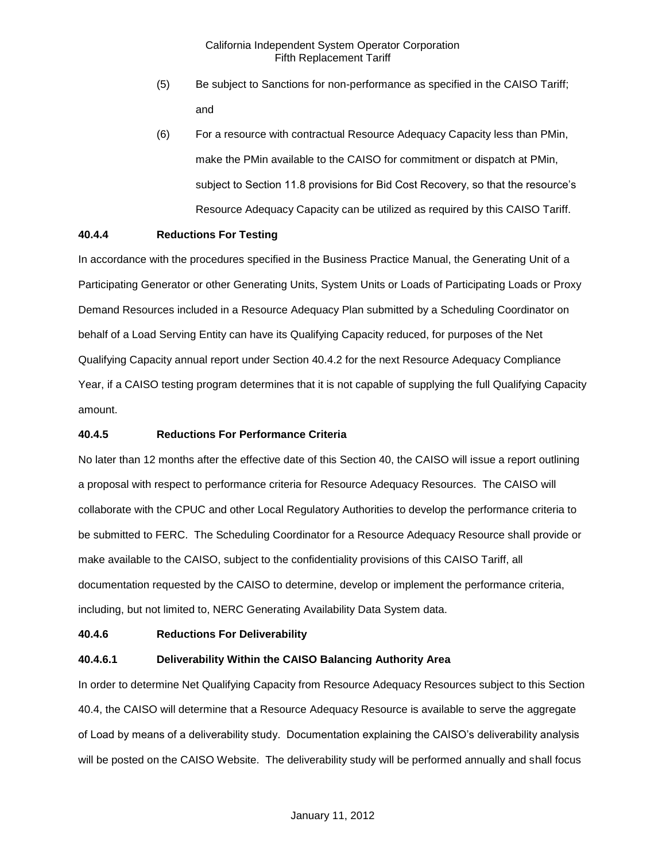- (5) Be subject to Sanctions for non-performance as specified in the CAISO Tariff; and
- (6) For a resource with contractual Resource Adequacy Capacity less than PMin, make the PMin available to the CAISO for commitment or dispatch at PMin, subject to Section 11.8 provisions for Bid Cost Recovery, so that the resource's Resource Adequacy Capacity can be utilized as required by this CAISO Tariff.

### **40.4.4 Reductions For Testing**

In accordance with the procedures specified in the Business Practice Manual, the Generating Unit of a Participating Generator or other Generating Units, System Units or Loads of Participating Loads or Proxy Demand Resources included in a Resource Adequacy Plan submitted by a Scheduling Coordinator on behalf of a Load Serving Entity can have its Qualifying Capacity reduced, for purposes of the Net Qualifying Capacity annual report under Section 40.4.2 for the next Resource Adequacy Compliance Year, if a CAISO testing program determines that it is not capable of supplying the full Qualifying Capacity amount.

### **40.4.5 Reductions For Performance Criteria**

No later than 12 months after the effective date of this Section 40, the CAISO will issue a report outlining a proposal with respect to performance criteria for Resource Adequacy Resources. The CAISO will collaborate with the CPUC and other Local Regulatory Authorities to develop the performance criteria to be submitted to FERC. The Scheduling Coordinator for a Resource Adequacy Resource shall provide or make available to the CAISO, subject to the confidentiality provisions of this CAISO Tariff, all documentation requested by the CAISO to determine, develop or implement the performance criteria, including, but not limited to, NERC Generating Availability Data System data.

### **40.4.6 Reductions For Deliverability**

### **40.4.6.1 Deliverability Within the CAISO Balancing Authority Area**

In order to determine Net Qualifying Capacity from Resource Adequacy Resources subject to this Section 40.4, the CAISO will determine that a Resource Adequacy Resource is available to serve the aggregate of Load by means of a deliverability study. Documentation explaining the CAISO's deliverability analysis will be posted on the CAISO Website. The deliverability study will be performed annually and shall focus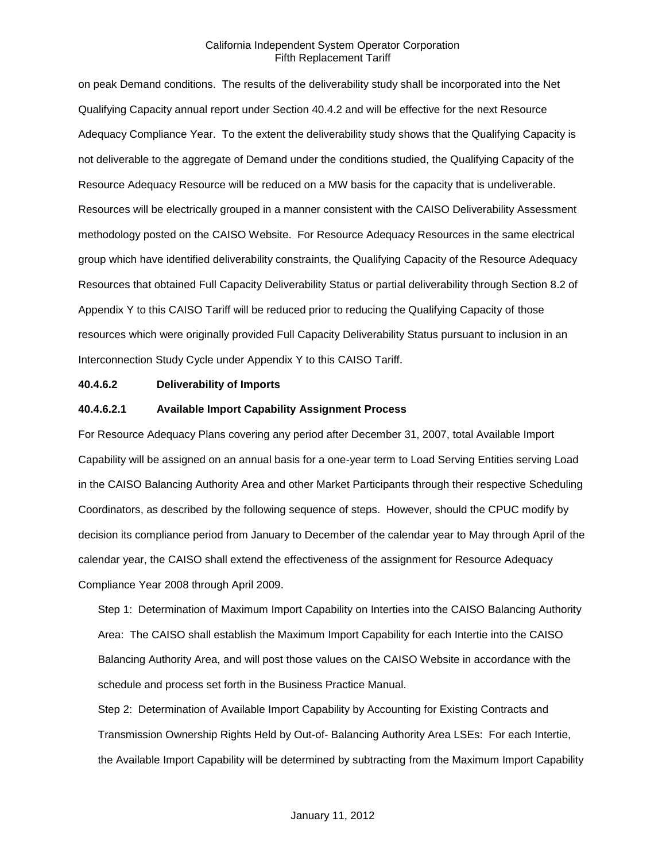on peak Demand conditions. The results of the deliverability study shall be incorporated into the Net Qualifying Capacity annual report under Section 40.4.2 and will be effective for the next Resource Adequacy Compliance Year. To the extent the deliverability study shows that the Qualifying Capacity is not deliverable to the aggregate of Demand under the conditions studied, the Qualifying Capacity of the Resource Adequacy Resource will be reduced on a MW basis for the capacity that is undeliverable. Resources will be electrically grouped in a manner consistent with the CAISO Deliverability Assessment methodology posted on the CAISO Website. For Resource Adequacy Resources in the same electrical group which have identified deliverability constraints, the Qualifying Capacity of the Resource Adequacy Resources that obtained Full Capacity Deliverability Status or partial deliverability through Section 8.2 of Appendix Y to this CAISO Tariff will be reduced prior to reducing the Qualifying Capacity of those resources which were originally provided Full Capacity Deliverability Status pursuant to inclusion in an Interconnection Study Cycle under Appendix Y to this CAISO Tariff.

#### **40.4.6.2 Deliverability of Imports**

#### **40.4.6.2.1 Available Import Capability Assignment Process**

For Resource Adequacy Plans covering any period after December 31, 2007, total Available Import Capability will be assigned on an annual basis for a one-year term to Load Serving Entities serving Load in the CAISO Balancing Authority Area and other Market Participants through their respective Scheduling Coordinators, as described by the following sequence of steps. However, should the CPUC modify by decision its compliance period from January to December of the calendar year to May through April of the calendar year, the CAISO shall extend the effectiveness of the assignment for Resource Adequacy Compliance Year 2008 through April 2009.

Step 1: Determination of Maximum Import Capability on Interties into the CAISO Balancing Authority Area: The CAISO shall establish the Maximum Import Capability for each Intertie into the CAISO Balancing Authority Area, and will post those values on the CAISO Website in accordance with the schedule and process set forth in the Business Practice Manual.

Step 2: Determination of Available Import Capability by Accounting for Existing Contracts and Transmission Ownership Rights Held by Out-of- Balancing Authority Area LSEs: For each Intertie, the Available Import Capability will be determined by subtracting from the Maximum Import Capability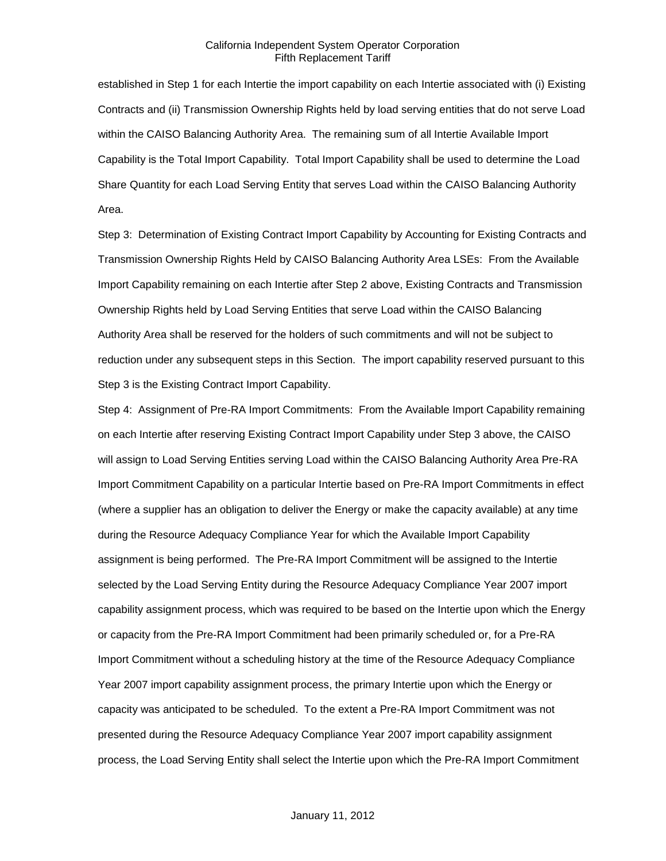established in Step 1 for each Intertie the import capability on each Intertie associated with (i) Existing Contracts and (ii) Transmission Ownership Rights held by load serving entities that do not serve Load within the CAISO Balancing Authority Area. The remaining sum of all Intertie Available Import Capability is the Total Import Capability. Total Import Capability shall be used to determine the Load Share Quantity for each Load Serving Entity that serves Load within the CAISO Balancing Authority Area.

Step 3: Determination of Existing Contract Import Capability by Accounting for Existing Contracts and Transmission Ownership Rights Held by CAISO Balancing Authority Area LSEs: From the Available Import Capability remaining on each Intertie after Step 2 above, Existing Contracts and Transmission Ownership Rights held by Load Serving Entities that serve Load within the CAISO Balancing Authority Area shall be reserved for the holders of such commitments and will not be subject to reduction under any subsequent steps in this Section. The import capability reserved pursuant to this Step 3 is the Existing Contract Import Capability.

Step 4: Assignment of Pre-RA Import Commitments: From the Available Import Capability remaining on each Intertie after reserving Existing Contract Import Capability under Step 3 above, the CAISO will assign to Load Serving Entities serving Load within the CAISO Balancing Authority Area Pre-RA Import Commitment Capability on a particular Intertie based on Pre-RA Import Commitments in effect (where a supplier has an obligation to deliver the Energy or make the capacity available) at any time during the Resource Adequacy Compliance Year for which the Available Import Capability assignment is being performed. The Pre-RA Import Commitment will be assigned to the Intertie selected by the Load Serving Entity during the Resource Adequacy Compliance Year 2007 import capability assignment process, which was required to be based on the Intertie upon which the Energy or capacity from the Pre-RA Import Commitment had been primarily scheduled or, for a Pre-RA Import Commitment without a scheduling history at the time of the Resource Adequacy Compliance Year 2007 import capability assignment process, the primary Intertie upon which the Energy or capacity was anticipated to be scheduled. To the extent a Pre-RA Import Commitment was not presented during the Resource Adequacy Compliance Year 2007 import capability assignment process, the Load Serving Entity shall select the Intertie upon which the Pre-RA Import Commitment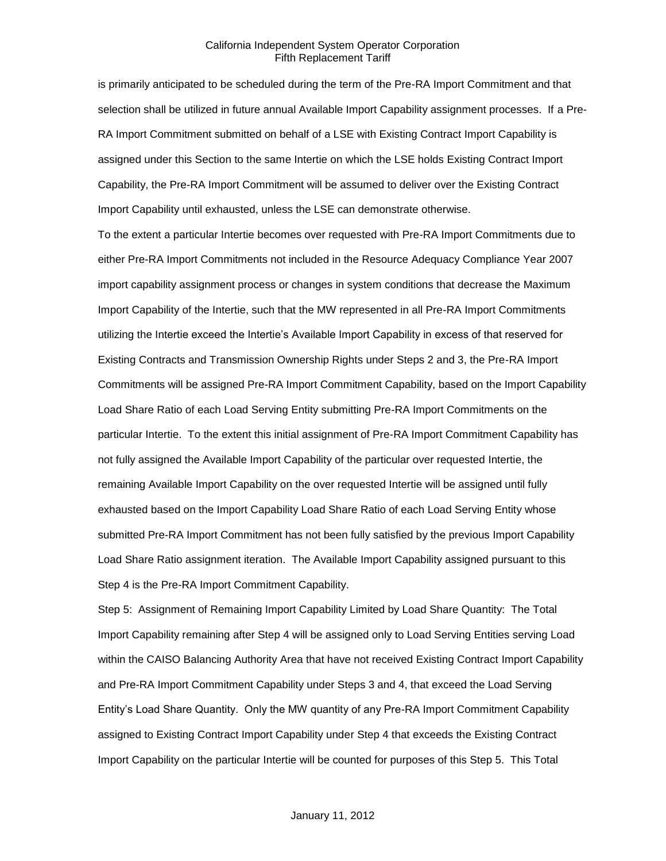is primarily anticipated to be scheduled during the term of the Pre-RA Import Commitment and that selection shall be utilized in future annual Available Import Capability assignment processes. If a Pre-RA Import Commitment submitted on behalf of a LSE with Existing Contract Import Capability is assigned under this Section to the same Intertie on which the LSE holds Existing Contract Import Capability, the Pre-RA Import Commitment will be assumed to deliver over the Existing Contract Import Capability until exhausted, unless the LSE can demonstrate otherwise.

To the extent a particular Intertie becomes over requested with Pre-RA Import Commitments due to either Pre-RA Import Commitments not included in the Resource Adequacy Compliance Year 2007 import capability assignment process or changes in system conditions that decrease the Maximum Import Capability of the Intertie, such that the MW represented in all Pre-RA Import Commitments utilizing the Intertie exceed the Intertie's Available Import Capability in excess of that reserved for Existing Contracts and Transmission Ownership Rights under Steps 2 and 3, the Pre-RA Import Commitments will be assigned Pre-RA Import Commitment Capability, based on the Import Capability Load Share Ratio of each Load Serving Entity submitting Pre-RA Import Commitments on the particular Intertie. To the extent this initial assignment of Pre-RA Import Commitment Capability has not fully assigned the Available Import Capability of the particular over requested Intertie, the remaining Available Import Capability on the over requested Intertie will be assigned until fully exhausted based on the Import Capability Load Share Ratio of each Load Serving Entity whose submitted Pre-RA Import Commitment has not been fully satisfied by the previous Import Capability Load Share Ratio assignment iteration. The Available Import Capability assigned pursuant to this Step 4 is the Pre-RA Import Commitment Capability.

Step 5: Assignment of Remaining Import Capability Limited by Load Share Quantity: The Total Import Capability remaining after Step 4 will be assigned only to Load Serving Entities serving Load within the CAISO Balancing Authority Area that have not received Existing Contract Import Capability and Pre-RA Import Commitment Capability under Steps 3 and 4, that exceed the Load Serving Entity's Load Share Quantity. Only the MW quantity of any Pre-RA Import Commitment Capability assigned to Existing Contract Import Capability under Step 4 that exceeds the Existing Contract Import Capability on the particular Intertie will be counted for purposes of this Step 5. This Total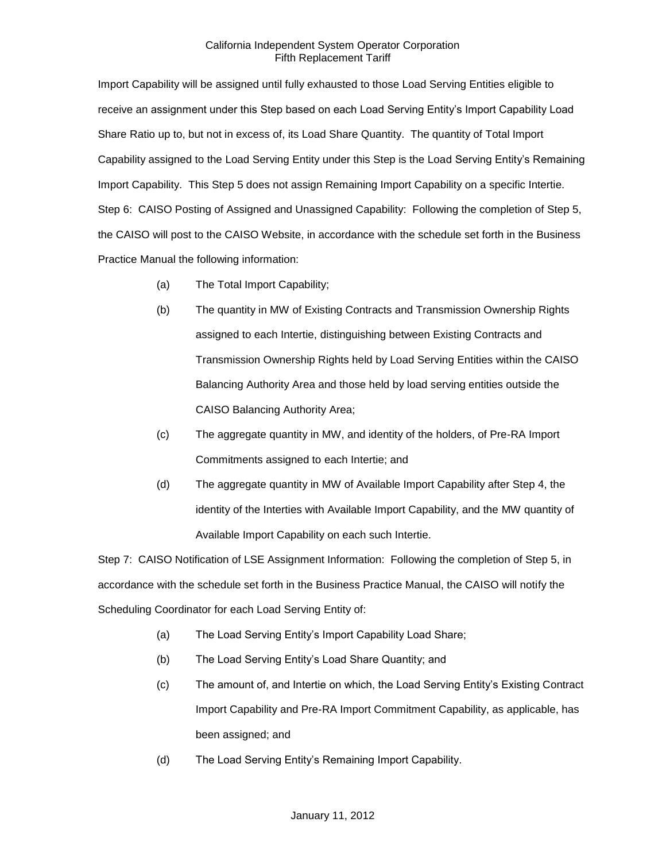Import Capability will be assigned until fully exhausted to those Load Serving Entities eligible to receive an assignment under this Step based on each Load Serving Entity's Import Capability Load Share Ratio up to, but not in excess of, its Load Share Quantity. The quantity of Total Import Capability assigned to the Load Serving Entity under this Step is the Load Serving Entity's Remaining Import Capability. This Step 5 does not assign Remaining Import Capability on a specific Intertie. Step 6: CAISO Posting of Assigned and Unassigned Capability: Following the completion of Step 5, the CAISO will post to the CAISO Website, in accordance with the schedule set forth in the Business Practice Manual the following information:

- (a) The Total Import Capability;
- (b) The quantity in MW of Existing Contracts and Transmission Ownership Rights assigned to each Intertie, distinguishing between Existing Contracts and Transmission Ownership Rights held by Load Serving Entities within the CAISO Balancing Authority Area and those held by load serving entities outside the CAISO Balancing Authority Area;
- (c) The aggregate quantity in MW, and identity of the holders, of Pre-RA Import Commitments assigned to each Intertie; and
- (d) The aggregate quantity in MW of Available Import Capability after Step 4, the identity of the Interties with Available Import Capability, and the MW quantity of Available Import Capability on each such Intertie.

Step 7: CAISO Notification of LSE Assignment Information: Following the completion of Step 5, in accordance with the schedule set forth in the Business Practice Manual, the CAISO will notify the Scheduling Coordinator for each Load Serving Entity of:

- (a) The Load Serving Entity's Import Capability Load Share;
- (b) The Load Serving Entity's Load Share Quantity; and
- (c) The amount of, and Intertie on which, the Load Serving Entity's Existing Contract Import Capability and Pre-RA Import Commitment Capability, as applicable, has been assigned; and
- (d) The Load Serving Entity's Remaining Import Capability.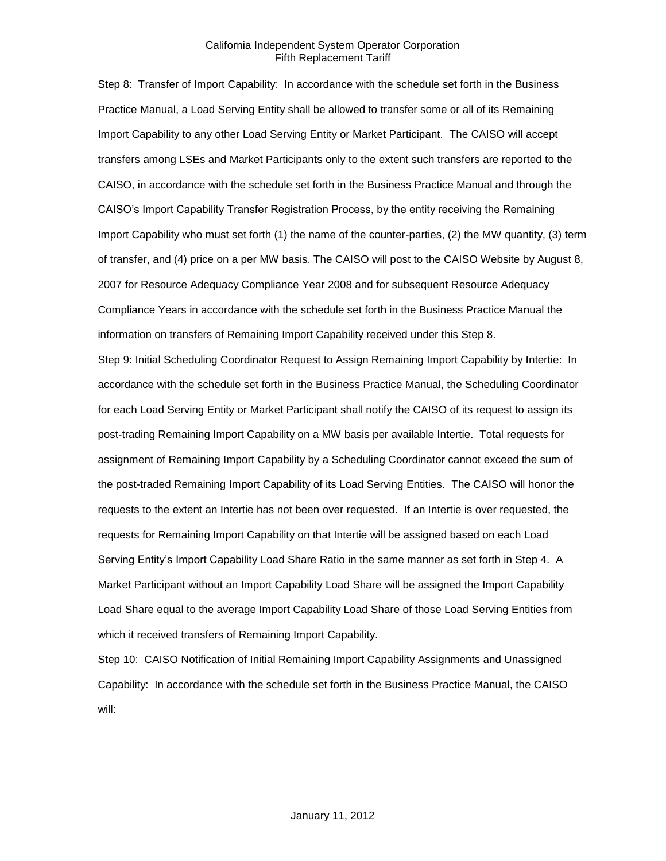Step 8: Transfer of Import Capability: In accordance with the schedule set forth in the Business Practice Manual, a Load Serving Entity shall be allowed to transfer some or all of its Remaining Import Capability to any other Load Serving Entity or Market Participant. The CAISO will accept transfers among LSEs and Market Participants only to the extent such transfers are reported to the CAISO, in accordance with the schedule set forth in the Business Practice Manual and through the CAISO's Import Capability Transfer Registration Process, by the entity receiving the Remaining Import Capability who must set forth (1) the name of the counter-parties, (2) the MW quantity, (3) term of transfer, and (4) price on a per MW basis. The CAISO will post to the CAISO Website by August 8, 2007 for Resource Adequacy Compliance Year 2008 and for subsequent Resource Adequacy Compliance Years in accordance with the schedule set forth in the Business Practice Manual the information on transfers of Remaining Import Capability received under this Step 8.

Step 9: Initial Scheduling Coordinator Request to Assign Remaining Import Capability by Intertie: In accordance with the schedule set forth in the Business Practice Manual, the Scheduling Coordinator for each Load Serving Entity or Market Participant shall notify the CAISO of its request to assign its post-trading Remaining Import Capability on a MW basis per available Intertie. Total requests for assignment of Remaining Import Capability by a Scheduling Coordinator cannot exceed the sum of the post-traded Remaining Import Capability of its Load Serving Entities. The CAISO will honor the requests to the extent an Intertie has not been over requested. If an Intertie is over requested, the requests for Remaining Import Capability on that Intertie will be assigned based on each Load Serving Entity's Import Capability Load Share Ratio in the same manner as set forth in Step 4. A Market Participant without an Import Capability Load Share will be assigned the Import Capability Load Share equal to the average Import Capability Load Share of those Load Serving Entities from which it received transfers of Remaining Import Capability.

Step 10: CAISO Notification of Initial Remaining Import Capability Assignments and Unassigned Capability: In accordance with the schedule set forth in the Business Practice Manual, the CAISO will: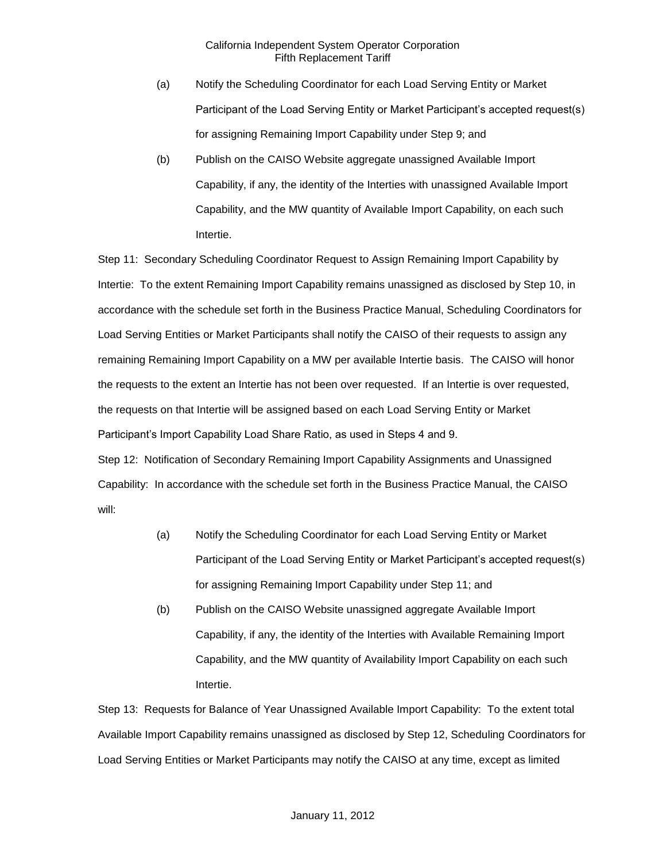- (a) Notify the Scheduling Coordinator for each Load Serving Entity or Market Participant of the Load Serving Entity or Market Participant's accepted request(s) for assigning Remaining Import Capability under Step 9; and
- (b) Publish on the CAISO Website aggregate unassigned Available Import Capability, if any, the identity of the Interties with unassigned Available Import Capability, and the MW quantity of Available Import Capability, on each such Intertie.

Step 11: Secondary Scheduling Coordinator Request to Assign Remaining Import Capability by Intertie: To the extent Remaining Import Capability remains unassigned as disclosed by Step 10, in accordance with the schedule set forth in the Business Practice Manual, Scheduling Coordinators for Load Serving Entities or Market Participants shall notify the CAISO of their requests to assign any remaining Remaining Import Capability on a MW per available Intertie basis. The CAISO will honor the requests to the extent an Intertie has not been over requested. If an Intertie is over requested, the requests on that Intertie will be assigned based on each Load Serving Entity or Market Participant's Import Capability Load Share Ratio, as used in Steps 4 and 9. Step 12: Notification of Secondary Remaining Import Capability Assignments and Unassigned Capability: In accordance with the schedule set forth in the Business Practice Manual, the CAISO will:

- (a) Notify the Scheduling Coordinator for each Load Serving Entity or Market Participant of the Load Serving Entity or Market Participant's accepted request(s) for assigning Remaining Import Capability under Step 11; and
- (b) Publish on the CAISO Website unassigned aggregate Available Import Capability, if any, the identity of the Interties with Available Remaining Import Capability, and the MW quantity of Availability Import Capability on each such Intertie.

Step 13: Requests for Balance of Year Unassigned Available Import Capability: To the extent total Available Import Capability remains unassigned as disclosed by Step 12, Scheduling Coordinators for Load Serving Entities or Market Participants may notify the CAISO at any time, except as limited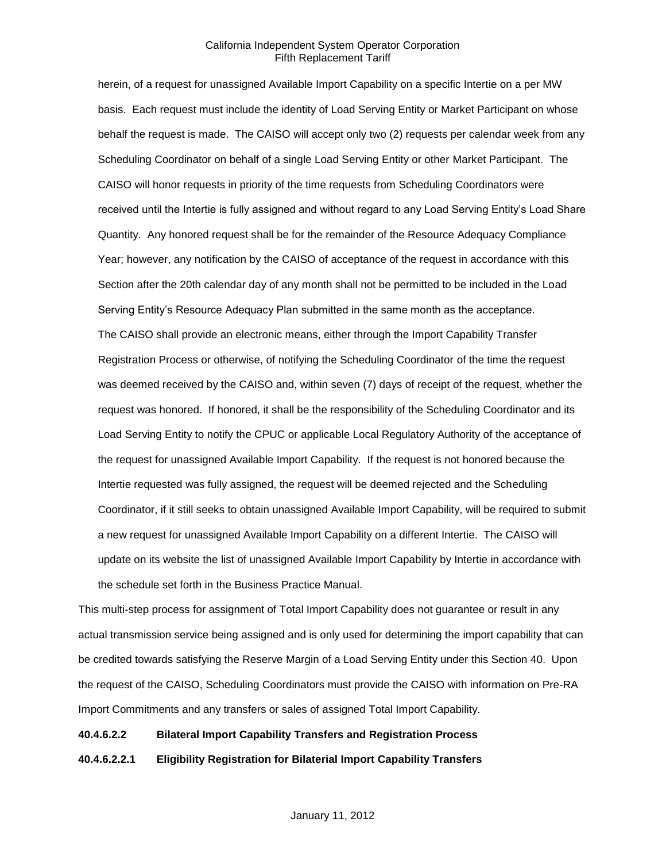herein, of a request for unassigned Available Import Capability on a specific Intertie on a per MW basis. Each request must include the identity of Load Serving Entity or Market Participant on whose behalf the request is made. The CAISO will accept only two (2) requests per calendar week from any Scheduling Coordinator on behalf of a single Load Serving Entity or other Market Participant. The CAISO will honor requests in priority of the time requests from Scheduling Coordinators were received until the Intertie is fully assigned and without regard to any Load Serving Entity's Load Share Quantity. Any honored request shall be for the remainder of the Resource Adequacy Compliance Year; however, any notification by the CAISO of acceptance of the request in accordance with this Section after the 20th calendar day of any month shall not be permitted to be included in the Load Serving Entity's Resource Adequacy Plan submitted in the same month as the acceptance. The CAISO shall provide an electronic means, either through the Import Capability Transfer Registration Process or otherwise, of notifying the Scheduling Coordinator of the time the request was deemed received by the CAISO and, within seven (7) days of receipt of the request, whether the request was honored. If honored, it shall be the responsibility of the Scheduling Coordinator and its Load Serving Entity to notify the CPUC or applicable Local Regulatory Authority of the acceptance of the request for unassigned Available Import Capability. If the request is not honored because the Intertie requested was fully assigned, the request will be deemed rejected and the Scheduling Coordinator, if it still seeks to obtain unassigned Available Import Capability, will be required to submit a new request for unassigned Available Import Capability on a different Intertie. The CAISO will update on its website the list of unassigned Available Import Capability by Intertie in accordance with the schedule set forth in the Business Practice Manual.

This multi-step process for assignment of Total Import Capability does not guarantee or result in any actual transmission service being assigned and is only used for determining the import capability that can be credited towards satisfying the Reserve Margin of a Load Serving Entity under this Section 40. Upon the request of the CAISO, Scheduling Coordinators must provide the CAISO with information on Pre-RA Import Commitments and any transfers or sales of assigned Total Import Capability.

#### **40.4.6.2.2 Bilateral Import Capability Transfers and Registration Process**

**40.4.6.2.2.1 Eligibility Registration for Bilaterial Import Capability Transfers**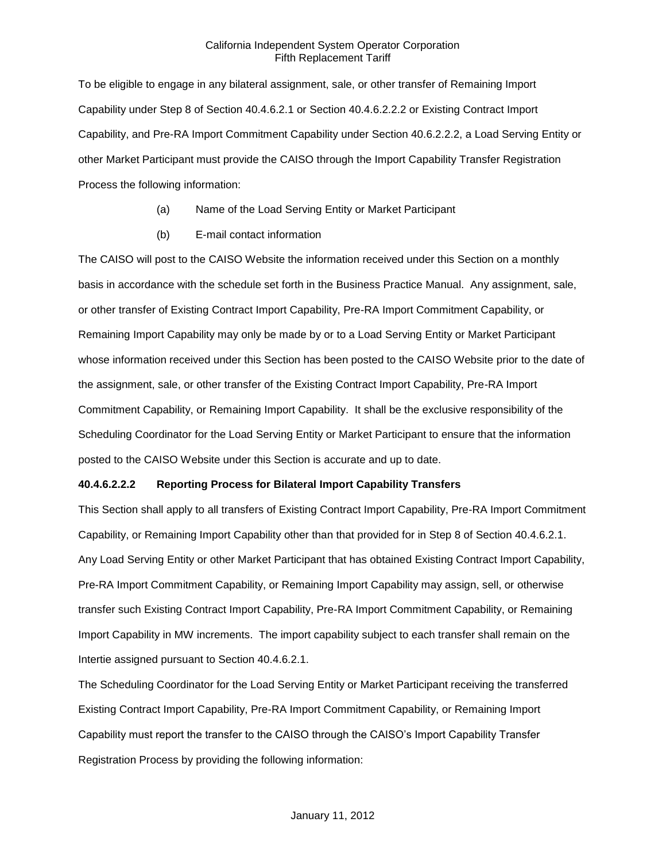To be eligible to engage in any bilateral assignment, sale, or other transfer of Remaining Import Capability under Step 8 of Section 40.4.6.2.1 or Section 40.4.6.2.2.2 or Existing Contract Import Capability, and Pre-RA Import Commitment Capability under Section 40.6.2.2.2, a Load Serving Entity or other Market Participant must provide the CAISO through the Import Capability Transfer Registration Process the following information:

- (a) Name of the Load Serving Entity or Market Participant
- (b) E-mail contact information

The CAISO will post to the CAISO Website the information received under this Section on a monthly basis in accordance with the schedule set forth in the Business Practice Manual. Any assignment, sale, or other transfer of Existing Contract Import Capability, Pre-RA Import Commitment Capability, or Remaining Import Capability may only be made by or to a Load Serving Entity or Market Participant whose information received under this Section has been posted to the CAISO Website prior to the date of the assignment, sale, or other transfer of the Existing Contract Import Capability, Pre-RA Import Commitment Capability, or Remaining Import Capability. It shall be the exclusive responsibility of the Scheduling Coordinator for the Load Serving Entity or Market Participant to ensure that the information posted to the CAISO Website under this Section is accurate and up to date.

## **40.4.6.2.2.2 Reporting Process for Bilateral Import Capability Transfers**

This Section shall apply to all transfers of Existing Contract Import Capability, Pre-RA Import Commitment Capability, or Remaining Import Capability other than that provided for in Step 8 of Section 40.4.6.2.1. Any Load Serving Entity or other Market Participant that has obtained Existing Contract Import Capability, Pre-RA Import Commitment Capability, or Remaining Import Capability may assign, sell, or otherwise transfer such Existing Contract Import Capability, Pre-RA Import Commitment Capability, or Remaining Import Capability in MW increments. The import capability subject to each transfer shall remain on the Intertie assigned pursuant to Section 40.4.6.2.1.

The Scheduling Coordinator for the Load Serving Entity or Market Participant receiving the transferred Existing Contract Import Capability, Pre-RA Import Commitment Capability, or Remaining Import Capability must report the transfer to the CAISO through the CAISO's Import Capability Transfer Registration Process by providing the following information: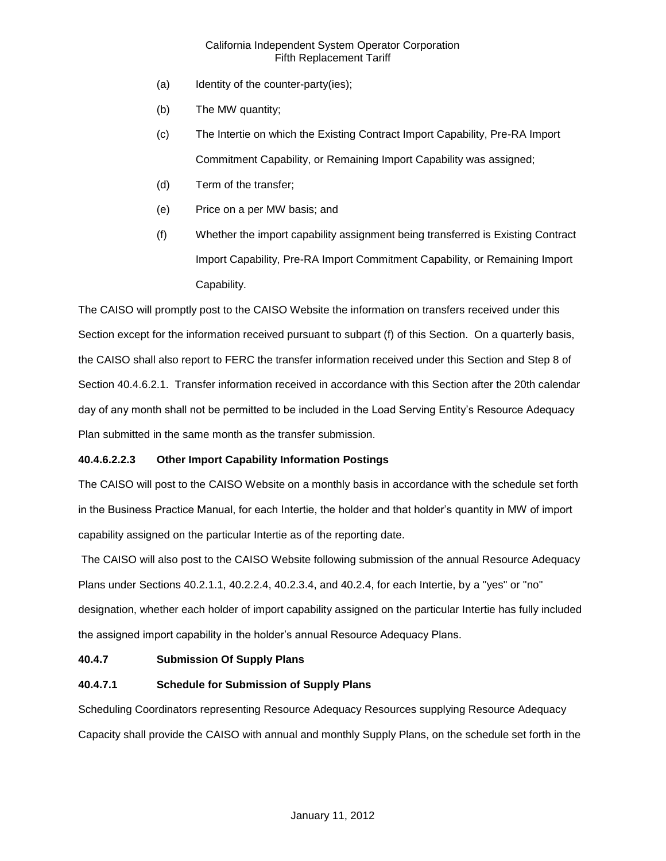- (a) Identity of the counter-party(ies);
- (b) The MW quantity;
- (c) The Intertie on which the Existing Contract Import Capability, Pre-RA Import Commitment Capability, or Remaining Import Capability was assigned;
- (d) Term of the transfer;
- (e) Price on a per MW basis; and
- (f) Whether the import capability assignment being transferred is Existing Contract Import Capability, Pre-RA Import Commitment Capability, or Remaining Import Capability.

The CAISO will promptly post to the CAISO Website the information on transfers received under this Section except for the information received pursuant to subpart (f) of this Section. On a quarterly basis, the CAISO shall also report to FERC the transfer information received under this Section and Step 8 of Section 40.4.6.2.1. Transfer information received in accordance with this Section after the 20th calendar day of any month shall not be permitted to be included in the Load Serving Entity's Resource Adequacy Plan submitted in the same month as the transfer submission.

## **40.4.6.2.2.3 Other Import Capability Information Postings**

The CAISO will post to the CAISO Website on a monthly basis in accordance with the schedule set forth in the Business Practice Manual, for each Intertie, the holder and that holder's quantity in MW of import capability assigned on the particular Intertie as of the reporting date.

The CAISO will also post to the CAISO Website following submission of the annual Resource Adequacy Plans under Sections 40.2.1.1, 40.2.2.4, 40.2.3.4, and 40.2.4, for each Intertie, by a "yes" or "no" designation, whether each holder of import capability assigned on the particular Intertie has fully included the assigned import capability in the holder's annual Resource Adequacy Plans.

## **40.4.7 Submission Of Supply Plans**

## **40.4.7.1 Schedule for Submission of Supply Plans**

Scheduling Coordinators representing Resource Adequacy Resources supplying Resource Adequacy Capacity shall provide the CAISO with annual and monthly Supply Plans, on the schedule set forth in the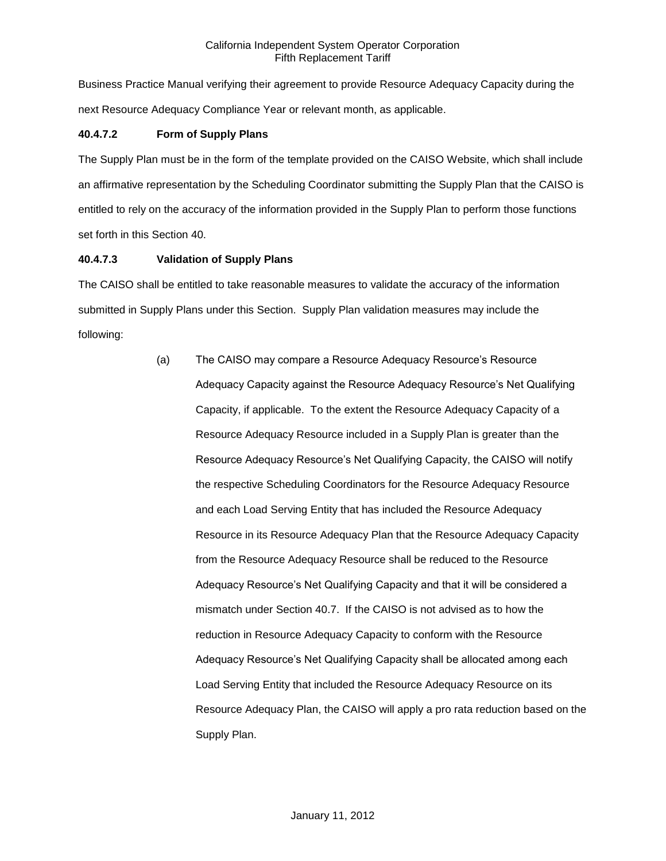Business Practice Manual verifying their agreement to provide Resource Adequacy Capacity during the next Resource Adequacy Compliance Year or relevant month, as applicable.

## **40.4.7.2 Form of Supply Plans**

The Supply Plan must be in the form of the template provided on the CAISO Website, which shall include an affirmative representation by the Scheduling Coordinator submitting the Supply Plan that the CAISO is entitled to rely on the accuracy of the information provided in the Supply Plan to perform those functions set forth in this Section 40.

## **40.4.7.3 Validation of Supply Plans**

The CAISO shall be entitled to take reasonable measures to validate the accuracy of the information submitted in Supply Plans under this Section. Supply Plan validation measures may include the following:

> (a) The CAISO may compare a Resource Adequacy Resource's Resource Adequacy Capacity against the Resource Adequacy Resource's Net Qualifying Capacity, if applicable. To the extent the Resource Adequacy Capacity of a Resource Adequacy Resource included in a Supply Plan is greater than the Resource Adequacy Resource's Net Qualifying Capacity, the CAISO will notify the respective Scheduling Coordinators for the Resource Adequacy Resource and each Load Serving Entity that has included the Resource Adequacy Resource in its Resource Adequacy Plan that the Resource Adequacy Capacity from the Resource Adequacy Resource shall be reduced to the Resource Adequacy Resource's Net Qualifying Capacity and that it will be considered a mismatch under Section 40.7. If the CAISO is not advised as to how the reduction in Resource Adequacy Capacity to conform with the Resource Adequacy Resource's Net Qualifying Capacity shall be allocated among each Load Serving Entity that included the Resource Adequacy Resource on its Resource Adequacy Plan, the CAISO will apply a pro rata reduction based on the Supply Plan.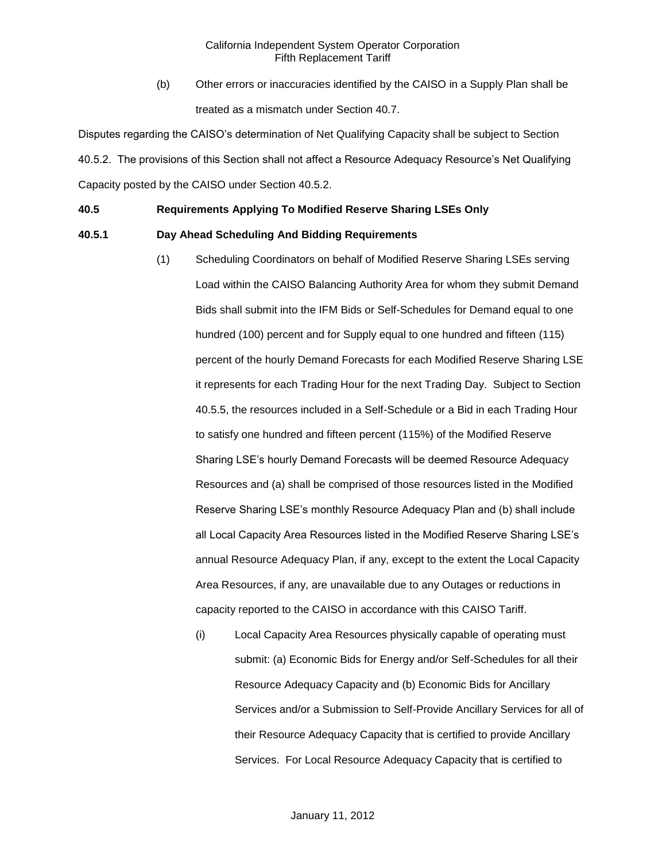(b) Other errors or inaccuracies identified by the CAISO in a Supply Plan shall be treated as a mismatch under Section 40.7.

Disputes regarding the CAISO's determination of Net Qualifying Capacity shall be subject to Section 40.5.2. The provisions of this Section shall not affect a Resource Adequacy Resource's Net Qualifying Capacity posted by the CAISO under Section 40.5.2.

### **40.5 Requirements Applying To Modified Reserve Sharing LSEs Only**

### **40.5.1 Day Ahead Scheduling And Bidding Requirements**

- (1) Scheduling Coordinators on behalf of Modified Reserve Sharing LSEs serving Load within the CAISO Balancing Authority Area for whom they submit Demand Bids shall submit into the IFM Bids or Self-Schedules for Demand equal to one hundred (100) percent and for Supply equal to one hundred and fifteen (115) percent of the hourly Demand Forecasts for each Modified Reserve Sharing LSE it represents for each Trading Hour for the next Trading Day. Subject to Section 40.5.5, the resources included in a Self-Schedule or a Bid in each Trading Hour to satisfy one hundred and fifteen percent (115%) of the Modified Reserve Sharing LSE's hourly Demand Forecasts will be deemed Resource Adequacy Resources and (a) shall be comprised of those resources listed in the Modified Reserve Sharing LSE's monthly Resource Adequacy Plan and (b) shall include all Local Capacity Area Resources listed in the Modified Reserve Sharing LSE's annual Resource Adequacy Plan, if any, except to the extent the Local Capacity Area Resources, if any, are unavailable due to any Outages or reductions in capacity reported to the CAISO in accordance with this CAISO Tariff.
	- (i) Local Capacity Area Resources physically capable of operating must submit: (a) Economic Bids for Energy and/or Self-Schedules for all their Resource Adequacy Capacity and (b) Economic Bids for Ancillary Services and/or a Submission to Self-Provide Ancillary Services for all of their Resource Adequacy Capacity that is certified to provide Ancillary Services. For Local Resource Adequacy Capacity that is certified to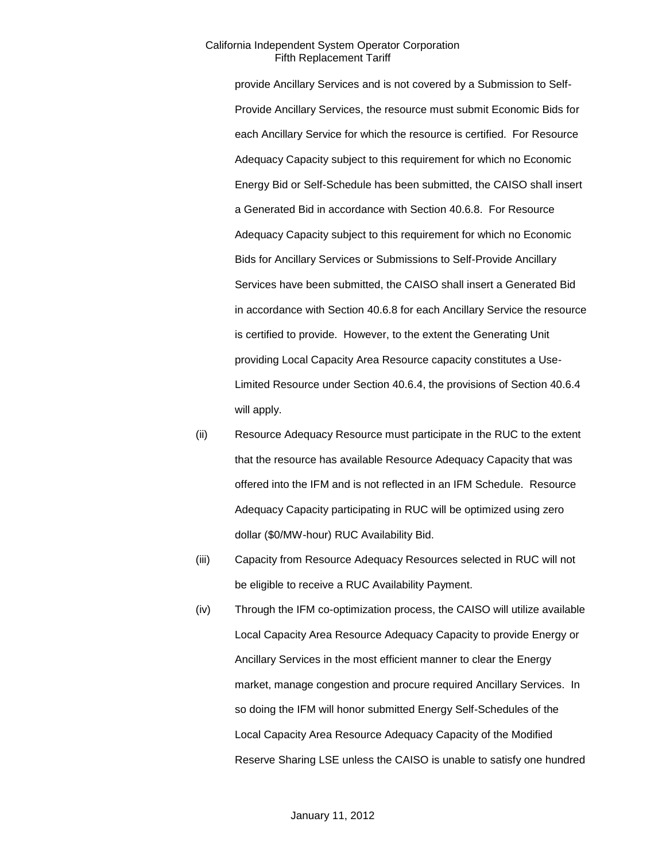provide Ancillary Services and is not covered by a Submission to Self-Provide Ancillary Services, the resource must submit Economic Bids for each Ancillary Service for which the resource is certified. For Resource Adequacy Capacity subject to this requirement for which no Economic Energy Bid or Self-Schedule has been submitted, the CAISO shall insert a Generated Bid in accordance with Section 40.6.8. For Resource Adequacy Capacity subject to this requirement for which no Economic Bids for Ancillary Services or Submissions to Self-Provide Ancillary Services have been submitted, the CAISO shall insert a Generated Bid in accordance with Section 40.6.8 for each Ancillary Service the resource is certified to provide. However, to the extent the Generating Unit providing Local Capacity Area Resource capacity constitutes a Use-Limited Resource under Section 40.6.4, the provisions of Section 40.6.4 will apply.

- (ii) Resource Adequacy Resource must participate in the RUC to the extent that the resource has available Resource Adequacy Capacity that was offered into the IFM and is not reflected in an IFM Schedule. Resource Adequacy Capacity participating in RUC will be optimized using zero dollar (\$0/MW-hour) RUC Availability Bid.
- (iii) Capacity from Resource Adequacy Resources selected in RUC will not be eligible to receive a RUC Availability Payment.
- (iv) Through the IFM co-optimization process, the CAISO will utilize available Local Capacity Area Resource Adequacy Capacity to provide Energy or Ancillary Services in the most efficient manner to clear the Energy market, manage congestion and procure required Ancillary Services. In so doing the IFM will honor submitted Energy Self-Schedules of the Local Capacity Area Resource Adequacy Capacity of the Modified Reserve Sharing LSE unless the CAISO is unable to satisfy one hundred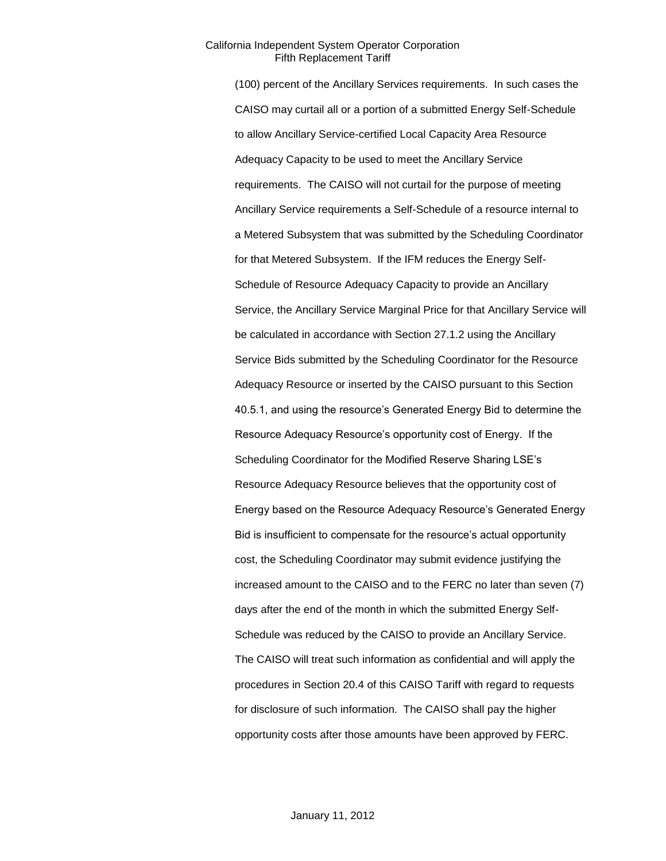(100) percent of the Ancillary Services requirements. In such cases the CAISO may curtail all or a portion of a submitted Energy Self-Schedule to allow Ancillary Service-certified Local Capacity Area Resource Adequacy Capacity to be used to meet the Ancillary Service requirements. The CAISO will not curtail for the purpose of meeting Ancillary Service requirements a Self-Schedule of a resource internal to a Metered Subsystem that was submitted by the Scheduling Coordinator for that Metered Subsystem. If the IFM reduces the Energy Self-Schedule of Resource Adequacy Capacity to provide an Ancillary Service, the Ancillary Service Marginal Price for that Ancillary Service will be calculated in accordance with Section 27.1.2 using the Ancillary Service Bids submitted by the Scheduling Coordinator for the Resource Adequacy Resource or inserted by the CAISO pursuant to this Section 40.5.1, and using the resource's Generated Energy Bid to determine the Resource Adequacy Resource's opportunity cost of Energy. If the Scheduling Coordinator for the Modified Reserve Sharing LSE's Resource Adequacy Resource believes that the opportunity cost of Energy based on the Resource Adequacy Resource's Generated Energy Bid is insufficient to compensate for the resource's actual opportunity cost, the Scheduling Coordinator may submit evidence justifying the increased amount to the CAISO and to the FERC no later than seven (7) days after the end of the month in which the submitted Energy Self-Schedule was reduced by the CAISO to provide an Ancillary Service. The CAISO will treat such information as confidential and will apply the procedures in Section 20.4 of this CAISO Tariff with regard to requests for disclosure of such information. The CAISO shall pay the higher opportunity costs after those amounts have been approved by FERC.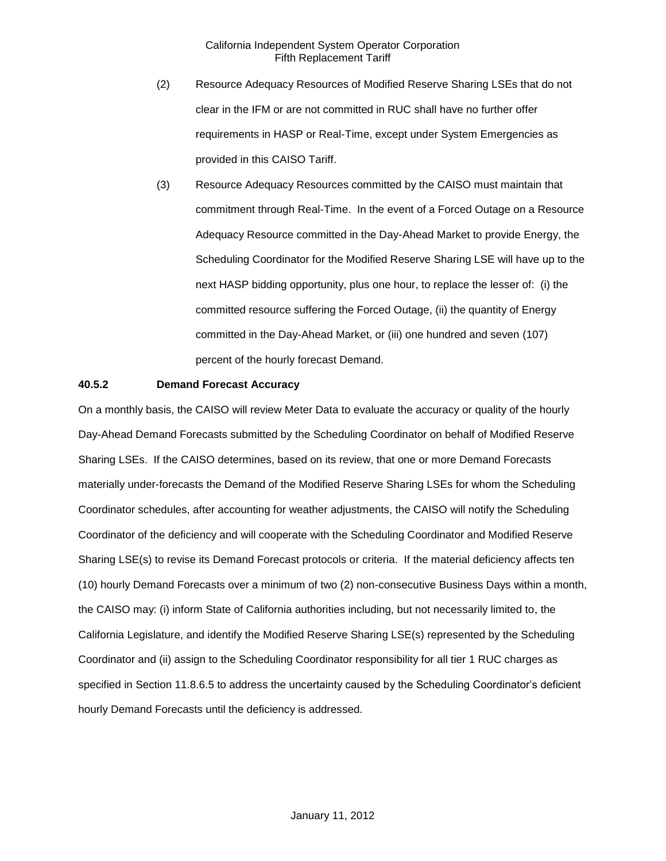- (2) Resource Adequacy Resources of Modified Reserve Sharing LSEs that do not clear in the IFM or are not committed in RUC shall have no further offer requirements in HASP or Real-Time, except under System Emergencies as provided in this CAISO Tariff.
- (3) Resource Adequacy Resources committed by the CAISO must maintain that commitment through Real-Time. In the event of a Forced Outage on a Resource Adequacy Resource committed in the Day-Ahead Market to provide Energy, the Scheduling Coordinator for the Modified Reserve Sharing LSE will have up to the next HASP bidding opportunity, plus one hour, to replace the lesser of: (i) the committed resource suffering the Forced Outage, (ii) the quantity of Energy committed in the Day-Ahead Market, or (iii) one hundred and seven (107) percent of the hourly forecast Demand.

### **40.5.2 Demand Forecast Accuracy**

On a monthly basis, the CAISO will review Meter Data to evaluate the accuracy or quality of the hourly Day-Ahead Demand Forecasts submitted by the Scheduling Coordinator on behalf of Modified Reserve Sharing LSEs. If the CAISO determines, based on its review, that one or more Demand Forecasts materially under-forecasts the Demand of the Modified Reserve Sharing LSEs for whom the Scheduling Coordinator schedules, after accounting for weather adjustments, the CAISO will notify the Scheduling Coordinator of the deficiency and will cooperate with the Scheduling Coordinator and Modified Reserve Sharing LSE(s) to revise its Demand Forecast protocols or criteria. If the material deficiency affects ten (10) hourly Demand Forecasts over a minimum of two (2) non-consecutive Business Days within a month, the CAISO may: (i) inform State of California authorities including, but not necessarily limited to, the California Legislature, and identify the Modified Reserve Sharing LSE(s) represented by the Scheduling Coordinator and (ii) assign to the Scheduling Coordinator responsibility for all tier 1 RUC charges as specified in Section 11.8.6.5 to address the uncertainty caused by the Scheduling Coordinator's deficient hourly Demand Forecasts until the deficiency is addressed.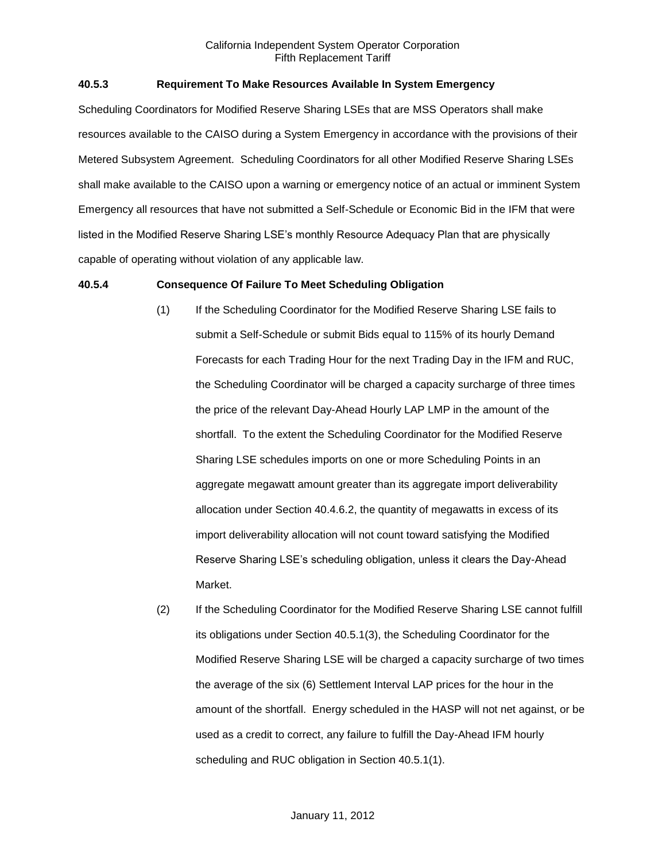### **40.5.3 Requirement To Make Resources Available In System Emergency**

Scheduling Coordinators for Modified Reserve Sharing LSEs that are MSS Operators shall make resources available to the CAISO during a System Emergency in accordance with the provisions of their Metered Subsystem Agreement. Scheduling Coordinators for all other Modified Reserve Sharing LSEs shall make available to the CAISO upon a warning or emergency notice of an actual or imminent System Emergency all resources that have not submitted a Self-Schedule or Economic Bid in the IFM that were listed in the Modified Reserve Sharing LSE's monthly Resource Adequacy Plan that are physically capable of operating without violation of any applicable law.

#### **40.5.4 Consequence Of Failure To Meet Scheduling Obligation**

- (1) If the Scheduling Coordinator for the Modified Reserve Sharing LSE fails to submit a Self-Schedule or submit Bids equal to 115% of its hourly Demand Forecasts for each Trading Hour for the next Trading Day in the IFM and RUC, the Scheduling Coordinator will be charged a capacity surcharge of three times the price of the relevant Day-Ahead Hourly LAP LMP in the amount of the shortfall. To the extent the Scheduling Coordinator for the Modified Reserve Sharing LSE schedules imports on one or more Scheduling Points in an aggregate megawatt amount greater than its aggregate import deliverability allocation under Section 40.4.6.2, the quantity of megawatts in excess of its import deliverability allocation will not count toward satisfying the Modified Reserve Sharing LSE's scheduling obligation, unless it clears the Day-Ahead Market.
- (2) If the Scheduling Coordinator for the Modified Reserve Sharing LSE cannot fulfill its obligations under Section 40.5.1(3), the Scheduling Coordinator for the Modified Reserve Sharing LSE will be charged a capacity surcharge of two times the average of the six (6) Settlement Interval LAP prices for the hour in the amount of the shortfall. Energy scheduled in the HASP will not net against, or be used as a credit to correct, any failure to fulfill the Day-Ahead IFM hourly scheduling and RUC obligation in Section 40.5.1(1).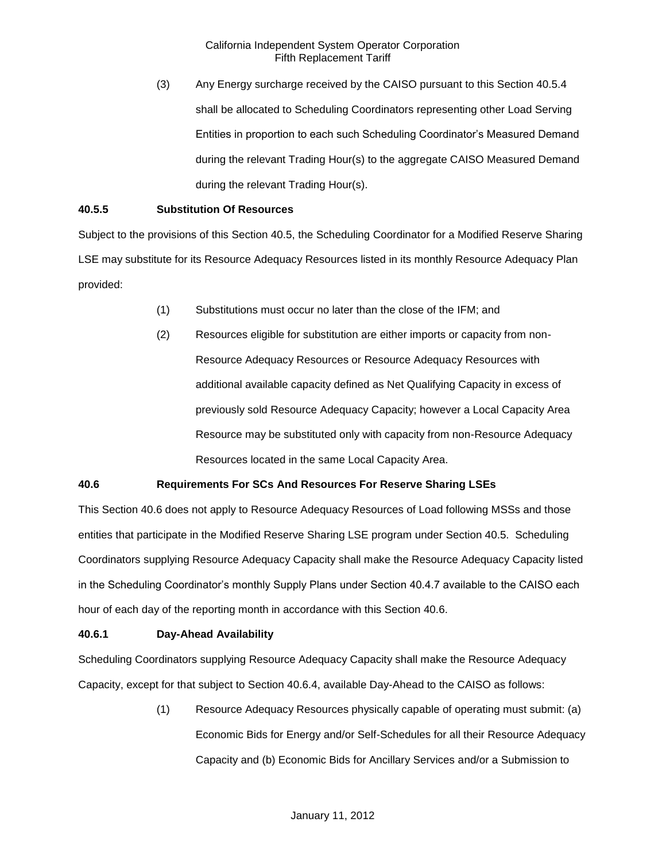(3) Any Energy surcharge received by the CAISO pursuant to this Section 40.5.4 shall be allocated to Scheduling Coordinators representing other Load Serving Entities in proportion to each such Scheduling Coordinator's Measured Demand during the relevant Trading Hour(s) to the aggregate CAISO Measured Demand during the relevant Trading Hour(s).

### **40.5.5 Substitution Of Resources**

Subject to the provisions of this Section 40.5, the Scheduling Coordinator for a Modified Reserve Sharing LSE may substitute for its Resource Adequacy Resources listed in its monthly Resource Adequacy Plan provided:

- (1) Substitutions must occur no later than the close of the IFM; and
- (2) Resources eligible for substitution are either imports or capacity from non-Resource Adequacy Resources or Resource Adequacy Resources with additional available capacity defined as Net Qualifying Capacity in excess of previously sold Resource Adequacy Capacity; however a Local Capacity Area Resource may be substituted only with capacity from non-Resource Adequacy Resources located in the same Local Capacity Area.

## **40.6 Requirements For SCs And Resources For Reserve Sharing LSEs**

This Section 40.6 does not apply to Resource Adequacy Resources of Load following MSSs and those entities that participate in the Modified Reserve Sharing LSE program under Section 40.5. Scheduling Coordinators supplying Resource Adequacy Capacity shall make the Resource Adequacy Capacity listed in the Scheduling Coordinator's monthly Supply Plans under Section 40.4.7 available to the CAISO each hour of each day of the reporting month in accordance with this Section 40.6.

### **40.6.1 Day-Ahead Availability**

Scheduling Coordinators supplying Resource Adequacy Capacity shall make the Resource Adequacy Capacity, except for that subject to Section 40.6.4, available Day-Ahead to the CAISO as follows:

> (1) Resource Adequacy Resources physically capable of operating must submit: (a) Economic Bids for Energy and/or Self-Schedules for all their Resource Adequacy Capacity and (b) Economic Bids for Ancillary Services and/or a Submission to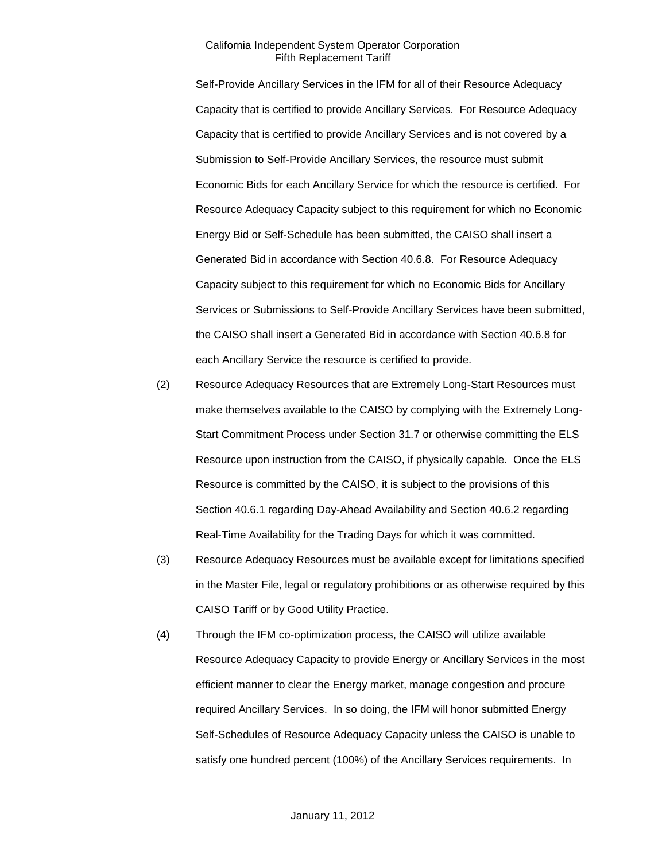Self-Provide Ancillary Services in the IFM for all of their Resource Adequacy Capacity that is certified to provide Ancillary Services. For Resource Adequacy Capacity that is certified to provide Ancillary Services and is not covered by a Submission to Self-Provide Ancillary Services, the resource must submit Economic Bids for each Ancillary Service for which the resource is certified. For Resource Adequacy Capacity subject to this requirement for which no Economic Energy Bid or Self-Schedule has been submitted, the CAISO shall insert a Generated Bid in accordance with Section 40.6.8. For Resource Adequacy Capacity subject to this requirement for which no Economic Bids for Ancillary Services or Submissions to Self-Provide Ancillary Services have been submitted, the CAISO shall insert a Generated Bid in accordance with Section 40.6.8 for each Ancillary Service the resource is certified to provide.

- (2) Resource Adequacy Resources that are Extremely Long-Start Resources must make themselves available to the CAISO by complying with the Extremely Long-Start Commitment Process under Section 31.7 or otherwise committing the ELS Resource upon instruction from the CAISO, if physically capable. Once the ELS Resource is committed by the CAISO, it is subject to the provisions of this Section 40.6.1 regarding Day-Ahead Availability and Section 40.6.2 regarding Real-Time Availability for the Trading Days for which it was committed.
- (3) Resource Adequacy Resources must be available except for limitations specified in the Master File, legal or regulatory prohibitions or as otherwise required by this CAISO Tariff or by Good Utility Practice.
- (4) Through the IFM co-optimization process, the CAISO will utilize available Resource Adequacy Capacity to provide Energy or Ancillary Services in the most efficient manner to clear the Energy market, manage congestion and procure required Ancillary Services. In so doing, the IFM will honor submitted Energy Self-Schedules of Resource Adequacy Capacity unless the CAISO is unable to satisfy one hundred percent (100%) of the Ancillary Services requirements. In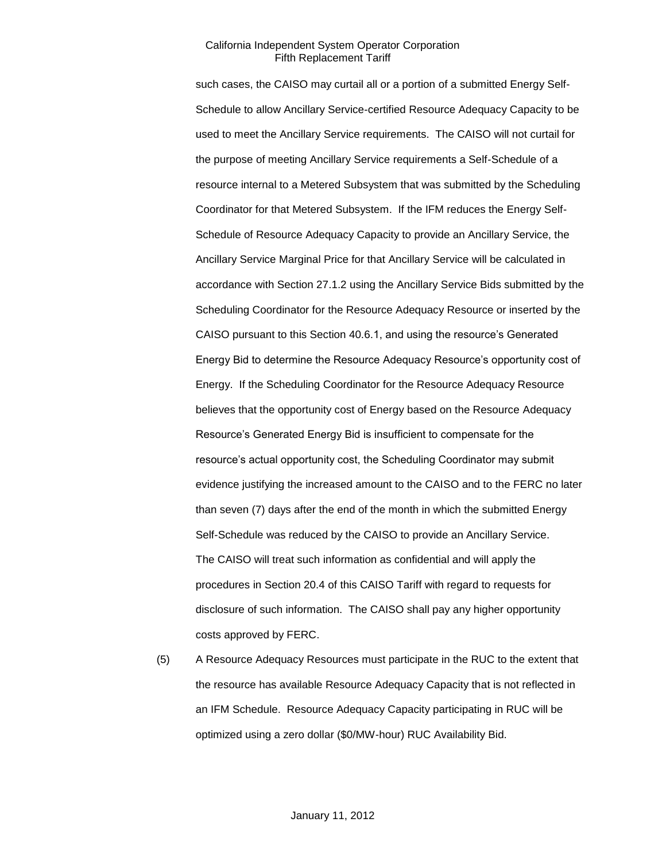such cases, the CAISO may curtail all or a portion of a submitted Energy Self-Schedule to allow Ancillary Service-certified Resource Adequacy Capacity to be used to meet the Ancillary Service requirements. The CAISO will not curtail for the purpose of meeting Ancillary Service requirements a Self-Schedule of a resource internal to a Metered Subsystem that was submitted by the Scheduling Coordinator for that Metered Subsystem. If the IFM reduces the Energy Self-Schedule of Resource Adequacy Capacity to provide an Ancillary Service, the Ancillary Service Marginal Price for that Ancillary Service will be calculated in accordance with Section 27.1.2 using the Ancillary Service Bids submitted by the Scheduling Coordinator for the Resource Adequacy Resource or inserted by the CAISO pursuant to this Section 40.6.1, and using the resource's Generated Energy Bid to determine the Resource Adequacy Resource's opportunity cost of Energy. If the Scheduling Coordinator for the Resource Adequacy Resource believes that the opportunity cost of Energy based on the Resource Adequacy Resource's Generated Energy Bid is insufficient to compensate for the resource's actual opportunity cost, the Scheduling Coordinator may submit evidence justifying the increased amount to the CAISO and to the FERC no later than seven (7) days after the end of the month in which the submitted Energy Self-Schedule was reduced by the CAISO to provide an Ancillary Service. The CAISO will treat such information as confidential and will apply the procedures in Section 20.4 of this CAISO Tariff with regard to requests for disclosure of such information. The CAISO shall pay any higher opportunity costs approved by FERC.

(5) A Resource Adequacy Resources must participate in the RUC to the extent that the resource has available Resource Adequacy Capacity that is not reflected in an IFM Schedule. Resource Adequacy Capacity participating in RUC will be optimized using a zero dollar (\$0/MW-hour) RUC Availability Bid.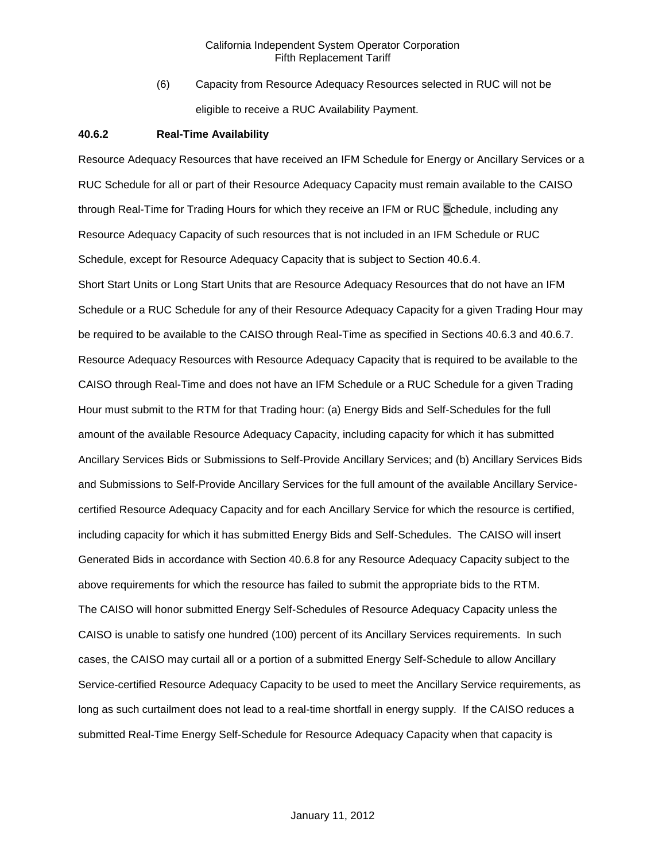(6) Capacity from Resource Adequacy Resources selected in RUC will not be eligible to receive a RUC Availability Payment.

#### **40.6.2 Real-Time Availability**

Resource Adequacy Resources that have received an IFM Schedule for Energy or Ancillary Services or a RUC Schedule for all or part of their Resource Adequacy Capacity must remain available to the CAISO through Real-Time for Trading Hours for which they receive an IFM or RUC Schedule, including any Resource Adequacy Capacity of such resources that is not included in an IFM Schedule or RUC Schedule, except for Resource Adequacy Capacity that is subject to Section 40.6.4.

Short Start Units or Long Start Units that are Resource Adequacy Resources that do not have an IFM Schedule or a RUC Schedule for any of their Resource Adequacy Capacity for a given Trading Hour may be required to be available to the CAISO through Real-Time as specified in Sections 40.6.3 and 40.6.7. Resource Adequacy Resources with Resource Adequacy Capacity that is required to be available to the CAISO through Real-Time and does not have an IFM Schedule or a RUC Schedule for a given Trading Hour must submit to the RTM for that Trading hour: (a) Energy Bids and Self-Schedules for the full amount of the available Resource Adequacy Capacity, including capacity for which it has submitted Ancillary Services Bids or Submissions to Self-Provide Ancillary Services; and (b) Ancillary Services Bids and Submissions to Self-Provide Ancillary Services for the full amount of the available Ancillary Servicecertified Resource Adequacy Capacity and for each Ancillary Service for which the resource is certified, including capacity for which it has submitted Energy Bids and Self-Schedules. The CAISO will insert Generated Bids in accordance with Section 40.6.8 for any Resource Adequacy Capacity subject to the above requirements for which the resource has failed to submit the appropriate bids to the RTM. The CAISO will honor submitted Energy Self-Schedules of Resource Adequacy Capacity unless the CAISO is unable to satisfy one hundred (100) percent of its Ancillary Services requirements. In such cases, the CAISO may curtail all or a portion of a submitted Energy Self-Schedule to allow Ancillary Service-certified Resource Adequacy Capacity to be used to meet the Ancillary Service requirements, as long as such curtailment does not lead to a real-time shortfall in energy supply. If the CAISO reduces a submitted Real-Time Energy Self-Schedule for Resource Adequacy Capacity when that capacity is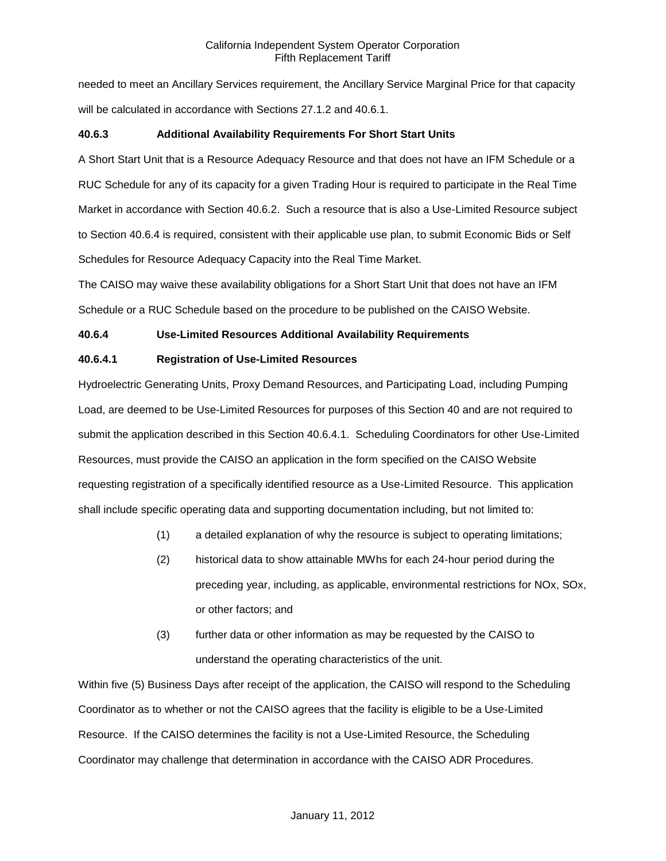needed to meet an Ancillary Services requirement, the Ancillary Service Marginal Price for that capacity will be calculated in accordance with Sections 27.1.2 and 40.6.1.

### **40.6.3 Additional Availability Requirements For Short Start Units**

A Short Start Unit that is a Resource Adequacy Resource and that does not have an IFM Schedule or a RUC Schedule for any of its capacity for a given Trading Hour is required to participate in the Real Time Market in accordance with Section 40.6.2. Such a resource that is also a Use-Limited Resource subject to Section 40.6.4 is required, consistent with their applicable use plan, to submit Economic Bids or Self Schedules for Resource Adequacy Capacity into the Real Time Market.

The CAISO may waive these availability obligations for a Short Start Unit that does not have an IFM Schedule or a RUC Schedule based on the procedure to be published on the CAISO Website.

### **40.6.4 Use-Limited Resources Additional Availability Requirements**

### **40.6.4.1 Registration of Use-Limited Resources**

Hydroelectric Generating Units, Proxy Demand Resources, and Participating Load, including Pumping Load, are deemed to be Use-Limited Resources for purposes of this Section 40 and are not required to submit the application described in this Section 40.6.4.1. Scheduling Coordinators for other Use-Limited Resources, must provide the CAISO an application in the form specified on the CAISO Website requesting registration of a specifically identified resource as a Use-Limited Resource. This application shall include specific operating data and supporting documentation including, but not limited to:

- (1) a detailed explanation of why the resource is subject to operating limitations;
- (2) historical data to show attainable MWhs for each 24-hour period during the preceding year, including, as applicable, environmental restrictions for NOx, SOx, or other factors; and
- (3) further data or other information as may be requested by the CAISO to understand the operating characteristics of the unit.

Within five (5) Business Days after receipt of the application, the CAISO will respond to the Scheduling Coordinator as to whether or not the CAISO agrees that the facility is eligible to be a Use-Limited Resource. If the CAISO determines the facility is not a Use-Limited Resource, the Scheduling Coordinator may challenge that determination in accordance with the CAISO ADR Procedures.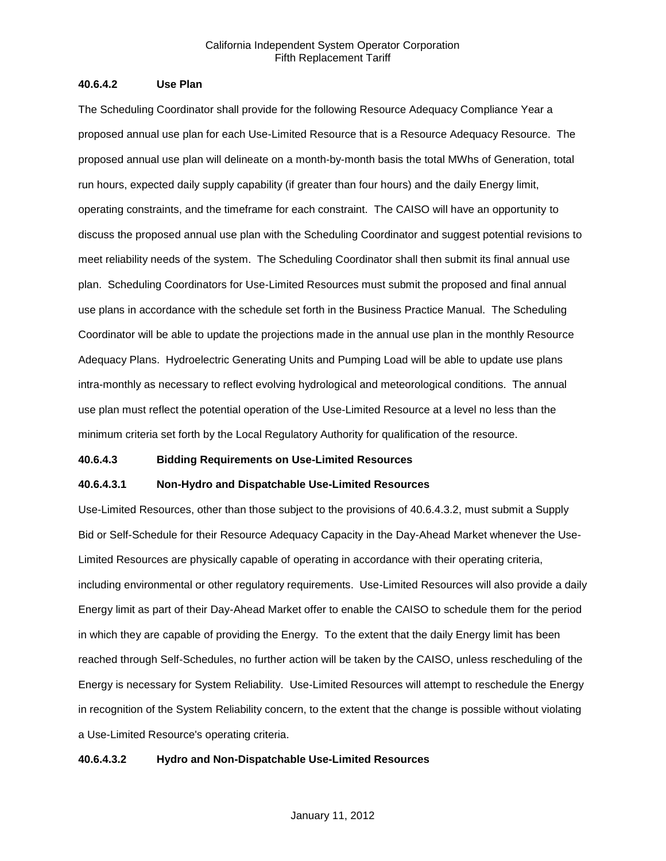### **40.6.4.2 Use Plan**

The Scheduling Coordinator shall provide for the following Resource Adequacy Compliance Year a proposed annual use plan for each Use-Limited Resource that is a Resource Adequacy Resource. The proposed annual use plan will delineate on a month-by-month basis the total MWhs of Generation, total run hours, expected daily supply capability (if greater than four hours) and the daily Energy limit, operating constraints, and the timeframe for each constraint. The CAISO will have an opportunity to discuss the proposed annual use plan with the Scheduling Coordinator and suggest potential revisions to meet reliability needs of the system. The Scheduling Coordinator shall then submit its final annual use plan. Scheduling Coordinators for Use-Limited Resources must submit the proposed and final annual use plans in accordance with the schedule set forth in the Business Practice Manual. The Scheduling Coordinator will be able to update the projections made in the annual use plan in the monthly Resource Adequacy Plans. Hydroelectric Generating Units and Pumping Load will be able to update use plans intra-monthly as necessary to reflect evolving hydrological and meteorological conditions. The annual use plan must reflect the potential operation of the Use-Limited Resource at a level no less than the minimum criteria set forth by the Local Regulatory Authority for qualification of the resource.

#### **40.6.4.3 Bidding Requirements on Use-Limited Resources**

### **40.6.4.3.1 Non-Hydro and Dispatchable Use-Limited Resources**

Use-Limited Resources, other than those subject to the provisions of 40.6.4.3.2, must submit a Supply Bid or Self-Schedule for their Resource Adequacy Capacity in the Day-Ahead Market whenever the Use-Limited Resources are physically capable of operating in accordance with their operating criteria, including environmental or other regulatory requirements. Use-Limited Resources will also provide a daily Energy limit as part of their Day-Ahead Market offer to enable the CAISO to schedule them for the period in which they are capable of providing the Energy. To the extent that the daily Energy limit has been reached through Self-Schedules, no further action will be taken by the CAISO, unless rescheduling of the Energy is necessary for System Reliability. Use-Limited Resources will attempt to reschedule the Energy in recognition of the System Reliability concern, to the extent that the change is possible without violating a Use-Limited Resource's operating criteria.

### **40.6.4.3.2 Hydro and Non-Dispatchable Use-Limited Resources**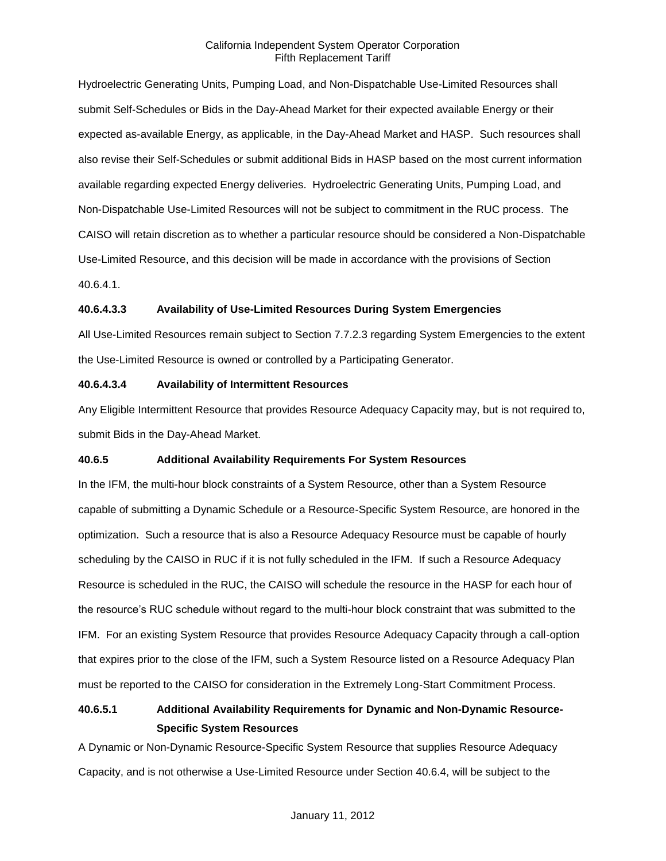Hydroelectric Generating Units, Pumping Load, and Non-Dispatchable Use-Limited Resources shall submit Self-Schedules or Bids in the Day-Ahead Market for their expected available Energy or their expected as-available Energy, as applicable, in the Day-Ahead Market and HASP. Such resources shall also revise their Self-Schedules or submit additional Bids in HASP based on the most current information available regarding expected Energy deliveries. Hydroelectric Generating Units, Pumping Load, and Non-Dispatchable Use-Limited Resources will not be subject to commitment in the RUC process. The CAISO will retain discretion as to whether a particular resource should be considered a Non-Dispatchable Use-Limited Resource, and this decision will be made in accordance with the provisions of Section 40.6.4.1.

### **40.6.4.3.3 Availability of Use-Limited Resources During System Emergencies**

All Use-Limited Resources remain subject to Section 7.7.2.3 regarding System Emergencies to the extent the Use-Limited Resource is owned or controlled by a Participating Generator.

### **40.6.4.3.4 Availability of Intermittent Resources**

Any Eligible Intermittent Resource that provides Resource Adequacy Capacity may, but is not required to, submit Bids in the Day-Ahead Market.

### **40.6.5 Additional Availability Requirements For System Resources**

In the IFM, the multi-hour block constraints of a System Resource, other than a System Resource capable of submitting a Dynamic Schedule or a Resource-Specific System Resource, are honored in the optimization. Such a resource that is also a Resource Adequacy Resource must be capable of hourly scheduling by the CAISO in RUC if it is not fully scheduled in the IFM. If such a Resource Adequacy Resource is scheduled in the RUC, the CAISO will schedule the resource in the HASP for each hour of the resource's RUC schedule without regard to the multi-hour block constraint that was submitted to the IFM. For an existing System Resource that provides Resource Adequacy Capacity through a call-option that expires prior to the close of the IFM, such a System Resource listed on a Resource Adequacy Plan must be reported to the CAISO for consideration in the Extremely Long-Start Commitment Process.

# **40.6.5.1 Additional Availability Requirements for Dynamic and Non-Dynamic Resource-Specific System Resources**

A Dynamic or Non-Dynamic Resource-Specific System Resource that supplies Resource Adequacy Capacity, and is not otherwise a Use-Limited Resource under Section 40.6.4, will be subject to the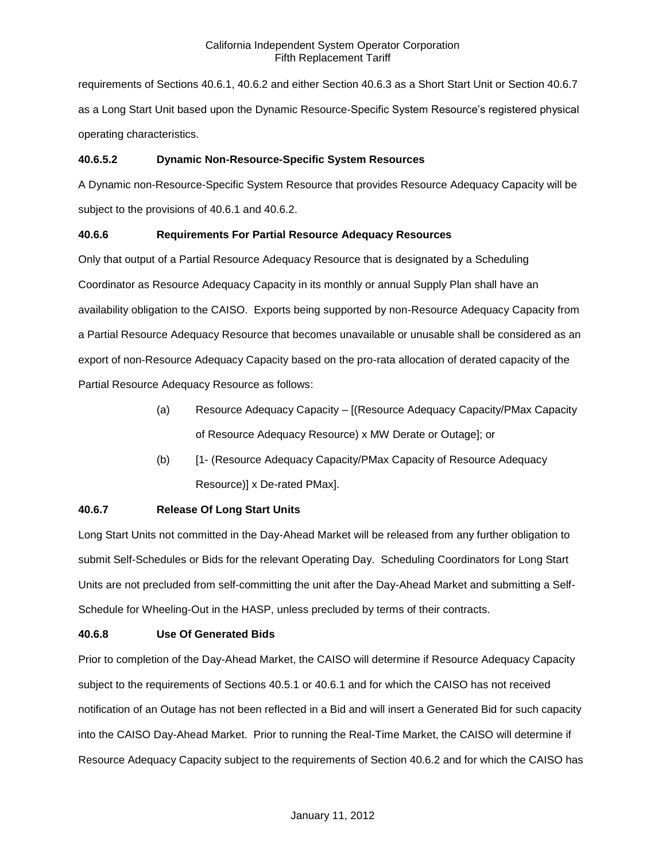requirements of Sections 40.6.1, 40.6.2 and either Section 40.6.3 as a Short Start Unit or Section 40.6.7 as a Long Start Unit based upon the Dynamic Resource-Specific System Resource's registered physical operating characteristics.

### **40.6.5.2 Dynamic Non-Resource-Specific System Resources**

A Dynamic non-Resource-Specific System Resource that provides Resource Adequacy Capacity will be subject to the provisions of 40.6.1 and 40.6.2.

### **40.6.6 Requirements For Partial Resource Adequacy Resources**

Only that output of a Partial Resource Adequacy Resource that is designated by a Scheduling Coordinator as Resource Adequacy Capacity in its monthly or annual Supply Plan shall have an availability obligation to the CAISO. Exports being supported by non-Resource Adequacy Capacity from a Partial Resource Adequacy Resource that becomes unavailable or unusable shall be considered as an export of non-Resource Adequacy Capacity based on the pro-rata allocation of derated capacity of the Partial Resource Adequacy Resource as follows:

- (a) Resource Adequacy Capacity [(Resource Adequacy Capacity/PMax Capacity of Resource Adequacy Resource) x MW Derate or Outage]; or
- (b) [1- (Resource Adequacy Capacity/PMax Capacity of Resource Adequacy Resource)] x De-rated PMax].

# **40.6.7 Release Of Long Start Units**

Long Start Units not committed in the Day-Ahead Market will be released from any further obligation to submit Self-Schedules or Bids for the relevant Operating Day. Scheduling Coordinators for Long Start Units are not precluded from self-committing the unit after the Day-Ahead Market and submitting a Self-Schedule for Wheeling-Out in the HASP, unless precluded by terms of their contracts.

# **40.6.8 Use Of Generated Bids**

Prior to completion of the Day-Ahead Market, the CAISO will determine if Resource Adequacy Capacity subject to the requirements of Sections 40.5.1 or 40.6.1 and for which the CAISO has not received notification of an Outage has not been reflected in a Bid and will insert a Generated Bid for such capacity into the CAISO Day-Ahead Market. Prior to running the Real-Time Market, the CAISO will determine if Resource Adequacy Capacity subject to the requirements of Section 40.6.2 and for which the CAISO has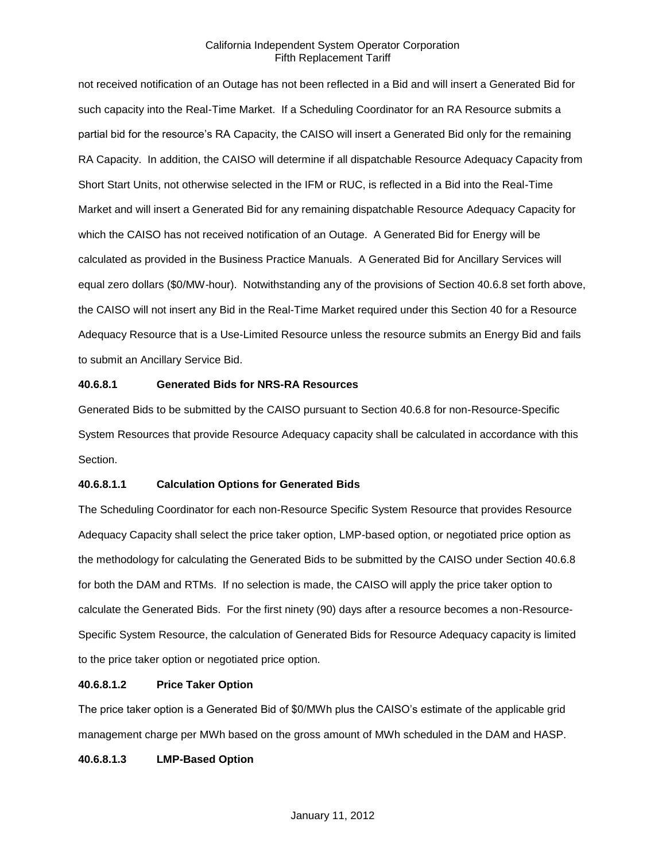not received notification of an Outage has not been reflected in a Bid and will insert a Generated Bid for such capacity into the Real-Time Market. If a Scheduling Coordinator for an RA Resource submits a partial bid for the resource's RA Capacity, the CAISO will insert a Generated Bid only for the remaining RA Capacity. In addition, the CAISO will determine if all dispatchable Resource Adequacy Capacity from Short Start Units, not otherwise selected in the IFM or RUC, is reflected in a Bid into the Real-Time Market and will insert a Generated Bid for any remaining dispatchable Resource Adequacy Capacity for which the CAISO has not received notification of an Outage. A Generated Bid for Energy will be calculated as provided in the Business Practice Manuals. A Generated Bid for Ancillary Services will equal zero dollars (\$0/MW-hour). Notwithstanding any of the provisions of Section 40.6.8 set forth above, the CAISO will not insert any Bid in the Real-Time Market required under this Section 40 for a Resource Adequacy Resource that is a Use-Limited Resource unless the resource submits an Energy Bid and fails to submit an Ancillary Service Bid.

#### **40.6.8.1 Generated Bids for NRS-RA Resources**

Generated Bids to be submitted by the CAISO pursuant to Section 40.6.8 for non-Resource-Specific System Resources that provide Resource Adequacy capacity shall be calculated in accordance with this Section.

### **40.6.8.1.1 Calculation Options for Generated Bids**

The Scheduling Coordinator for each non-Resource Specific System Resource that provides Resource Adequacy Capacity shall select the price taker option, LMP-based option, or negotiated price option as the methodology for calculating the Generated Bids to be submitted by the CAISO under Section 40.6.8 for both the DAM and RTMs. If no selection is made, the CAISO will apply the price taker option to calculate the Generated Bids. For the first ninety (90) days after a resource becomes a non-Resource-Specific System Resource, the calculation of Generated Bids for Resource Adequacy capacity is limited to the price taker option or negotiated price option.

### **40.6.8.1.2 Price Taker Option**

The price taker option is a Generated Bid of \$0/MWh plus the CAISO's estimate of the applicable grid management charge per MWh based on the gross amount of MWh scheduled in the DAM and HASP.

### **40.6.8.1.3 LMP-Based Option**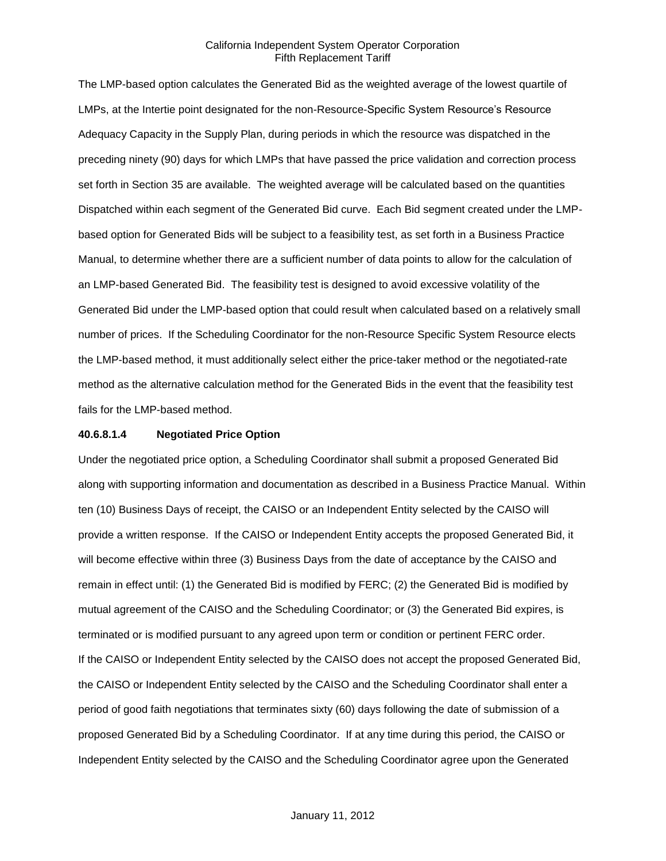The LMP-based option calculates the Generated Bid as the weighted average of the lowest quartile of LMPs, at the Intertie point designated for the non-Resource-Specific System Resource's Resource Adequacy Capacity in the Supply Plan, during periods in which the resource was dispatched in the preceding ninety (90) days for which LMPs that have passed the price validation and correction process set forth in Section 35 are available. The weighted average will be calculated based on the quantities Dispatched within each segment of the Generated Bid curve. Each Bid segment created under the LMPbased option for Generated Bids will be subject to a feasibility test, as set forth in a Business Practice Manual, to determine whether there are a sufficient number of data points to allow for the calculation of an LMP-based Generated Bid. The feasibility test is designed to avoid excessive volatility of the Generated Bid under the LMP-based option that could result when calculated based on a relatively small number of prices. If the Scheduling Coordinator for the non-Resource Specific System Resource elects the LMP-based method, it must additionally select either the price-taker method or the negotiated-rate method as the alternative calculation method for the Generated Bids in the event that the feasibility test fails for the LMP-based method.

#### **40.6.8.1.4 Negotiated Price Option**

Under the negotiated price option, a Scheduling Coordinator shall submit a proposed Generated Bid along with supporting information and documentation as described in a Business Practice Manual. Within ten (10) Business Days of receipt, the CAISO or an Independent Entity selected by the CAISO will provide a written response. If the CAISO or Independent Entity accepts the proposed Generated Bid, it will become effective within three (3) Business Days from the date of acceptance by the CAISO and remain in effect until: (1) the Generated Bid is modified by FERC; (2) the Generated Bid is modified by mutual agreement of the CAISO and the Scheduling Coordinator; or (3) the Generated Bid expires, is terminated or is modified pursuant to any agreed upon term or condition or pertinent FERC order. If the CAISO or Independent Entity selected by the CAISO does not accept the proposed Generated Bid, the CAISO or Independent Entity selected by the CAISO and the Scheduling Coordinator shall enter a period of good faith negotiations that terminates sixty (60) days following the date of submission of a proposed Generated Bid by a Scheduling Coordinator. If at any time during this period, the CAISO or Independent Entity selected by the CAISO and the Scheduling Coordinator agree upon the Generated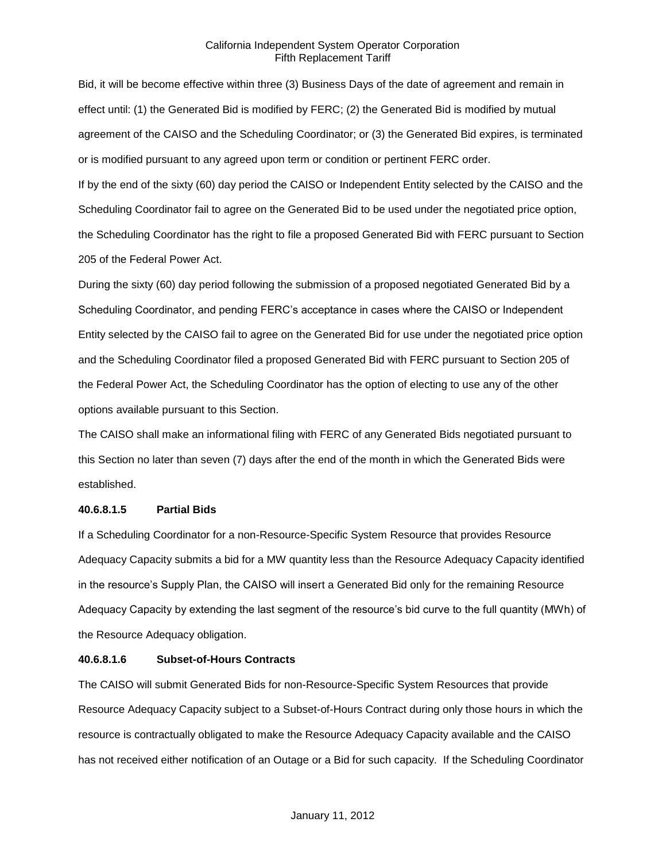Bid, it will be become effective within three (3) Business Days of the date of agreement and remain in effect until: (1) the Generated Bid is modified by FERC; (2) the Generated Bid is modified by mutual agreement of the CAISO and the Scheduling Coordinator; or (3) the Generated Bid expires, is terminated or is modified pursuant to any agreed upon term or condition or pertinent FERC order.

If by the end of the sixty (60) day period the CAISO or Independent Entity selected by the CAISO and the Scheduling Coordinator fail to agree on the Generated Bid to be used under the negotiated price option, the Scheduling Coordinator has the right to file a proposed Generated Bid with FERC pursuant to Section 205 of the Federal Power Act.

During the sixty (60) day period following the submission of a proposed negotiated Generated Bid by a Scheduling Coordinator, and pending FERC's acceptance in cases where the CAISO or Independent Entity selected by the CAISO fail to agree on the Generated Bid for use under the negotiated price option and the Scheduling Coordinator filed a proposed Generated Bid with FERC pursuant to Section 205 of the Federal Power Act, the Scheduling Coordinator has the option of electing to use any of the other options available pursuant to this Section.

The CAISO shall make an informational filing with FERC of any Generated Bids negotiated pursuant to this Section no later than seven (7) days after the end of the month in which the Generated Bids were established.

### **40.6.8.1.5 Partial Bids**

If a Scheduling Coordinator for a non-Resource-Specific System Resource that provides Resource Adequacy Capacity submits a bid for a MW quantity less than the Resource Adequacy Capacity identified in the resource's Supply Plan, the CAISO will insert a Generated Bid only for the remaining Resource Adequacy Capacity by extending the last segment of the resource's bid curve to the full quantity (MWh) of the Resource Adequacy obligation.

#### **40.6.8.1.6 Subset-of-Hours Contracts**

The CAISO will submit Generated Bids for non-Resource-Specific System Resources that provide Resource Adequacy Capacity subject to a Subset-of-Hours Contract during only those hours in which the resource is contractually obligated to make the Resource Adequacy Capacity available and the CAISO has not received either notification of an Outage or a Bid for such capacity. If the Scheduling Coordinator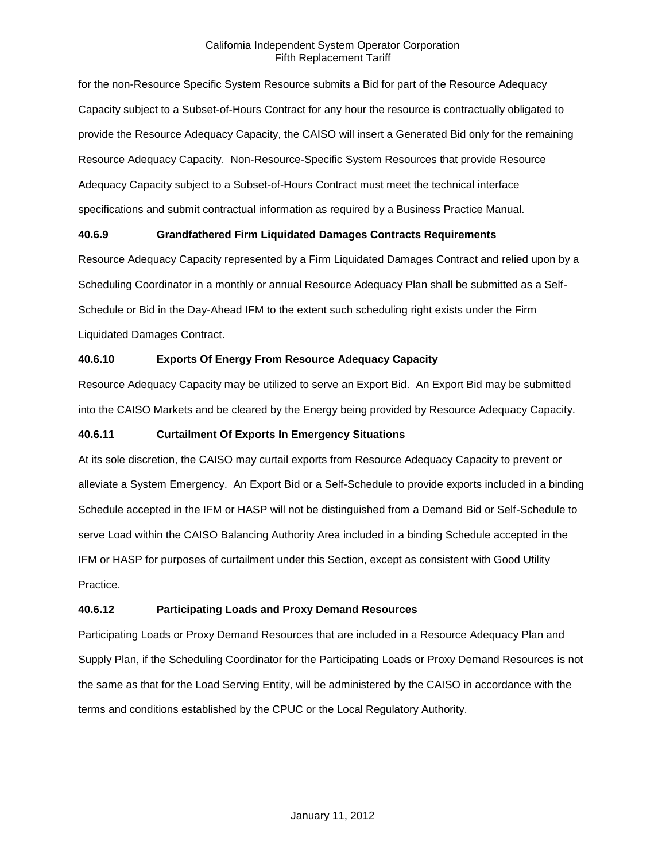for the non-Resource Specific System Resource submits a Bid for part of the Resource Adequacy Capacity subject to a Subset-of-Hours Contract for any hour the resource is contractually obligated to provide the Resource Adequacy Capacity, the CAISO will insert a Generated Bid only for the remaining Resource Adequacy Capacity. Non-Resource-Specific System Resources that provide Resource Adequacy Capacity subject to a Subset-of-Hours Contract must meet the technical interface specifications and submit contractual information as required by a Business Practice Manual.

## **40.6.9 Grandfathered Firm Liquidated Damages Contracts Requirements**

Resource Adequacy Capacity represented by a Firm Liquidated Damages Contract and relied upon by a Scheduling Coordinator in a monthly or annual Resource Adequacy Plan shall be submitted as a Self-Schedule or Bid in the Day-Ahead IFM to the extent such scheduling right exists under the Firm Liquidated Damages Contract.

# **40.6.10 Exports Of Energy From Resource Adequacy Capacity**

Resource Adequacy Capacity may be utilized to serve an Export Bid. An Export Bid may be submitted into the CAISO Markets and be cleared by the Energy being provided by Resource Adequacy Capacity.

# **40.6.11 Curtailment Of Exports In Emergency Situations**

At its sole discretion, the CAISO may curtail exports from Resource Adequacy Capacity to prevent or alleviate a System Emergency. An Export Bid or a Self-Schedule to provide exports included in a binding Schedule accepted in the IFM or HASP will not be distinguished from a Demand Bid or Self-Schedule to serve Load within the CAISO Balancing Authority Area included in a binding Schedule accepted in the IFM or HASP for purposes of curtailment under this Section, except as consistent with Good Utility Practice.

# **40.6.12 Participating Loads and Proxy Demand Resources**

Participating Loads or Proxy Demand Resources that are included in a Resource Adequacy Plan and Supply Plan, if the Scheduling Coordinator for the Participating Loads or Proxy Demand Resources is not the same as that for the Load Serving Entity, will be administered by the CAISO in accordance with the terms and conditions established by the CPUC or the Local Regulatory Authority.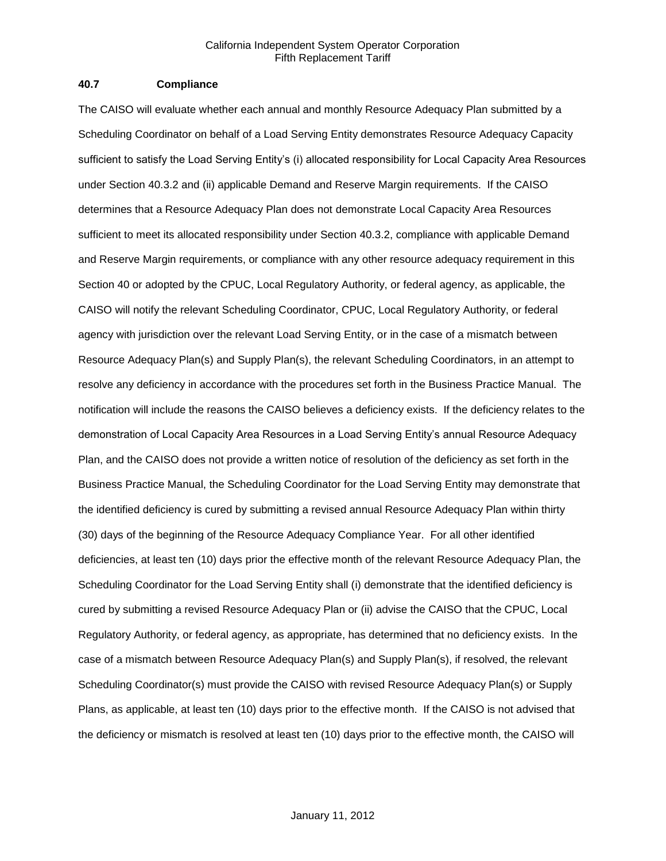#### **40.7 Compliance**

The CAISO will evaluate whether each annual and monthly Resource Adequacy Plan submitted by a Scheduling Coordinator on behalf of a Load Serving Entity demonstrates Resource Adequacy Capacity sufficient to satisfy the Load Serving Entity's (i) allocated responsibility for Local Capacity Area Resources under Section 40.3.2 and (ii) applicable Demand and Reserve Margin requirements. If the CAISO determines that a Resource Adequacy Plan does not demonstrate Local Capacity Area Resources sufficient to meet its allocated responsibility under Section 40.3.2, compliance with applicable Demand and Reserve Margin requirements, or compliance with any other resource adequacy requirement in this Section 40 or adopted by the CPUC, Local Regulatory Authority, or federal agency, as applicable, the CAISO will notify the relevant Scheduling Coordinator, CPUC, Local Regulatory Authority, or federal agency with jurisdiction over the relevant Load Serving Entity, or in the case of a mismatch between Resource Adequacy Plan(s) and Supply Plan(s), the relevant Scheduling Coordinators, in an attempt to resolve any deficiency in accordance with the procedures set forth in the Business Practice Manual. The notification will include the reasons the CAISO believes a deficiency exists. If the deficiency relates to the demonstration of Local Capacity Area Resources in a Load Serving Entity's annual Resource Adequacy Plan, and the CAISO does not provide a written notice of resolution of the deficiency as set forth in the Business Practice Manual, the Scheduling Coordinator for the Load Serving Entity may demonstrate that the identified deficiency is cured by submitting a revised annual Resource Adequacy Plan within thirty (30) days of the beginning of the Resource Adequacy Compliance Year. For all other identified deficiencies, at least ten (10) days prior the effective month of the relevant Resource Adequacy Plan, the Scheduling Coordinator for the Load Serving Entity shall (i) demonstrate that the identified deficiency is cured by submitting a revised Resource Adequacy Plan or (ii) advise the CAISO that the CPUC, Local Regulatory Authority, or federal agency, as appropriate, has determined that no deficiency exists. In the case of a mismatch between Resource Adequacy Plan(s) and Supply Plan(s), if resolved, the relevant Scheduling Coordinator(s) must provide the CAISO with revised Resource Adequacy Plan(s) or Supply Plans, as applicable, at least ten (10) days prior to the effective month. If the CAISO is not advised that the deficiency or mismatch is resolved at least ten (10) days prior to the effective month, the CAISO will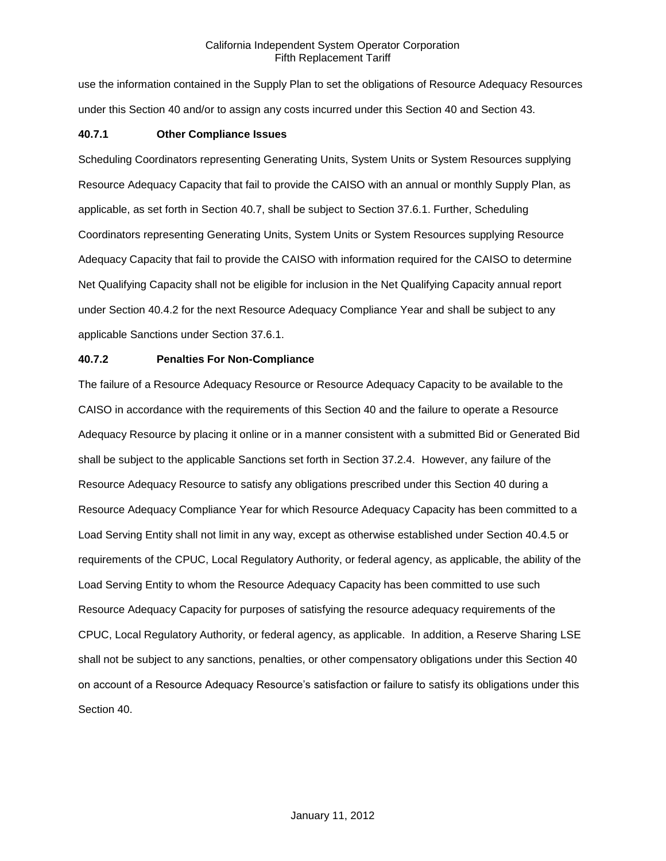use the information contained in the Supply Plan to set the obligations of Resource Adequacy Resources under this Section 40 and/or to assign any costs incurred under this Section 40 and Section 43.

### **40.7.1 Other Compliance Issues**

Scheduling Coordinators representing Generating Units, System Units or System Resources supplying Resource Adequacy Capacity that fail to provide the CAISO with an annual or monthly Supply Plan, as applicable, as set forth in Section 40.7, shall be subject to Section 37.6.1. Further, Scheduling Coordinators representing Generating Units, System Units or System Resources supplying Resource Adequacy Capacity that fail to provide the CAISO with information required for the CAISO to determine Net Qualifying Capacity shall not be eligible for inclusion in the Net Qualifying Capacity annual report under Section 40.4.2 for the next Resource Adequacy Compliance Year and shall be subject to any applicable Sanctions under Section 37.6.1.

### **40.7.2 Penalties For Non-Compliance**

The failure of a Resource Adequacy Resource or Resource Adequacy Capacity to be available to the CAISO in accordance with the requirements of this Section 40 and the failure to operate a Resource Adequacy Resource by placing it online or in a manner consistent with a submitted Bid or Generated Bid shall be subject to the applicable Sanctions set forth in Section 37.2.4. However, any failure of the Resource Adequacy Resource to satisfy any obligations prescribed under this Section 40 during a Resource Adequacy Compliance Year for which Resource Adequacy Capacity has been committed to a Load Serving Entity shall not limit in any way, except as otherwise established under Section 40.4.5 or requirements of the CPUC, Local Regulatory Authority, or federal agency, as applicable, the ability of the Load Serving Entity to whom the Resource Adequacy Capacity has been committed to use such Resource Adequacy Capacity for purposes of satisfying the resource adequacy requirements of the CPUC, Local Regulatory Authority, or federal agency, as applicable. In addition, a Reserve Sharing LSE shall not be subject to any sanctions, penalties, or other compensatory obligations under this Section 40 on account of a Resource Adequacy Resource's satisfaction or failure to satisfy its obligations under this Section 40.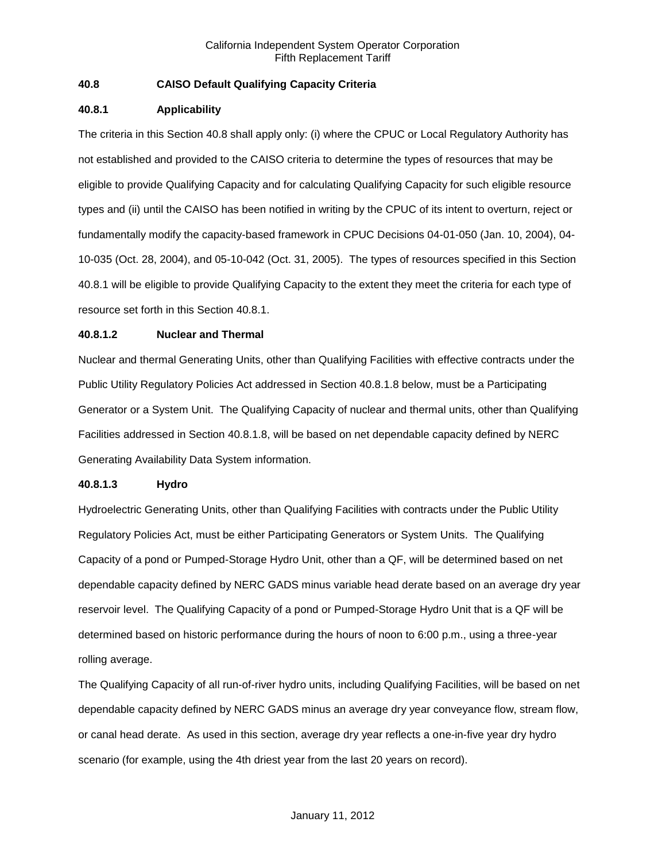# **40.8 CAISO Default Qualifying Capacity Criteria**

### **40.8.1 Applicability**

The criteria in this Section 40.8 shall apply only: (i) where the CPUC or Local Regulatory Authority has not established and provided to the CAISO criteria to determine the types of resources that may be eligible to provide Qualifying Capacity and for calculating Qualifying Capacity for such eligible resource types and (ii) until the CAISO has been notified in writing by the CPUC of its intent to overturn, reject or fundamentally modify the capacity-based framework in CPUC Decisions 04-01-050 (Jan. 10, 2004), 04- 10-035 (Oct. 28, 2004), and 05-10-042 (Oct. 31, 2005). The types of resources specified in this Section 40.8.1 will be eligible to provide Qualifying Capacity to the extent they meet the criteria for each type of resource set forth in this Section 40.8.1.

### **40.8.1.2 Nuclear and Thermal**

Nuclear and thermal Generating Units, other than Qualifying Facilities with effective contracts under the Public Utility Regulatory Policies Act addressed in Section 40.8.1.8 below, must be a Participating Generator or a System Unit. The Qualifying Capacity of nuclear and thermal units, other than Qualifying Facilities addressed in Section 40.8.1.8, will be based on net dependable capacity defined by NERC Generating Availability Data System information.

#### **40.8.1.3 Hydro**

Hydroelectric Generating Units, other than Qualifying Facilities with contracts under the Public Utility Regulatory Policies Act, must be either Participating Generators or System Units. The Qualifying Capacity of a pond or Pumped-Storage Hydro Unit, other than a QF, will be determined based on net dependable capacity defined by NERC GADS minus variable head derate based on an average dry year reservoir level. The Qualifying Capacity of a pond or Pumped-Storage Hydro Unit that is a QF will be determined based on historic performance during the hours of noon to 6:00 p.m., using a three-year rolling average.

The Qualifying Capacity of all run-of-river hydro units, including Qualifying Facilities, will be based on net dependable capacity defined by NERC GADS minus an average dry year conveyance flow, stream flow, or canal head derate. As used in this section, average dry year reflects a one-in-five year dry hydro scenario (for example, using the 4th driest year from the last 20 years on record).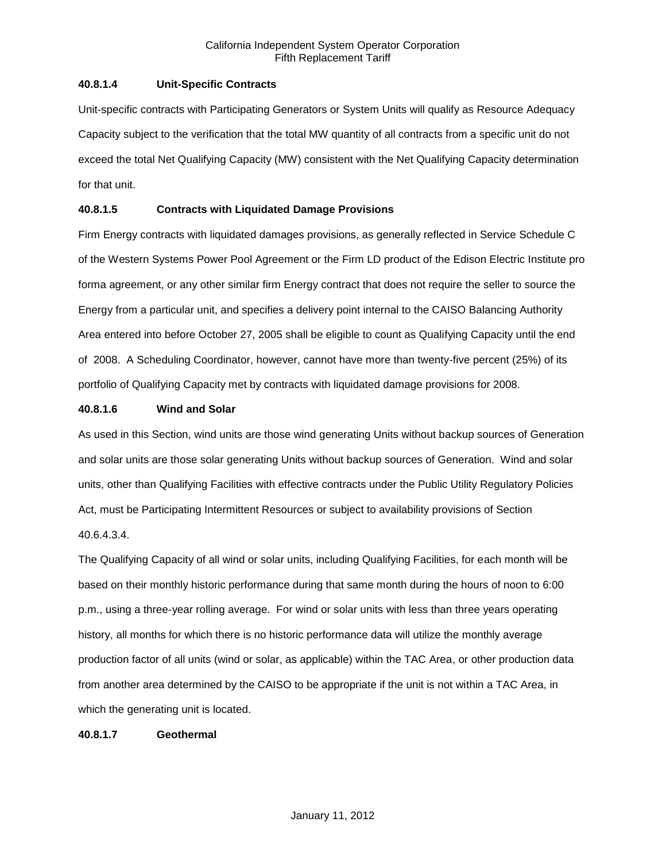### **40.8.1.4 Unit-Specific Contracts**

Unit-specific contracts with Participating Generators or System Units will qualify as Resource Adequacy Capacity subject to the verification that the total MW quantity of all contracts from a specific unit do not exceed the total Net Qualifying Capacity (MW) consistent with the Net Qualifying Capacity determination for that unit.

### **40.8.1.5 Contracts with Liquidated Damage Provisions**

Firm Energy contracts with liquidated damages provisions, as generally reflected in Service Schedule C of the Western Systems Power Pool Agreement or the Firm LD product of the Edison Electric Institute pro forma agreement, or any other similar firm Energy contract that does not require the seller to source the Energy from a particular unit, and specifies a delivery point internal to the CAISO Balancing Authority Area entered into before October 27, 2005 shall be eligible to count as Qualifying Capacity until the end of 2008. A Scheduling Coordinator, however, cannot have more than twenty-five percent (25%) of its portfolio of Qualifying Capacity met by contracts with liquidated damage provisions for 2008.

### **40.8.1.6 Wind and Solar**

As used in this Section, wind units are those wind generating Units without backup sources of Generation and solar units are those solar generating Units without backup sources of Generation. Wind and solar units, other than Qualifying Facilities with effective contracts under the Public Utility Regulatory Policies Act, must be Participating Intermittent Resources or subject to availability provisions of Section 40.6.4.3.4.

The Qualifying Capacity of all wind or solar units, including Qualifying Facilities, for each month will be based on their monthly historic performance during that same month during the hours of noon to 6:00 p.m., using a three-year rolling average. For wind or solar units with less than three years operating history, all months for which there is no historic performance data will utilize the monthly average production factor of all units (wind or solar, as applicable) within the TAC Area, or other production data from another area determined by the CAISO to be appropriate if the unit is not within a TAC Area, in which the generating unit is located.

#### **40.8.1.7 Geothermal**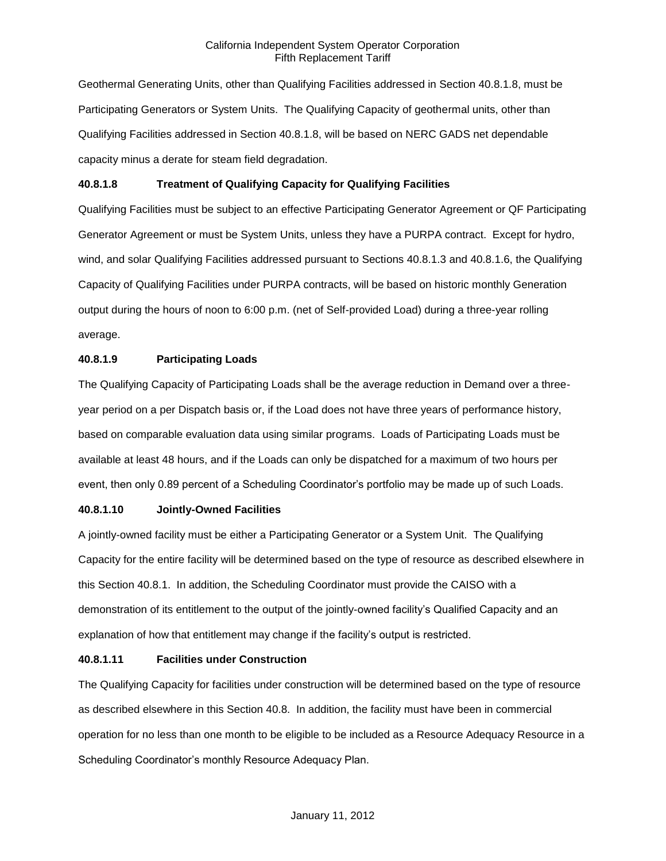Geothermal Generating Units, other than Qualifying Facilities addressed in Section 40.8.1.8, must be Participating Generators or System Units. The Qualifying Capacity of geothermal units, other than Qualifying Facilities addressed in Section 40.8.1.8, will be based on NERC GADS net dependable capacity minus a derate for steam field degradation.

### **40.8.1.8 Treatment of Qualifying Capacity for Qualifying Facilities**

Qualifying Facilities must be subject to an effective Participating Generator Agreement or QF Participating Generator Agreement or must be System Units, unless they have a PURPA contract. Except for hydro, wind, and solar Qualifying Facilities addressed pursuant to Sections 40.8.1.3 and 40.8.1.6, the Qualifying Capacity of Qualifying Facilities under PURPA contracts, will be based on historic monthly Generation output during the hours of noon to 6:00 p.m. (net of Self-provided Load) during a three-year rolling average.

### **40.8.1.9 Participating Loads**

The Qualifying Capacity of Participating Loads shall be the average reduction in Demand over a threeyear period on a per Dispatch basis or, if the Load does not have three years of performance history, based on comparable evaluation data using similar programs. Loads of Participating Loads must be available at least 48 hours, and if the Loads can only be dispatched for a maximum of two hours per event, then only 0.89 percent of a Scheduling Coordinator's portfolio may be made up of such Loads.

# **40.8.1.10 Jointly-Owned Facilities**

A jointly-owned facility must be either a Participating Generator or a System Unit. The Qualifying Capacity for the entire facility will be determined based on the type of resource as described elsewhere in this Section 40.8.1. In addition, the Scheduling Coordinator must provide the CAISO with a demonstration of its entitlement to the output of the jointly-owned facility's Qualified Capacity and an explanation of how that entitlement may change if the facility's output is restricted.

### **40.8.1.11 Facilities under Construction**

The Qualifying Capacity for facilities under construction will be determined based on the type of resource as described elsewhere in this Section 40.8. In addition, the facility must have been in commercial operation for no less than one month to be eligible to be included as a Resource Adequacy Resource in a Scheduling Coordinator's monthly Resource Adequacy Plan.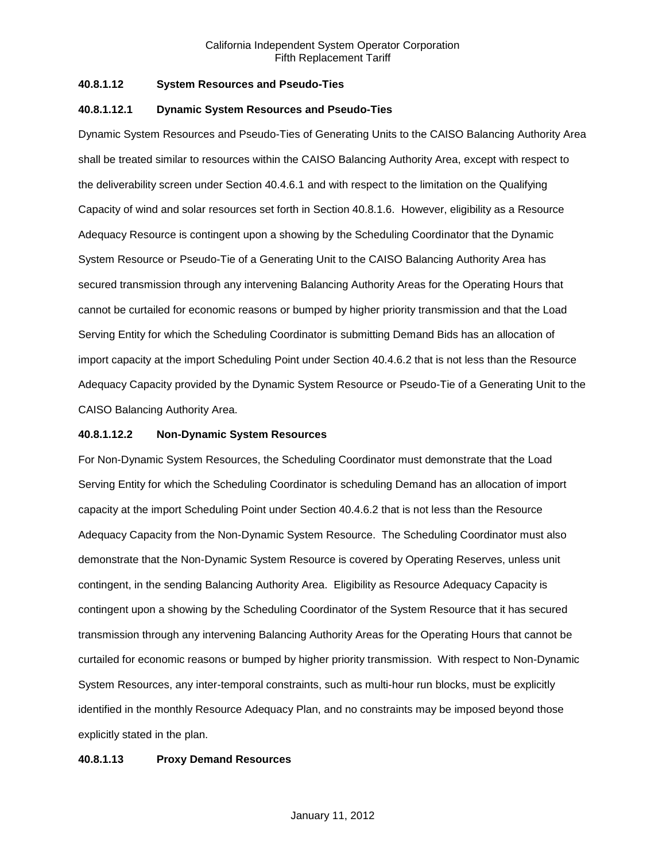### **40.8.1.12 System Resources and Pseudo-Ties**

#### **40.8.1.12.1 Dynamic System Resources and Pseudo-Ties**

Dynamic System Resources and Pseudo-Ties of Generating Units to the CAISO Balancing Authority Area shall be treated similar to resources within the CAISO Balancing Authority Area, except with respect to the deliverability screen under Section 40.4.6.1 and with respect to the limitation on the Qualifying Capacity of wind and solar resources set forth in Section 40.8.1.6. However, eligibility as a Resource Adequacy Resource is contingent upon a showing by the Scheduling Coordinator that the Dynamic System Resource or Pseudo-Tie of a Generating Unit to the CAISO Balancing Authority Area has secured transmission through any intervening Balancing Authority Areas for the Operating Hours that cannot be curtailed for economic reasons or bumped by higher priority transmission and that the Load Serving Entity for which the Scheduling Coordinator is submitting Demand Bids has an allocation of import capacity at the import Scheduling Point under Section 40.4.6.2 that is not less than the Resource Adequacy Capacity provided by the Dynamic System Resource or Pseudo-Tie of a Generating Unit to the CAISO Balancing Authority Area.

#### **40.8.1.12.2 Non-Dynamic System Resources**

For Non-Dynamic System Resources, the Scheduling Coordinator must demonstrate that the Load Serving Entity for which the Scheduling Coordinator is scheduling Demand has an allocation of import capacity at the import Scheduling Point under Section 40.4.6.2 that is not less than the Resource Adequacy Capacity from the Non-Dynamic System Resource. The Scheduling Coordinator must also demonstrate that the Non-Dynamic System Resource is covered by Operating Reserves, unless unit contingent, in the sending Balancing Authority Area. Eligibility as Resource Adequacy Capacity is contingent upon a showing by the Scheduling Coordinator of the System Resource that it has secured transmission through any intervening Balancing Authority Areas for the Operating Hours that cannot be curtailed for economic reasons or bumped by higher priority transmission. With respect to Non-Dynamic System Resources, any inter-temporal constraints, such as multi-hour run blocks, must be explicitly identified in the monthly Resource Adequacy Plan, and no constraints may be imposed beyond those explicitly stated in the plan.

#### **40.8.1.13 Proxy Demand Resources**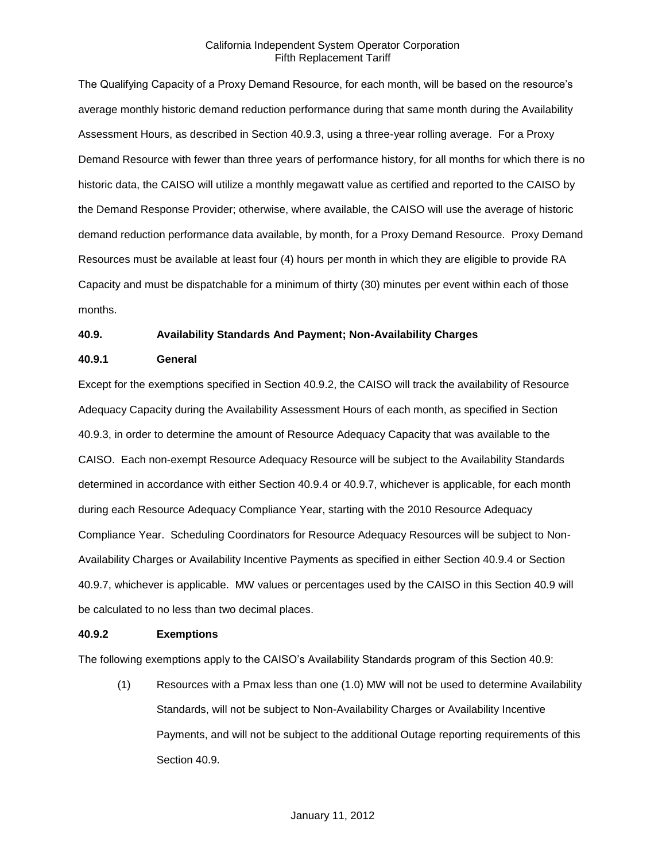The Qualifying Capacity of a Proxy Demand Resource, for each month, will be based on the resource's average monthly historic demand reduction performance during that same month during the Availability Assessment Hours, as described in Section 40.9.3, using a three-year rolling average. For a Proxy Demand Resource with fewer than three years of performance history, for all months for which there is no historic data, the CAISO will utilize a monthly megawatt value as certified and reported to the CAISO by the Demand Response Provider; otherwise, where available, the CAISO will use the average of historic demand reduction performance data available, by month, for a Proxy Demand Resource. Proxy Demand Resources must be available at least four (4) hours per month in which they are eligible to provide RA Capacity and must be dispatchable for a minimum of thirty (30) minutes per event within each of those months.

### **40.9. Availability Standards And Payment; Non-Availability Charges**

### **40.9.1 General**

Except for the exemptions specified in Section 40.9.2, the CAISO will track the availability of Resource Adequacy Capacity during the Availability Assessment Hours of each month, as specified in Section 40.9.3, in order to determine the amount of Resource Adequacy Capacity that was available to the CAISO. Each non-exempt Resource Adequacy Resource will be subject to the Availability Standards determined in accordance with either Section 40.9.4 or 40.9.7, whichever is applicable, for each month during each Resource Adequacy Compliance Year, starting with the 2010 Resource Adequacy Compliance Year. Scheduling Coordinators for Resource Adequacy Resources will be subject to Non-Availability Charges or Availability Incentive Payments as specified in either Section 40.9.4 or Section 40.9.7, whichever is applicable. MW values or percentages used by the CAISO in this Section 40.9 will be calculated to no less than two decimal places.

#### **40.9.2 Exemptions**

The following exemptions apply to the CAISO's Availability Standards program of this Section 40.9:

(1) Resources with a Pmax less than one (1.0) MW will not be used to determine Availability Standards, will not be subject to Non-Availability Charges or Availability Incentive Payments, and will not be subject to the additional Outage reporting requirements of this Section 40.9.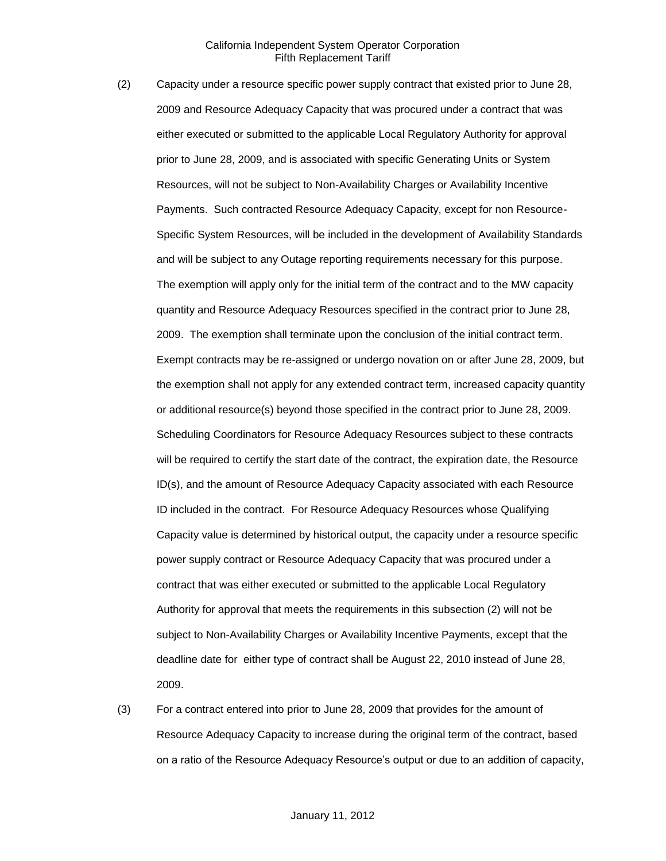- (2) Capacity under a resource specific power supply contract that existed prior to June 28, 2009 and Resource Adequacy Capacity that was procured under a contract that was either executed or submitted to the applicable Local Regulatory Authority for approval prior to June 28, 2009, and is associated with specific Generating Units or System Resources, will not be subject to Non-Availability Charges or Availability Incentive Payments. Such contracted Resource Adequacy Capacity, except for non Resource-Specific System Resources, will be included in the development of Availability Standards and will be subject to any Outage reporting requirements necessary for this purpose. The exemption will apply only for the initial term of the contract and to the MW capacity quantity and Resource Adequacy Resources specified in the contract prior to June 28, 2009. The exemption shall terminate upon the conclusion of the initial contract term. Exempt contracts may be re-assigned or undergo novation on or after June 28, 2009, but the exemption shall not apply for any extended contract term, increased capacity quantity or additional resource(s) beyond those specified in the contract prior to June 28, 2009. Scheduling Coordinators for Resource Adequacy Resources subject to these contracts will be required to certify the start date of the contract, the expiration date, the Resource ID(s), and the amount of Resource Adequacy Capacity associated with each Resource ID included in the contract. For Resource Adequacy Resources whose Qualifying Capacity value is determined by historical output, the capacity under a resource specific power supply contract or Resource Adequacy Capacity that was procured under a contract that was either executed or submitted to the applicable Local Regulatory Authority for approval that meets the requirements in this subsection (2) will not be subject to Non-Availability Charges or Availability Incentive Payments, except that the deadline date for either type of contract shall be August 22, 2010 instead of June 28, 2009.
- (3) For a contract entered into prior to June 28, 2009 that provides for the amount of Resource Adequacy Capacity to increase during the original term of the contract, based on a ratio of the Resource Adequacy Resource's output or due to an addition of capacity,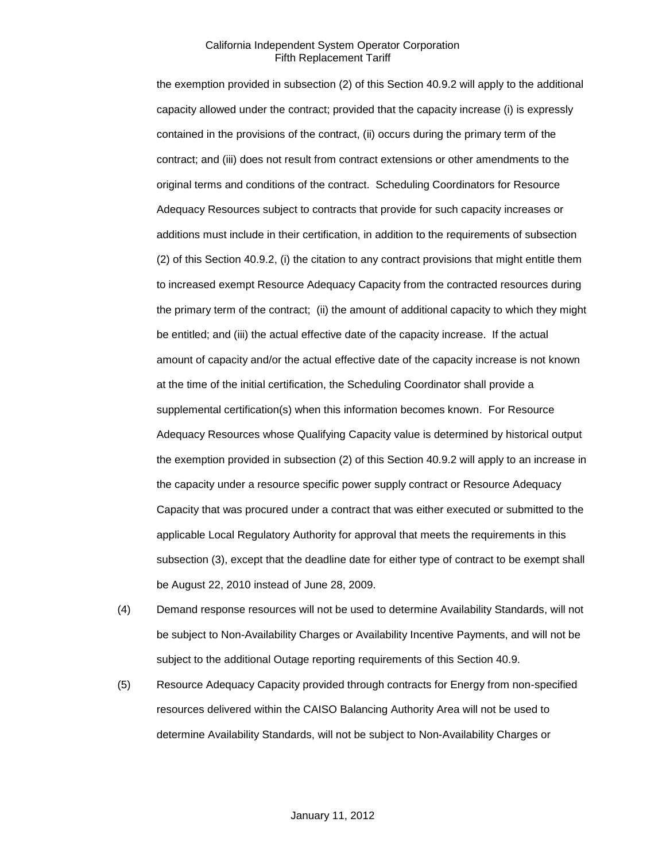the exemption provided in subsection (2) of this Section 40.9.2 will apply to the additional capacity allowed under the contract; provided that the capacity increase (i) is expressly contained in the provisions of the contract, (ii) occurs during the primary term of the contract; and (iii) does not result from contract extensions or other amendments to the original terms and conditions of the contract. Scheduling Coordinators for Resource Adequacy Resources subject to contracts that provide for such capacity increases or additions must include in their certification, in addition to the requirements of subsection (2) of this Section 40.9.2, (i) the citation to any contract provisions that might entitle them to increased exempt Resource Adequacy Capacity from the contracted resources during the primary term of the contract; (ii) the amount of additional capacity to which they might be entitled; and (iii) the actual effective date of the capacity increase. If the actual amount of capacity and/or the actual effective date of the capacity increase is not known at the time of the initial certification, the Scheduling Coordinator shall provide a supplemental certification(s) when this information becomes known. For Resource Adequacy Resources whose Qualifying Capacity value is determined by historical output the exemption provided in subsection (2) of this Section 40.9.2 will apply to an increase in the capacity under a resource specific power supply contract or Resource Adequacy Capacity that was procured under a contract that was either executed or submitted to the applicable Local Regulatory Authority for approval that meets the requirements in this subsection (3), except that the deadline date for either type of contract to be exempt shall be August 22, 2010 instead of June 28, 2009.

- (4) Demand response resources will not be used to determine Availability Standards, will not be subject to Non-Availability Charges or Availability Incentive Payments, and will not be subject to the additional Outage reporting requirements of this Section 40.9.
- (5) Resource Adequacy Capacity provided through contracts for Energy from non-specified resources delivered within the CAISO Balancing Authority Area will not be used to determine Availability Standards, will not be subject to Non-Availability Charges or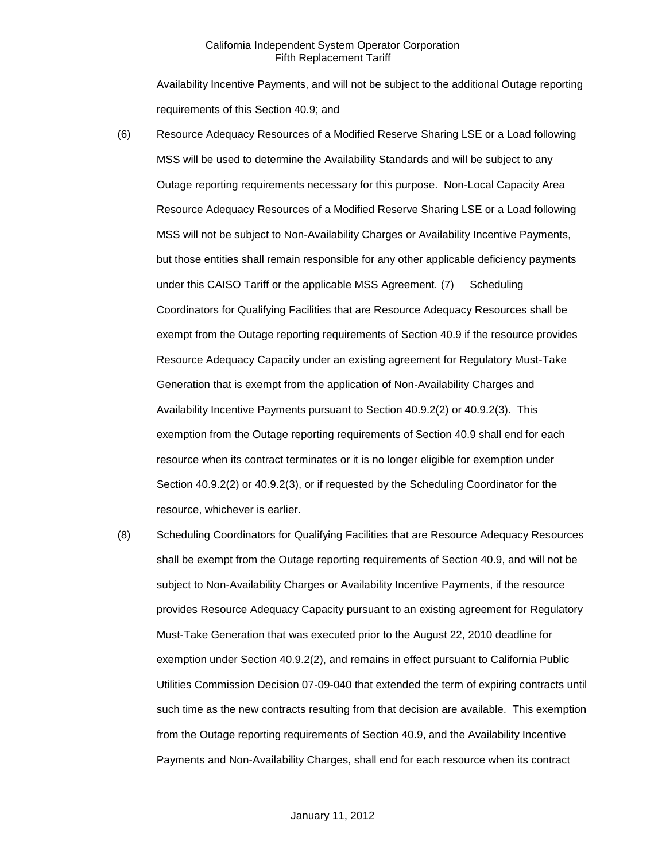Availability Incentive Payments, and will not be subject to the additional Outage reporting requirements of this Section 40.9; and

- (6) Resource Adequacy Resources of a Modified Reserve Sharing LSE or a Load following MSS will be used to determine the Availability Standards and will be subject to any Outage reporting requirements necessary for this purpose. Non-Local Capacity Area Resource Adequacy Resources of a Modified Reserve Sharing LSE or a Load following MSS will not be subject to Non-Availability Charges or Availability Incentive Payments, but those entities shall remain responsible for any other applicable deficiency payments under this CAISO Tariff or the applicable MSS Agreement. (7) Scheduling Coordinators for Qualifying Facilities that are Resource Adequacy Resources shall be exempt from the Outage reporting requirements of Section 40.9 if the resource provides Resource Adequacy Capacity under an existing agreement for Regulatory Must-Take Generation that is exempt from the application of Non-Availability Charges and Availability Incentive Payments pursuant to Section 40.9.2(2) or 40.9.2(3). This exemption from the Outage reporting requirements of Section 40.9 shall end for each resource when its contract terminates or it is no longer eligible for exemption under Section 40.9.2(2) or 40.9.2(3), or if requested by the Scheduling Coordinator for the resource, whichever is earlier.
- (8) Scheduling Coordinators for Qualifying Facilities that are Resource Adequacy Resources shall be exempt from the Outage reporting requirements of Section 40.9, and will not be subject to Non-Availability Charges or Availability Incentive Payments, if the resource provides Resource Adequacy Capacity pursuant to an existing agreement for Regulatory Must-Take Generation that was executed prior to the August 22, 2010 deadline for exemption under Section 40.9.2(2), and remains in effect pursuant to California Public Utilities Commission Decision 07-09-040 that extended the term of expiring contracts until such time as the new contracts resulting from that decision are available. This exemption from the Outage reporting requirements of Section 40.9, and the Availability Incentive Payments and Non-Availability Charges, shall end for each resource when its contract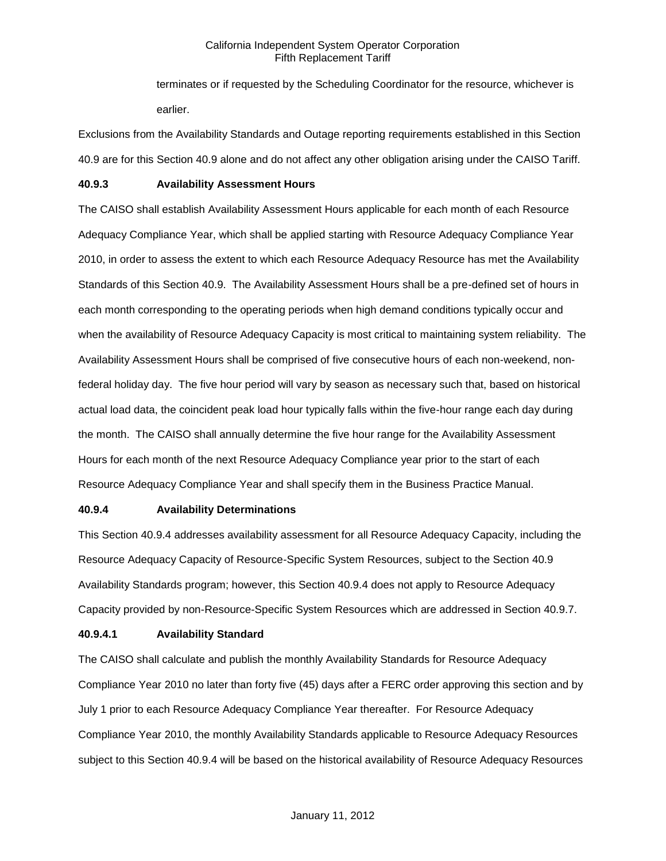terminates or if requested by the Scheduling Coordinator for the resource, whichever is earlier.

Exclusions from the Availability Standards and Outage reporting requirements established in this Section 40.9 are for this Section 40.9 alone and do not affect any other obligation arising under the CAISO Tariff.

#### **40.9.3 Availability Assessment Hours**

The CAISO shall establish Availability Assessment Hours applicable for each month of each Resource Adequacy Compliance Year, which shall be applied starting with Resource Adequacy Compliance Year 2010, in order to assess the extent to which each Resource Adequacy Resource has met the Availability Standards of this Section 40.9. The Availability Assessment Hours shall be a pre-defined set of hours in each month corresponding to the operating periods when high demand conditions typically occur and when the availability of Resource Adequacy Capacity is most critical to maintaining system reliability. The Availability Assessment Hours shall be comprised of five consecutive hours of each non-weekend, nonfederal holiday day. The five hour period will vary by season as necessary such that, based on historical actual load data, the coincident peak load hour typically falls within the five-hour range each day during the month. The CAISO shall annually determine the five hour range for the Availability Assessment Hours for each month of the next Resource Adequacy Compliance year prior to the start of each Resource Adequacy Compliance Year and shall specify them in the Business Practice Manual.

#### **40.9.4 Availability Determinations**

This Section 40.9.4 addresses availability assessment for all Resource Adequacy Capacity, including the Resource Adequacy Capacity of Resource-Specific System Resources, subject to the Section 40.9 Availability Standards program; however, this Section 40.9.4 does not apply to Resource Adequacy Capacity provided by non-Resource-Specific System Resources which are addressed in Section 40.9.7.

### **40.9.4.1 Availability Standard**

The CAISO shall calculate and publish the monthly Availability Standards for Resource Adequacy Compliance Year 2010 no later than forty five (45) days after a FERC order approving this section and by July 1 prior to each Resource Adequacy Compliance Year thereafter. For Resource Adequacy Compliance Year 2010, the monthly Availability Standards applicable to Resource Adequacy Resources subject to this Section 40.9.4 will be based on the historical availability of Resource Adequacy Resources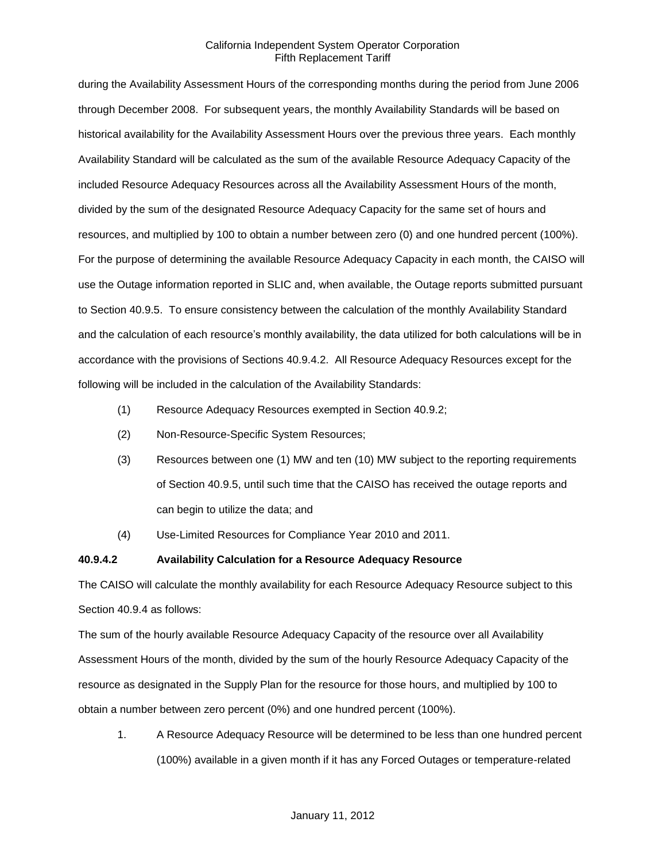during the Availability Assessment Hours of the corresponding months during the period from June 2006 through December 2008. For subsequent years, the monthly Availability Standards will be based on historical availability for the Availability Assessment Hours over the previous three years. Each monthly Availability Standard will be calculated as the sum of the available Resource Adequacy Capacity of the included Resource Adequacy Resources across all the Availability Assessment Hours of the month, divided by the sum of the designated Resource Adequacy Capacity for the same set of hours and resources, and multiplied by 100 to obtain a number between zero (0) and one hundred percent (100%). For the purpose of determining the available Resource Adequacy Capacity in each month, the CAISO will use the Outage information reported in SLIC and, when available, the Outage reports submitted pursuant to Section 40.9.5. To ensure consistency between the calculation of the monthly Availability Standard and the calculation of each resource's monthly availability, the data utilized for both calculations will be in accordance with the provisions of Sections 40.9.4.2. All Resource Adequacy Resources except for the following will be included in the calculation of the Availability Standards:

- (1) Resource Adequacy Resources exempted in Section 40.9.2;
- (2) Non-Resource-Specific System Resources;
- (3) Resources between one (1) MW and ten (10) MW subject to the reporting requirements of Section 40.9.5, until such time that the CAISO has received the outage reports and can begin to utilize the data; and
- (4) Use-Limited Resources for Compliance Year 2010 and 2011.

#### **40.9.4.2 Availability Calculation for a Resource Adequacy Resource**

The CAISO will calculate the monthly availability for each Resource Adequacy Resource subject to this Section 40.9.4 as follows:

The sum of the hourly available Resource Adequacy Capacity of the resource over all Availability Assessment Hours of the month, divided by the sum of the hourly Resource Adequacy Capacity of the resource as designated in the Supply Plan for the resource for those hours, and multiplied by 100 to obtain a number between zero percent (0%) and one hundred percent (100%).

1. A Resource Adequacy Resource will be determined to be less than one hundred percent (100%) available in a given month if it has any Forced Outages or temperature-related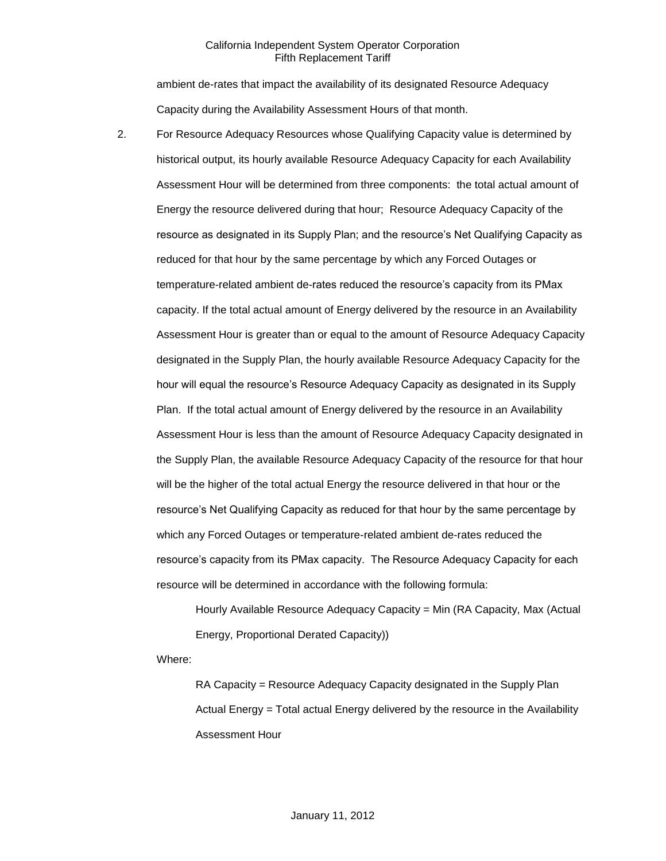ambient de-rates that impact the availability of its designated Resource Adequacy Capacity during the Availability Assessment Hours of that month.

2. For Resource Adequacy Resources whose Qualifying Capacity value is determined by historical output, its hourly available Resource Adequacy Capacity for each Availability Assessment Hour will be determined from three components: the total actual amount of Energy the resource delivered during that hour; Resource Adequacy Capacity of the resource as designated in its Supply Plan; and the resource's Net Qualifying Capacity as reduced for that hour by the same percentage by which any Forced Outages or temperature-related ambient de-rates reduced the resource's capacity from its PMax capacity. If the total actual amount of Energy delivered by the resource in an Availability Assessment Hour is greater than or equal to the amount of Resource Adequacy Capacity designated in the Supply Plan, the hourly available Resource Adequacy Capacity for the hour will equal the resource's Resource Adequacy Capacity as designated in its Supply Plan. If the total actual amount of Energy delivered by the resource in an Availability Assessment Hour is less than the amount of Resource Adequacy Capacity designated in the Supply Plan, the available Resource Adequacy Capacity of the resource for that hour will be the higher of the total actual Energy the resource delivered in that hour or the resource's Net Qualifying Capacity as reduced for that hour by the same percentage by which any Forced Outages or temperature-related ambient de-rates reduced the resource's capacity from its PMax capacity. The Resource Adequacy Capacity for each resource will be determined in accordance with the following formula:

> Hourly Available Resource Adequacy Capacity = Min (RA Capacity, Max (Actual Energy, Proportional Derated Capacity))

Where:

RA Capacity = Resource Adequacy Capacity designated in the Supply Plan Actual Energy = Total actual Energy delivered by the resource in the Availability Assessment Hour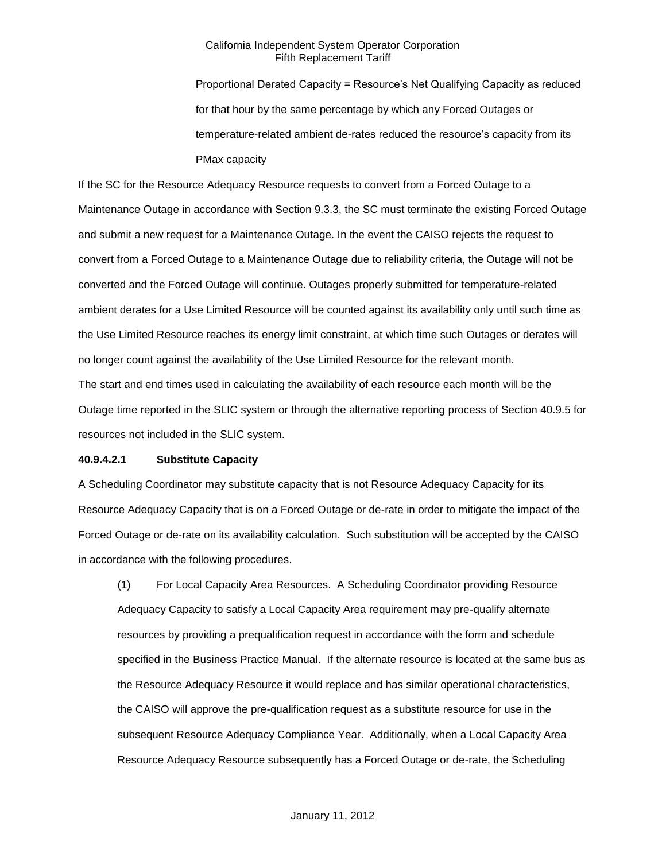Proportional Derated Capacity = Resource's Net Qualifying Capacity as reduced for that hour by the same percentage by which any Forced Outages or temperature-related ambient de-rates reduced the resource's capacity from its PMax capacity

If the SC for the Resource Adequacy Resource requests to convert from a Forced Outage to a Maintenance Outage in accordance with Section 9.3.3, the SC must terminate the existing Forced Outage and submit a new request for a Maintenance Outage. In the event the CAISO rejects the request to convert from a Forced Outage to a Maintenance Outage due to reliability criteria, the Outage will not be converted and the Forced Outage will continue. Outages properly submitted for temperature-related ambient derates for a Use Limited Resource will be counted against its availability only until such time as the Use Limited Resource reaches its energy limit constraint, at which time such Outages or derates will no longer count against the availability of the Use Limited Resource for the relevant month. The start and end times used in calculating the availability of each resource each month will be the Outage time reported in the SLIC system or through the alternative reporting process of Section 40.9.5 for resources not included in the SLIC system.

#### **40.9.4.2.1 Substitute Capacity**

A Scheduling Coordinator may substitute capacity that is not Resource Adequacy Capacity for its Resource Adequacy Capacity that is on a Forced Outage or de-rate in order to mitigate the impact of the Forced Outage or de-rate on its availability calculation. Such substitution will be accepted by the CAISO in accordance with the following procedures.

(1) For Local Capacity Area Resources. A Scheduling Coordinator providing Resource Adequacy Capacity to satisfy a Local Capacity Area requirement may pre-qualify alternate resources by providing a prequalification request in accordance with the form and schedule specified in the Business Practice Manual. If the alternate resource is located at the same bus as the Resource Adequacy Resource it would replace and has similar operational characteristics, the CAISO will approve the pre-qualification request as a substitute resource for use in the subsequent Resource Adequacy Compliance Year. Additionally, when a Local Capacity Area Resource Adequacy Resource subsequently has a Forced Outage or de-rate, the Scheduling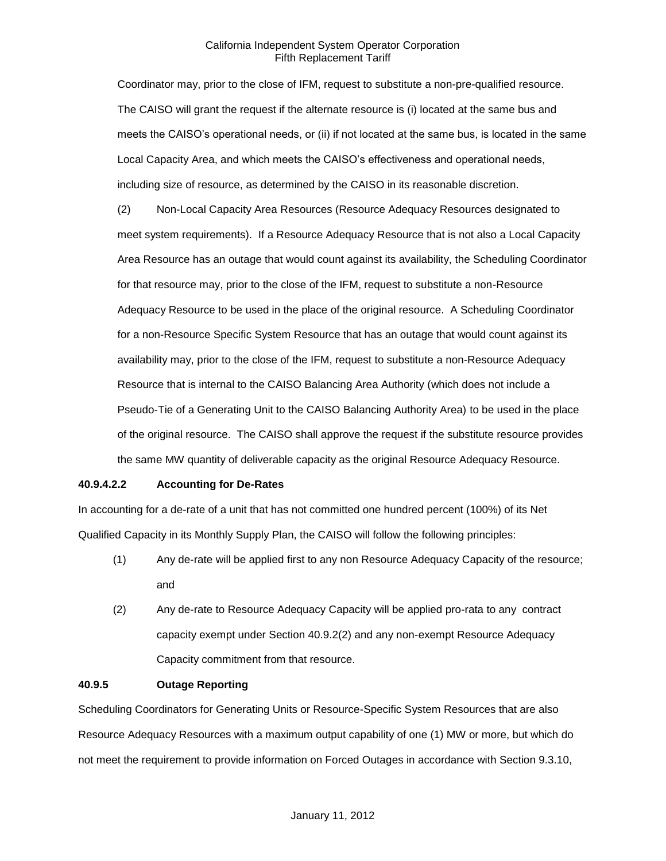Coordinator may, prior to the close of IFM, request to substitute a non-pre-qualified resource. The CAISO will grant the request if the alternate resource is (i) located at the same bus and meets the CAISO's operational needs, or (ii) if not located at the same bus, is located in the same Local Capacity Area, and which meets the CAISO's effectiveness and operational needs, including size of resource, as determined by the CAISO in its reasonable discretion.

(2) Non-Local Capacity Area Resources (Resource Adequacy Resources designated to meet system requirements). If a Resource Adequacy Resource that is not also a Local Capacity Area Resource has an outage that would count against its availability, the Scheduling Coordinator for that resource may, prior to the close of the IFM, request to substitute a non-Resource Adequacy Resource to be used in the place of the original resource. A Scheduling Coordinator for a non-Resource Specific System Resource that has an outage that would count against its availability may, prior to the close of the IFM, request to substitute a non-Resource Adequacy Resource that is internal to the CAISO Balancing Area Authority (which does not include a Pseudo-Tie of a Generating Unit to the CAISO Balancing Authority Area) to be used in the place of the original resource. The CAISO shall approve the request if the substitute resource provides the same MW quantity of deliverable capacity as the original Resource Adequacy Resource.

### **40.9.4.2.2 Accounting for De-Rates**

In accounting for a de-rate of a unit that has not committed one hundred percent (100%) of its Net Qualified Capacity in its Monthly Supply Plan, the CAISO will follow the following principles:

- (1) Any de-rate will be applied first to any non Resource Adequacy Capacity of the resource; and
- (2) Any de-rate to Resource Adequacy Capacity will be applied pro-rata to any contract capacity exempt under Section 40.9.2(2) and any non-exempt Resource Adequacy Capacity commitment from that resource.

## **40.9.5 Outage Reporting**

Scheduling Coordinators for Generating Units or Resource-Specific System Resources that are also Resource Adequacy Resources with a maximum output capability of one (1) MW or more, but which do not meet the requirement to provide information on Forced Outages in accordance with Section 9.3.10,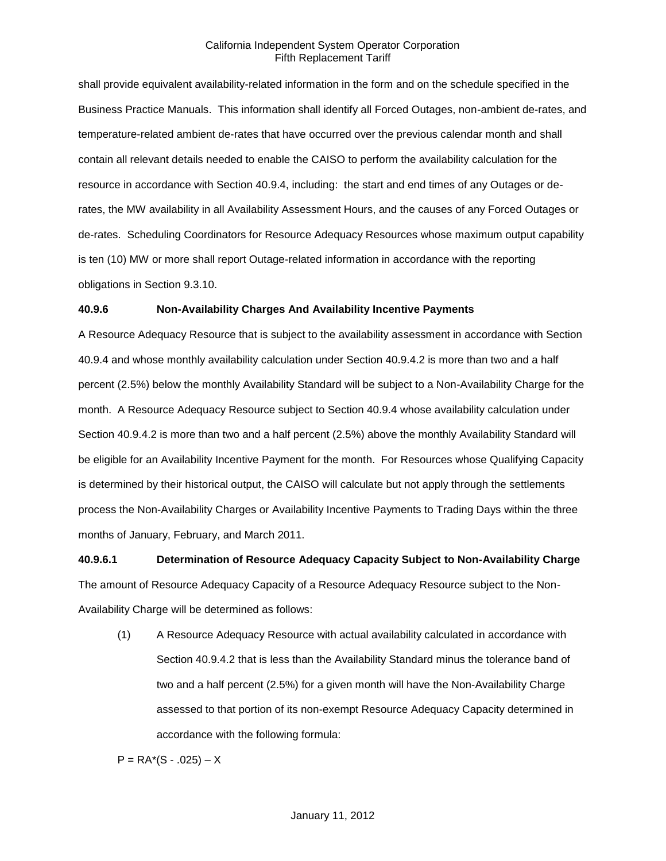shall provide equivalent availability-related information in the form and on the schedule specified in the Business Practice Manuals. This information shall identify all Forced Outages, non-ambient de-rates, and temperature-related ambient de-rates that have occurred over the previous calendar month and shall contain all relevant details needed to enable the CAISO to perform the availability calculation for the resource in accordance with Section 40.9.4, including: the start and end times of any Outages or derates, the MW availability in all Availability Assessment Hours, and the causes of any Forced Outages or de-rates. Scheduling Coordinators for Resource Adequacy Resources whose maximum output capability is ten (10) MW or more shall report Outage-related information in accordance with the reporting obligations in Section 9.3.10.

#### **40.9.6 Non-Availability Charges And Availability Incentive Payments**

A Resource Adequacy Resource that is subject to the availability assessment in accordance with Section 40.9.4 and whose monthly availability calculation under Section 40.9.4.2 is more than two and a half percent (2.5%) below the monthly Availability Standard will be subject to a Non-Availability Charge for the month. A Resource Adequacy Resource subject to Section 40.9.4 whose availability calculation under Section 40.9.4.2 is more than two and a half percent (2.5%) above the monthly Availability Standard will be eligible for an Availability Incentive Payment for the month. For Resources whose Qualifying Capacity is determined by their historical output, the CAISO will calculate but not apply through the settlements process the Non-Availability Charges or Availability Incentive Payments to Trading Days within the three months of January, February, and March 2011.

# **40.9.6.1 Determination of Resource Adequacy Capacity Subject to Non-Availability Charge**

The amount of Resource Adequacy Capacity of a Resource Adequacy Resource subject to the Non-Availability Charge will be determined as follows:

(1) A Resource Adequacy Resource with actual availability calculated in accordance with Section 40.9.4.2 that is less than the Availability Standard minus the tolerance band of two and a half percent (2.5%) for a given month will have the Non-Availability Charge assessed to that portion of its non-exempt Resource Adequacy Capacity determined in accordance with the following formula:

 $P = RA*(S - .025) - X$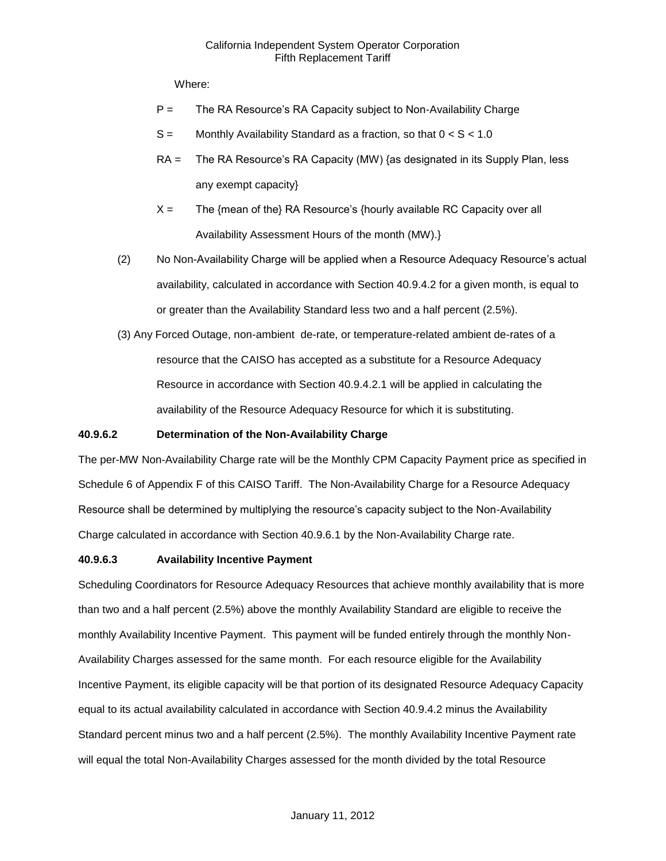Where:

- P = The RA Resource's RA Capacity subject to Non-Availability Charge
- $S =$  Monthly Availability Standard as a fraction, so that  $0 < S < 1.0$
- RA = The RA Resource's RA Capacity (MW) {as designated in its Supply Plan, less any exempt capacity}
- $X =$  The {mean of the} RA Resource's {hourly available RC Capacity over all Availability Assessment Hours of the month (MW).}
- (2) No Non-Availability Charge will be applied when a Resource Adequacy Resource's actual availability, calculated in accordance with Section 40.9.4.2 for a given month, is equal to or greater than the Availability Standard less two and a half percent (2.5%).
- (3) Any Forced Outage, non-ambient de-rate, or temperature-related ambient de-rates of a resource that the CAISO has accepted as a substitute for a Resource Adequacy Resource in accordance with Section 40.9.4.2.1 will be applied in calculating the availability of the Resource Adequacy Resource for which it is substituting.

### **40.9.6.2 Determination of the Non-Availability Charge**

The per-MW Non-Availability Charge rate will be the Monthly CPM Capacity Payment price as specified in Schedule 6 of Appendix F of this CAISO Tariff. The Non-Availability Charge for a Resource Adequacy Resource shall be determined by multiplying the resource's capacity subject to the Non-Availability Charge calculated in accordance with Section 40.9.6.1 by the Non-Availability Charge rate.

### **40.9.6.3 Availability Incentive Payment**

Scheduling Coordinators for Resource Adequacy Resources that achieve monthly availability that is more than two and a half percent (2.5%) above the monthly Availability Standard are eligible to receive the monthly Availability Incentive Payment. This payment will be funded entirely through the monthly Non-Availability Charges assessed for the same month. For each resource eligible for the Availability Incentive Payment, its eligible capacity will be that portion of its designated Resource Adequacy Capacity equal to its actual availability calculated in accordance with Section 40.9.4.2 minus the Availability Standard percent minus two and a half percent (2.5%). The monthly Availability Incentive Payment rate will equal the total Non-Availability Charges assessed for the month divided by the total Resource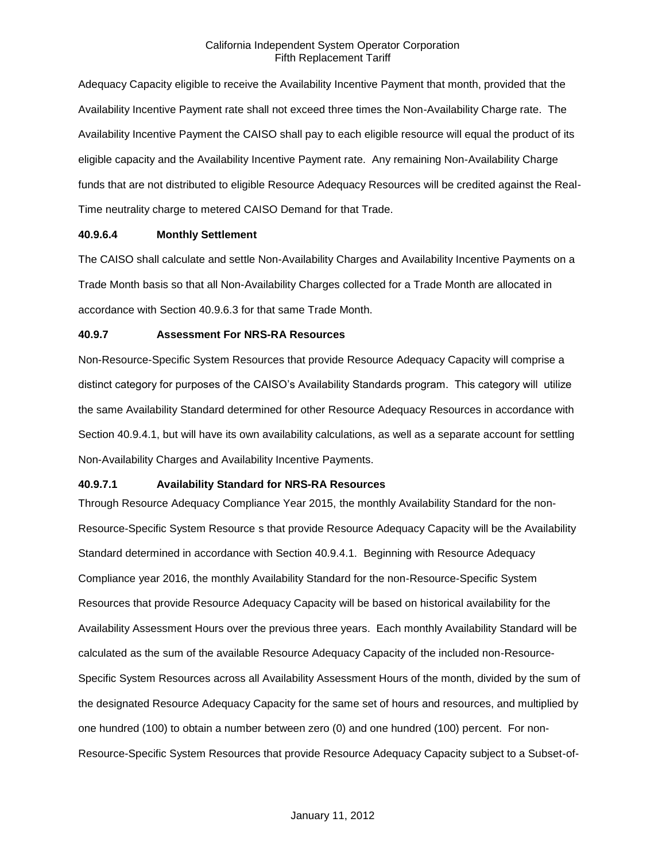Adequacy Capacity eligible to receive the Availability Incentive Payment that month, provided that the Availability Incentive Payment rate shall not exceed three times the Non-Availability Charge rate. The Availability Incentive Payment the CAISO shall pay to each eligible resource will equal the product of its eligible capacity and the Availability Incentive Payment rate. Any remaining Non-Availability Charge funds that are not distributed to eligible Resource Adequacy Resources will be credited against the Real-Time neutrality charge to metered CAISO Demand for that Trade.

#### **40.9.6.4 Monthly Settlement**

The CAISO shall calculate and settle Non-Availability Charges and Availability Incentive Payments on a Trade Month basis so that all Non-Availability Charges collected for a Trade Month are allocated in accordance with Section 40.9.6.3 for that same Trade Month.

### **40.9.7 Assessment For NRS-RA Resources**

Non-Resource-Specific System Resources that provide Resource Adequacy Capacity will comprise a distinct category for purposes of the CAISO's Availability Standards program. This category will utilize the same Availability Standard determined for other Resource Adequacy Resources in accordance with Section 40.9.4.1, but will have its own availability calculations, as well as a separate account for settling Non-Availability Charges and Availability Incentive Payments.

### **40.9.7.1 Availability Standard for NRS-RA Resources**

Through Resource Adequacy Compliance Year 2015, the monthly Availability Standard for the non-Resource-Specific System Resource s that provide Resource Adequacy Capacity will be the Availability Standard determined in accordance with Section 40.9.4.1. Beginning with Resource Adequacy Compliance year 2016, the monthly Availability Standard for the non-Resource-Specific System Resources that provide Resource Adequacy Capacity will be based on historical availability for the Availability Assessment Hours over the previous three years. Each monthly Availability Standard will be calculated as the sum of the available Resource Adequacy Capacity of the included non-Resource-Specific System Resources across all Availability Assessment Hours of the month, divided by the sum of the designated Resource Adequacy Capacity for the same set of hours and resources, and multiplied by one hundred (100) to obtain a number between zero (0) and one hundred (100) percent. For non-Resource-Specific System Resources that provide Resource Adequacy Capacity subject to a Subset-of-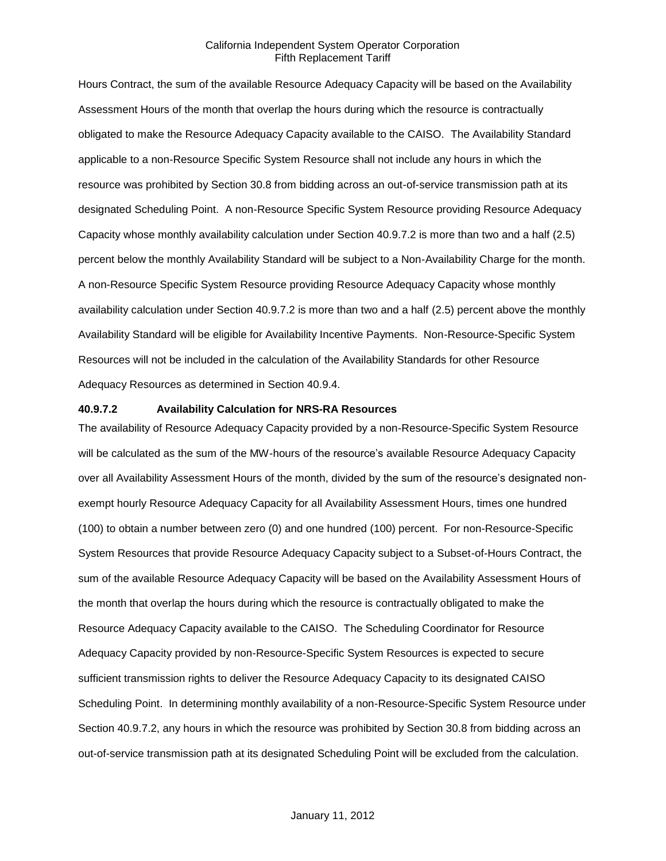Hours Contract, the sum of the available Resource Adequacy Capacity will be based on the Availability Assessment Hours of the month that overlap the hours during which the resource is contractually obligated to make the Resource Adequacy Capacity available to the CAISO. The Availability Standard applicable to a non-Resource Specific System Resource shall not include any hours in which the resource was prohibited by Section 30.8 from bidding across an out-of-service transmission path at its designated Scheduling Point. A non-Resource Specific System Resource providing Resource Adequacy Capacity whose monthly availability calculation under Section 40.9.7.2 is more than two and a half (2.5) percent below the monthly Availability Standard will be subject to a Non-Availability Charge for the month. A non-Resource Specific System Resource providing Resource Adequacy Capacity whose monthly availability calculation under Section 40.9.7.2 is more than two and a half (2.5) percent above the monthly Availability Standard will be eligible for Availability Incentive Payments. Non-Resource-Specific System Resources will not be included in the calculation of the Availability Standards for other Resource Adequacy Resources as determined in Section 40.9.4.

#### **40.9.7.2 Availability Calculation for NRS-RA Resources**

The availability of Resource Adequacy Capacity provided by a non-Resource-Specific System Resource will be calculated as the sum of the MW-hours of the resource's available Resource Adequacy Capacity over all Availability Assessment Hours of the month, divided by the sum of the resource's designated nonexempt hourly Resource Adequacy Capacity for all Availability Assessment Hours, times one hundred (100) to obtain a number between zero (0) and one hundred (100) percent. For non-Resource-Specific System Resources that provide Resource Adequacy Capacity subject to a Subset-of-Hours Contract, the sum of the available Resource Adequacy Capacity will be based on the Availability Assessment Hours of the month that overlap the hours during which the resource is contractually obligated to make the Resource Adequacy Capacity available to the CAISO. The Scheduling Coordinator for Resource Adequacy Capacity provided by non-Resource-Specific System Resources is expected to secure sufficient transmission rights to deliver the Resource Adequacy Capacity to its designated CAISO Scheduling Point. In determining monthly availability of a non-Resource-Specific System Resource under Section 40.9.7.2, any hours in which the resource was prohibited by Section 30.8 from bidding across an out-of-service transmission path at its designated Scheduling Point will be excluded from the calculation.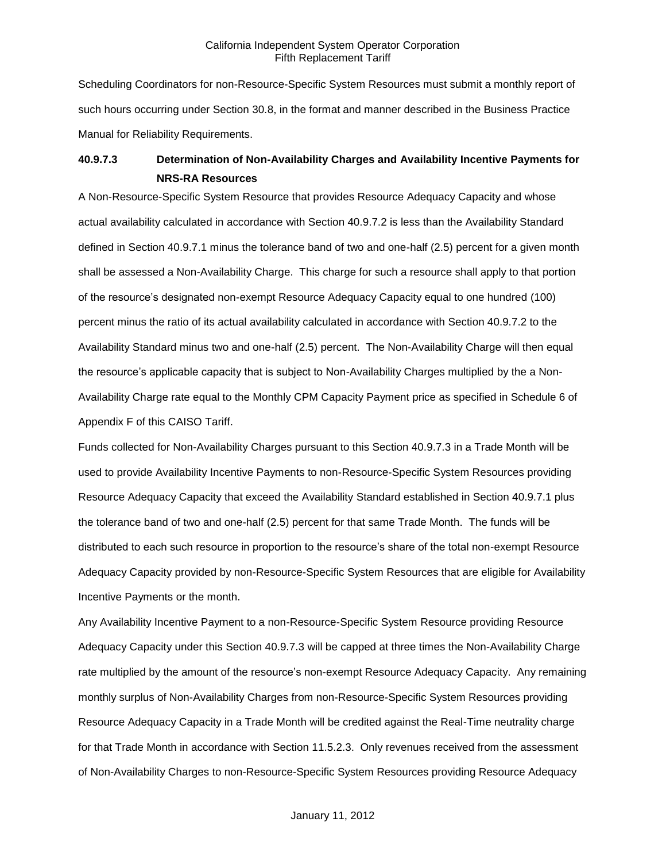Scheduling Coordinators for non-Resource-Specific System Resources must submit a monthly report of such hours occurring under Section 30.8, in the format and manner described in the Business Practice Manual for Reliability Requirements.

# **40.9.7.3 Determination of Non-Availability Charges and Availability Incentive Payments for NRS-RA Resources**

A Non-Resource-Specific System Resource that provides Resource Adequacy Capacity and whose actual availability calculated in accordance with Section 40.9.7.2 is less than the Availability Standard defined in Section 40.9.7.1 minus the tolerance band of two and one-half (2.5) percent for a given month shall be assessed a Non-Availability Charge. This charge for such a resource shall apply to that portion of the resource's designated non-exempt Resource Adequacy Capacity equal to one hundred (100) percent minus the ratio of its actual availability calculated in accordance with Section 40.9.7.2 to the Availability Standard minus two and one-half (2.5) percent. The Non-Availability Charge will then equal the resource's applicable capacity that is subject to Non-Availability Charges multiplied by the a Non-Availability Charge rate equal to the Monthly CPM Capacity Payment price as specified in Schedule 6 of Appendix F of this CAISO Tariff.

Funds collected for Non-Availability Charges pursuant to this Section 40.9.7.3 in a Trade Month will be used to provide Availability Incentive Payments to non-Resource-Specific System Resources providing Resource Adequacy Capacity that exceed the Availability Standard established in Section 40.9.7.1 plus the tolerance band of two and one-half (2.5) percent for that same Trade Month. The funds will be distributed to each such resource in proportion to the resource's share of the total non-exempt Resource Adequacy Capacity provided by non-Resource-Specific System Resources that are eligible for Availability Incentive Payments or the month.

Any Availability Incentive Payment to a non-Resource-Specific System Resource providing Resource Adequacy Capacity under this Section 40.9.7.3 will be capped at three times the Non-Availability Charge rate multiplied by the amount of the resource's non-exempt Resource Adequacy Capacity. Any remaining monthly surplus of Non-Availability Charges from non-Resource-Specific System Resources providing Resource Adequacy Capacity in a Trade Month will be credited against the Real-Time neutrality charge for that Trade Month in accordance with Section 11.5.2.3. Only revenues received from the assessment of Non-Availability Charges to non-Resource-Specific System Resources providing Resource Adequacy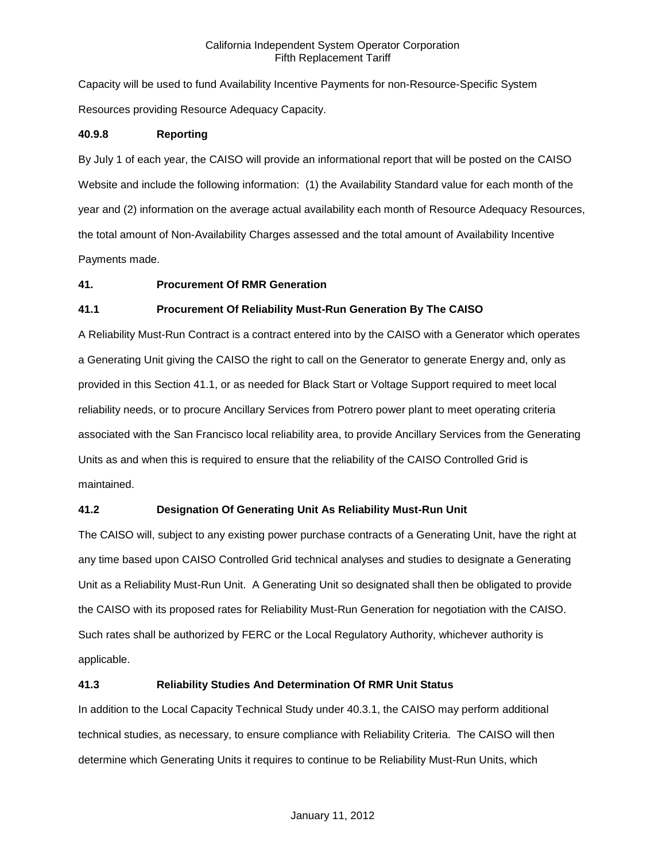Capacity will be used to fund Availability Incentive Payments for non-Resource-Specific System Resources providing Resource Adequacy Capacity.

### **40.9.8 Reporting**

By July 1 of each year, the CAISO will provide an informational report that will be posted on the CAISO Website and include the following information: (1) the Availability Standard value for each month of the year and (2) information on the average actual availability each month of Resource Adequacy Resources, the total amount of Non-Availability Charges assessed and the total amount of Availability Incentive Payments made.

### **41. Procurement Of RMR Generation**

### **41.1 Procurement Of Reliability Must-Run Generation By The CAISO**

A Reliability Must-Run Contract is a contract entered into by the CAISO with a Generator which operates a Generating Unit giving the CAISO the right to call on the Generator to generate Energy and, only as provided in this Section 41.1, or as needed for Black Start or Voltage Support required to meet local reliability needs, or to procure Ancillary Services from Potrero power plant to meet operating criteria associated with the San Francisco local reliability area, to provide Ancillary Services from the Generating Units as and when this is required to ensure that the reliability of the CAISO Controlled Grid is maintained.

### **41.2 Designation Of Generating Unit As Reliability Must-Run Unit**

The CAISO will, subject to any existing power purchase contracts of a Generating Unit, have the right at any time based upon CAISO Controlled Grid technical analyses and studies to designate a Generating Unit as a Reliability Must-Run Unit. A Generating Unit so designated shall then be obligated to provide the CAISO with its proposed rates for Reliability Must-Run Generation for negotiation with the CAISO. Such rates shall be authorized by FERC or the Local Regulatory Authority, whichever authority is applicable.

### **41.3 Reliability Studies And Determination Of RMR Unit Status**

In addition to the Local Capacity Technical Study under 40.3.1, the CAISO may perform additional technical studies, as necessary, to ensure compliance with Reliability Criteria. The CAISO will then determine which Generating Units it requires to continue to be Reliability Must-Run Units, which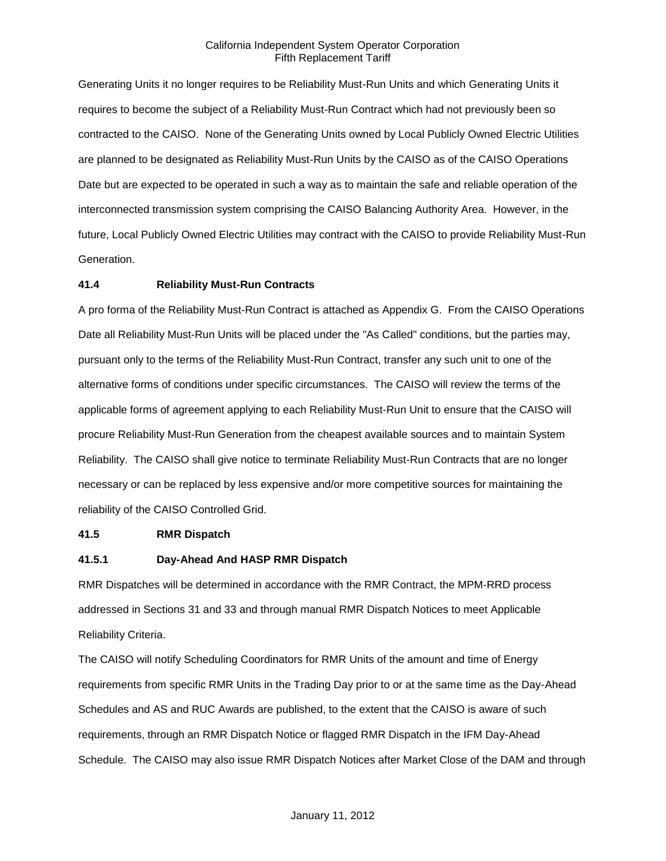Generating Units it no longer requires to be Reliability Must-Run Units and which Generating Units it requires to become the subject of a Reliability Must-Run Contract which had not previously been so contracted to the CAISO. None of the Generating Units owned by Local Publicly Owned Electric Utilities are planned to be designated as Reliability Must-Run Units by the CAISO as of the CAISO Operations Date but are expected to be operated in such a way as to maintain the safe and reliable operation of the interconnected transmission system comprising the CAISO Balancing Authority Area. However, in the future, Local Publicly Owned Electric Utilities may contract with the CAISO to provide Reliability Must-Run Generation.

### **41.4 Reliability Must-Run Contracts**

A pro forma of the Reliability Must-Run Contract is attached as Appendix G. From the CAISO Operations Date all Reliability Must-Run Units will be placed under the "As Called" conditions, but the parties may, pursuant only to the terms of the Reliability Must-Run Contract, transfer any such unit to one of the alternative forms of conditions under specific circumstances. The CAISO will review the terms of the applicable forms of agreement applying to each Reliability Must-Run Unit to ensure that the CAISO will procure Reliability Must-Run Generation from the cheapest available sources and to maintain System Reliability. The CAISO shall give notice to terminate Reliability Must-Run Contracts that are no longer necessary or can be replaced by less expensive and/or more competitive sources for maintaining the reliability of the CAISO Controlled Grid.

#### **41.5 RMR Dispatch**

#### **41.5.1 Day-Ahead And HASP RMR Dispatch**

RMR Dispatches will be determined in accordance with the RMR Contract, the MPM-RRD process addressed in Sections 31 and 33 and through manual RMR Dispatch Notices to meet Applicable Reliability Criteria.

The CAISO will notify Scheduling Coordinators for RMR Units of the amount and time of Energy requirements from specific RMR Units in the Trading Day prior to or at the same time as the Day-Ahead Schedules and AS and RUC Awards are published, to the extent that the CAISO is aware of such requirements, through an RMR Dispatch Notice or flagged RMR Dispatch in the IFM Day-Ahead Schedule. The CAISO may also issue RMR Dispatch Notices after Market Close of the DAM and through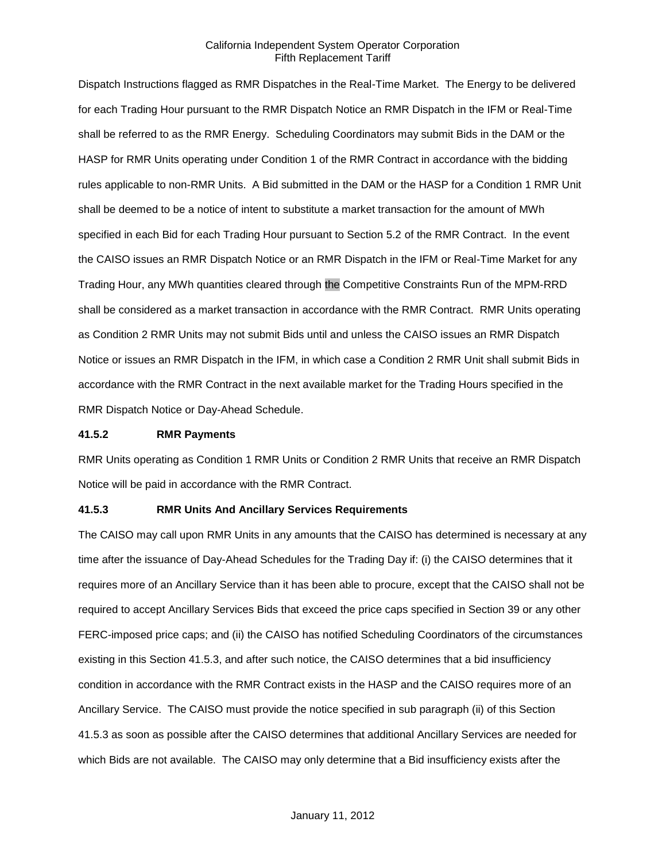Dispatch Instructions flagged as RMR Dispatches in the Real-Time Market. The Energy to be delivered for each Trading Hour pursuant to the RMR Dispatch Notice an RMR Dispatch in the IFM or Real-Time shall be referred to as the RMR Energy. Scheduling Coordinators may submit Bids in the DAM or the HASP for RMR Units operating under Condition 1 of the RMR Contract in accordance with the bidding rules applicable to non-RMR Units. A Bid submitted in the DAM or the HASP for a Condition 1 RMR Unit shall be deemed to be a notice of intent to substitute a market transaction for the amount of MWh specified in each Bid for each Trading Hour pursuant to Section 5.2 of the RMR Contract. In the event the CAISO issues an RMR Dispatch Notice or an RMR Dispatch in the IFM or Real-Time Market for any Trading Hour, any MWh quantities cleared through the Competitive Constraints Run of the MPM-RRD shall be considered as a market transaction in accordance with the RMR Contract. RMR Units operating as Condition 2 RMR Units may not submit Bids until and unless the CAISO issues an RMR Dispatch Notice or issues an RMR Dispatch in the IFM, in which case a Condition 2 RMR Unit shall submit Bids in accordance with the RMR Contract in the next available market for the Trading Hours specified in the RMR Dispatch Notice or Day-Ahead Schedule.

#### **41.5.2 RMR Payments**

RMR Units operating as Condition 1 RMR Units or Condition 2 RMR Units that receive an RMR Dispatch Notice will be paid in accordance with the RMR Contract.

#### **41.5.3 RMR Units And Ancillary Services Requirements**

The CAISO may call upon RMR Units in any amounts that the CAISO has determined is necessary at any time after the issuance of Day-Ahead Schedules for the Trading Day if: (i) the CAISO determines that it requires more of an Ancillary Service than it has been able to procure, except that the CAISO shall not be required to accept Ancillary Services Bids that exceed the price caps specified in Section 39 or any other FERC-imposed price caps; and (ii) the CAISO has notified Scheduling Coordinators of the circumstances existing in this Section 41.5.3, and after such notice, the CAISO determines that a bid insufficiency condition in accordance with the RMR Contract exists in the HASP and the CAISO requires more of an Ancillary Service. The CAISO must provide the notice specified in sub paragraph (ii) of this Section 41.5.3 as soon as possible after the CAISO determines that additional Ancillary Services are needed for which Bids are not available. The CAISO may only determine that a Bid insufficiency exists after the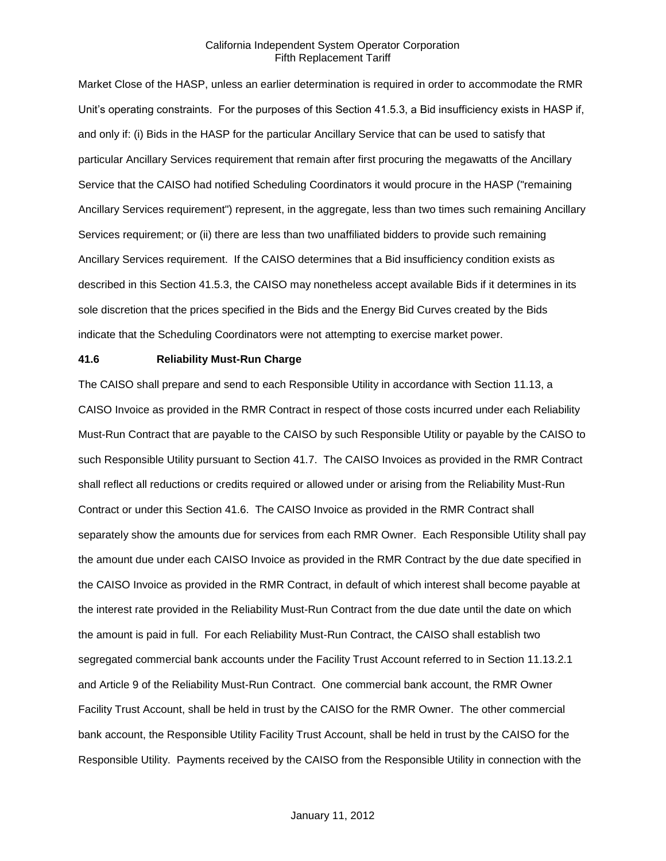Market Close of the HASP, unless an earlier determination is required in order to accommodate the RMR Unit's operating constraints. For the purposes of this Section 41.5.3, a Bid insufficiency exists in HASP if, and only if: (i) Bids in the HASP for the particular Ancillary Service that can be used to satisfy that particular Ancillary Services requirement that remain after first procuring the megawatts of the Ancillary Service that the CAISO had notified Scheduling Coordinators it would procure in the HASP ("remaining Ancillary Services requirement") represent, in the aggregate, less than two times such remaining Ancillary Services requirement; or (ii) there are less than two unaffiliated bidders to provide such remaining Ancillary Services requirement. If the CAISO determines that a Bid insufficiency condition exists as described in this Section 41.5.3, the CAISO may nonetheless accept available Bids if it determines in its sole discretion that the prices specified in the Bids and the Energy Bid Curves created by the Bids indicate that the Scheduling Coordinators were not attempting to exercise market power.

#### **41.6 Reliability Must-Run Charge**

The CAISO shall prepare and send to each Responsible Utility in accordance with Section 11.13, a CAISO Invoice as provided in the RMR Contract in respect of those costs incurred under each Reliability Must-Run Contract that are payable to the CAISO by such Responsible Utility or payable by the CAISO to such Responsible Utility pursuant to Section 41.7. The CAISO Invoices as provided in the RMR Contract shall reflect all reductions or credits required or allowed under or arising from the Reliability Must-Run Contract or under this Section 41.6. The CAISO Invoice as provided in the RMR Contract shall separately show the amounts due for services from each RMR Owner. Each Responsible Utility shall pay the amount due under each CAISO Invoice as provided in the RMR Contract by the due date specified in the CAISO Invoice as provided in the RMR Contract, in default of which interest shall become payable at the interest rate provided in the Reliability Must-Run Contract from the due date until the date on which the amount is paid in full. For each Reliability Must-Run Contract, the CAISO shall establish two segregated commercial bank accounts under the Facility Trust Account referred to in Section 11.13.2.1 and Article 9 of the Reliability Must-Run Contract. One commercial bank account, the RMR Owner Facility Trust Account, shall be held in trust by the CAISO for the RMR Owner. The other commercial bank account, the Responsible Utility Facility Trust Account, shall be held in trust by the CAISO for the Responsible Utility. Payments received by the CAISO from the Responsible Utility in connection with the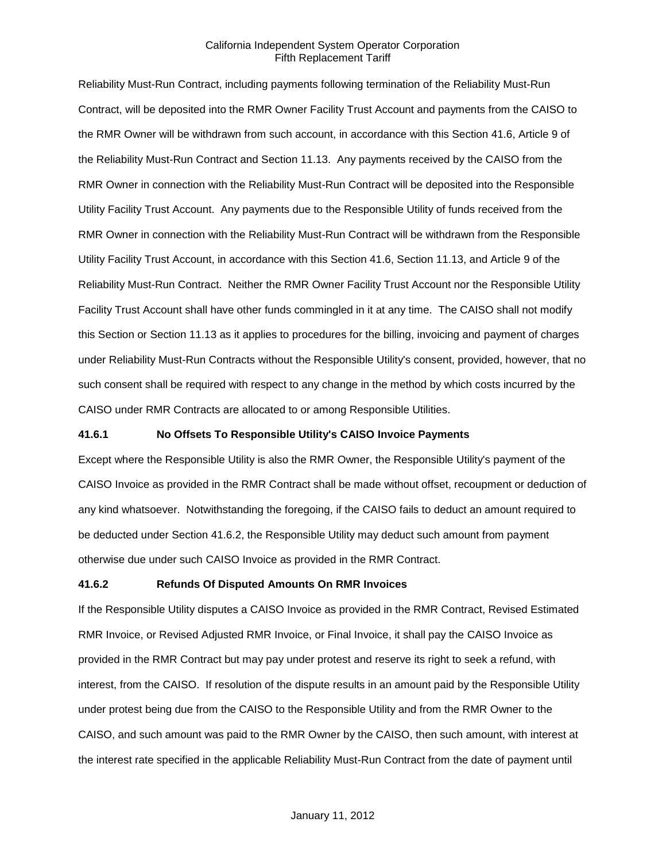Reliability Must-Run Contract, including payments following termination of the Reliability Must-Run Contract, will be deposited into the RMR Owner Facility Trust Account and payments from the CAISO to the RMR Owner will be withdrawn from such account, in accordance with this Section 41.6, Article 9 of the Reliability Must-Run Contract and Section 11.13. Any payments received by the CAISO from the RMR Owner in connection with the Reliability Must-Run Contract will be deposited into the Responsible Utility Facility Trust Account. Any payments due to the Responsible Utility of funds received from the RMR Owner in connection with the Reliability Must-Run Contract will be withdrawn from the Responsible Utility Facility Trust Account, in accordance with this Section 41.6, Section 11.13, and Article 9 of the Reliability Must-Run Contract. Neither the RMR Owner Facility Trust Account nor the Responsible Utility Facility Trust Account shall have other funds commingled in it at any time. The CAISO shall not modify this Section or Section 11.13 as it applies to procedures for the billing, invoicing and payment of charges under Reliability Must-Run Contracts without the Responsible Utility's consent, provided, however, that no such consent shall be required with respect to any change in the method by which costs incurred by the CAISO under RMR Contracts are allocated to or among Responsible Utilities.

#### **41.6.1 No Offsets To Responsible Utility's CAISO Invoice Payments**

Except where the Responsible Utility is also the RMR Owner, the Responsible Utility's payment of the CAISO Invoice as provided in the RMR Contract shall be made without offset, recoupment or deduction of any kind whatsoever. Notwithstanding the foregoing, if the CAISO fails to deduct an amount required to be deducted under Section 41.6.2, the Responsible Utility may deduct such amount from payment otherwise due under such CAISO Invoice as provided in the RMR Contract.

#### **41.6.2 Refunds Of Disputed Amounts On RMR Invoices**

If the Responsible Utility disputes a CAISO Invoice as provided in the RMR Contract, Revised Estimated RMR Invoice, or Revised Adjusted RMR Invoice, or Final Invoice, it shall pay the CAISO Invoice as provided in the RMR Contract but may pay under protest and reserve its right to seek a refund, with interest, from the CAISO. If resolution of the dispute results in an amount paid by the Responsible Utility under protest being due from the CAISO to the Responsible Utility and from the RMR Owner to the CAISO, and such amount was paid to the RMR Owner by the CAISO, then such amount, with interest at the interest rate specified in the applicable Reliability Must-Run Contract from the date of payment until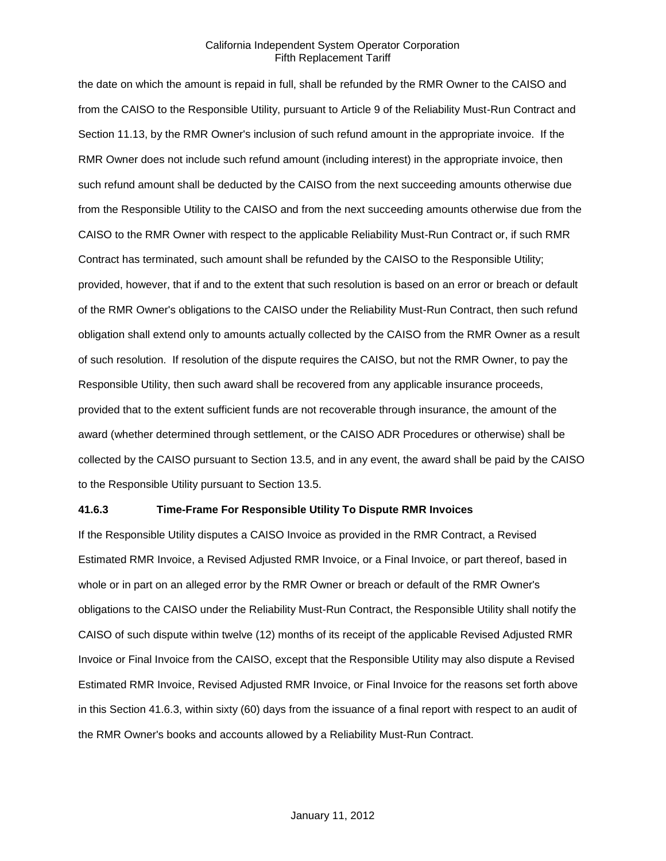the date on which the amount is repaid in full, shall be refunded by the RMR Owner to the CAISO and from the CAISO to the Responsible Utility, pursuant to Article 9 of the Reliability Must-Run Contract and Section 11.13, by the RMR Owner's inclusion of such refund amount in the appropriate invoice. If the RMR Owner does not include such refund amount (including interest) in the appropriate invoice, then such refund amount shall be deducted by the CAISO from the next succeeding amounts otherwise due from the Responsible Utility to the CAISO and from the next succeeding amounts otherwise due from the CAISO to the RMR Owner with respect to the applicable Reliability Must-Run Contract or, if such RMR Contract has terminated, such amount shall be refunded by the CAISO to the Responsible Utility; provided, however, that if and to the extent that such resolution is based on an error or breach or default of the RMR Owner's obligations to the CAISO under the Reliability Must-Run Contract, then such refund obligation shall extend only to amounts actually collected by the CAISO from the RMR Owner as a result of such resolution. If resolution of the dispute requires the CAISO, but not the RMR Owner, to pay the Responsible Utility, then such award shall be recovered from any applicable insurance proceeds, provided that to the extent sufficient funds are not recoverable through insurance, the amount of the award (whether determined through settlement, or the CAISO ADR Procedures or otherwise) shall be collected by the CAISO pursuant to Section 13.5, and in any event, the award shall be paid by the CAISO to the Responsible Utility pursuant to Section 13.5.

#### **41.6.3 Time-Frame For Responsible Utility To Dispute RMR Invoices**

If the Responsible Utility disputes a CAISO Invoice as provided in the RMR Contract, a Revised Estimated RMR Invoice, a Revised Adjusted RMR Invoice, or a Final Invoice, or part thereof, based in whole or in part on an alleged error by the RMR Owner or breach or default of the RMR Owner's obligations to the CAISO under the Reliability Must-Run Contract, the Responsible Utility shall notify the CAISO of such dispute within twelve (12) months of its receipt of the applicable Revised Adjusted RMR Invoice or Final Invoice from the CAISO, except that the Responsible Utility may also dispute a Revised Estimated RMR Invoice, Revised Adjusted RMR Invoice, or Final Invoice for the reasons set forth above in this Section 41.6.3, within sixty (60) days from the issuance of a final report with respect to an audit of the RMR Owner's books and accounts allowed by a Reliability Must-Run Contract.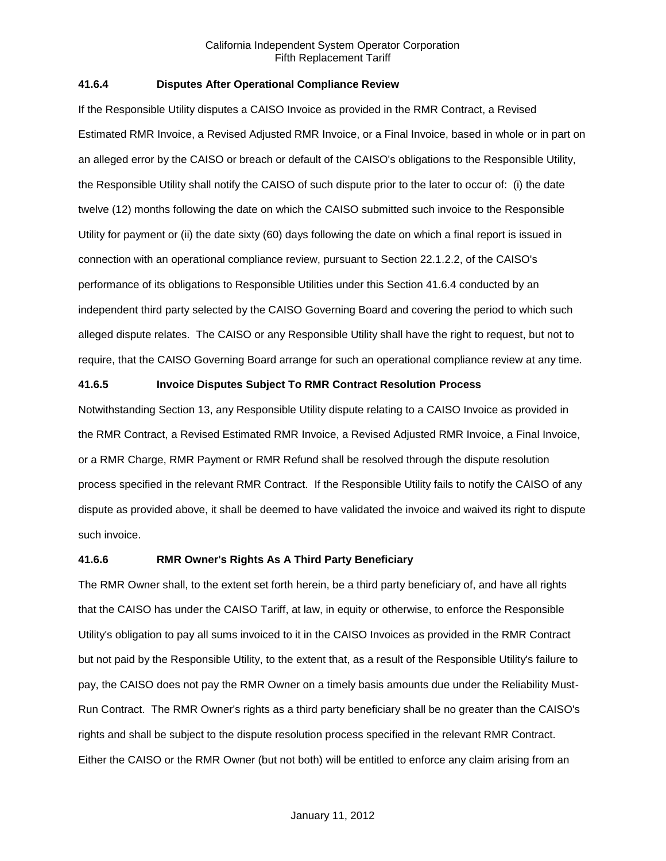### **41.6.4 Disputes After Operational Compliance Review**

If the Responsible Utility disputes a CAISO Invoice as provided in the RMR Contract, a Revised Estimated RMR Invoice, a Revised Adjusted RMR Invoice, or a Final Invoice, based in whole or in part on an alleged error by the CAISO or breach or default of the CAISO's obligations to the Responsible Utility, the Responsible Utility shall notify the CAISO of such dispute prior to the later to occur of: (i) the date twelve (12) months following the date on which the CAISO submitted such invoice to the Responsible Utility for payment or (ii) the date sixty (60) days following the date on which a final report is issued in connection with an operational compliance review, pursuant to Section 22.1.2.2, of the CAISO's performance of its obligations to Responsible Utilities under this Section 41.6.4 conducted by an independent third party selected by the CAISO Governing Board and covering the period to which such alleged dispute relates. The CAISO or any Responsible Utility shall have the right to request, but not to require, that the CAISO Governing Board arrange for such an operational compliance review at any time.

#### **41.6.5 Invoice Disputes Subject To RMR Contract Resolution Process**

Notwithstanding Section 13, any Responsible Utility dispute relating to a CAISO Invoice as provided in the RMR Contract, a Revised Estimated RMR Invoice, a Revised Adjusted RMR Invoice, a Final Invoice, or a RMR Charge, RMR Payment or RMR Refund shall be resolved through the dispute resolution process specified in the relevant RMR Contract. If the Responsible Utility fails to notify the CAISO of any dispute as provided above, it shall be deemed to have validated the invoice and waived its right to dispute such invoice.

### **41.6.6 RMR Owner's Rights As A Third Party Beneficiary**

The RMR Owner shall, to the extent set forth herein, be a third party beneficiary of, and have all rights that the CAISO has under the CAISO Tariff, at law, in equity or otherwise, to enforce the Responsible Utility's obligation to pay all sums invoiced to it in the CAISO Invoices as provided in the RMR Contract but not paid by the Responsible Utility, to the extent that, as a result of the Responsible Utility's failure to pay, the CAISO does not pay the RMR Owner on a timely basis amounts due under the Reliability Must-Run Contract. The RMR Owner's rights as a third party beneficiary shall be no greater than the CAISO's rights and shall be subject to the dispute resolution process specified in the relevant RMR Contract. Either the CAISO or the RMR Owner (but not both) will be entitled to enforce any claim arising from an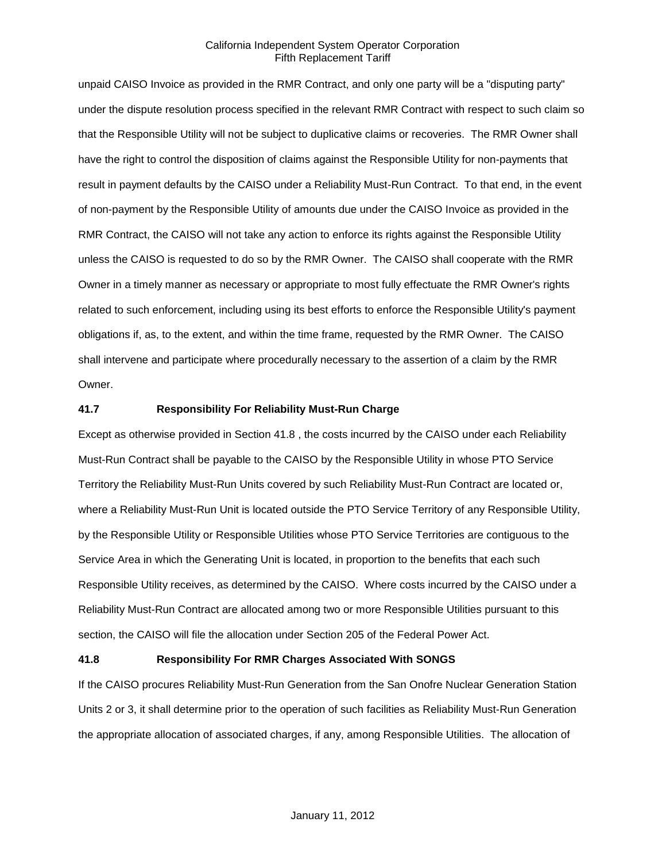unpaid CAISO Invoice as provided in the RMR Contract, and only one party will be a "disputing party" under the dispute resolution process specified in the relevant RMR Contract with respect to such claim so that the Responsible Utility will not be subject to duplicative claims or recoveries. The RMR Owner shall have the right to control the disposition of claims against the Responsible Utility for non-payments that result in payment defaults by the CAISO under a Reliability Must-Run Contract. To that end, in the event of non-payment by the Responsible Utility of amounts due under the CAISO Invoice as provided in the RMR Contract, the CAISO will not take any action to enforce its rights against the Responsible Utility unless the CAISO is requested to do so by the RMR Owner. The CAISO shall cooperate with the RMR Owner in a timely manner as necessary or appropriate to most fully effectuate the RMR Owner's rights related to such enforcement, including using its best efforts to enforce the Responsible Utility's payment obligations if, as, to the extent, and within the time frame, requested by the RMR Owner. The CAISO shall intervene and participate where procedurally necessary to the assertion of a claim by the RMR Owner.

#### **41.7 Responsibility For Reliability Must-Run Charge**

Except as otherwise provided in Section 41.8 , the costs incurred by the CAISO under each Reliability Must-Run Contract shall be payable to the CAISO by the Responsible Utility in whose PTO Service Territory the Reliability Must-Run Units covered by such Reliability Must-Run Contract are located or, where a Reliability Must-Run Unit is located outside the PTO Service Territory of any Responsible Utility, by the Responsible Utility or Responsible Utilities whose PTO Service Territories are contiguous to the Service Area in which the Generating Unit is located, in proportion to the benefits that each such Responsible Utility receives, as determined by the CAISO. Where costs incurred by the CAISO under a Reliability Must-Run Contract are allocated among two or more Responsible Utilities pursuant to this section, the CAISO will file the allocation under Section 205 of the Federal Power Act.

#### **41.8 Responsibility For RMR Charges Associated With SONGS**

If the CAISO procures Reliability Must-Run Generation from the San Onofre Nuclear Generation Station Units 2 or 3, it shall determine prior to the operation of such facilities as Reliability Must-Run Generation the appropriate allocation of associated charges, if any, among Responsible Utilities. The allocation of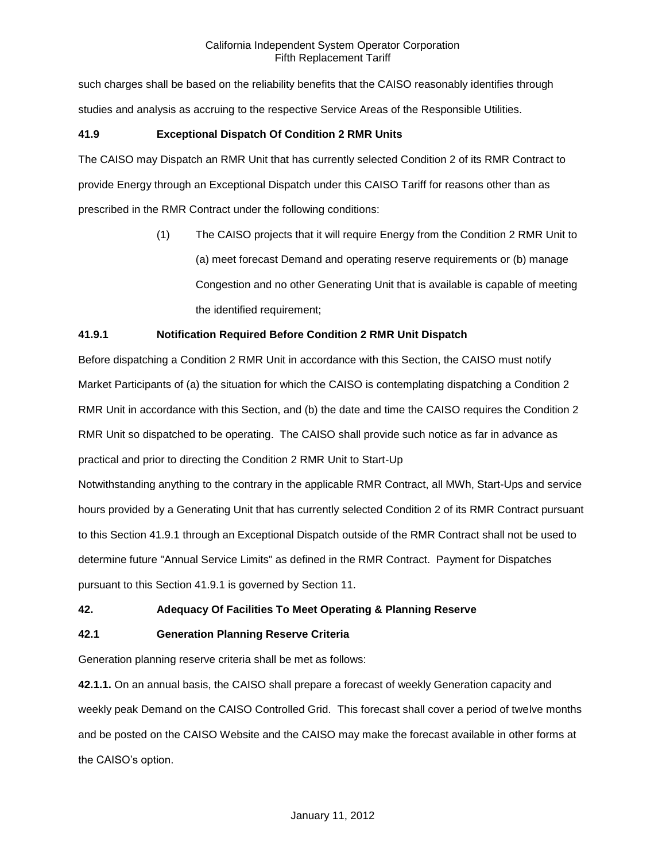such charges shall be based on the reliability benefits that the CAISO reasonably identifies through studies and analysis as accruing to the respective Service Areas of the Responsible Utilities.

# **41.9 Exceptional Dispatch Of Condition 2 RMR Units**

The CAISO may Dispatch an RMR Unit that has currently selected Condition 2 of its RMR Contract to provide Energy through an Exceptional Dispatch under this CAISO Tariff for reasons other than as prescribed in the RMR Contract under the following conditions:

> (1) The CAISO projects that it will require Energy from the Condition 2 RMR Unit to (a) meet forecast Demand and operating reserve requirements or (b) manage Congestion and no other Generating Unit that is available is capable of meeting the identified requirement;

# **41.9.1 Notification Required Before Condition 2 RMR Unit Dispatch**

Before dispatching a Condition 2 RMR Unit in accordance with this Section, the CAISO must notify Market Participants of (a) the situation for which the CAISO is contemplating dispatching a Condition 2 RMR Unit in accordance with this Section, and (b) the date and time the CAISO requires the Condition 2 RMR Unit so dispatched to be operating. The CAISO shall provide such notice as far in advance as practical and prior to directing the Condition 2 RMR Unit to Start-Up

Notwithstanding anything to the contrary in the applicable RMR Contract, all MWh, Start-Ups and service hours provided by a Generating Unit that has currently selected Condition 2 of its RMR Contract pursuant to this Section 41.9.1 through an Exceptional Dispatch outside of the RMR Contract shall not be used to determine future "Annual Service Limits" as defined in the RMR Contract. Payment for Dispatches pursuant to this Section 41.9.1 is governed by Section 11.

# **42. Adequacy Of Facilities To Meet Operating & Planning Reserve**

# **42.1 Generation Planning Reserve Criteria**

Generation planning reserve criteria shall be met as follows:

**42.1.1.** On an annual basis, the CAISO shall prepare a forecast of weekly Generation capacity and weekly peak Demand on the CAISO Controlled Grid. This forecast shall cover a period of twelve months and be posted on the CAISO Website and the CAISO may make the forecast available in other forms at the CAISO's option.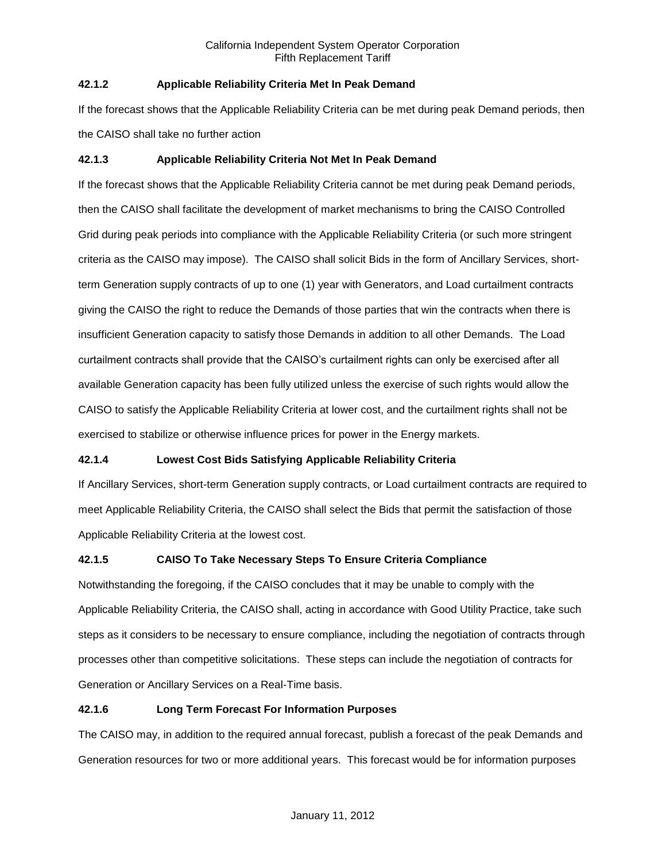# **42.1.2 Applicable Reliability Criteria Met In Peak Demand**

If the forecast shows that the Applicable Reliability Criteria can be met during peak Demand periods, then the CAISO shall take no further action

# **42.1.3 Applicable Reliability Criteria Not Met In Peak Demand**

If the forecast shows that the Applicable Reliability Criteria cannot be met during peak Demand periods, then the CAISO shall facilitate the development of market mechanisms to bring the CAISO Controlled Grid during peak periods into compliance with the Applicable Reliability Criteria (or such more stringent criteria as the CAISO may impose). The CAISO shall solicit Bids in the form of Ancillary Services, shortterm Generation supply contracts of up to one (1) year with Generators, and Load curtailment contracts giving the CAISO the right to reduce the Demands of those parties that win the contracts when there is insufficient Generation capacity to satisfy those Demands in addition to all other Demands. The Load curtailment contracts shall provide that the CAISO's curtailment rights can only be exercised after all available Generation capacity has been fully utilized unless the exercise of such rights would allow the CAISO to satisfy the Applicable Reliability Criteria at lower cost, and the curtailment rights shall not be exercised to stabilize or otherwise influence prices for power in the Energy markets.

# **42.1.4 Lowest Cost Bids Satisfying Applicable Reliability Criteria**

If Ancillary Services, short-term Generation supply contracts, or Load curtailment contracts are required to meet Applicable Reliability Criteria, the CAISO shall select the Bids that permit the satisfaction of those Applicable Reliability Criteria at the lowest cost.

# **42.1.5 CAISO To Take Necessary Steps To Ensure Criteria Compliance**

Notwithstanding the foregoing, if the CAISO concludes that it may be unable to comply with the Applicable Reliability Criteria, the CAISO shall, acting in accordance with Good Utility Practice, take such steps as it considers to be necessary to ensure compliance, including the negotiation of contracts through processes other than competitive solicitations. These steps can include the negotiation of contracts for Generation or Ancillary Services on a Real-Time basis.

# **42.1.6 Long Term Forecast For Information Purposes**

The CAISO may, in addition to the required annual forecast, publish a forecast of the peak Demands and Generation resources for two or more additional years. This forecast would be for information purposes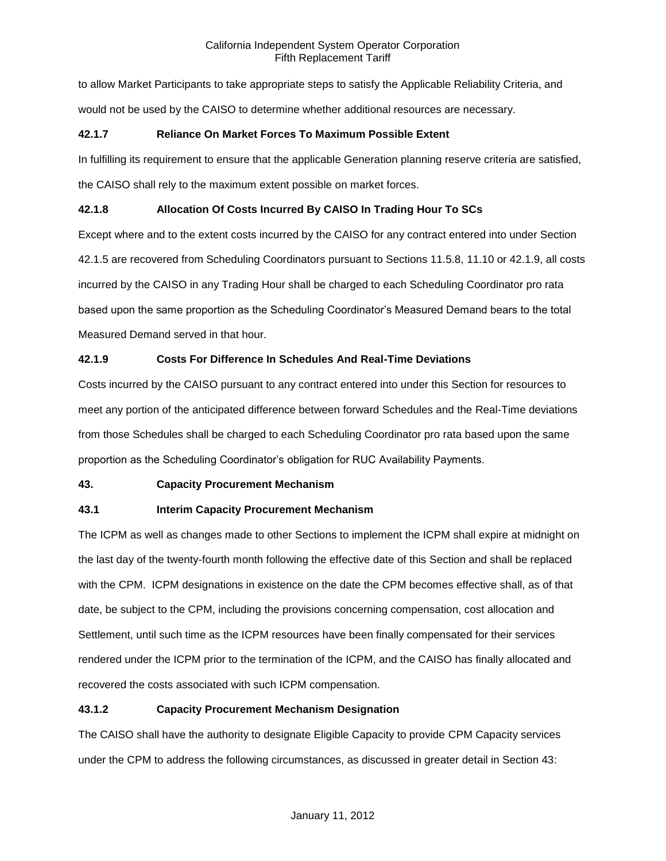to allow Market Participants to take appropriate steps to satisfy the Applicable Reliability Criteria, and would not be used by the CAISO to determine whether additional resources are necessary.

### **42.1.7 Reliance On Market Forces To Maximum Possible Extent**

In fulfilling its requirement to ensure that the applicable Generation planning reserve criteria are satisfied, the CAISO shall rely to the maximum extent possible on market forces.

# **42.1.8 Allocation Of Costs Incurred By CAISO In Trading Hour To SCs**

Except where and to the extent costs incurred by the CAISO for any contract entered into under Section 42.1.5 are recovered from Scheduling Coordinators pursuant to Sections 11.5.8, 11.10 or 42.1.9, all costs incurred by the CAISO in any Trading Hour shall be charged to each Scheduling Coordinator pro rata based upon the same proportion as the Scheduling Coordinator's Measured Demand bears to the total Measured Demand served in that hour.

# **42.1.9 Costs For Difference In Schedules And Real-Time Deviations**

Costs incurred by the CAISO pursuant to any contract entered into under this Section for resources to meet any portion of the anticipated difference between forward Schedules and the Real-Time deviations from those Schedules shall be charged to each Scheduling Coordinator pro rata based upon the same proportion as the Scheduling Coordinator's obligation for RUC Availability Payments.

# **43. Capacity Procurement Mechanism**

# **43.1 Interim Capacity Procurement Mechanism**

The ICPM as well as changes made to other Sections to implement the ICPM shall expire at midnight on the last day of the twenty-fourth month following the effective date of this Section and shall be replaced with the CPM. ICPM designations in existence on the date the CPM becomes effective shall, as of that date, be subject to the CPM, including the provisions concerning compensation, cost allocation and Settlement, until such time as the ICPM resources have been finally compensated for their services rendered under the ICPM prior to the termination of the ICPM, and the CAISO has finally allocated and recovered the costs associated with such ICPM compensation.

# **43.1.2 Capacity Procurement Mechanism Designation**

The CAISO shall have the authority to designate Eligible Capacity to provide CPM Capacity services under the CPM to address the following circumstances, as discussed in greater detail in Section 43: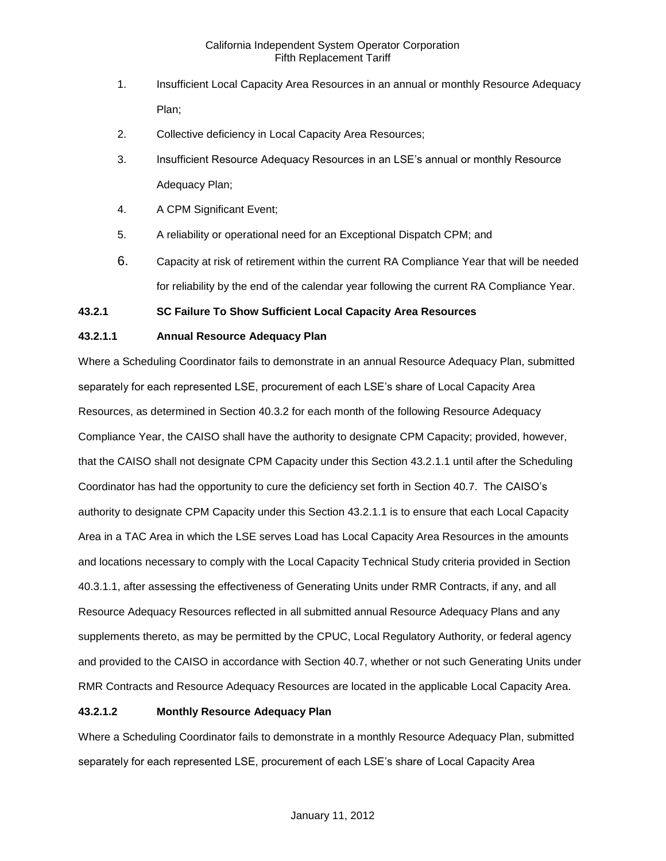- 1. Insufficient Local Capacity Area Resources in an annual or monthly Resource Adequacy Plan;
- 2. Collective deficiency in Local Capacity Area Resources;
- 3. Insufficient Resource Adequacy Resources in an LSE's annual or monthly Resource Adequacy Plan;
- 4. A CPM Significant Event;
- 5. A reliability or operational need for an Exceptional Dispatch CPM; and
- 6. Capacity at risk of retirement within the current RA Compliance Year that will be needed for reliability by the end of the calendar year following the current RA Compliance Year.

# **43.2.1 SC Failure To Show Sufficient Local Capacity Area Resources**

# **43.2.1.1 Annual Resource Adequacy Plan**

Where a Scheduling Coordinator fails to demonstrate in an annual Resource Adequacy Plan, submitted separately for each represented LSE, procurement of each LSE's share of Local Capacity Area Resources, as determined in Section 40.3.2 for each month of the following Resource Adequacy Compliance Year, the CAISO shall have the authority to designate CPM Capacity; provided, however, that the CAISO shall not designate CPM Capacity under this Section 43.2.1.1 until after the Scheduling Coordinator has had the opportunity to cure the deficiency set forth in Section 40.7. The CAISO's authority to designate CPM Capacity under this Section 43.2.1.1 is to ensure that each Local Capacity Area in a TAC Area in which the LSE serves Load has Local Capacity Area Resources in the amounts and locations necessary to comply with the Local Capacity Technical Study criteria provided in Section 40.3.1.1, after assessing the effectiveness of Generating Units under RMR Contracts, if any, and all Resource Adequacy Resources reflected in all submitted annual Resource Adequacy Plans and any supplements thereto, as may be permitted by the CPUC, Local Regulatory Authority, or federal agency and provided to the CAISO in accordance with Section 40.7, whether or not such Generating Units under RMR Contracts and Resource Adequacy Resources are located in the applicable Local Capacity Area.

# **43.2.1.2 Monthly Resource Adequacy Plan**

Where a Scheduling Coordinator fails to demonstrate in a monthly Resource Adequacy Plan, submitted separately for each represented LSE, procurement of each LSE's share of Local Capacity Area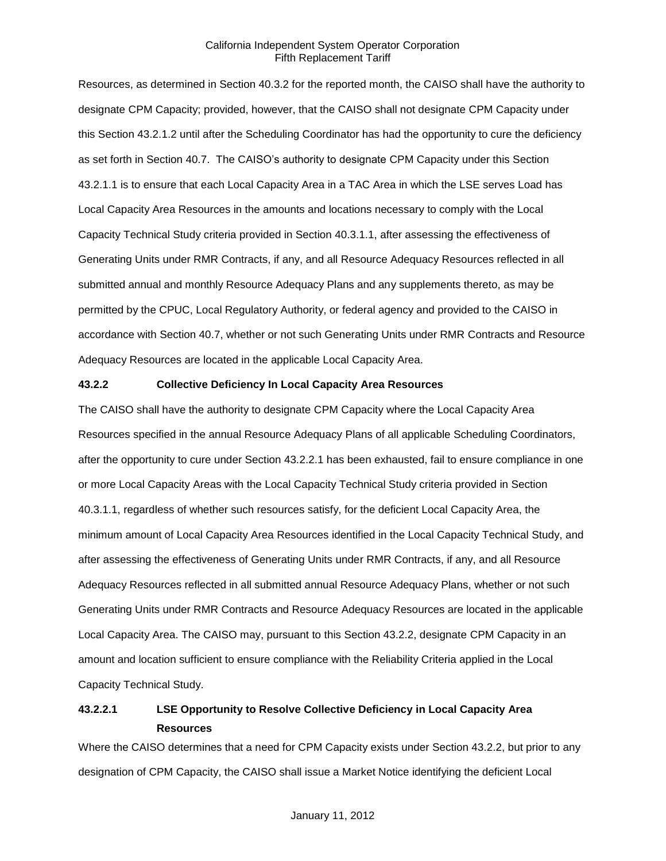Resources, as determined in Section 40.3.2 for the reported month, the CAISO shall have the authority to designate CPM Capacity; provided, however, that the CAISO shall not designate CPM Capacity under this Section 43.2.1.2 until after the Scheduling Coordinator has had the opportunity to cure the deficiency as set forth in Section 40.7. The CAISO's authority to designate CPM Capacity under this Section 43.2.1.1 is to ensure that each Local Capacity Area in a TAC Area in which the LSE serves Load has Local Capacity Area Resources in the amounts and locations necessary to comply with the Local Capacity Technical Study criteria provided in Section 40.3.1.1, after assessing the effectiveness of Generating Units under RMR Contracts, if any, and all Resource Adequacy Resources reflected in all submitted annual and monthly Resource Adequacy Plans and any supplements thereto, as may be permitted by the CPUC, Local Regulatory Authority, or federal agency and provided to the CAISO in accordance with Section 40.7, whether or not such Generating Units under RMR Contracts and Resource Adequacy Resources are located in the applicable Local Capacity Area.

#### **43.2.2 Collective Deficiency In Local Capacity Area Resources**

The CAISO shall have the authority to designate CPM Capacity where the Local Capacity Area Resources specified in the annual Resource Adequacy Plans of all applicable Scheduling Coordinators, after the opportunity to cure under Section 43.2.2.1 has been exhausted, fail to ensure compliance in one or more Local Capacity Areas with the Local Capacity Technical Study criteria provided in Section 40.3.1.1, regardless of whether such resources satisfy, for the deficient Local Capacity Area, the minimum amount of Local Capacity Area Resources identified in the Local Capacity Technical Study, and after assessing the effectiveness of Generating Units under RMR Contracts, if any, and all Resource Adequacy Resources reflected in all submitted annual Resource Adequacy Plans, whether or not such Generating Units under RMR Contracts and Resource Adequacy Resources are located in the applicable Local Capacity Area. The CAISO may, pursuant to this Section 43.2.2, designate CPM Capacity in an amount and location sufficient to ensure compliance with the Reliability Criteria applied in the Local Capacity Technical Study.

# **43.2.2.1 LSE Opportunity to Resolve Collective Deficiency in Local Capacity Area Resources**

Where the CAISO determines that a need for CPM Capacity exists under Section 43.2.2, but prior to any designation of CPM Capacity, the CAISO shall issue a Market Notice identifying the deficient Local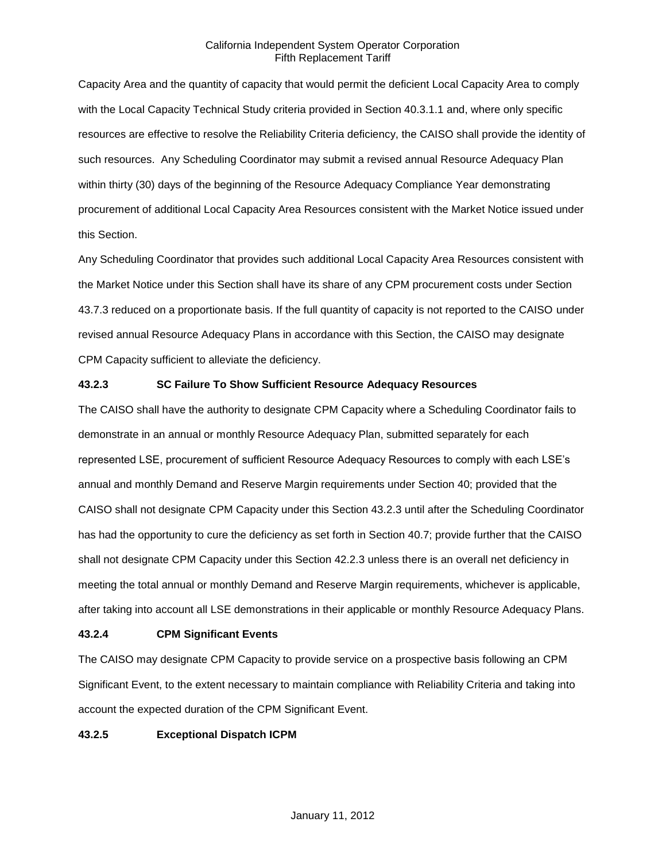Capacity Area and the quantity of capacity that would permit the deficient Local Capacity Area to comply with the Local Capacity Technical Study criteria provided in Section 40.3.1.1 and, where only specific resources are effective to resolve the Reliability Criteria deficiency, the CAISO shall provide the identity of such resources. Any Scheduling Coordinator may submit a revised annual Resource Adequacy Plan within thirty (30) days of the beginning of the Resource Adequacy Compliance Year demonstrating procurement of additional Local Capacity Area Resources consistent with the Market Notice issued under this Section.

Any Scheduling Coordinator that provides such additional Local Capacity Area Resources consistent with the Market Notice under this Section shall have its share of any CPM procurement costs under Section 43.7.3 reduced on a proportionate basis. If the full quantity of capacity is not reported to the CAISO under revised annual Resource Adequacy Plans in accordance with this Section, the CAISO may designate CPM Capacity sufficient to alleviate the deficiency.

# **43.2.3 SC Failure To Show Sufficient Resource Adequacy Resources**

The CAISO shall have the authority to designate CPM Capacity where a Scheduling Coordinator fails to demonstrate in an annual or monthly Resource Adequacy Plan, submitted separately for each represented LSE, procurement of sufficient Resource Adequacy Resources to comply with each LSE's annual and monthly Demand and Reserve Margin requirements under Section 40; provided that the CAISO shall not designate CPM Capacity under this Section 43.2.3 until after the Scheduling Coordinator has had the opportunity to cure the deficiency as set forth in Section 40.7; provide further that the CAISO shall not designate CPM Capacity under this Section 42.2.3 unless there is an overall net deficiency in meeting the total annual or monthly Demand and Reserve Margin requirements, whichever is applicable, after taking into account all LSE demonstrations in their applicable or monthly Resource Adequacy Plans.

### **43.2.4 CPM Significant Events**

The CAISO may designate CPM Capacity to provide service on a prospective basis following an CPM Significant Event, to the extent necessary to maintain compliance with Reliability Criteria and taking into account the expected duration of the CPM Significant Event.

### **43.2.5 Exceptional Dispatch ICPM**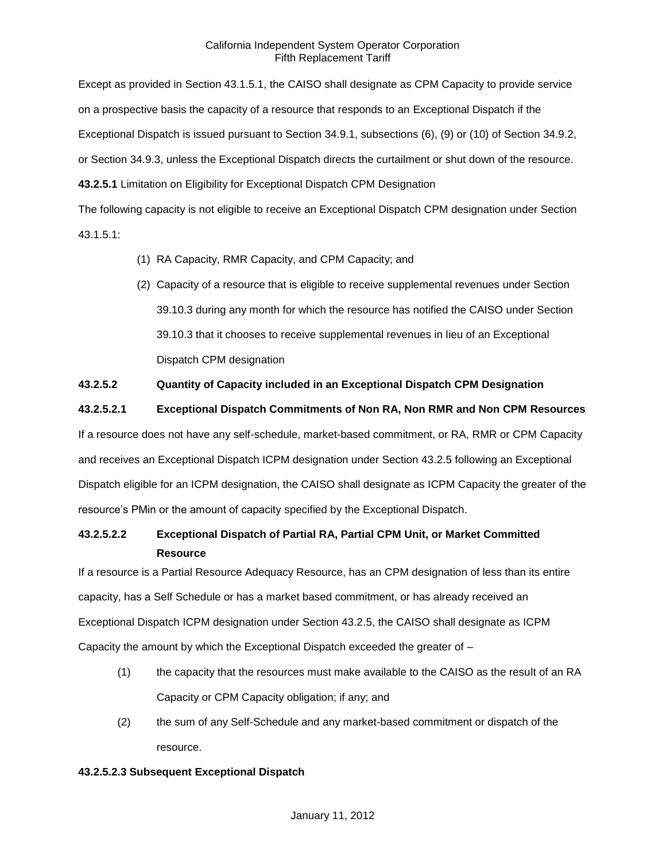Except as provided in Section 43.1.5.1, the CAISO shall designate as CPM Capacity to provide service on a prospective basis the capacity of a resource that responds to an Exceptional Dispatch if the Exceptional Dispatch is issued pursuant to Section 34.9.1, subsections (6), (9) or (10) of Section 34.9.2, or Section 34.9.3, unless the Exceptional Dispatch directs the curtailment or shut down of the resource. **43.2.5.1** Limitation on Eligibility for Exceptional Dispatch CPM Designation

The following capacity is not eligible to receive an Exceptional Dispatch CPM designation under Section 43.1.5.1:

- (1) RA Capacity, RMR Capacity, and CPM Capacity; and
- (2) Capacity of a resource that is eligible to receive supplemental revenues under Section 39.10.3 during any month for which the resource has notified the CAISO under Section 39.10.3 that it chooses to receive supplemental revenues in lieu of an Exceptional Dispatch CPM designation

# **43.2.5.2 Quantity of Capacity included in an Exceptional Dispatch CPM Designation**

**43.2.5.2.1 Exceptional Dispatch Commitments of Non RA, Non RMR and Non CPM Resources**

If a resource does not have any self-schedule, market-based commitment, or RA, RMR or CPM Capacity and receives an Exceptional Dispatch ICPM designation under Section 43.2.5 following an Exceptional Dispatch eligible for an ICPM designation, the CAISO shall designate as ICPM Capacity the greater of the resource's PMin or the amount of capacity specified by the Exceptional Dispatch.

# **43.2.5.2.2 Exceptional Dispatch of Partial RA, Partial CPM Unit, or Market Committed Resource**

If a resource is a Partial Resource Adequacy Resource, has an CPM designation of less than its entire capacity, has a Self Schedule or has a market based commitment, or has already received an Exceptional Dispatch ICPM designation under Section 43.2.5, the CAISO shall designate as ICPM Capacity the amount by which the Exceptional Dispatch exceeded the greater of –

- (1) the capacity that the resources must make available to the CAISO as the result of an RA Capacity or CPM Capacity obligation; if any; and
- (2) the sum of any Self-Schedule and any market-based commitment or dispatch of the resource.

### **43.2.5.2.3 Subsequent Exceptional Dispatch**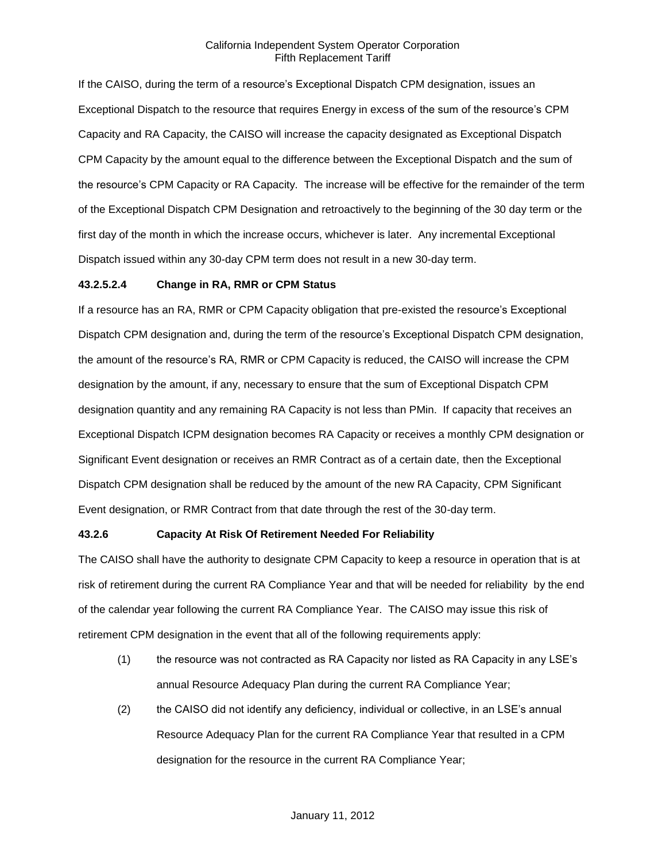If the CAISO, during the term of a resource's Exceptional Dispatch CPM designation, issues an Exceptional Dispatch to the resource that requires Energy in excess of the sum of the resource's CPM Capacity and RA Capacity, the CAISO will increase the capacity designated as Exceptional Dispatch CPM Capacity by the amount equal to the difference between the Exceptional Dispatch and the sum of the resource's CPM Capacity or RA Capacity. The increase will be effective for the remainder of the term of the Exceptional Dispatch CPM Designation and retroactively to the beginning of the 30 day term or the first day of the month in which the increase occurs, whichever is later. Any incremental Exceptional Dispatch issued within any 30-day CPM term does not result in a new 30-day term.

#### **43.2.5.2.4 Change in RA, RMR or CPM Status**

If a resource has an RA, RMR or CPM Capacity obligation that pre-existed the resource's Exceptional Dispatch CPM designation and, during the term of the resource's Exceptional Dispatch CPM designation, the amount of the resource's RA, RMR or CPM Capacity is reduced, the CAISO will increase the CPM designation by the amount, if any, necessary to ensure that the sum of Exceptional Dispatch CPM designation quantity and any remaining RA Capacity is not less than PMin. If capacity that receives an Exceptional Dispatch ICPM designation becomes RA Capacity or receives a monthly CPM designation or Significant Event designation or receives an RMR Contract as of a certain date, then the Exceptional Dispatch CPM designation shall be reduced by the amount of the new RA Capacity, CPM Significant Event designation, or RMR Contract from that date through the rest of the 30-day term.

#### **43.2.6 Capacity At Risk Of Retirement Needed For Reliability**

The CAISO shall have the authority to designate CPM Capacity to keep a resource in operation that is at risk of retirement during the current RA Compliance Year and that will be needed for reliability by the end of the calendar year following the current RA Compliance Year. The CAISO may issue this risk of retirement CPM designation in the event that all of the following requirements apply:

- (1) the resource was not contracted as RA Capacity nor listed as RA Capacity in any LSE's annual Resource Adequacy Plan during the current RA Compliance Year;
- (2) the CAISO did not identify any deficiency, individual or collective, in an LSE's annual Resource Adequacy Plan for the current RA Compliance Year that resulted in a CPM designation for the resource in the current RA Compliance Year;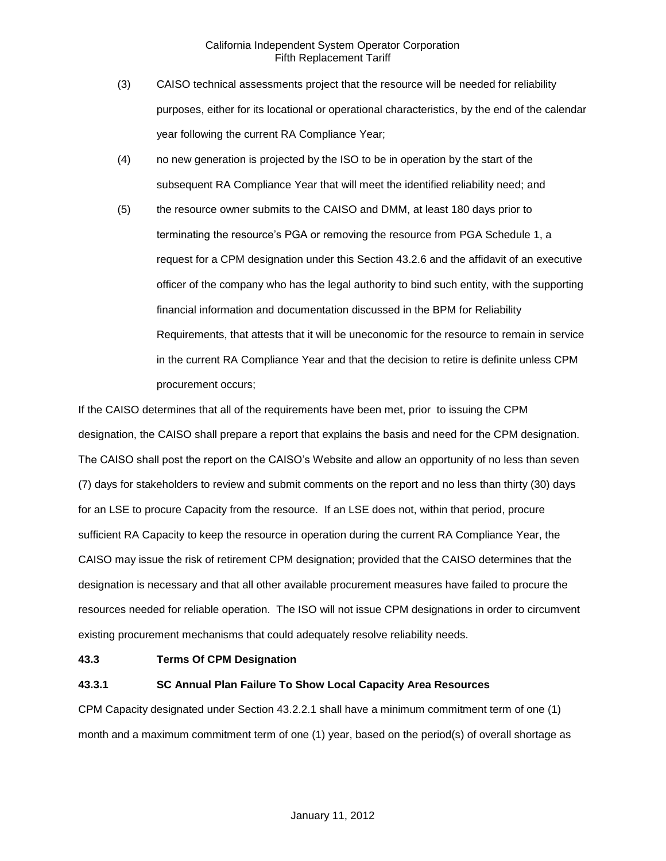- (3) CAISO technical assessments project that the resource will be needed for reliability purposes, either for its locational or operational characteristics, by the end of the calendar year following the current RA Compliance Year;
- (4) no new generation is projected by the ISO to be in operation by the start of the subsequent RA Compliance Year that will meet the identified reliability need; and
- (5) the resource owner submits to the CAISO and DMM, at least 180 days prior to terminating the resource's PGA or removing the resource from PGA Schedule 1, a request for a CPM designation under this Section 43.2.6 and the affidavit of an executive officer of the company who has the legal authority to bind such entity, with the supporting financial information and documentation discussed in the BPM for Reliability Requirements, that attests that it will be uneconomic for the resource to remain in service in the current RA Compliance Year and that the decision to retire is definite unless CPM procurement occurs;

If the CAISO determines that all of the requirements have been met, prior to issuing the CPM designation, the CAISO shall prepare a report that explains the basis and need for the CPM designation. The CAISO shall post the report on the CAISO's Website and allow an opportunity of no less than seven (7) days for stakeholders to review and submit comments on the report and no less than thirty (30) days for an LSE to procure Capacity from the resource. If an LSE does not, within that period, procure sufficient RA Capacity to keep the resource in operation during the current RA Compliance Year, the CAISO may issue the risk of retirement CPM designation; provided that the CAISO determines that the designation is necessary and that all other available procurement measures have failed to procure the resources needed for reliable operation. The ISO will not issue CPM designations in order to circumvent existing procurement mechanisms that could adequately resolve reliability needs.

### **43.3 Terms Of CPM Designation**

# **43.3.1 SC Annual Plan Failure To Show Local Capacity Area Resources**

CPM Capacity designated under Section 43.2.2.1 shall have a minimum commitment term of one (1) month and a maximum commitment term of one (1) year, based on the period(s) of overall shortage as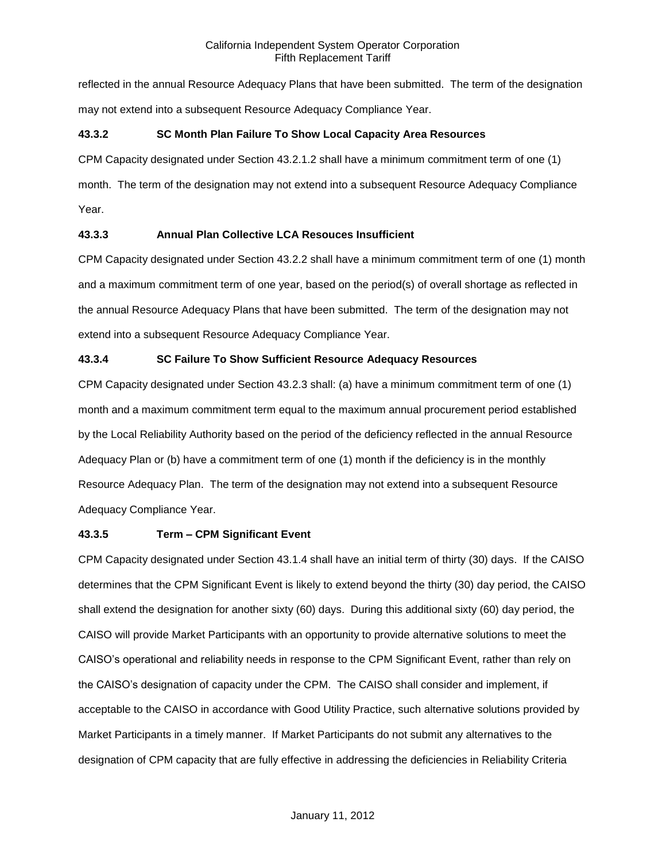reflected in the annual Resource Adequacy Plans that have been submitted. The term of the designation may not extend into a subsequent Resource Adequacy Compliance Year.

# **43.3.2 SC Month Plan Failure To Show Local Capacity Area Resources**

CPM Capacity designated under Section 43.2.1.2 shall have a minimum commitment term of one (1)

month. The term of the designation may not extend into a subsequent Resource Adequacy Compliance Year.

# **43.3.3 Annual Plan Collective LCA Resouces Insufficient**

CPM Capacity designated under Section 43.2.2 shall have a minimum commitment term of one (1) month and a maximum commitment term of one year, based on the period(s) of overall shortage as reflected in the annual Resource Adequacy Plans that have been submitted. The term of the designation may not extend into a subsequent Resource Adequacy Compliance Year.

# **43.3.4 SC Failure To Show Sufficient Resource Adequacy Resources**

CPM Capacity designated under Section 43.2.3 shall: (a) have a minimum commitment term of one (1) month and a maximum commitment term equal to the maximum annual procurement period established by the Local Reliability Authority based on the period of the deficiency reflected in the annual Resource Adequacy Plan or (b) have a commitment term of one (1) month if the deficiency is in the monthly Resource Adequacy Plan. The term of the designation may not extend into a subsequent Resource Adequacy Compliance Year.

### **43.3.5 Term – CPM Significant Event**

CPM Capacity designated under Section 43.1.4 shall have an initial term of thirty (30) days. If the CAISO determines that the CPM Significant Event is likely to extend beyond the thirty (30) day period, the CAISO shall extend the designation for another sixty (60) days. During this additional sixty (60) day period, the CAISO will provide Market Participants with an opportunity to provide alternative solutions to meet the CAISO's operational and reliability needs in response to the CPM Significant Event, rather than rely on the CAISO's designation of capacity under the CPM. The CAISO shall consider and implement, if acceptable to the CAISO in accordance with Good Utility Practice, such alternative solutions provided by Market Participants in a timely manner. If Market Participants do not submit any alternatives to the designation of CPM capacity that are fully effective in addressing the deficiencies in Reliability Criteria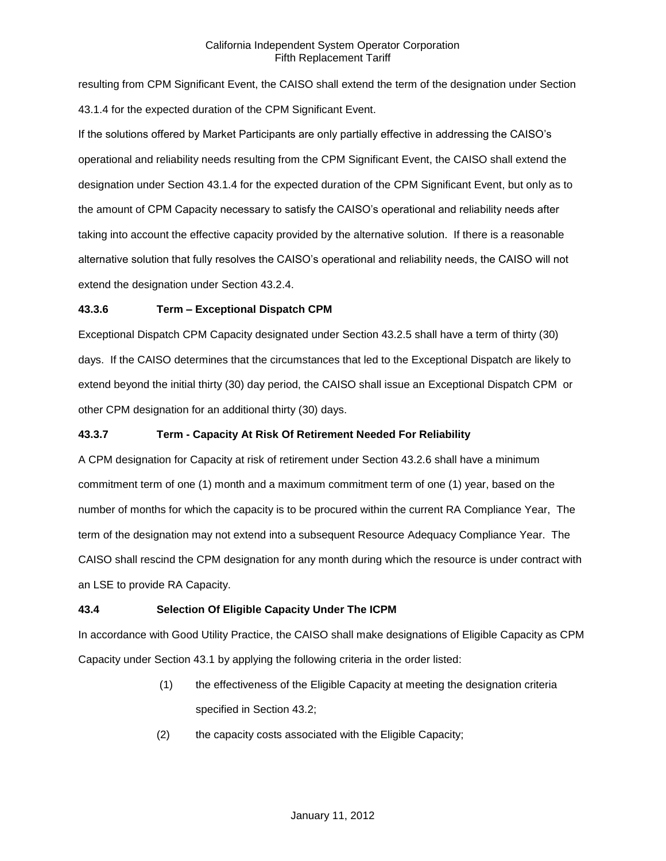resulting from CPM Significant Event, the CAISO shall extend the term of the designation under Section 43.1.4 for the expected duration of the CPM Significant Event.

If the solutions offered by Market Participants are only partially effective in addressing the CAISO's operational and reliability needs resulting from the CPM Significant Event, the CAISO shall extend the designation under Section 43.1.4 for the expected duration of the CPM Significant Event, but only as to the amount of CPM Capacity necessary to satisfy the CAISO's operational and reliability needs after taking into account the effective capacity provided by the alternative solution. If there is a reasonable alternative solution that fully resolves the CAISO's operational and reliability needs, the CAISO will not extend the designation under Section 43.2.4.

# **43.3.6 Term – Exceptional Dispatch CPM**

Exceptional Dispatch CPM Capacity designated under Section 43.2.5 shall have a term of thirty (30) days. If the CAISO determines that the circumstances that led to the Exceptional Dispatch are likely to extend beyond the initial thirty (30) day period, the CAISO shall issue an Exceptional Dispatch CPM or other CPM designation for an additional thirty (30) days.

# **43.3.7 Term - Capacity At Risk Of Retirement Needed For Reliability**

A CPM designation for Capacity at risk of retirement under Section 43.2.6 shall have a minimum commitment term of one (1) month and a maximum commitment term of one (1) year, based on the number of months for which the capacity is to be procured within the current RA Compliance Year, The term of the designation may not extend into a subsequent Resource Adequacy Compliance Year. The CAISO shall rescind the CPM designation for any month during which the resource is under contract with an LSE to provide RA Capacity.

# **43.4 Selection Of Eligible Capacity Under The ICPM**

In accordance with Good Utility Practice, the CAISO shall make designations of Eligible Capacity as CPM Capacity under Section 43.1 by applying the following criteria in the order listed:

- (1) the effectiveness of the Eligible Capacity at meeting the designation criteria specified in Section 43.2;
- (2) the capacity costs associated with the Eligible Capacity;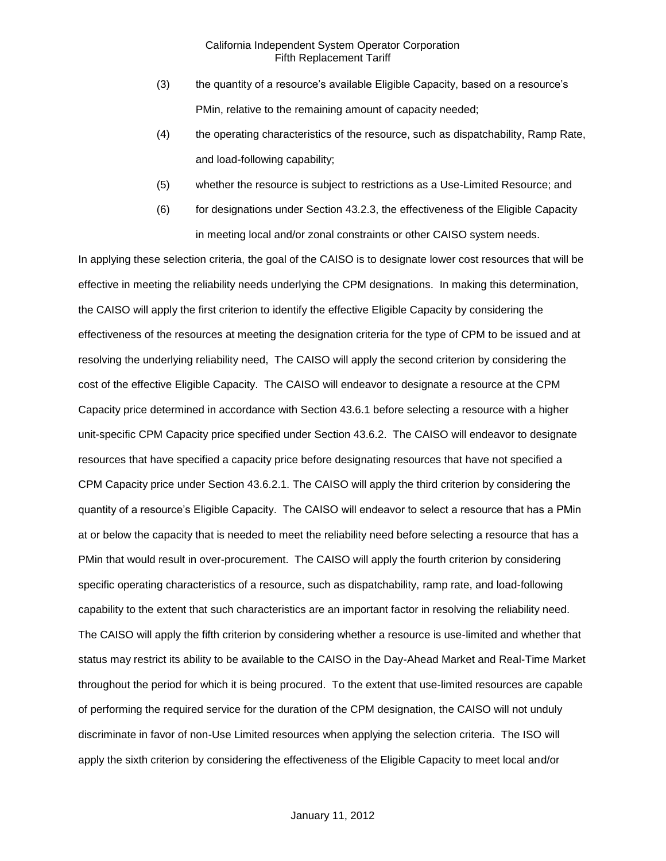- (3) the quantity of a resource's available Eligible Capacity, based on a resource's PMin, relative to the remaining amount of capacity needed;
- (4) the operating characteristics of the resource, such as dispatchability, Ramp Rate, and load-following capability;
- (5) whether the resource is subject to restrictions as a Use-Limited Resource; and
- (6) for designations under Section 43.2.3, the effectiveness of the Eligible Capacity in meeting local and/or zonal constraints or other CAISO system needs.

In applying these selection criteria, the goal of the CAISO is to designate lower cost resources that will be effective in meeting the reliability needs underlying the CPM designations. In making this determination, the CAISO will apply the first criterion to identify the effective Eligible Capacity by considering the effectiveness of the resources at meeting the designation criteria for the type of CPM to be issued and at resolving the underlying reliability need, The CAISO will apply the second criterion by considering the cost of the effective Eligible Capacity. The CAISO will endeavor to designate a resource at the CPM Capacity price determined in accordance with Section 43.6.1 before selecting a resource with a higher unit-specific CPM Capacity price specified under Section 43.6.2. The CAISO will endeavor to designate resources that have specified a capacity price before designating resources that have not specified a CPM Capacity price under Section 43.6.2.1. The CAISO will apply the third criterion by considering the quantity of a resource's Eligible Capacity. The CAISO will endeavor to select a resource that has a PMin at or below the capacity that is needed to meet the reliability need before selecting a resource that has a PMin that would result in over-procurement. The CAISO will apply the fourth criterion by considering specific operating characteristics of a resource, such as dispatchability, ramp rate, and load-following capability to the extent that such characteristics are an important factor in resolving the reliability need. The CAISO will apply the fifth criterion by considering whether a resource is use-limited and whether that status may restrict its ability to be available to the CAISO in the Day-Ahead Market and Real-Time Market throughout the period for which it is being procured. To the extent that use-limited resources are capable of performing the required service for the duration of the CPM designation, the CAISO will not unduly discriminate in favor of non-Use Limited resources when applying the selection criteria. The ISO will apply the sixth criterion by considering the effectiveness of the Eligible Capacity to meet local and/or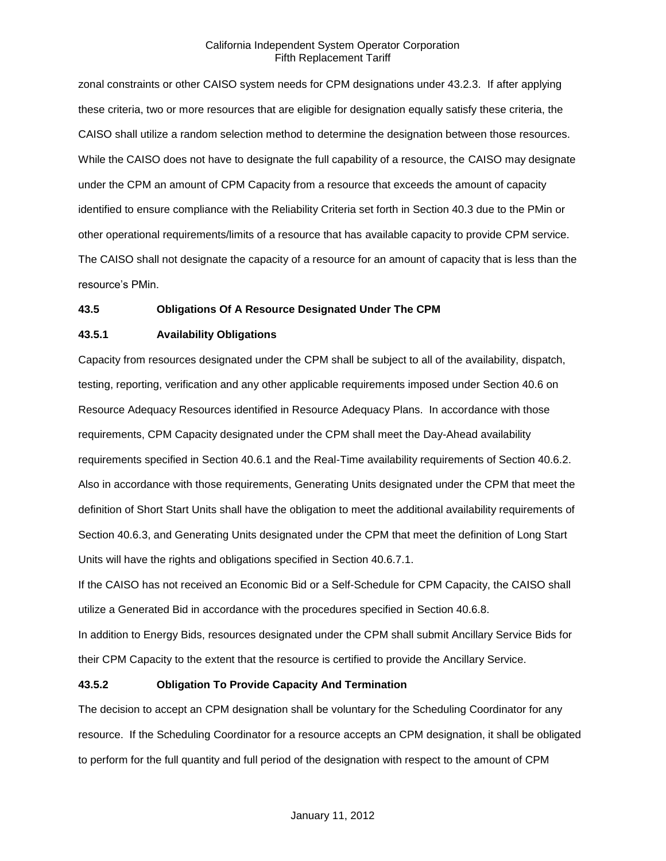zonal constraints or other CAISO system needs for CPM designations under 43.2.3. If after applying these criteria, two or more resources that are eligible for designation equally satisfy these criteria, the CAISO shall utilize a random selection method to determine the designation between those resources. While the CAISO does not have to designate the full capability of a resource, the CAISO may designate under the CPM an amount of CPM Capacity from a resource that exceeds the amount of capacity identified to ensure compliance with the Reliability Criteria set forth in Section 40.3 due to the PMin or other operational requirements/limits of a resource that has available capacity to provide CPM service. The CAISO shall not designate the capacity of a resource for an amount of capacity that is less than the resource's PMin.

### **43.5 Obligations Of A Resource Designated Under The CPM**

# **43.5.1 Availability Obligations**

Capacity from resources designated under the CPM shall be subject to all of the availability, dispatch, testing, reporting, verification and any other applicable requirements imposed under Section 40.6 on Resource Adequacy Resources identified in Resource Adequacy Plans. In accordance with those requirements, CPM Capacity designated under the CPM shall meet the Day-Ahead availability requirements specified in Section 40.6.1 and the Real-Time availability requirements of Section 40.6.2. Also in accordance with those requirements, Generating Units designated under the CPM that meet the definition of Short Start Units shall have the obligation to meet the additional availability requirements of Section 40.6.3, and Generating Units designated under the CPM that meet the definition of Long Start Units will have the rights and obligations specified in Section 40.6.7.1.

If the CAISO has not received an Economic Bid or a Self-Schedule for CPM Capacity, the CAISO shall utilize a Generated Bid in accordance with the procedures specified in Section 40.6.8.

In addition to Energy Bids, resources designated under the CPM shall submit Ancillary Service Bids for their CPM Capacity to the extent that the resource is certified to provide the Ancillary Service.

# **43.5.2 Obligation To Provide Capacity And Termination**

The decision to accept an CPM designation shall be voluntary for the Scheduling Coordinator for any resource. If the Scheduling Coordinator for a resource accepts an CPM designation, it shall be obligated to perform for the full quantity and full period of the designation with respect to the amount of CPM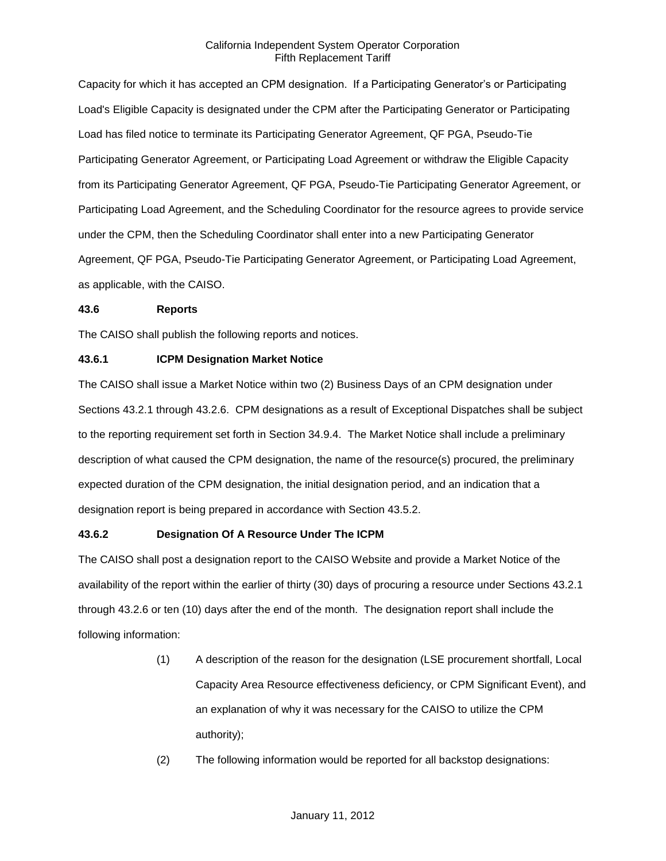Capacity for which it has accepted an CPM designation. If a Participating Generator's or Participating Load's Eligible Capacity is designated under the CPM after the Participating Generator or Participating Load has filed notice to terminate its Participating Generator Agreement, QF PGA, Pseudo-Tie Participating Generator Agreement, or Participating Load Agreement or withdraw the Eligible Capacity from its Participating Generator Agreement, QF PGA, Pseudo-Tie Participating Generator Agreement, or Participating Load Agreement, and the Scheduling Coordinator for the resource agrees to provide service under the CPM, then the Scheduling Coordinator shall enter into a new Participating Generator Agreement, QF PGA, Pseudo-Tie Participating Generator Agreement, or Participating Load Agreement, as applicable, with the CAISO.

### **43.6 Reports**

The CAISO shall publish the following reports and notices.

### **43.6.1 ICPM Designation Market Notice**

The CAISO shall issue a Market Notice within two (2) Business Days of an CPM designation under Sections 43.2.1 through 43.2.6. CPM designations as a result of Exceptional Dispatches shall be subject to the reporting requirement set forth in Section 34.9.4. The Market Notice shall include a preliminary description of what caused the CPM designation, the name of the resource(s) procured, the preliminary expected duration of the CPM designation, the initial designation period, and an indication that a designation report is being prepared in accordance with Section 43.5.2.

### **43.6.2 Designation Of A Resource Under The ICPM**

The CAISO shall post a designation report to the CAISO Website and provide a Market Notice of the availability of the report within the earlier of thirty (30) days of procuring a resource under Sections 43.2.1 through 43.2.6 or ten (10) days after the end of the month. The designation report shall include the following information:

- (1) A description of the reason for the designation (LSE procurement shortfall, Local Capacity Area Resource effectiveness deficiency, or CPM Significant Event), and an explanation of why it was necessary for the CAISO to utilize the CPM authority);
- (2) The following information would be reported for all backstop designations: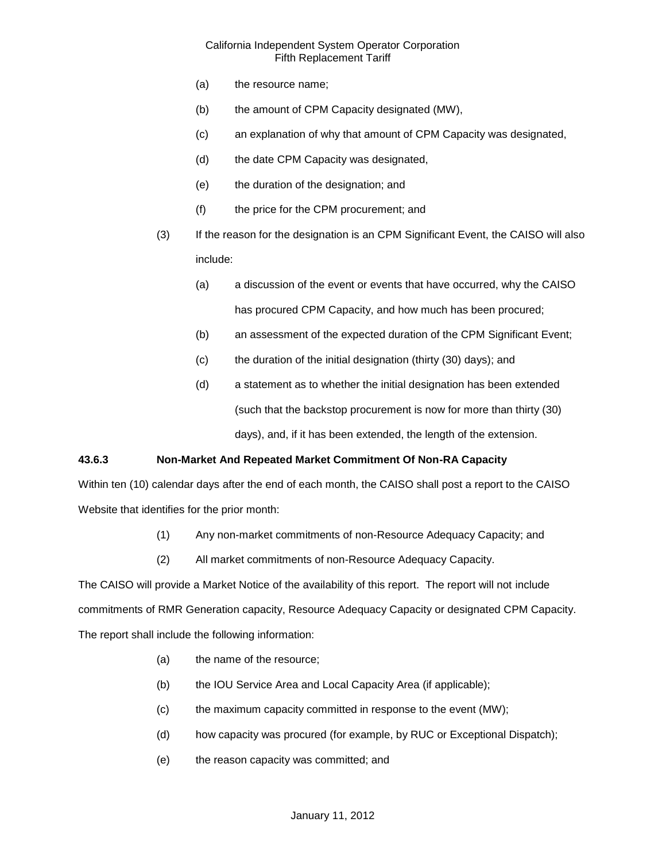- (a) the resource name;
- (b) the amount of CPM Capacity designated (MW),
- (c) an explanation of why that amount of CPM Capacity was designated,
- (d) the date CPM Capacity was designated,
- (e) the duration of the designation; and
- (f) the price for the CPM procurement; and
- (3) If the reason for the designation is an CPM Significant Event, the CAISO will also include:
	- (a) a discussion of the event or events that have occurred, why the CAISO has procured CPM Capacity, and how much has been procured;
	- (b) an assessment of the expected duration of the CPM Significant Event;
	- (c) the duration of the initial designation (thirty (30) days); and
	- (d) a statement as to whether the initial designation has been extended (such that the backstop procurement is now for more than thirty (30) days), and, if it has been extended, the length of the extension.

### **43.6.3 Non-Market And Repeated Market Commitment Of Non-RA Capacity**

Within ten (10) calendar days after the end of each month, the CAISO shall post a report to the CAISO Website that identifies for the prior month:

- (1) Any non-market commitments of non-Resource Adequacy Capacity; and
- (2) All market commitments of non-Resource Adequacy Capacity.

The CAISO will provide a Market Notice of the availability of this report. The report will not include commitments of RMR Generation capacity, Resource Adequacy Capacity or designated CPM Capacity. The report shall include the following information:

- (a) the name of the resource;
- (b) the IOU Service Area and Local Capacity Area (if applicable);
- (c) the maximum capacity committed in response to the event (MW);
- (d) how capacity was procured (for example, by RUC or Exceptional Dispatch);
- (e) the reason capacity was committed; and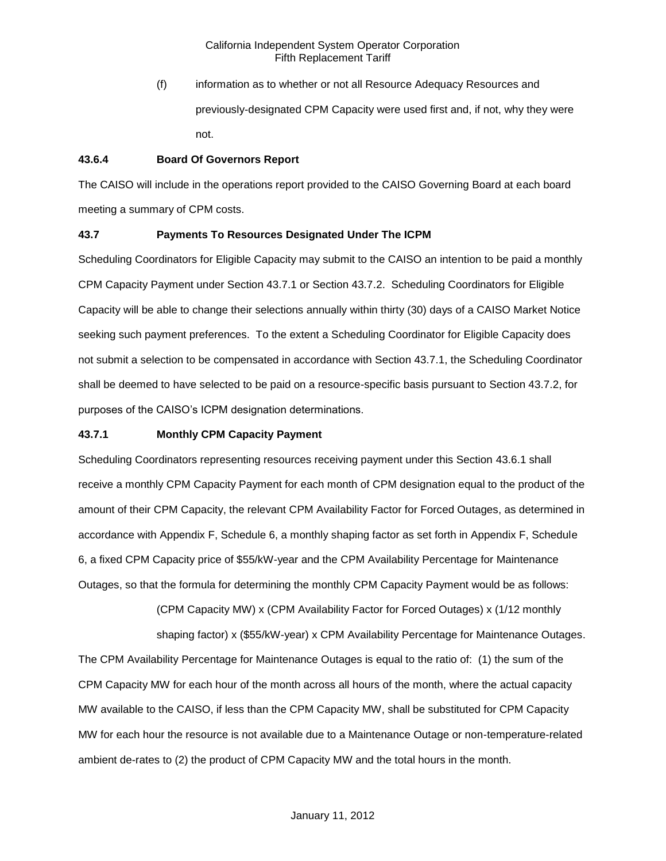(f) information as to whether or not all Resource Adequacy Resources and previously-designated CPM Capacity were used first and, if not, why they were not.

# **43.6.4 Board Of Governors Report**

The CAISO will include in the operations report provided to the CAISO Governing Board at each board meeting a summary of CPM costs.

# **43.7 Payments To Resources Designated Under The ICPM**

Scheduling Coordinators for Eligible Capacity may submit to the CAISO an intention to be paid a monthly CPM Capacity Payment under Section 43.7.1 or Section 43.7.2. Scheduling Coordinators for Eligible Capacity will be able to change their selections annually within thirty (30) days of a CAISO Market Notice seeking such payment preferences. To the extent a Scheduling Coordinator for Eligible Capacity does not submit a selection to be compensated in accordance with Section 43.7.1, the Scheduling Coordinator shall be deemed to have selected to be paid on a resource-specific basis pursuant to Section 43.7.2, for purposes of the CAISO's ICPM designation determinations.

# **43.7.1 Monthly CPM Capacity Payment**

Scheduling Coordinators representing resources receiving payment under this Section 43.6.1 shall receive a monthly CPM Capacity Payment for each month of CPM designation equal to the product of the amount of their CPM Capacity, the relevant CPM Availability Factor for Forced Outages, as determined in accordance with Appendix F, Schedule 6, a monthly shaping factor as set forth in Appendix F, Schedule 6, a fixed CPM Capacity price of \$55/kW-year and the CPM Availability Percentage for Maintenance Outages, so that the formula for determining the monthly CPM Capacity Payment would be as follows:

> (CPM Capacity MW) x (CPM Availability Factor for Forced Outages) x (1/12 monthly shaping factor) x (\$55/kW-year) x CPM Availability Percentage for Maintenance Outages.

The CPM Availability Percentage for Maintenance Outages is equal to the ratio of: (1) the sum of the CPM Capacity MW for each hour of the month across all hours of the month, where the actual capacity MW available to the CAISO, if less than the CPM Capacity MW, shall be substituted for CPM Capacity MW for each hour the resource is not available due to a Maintenance Outage or non-temperature-related ambient de-rates to (2) the product of CPM Capacity MW and the total hours in the month.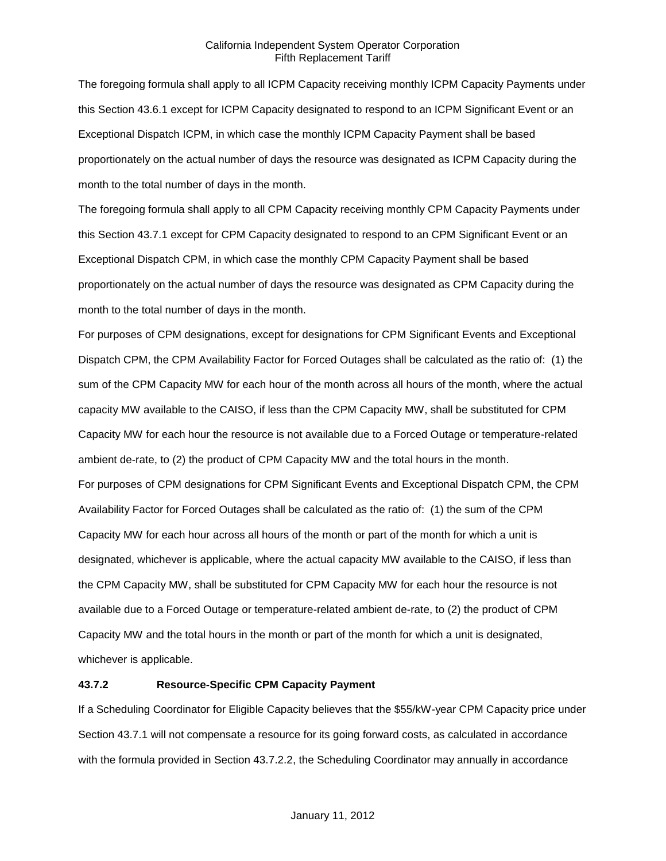The foregoing formula shall apply to all ICPM Capacity receiving monthly ICPM Capacity Payments under this Section 43.6.1 except for ICPM Capacity designated to respond to an ICPM Significant Event or an Exceptional Dispatch ICPM, in which case the monthly ICPM Capacity Payment shall be based proportionately on the actual number of days the resource was designated as ICPM Capacity during the month to the total number of days in the month.

The foregoing formula shall apply to all CPM Capacity receiving monthly CPM Capacity Payments under this Section 43.7.1 except for CPM Capacity designated to respond to an CPM Significant Event or an Exceptional Dispatch CPM, in which case the monthly CPM Capacity Payment shall be based proportionately on the actual number of days the resource was designated as CPM Capacity during the month to the total number of days in the month.

For purposes of CPM designations, except for designations for CPM Significant Events and Exceptional Dispatch CPM, the CPM Availability Factor for Forced Outages shall be calculated as the ratio of: (1) the sum of the CPM Capacity MW for each hour of the month across all hours of the month, where the actual capacity MW available to the CAISO, if less than the CPM Capacity MW, shall be substituted for CPM Capacity MW for each hour the resource is not available due to a Forced Outage or temperature-related ambient de-rate, to (2) the product of CPM Capacity MW and the total hours in the month. For purposes of CPM designations for CPM Significant Events and Exceptional Dispatch CPM, the CPM Availability Factor for Forced Outages shall be calculated as the ratio of: (1) the sum of the CPM Capacity MW for each hour across all hours of the month or part of the month for which a unit is designated, whichever is applicable, where the actual capacity MW available to the CAISO, if less than the CPM Capacity MW, shall be substituted for CPM Capacity MW for each hour the resource is not available due to a Forced Outage or temperature-related ambient de-rate, to (2) the product of CPM Capacity MW and the total hours in the month or part of the month for which a unit is designated, whichever is applicable.

# **43.7.2 Resource-Specific CPM Capacity Payment**

If a Scheduling Coordinator for Eligible Capacity believes that the \$55/kW-year CPM Capacity price under Section 43.7.1 will not compensate a resource for its going forward costs, as calculated in accordance with the formula provided in Section 43.7.2.2, the Scheduling Coordinator may annually in accordance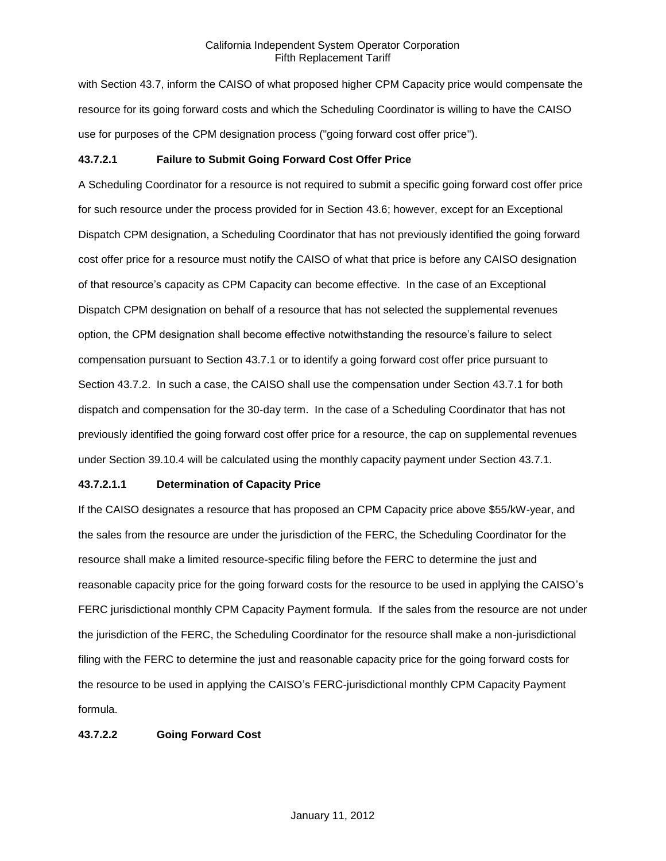with Section 43.7, inform the CAISO of what proposed higher CPM Capacity price would compensate the resource for its going forward costs and which the Scheduling Coordinator is willing to have the CAISO use for purposes of the CPM designation process ("going forward cost offer price").

# **43.7.2.1 Failure to Submit Going Forward Cost Offer Price**

A Scheduling Coordinator for a resource is not required to submit a specific going forward cost offer price for such resource under the process provided for in Section 43.6; however, except for an Exceptional Dispatch CPM designation, a Scheduling Coordinator that has not previously identified the going forward cost offer price for a resource must notify the CAISO of what that price is before any CAISO designation of that resource's capacity as CPM Capacity can become effective. In the case of an Exceptional Dispatch CPM designation on behalf of a resource that has not selected the supplemental revenues option, the CPM designation shall become effective notwithstanding the resource's failure to select compensation pursuant to Section 43.7.1 or to identify a going forward cost offer price pursuant to Section 43.7.2. In such a case, the CAISO shall use the compensation under Section 43.7.1 for both dispatch and compensation for the 30-day term. In the case of a Scheduling Coordinator that has not previously identified the going forward cost offer price for a resource, the cap on supplemental revenues under Section 39.10.4 will be calculated using the monthly capacity payment under Section 43.7.1.

### **43.7.2.1.1 Determination of Capacity Price**

If the CAISO designates a resource that has proposed an CPM Capacity price above \$55/kW-year, and the sales from the resource are under the jurisdiction of the FERC, the Scheduling Coordinator for the resource shall make a limited resource-specific filing before the FERC to determine the just and reasonable capacity price for the going forward costs for the resource to be used in applying the CAISO's FERC jurisdictional monthly CPM Capacity Payment formula. If the sales from the resource are not under the jurisdiction of the FERC, the Scheduling Coordinator for the resource shall make a non-jurisdictional filing with the FERC to determine the just and reasonable capacity price for the going forward costs for the resource to be used in applying the CAISO's FERC-jurisdictional monthly CPM Capacity Payment formula.

### **43.7.2.2 Going Forward Cost**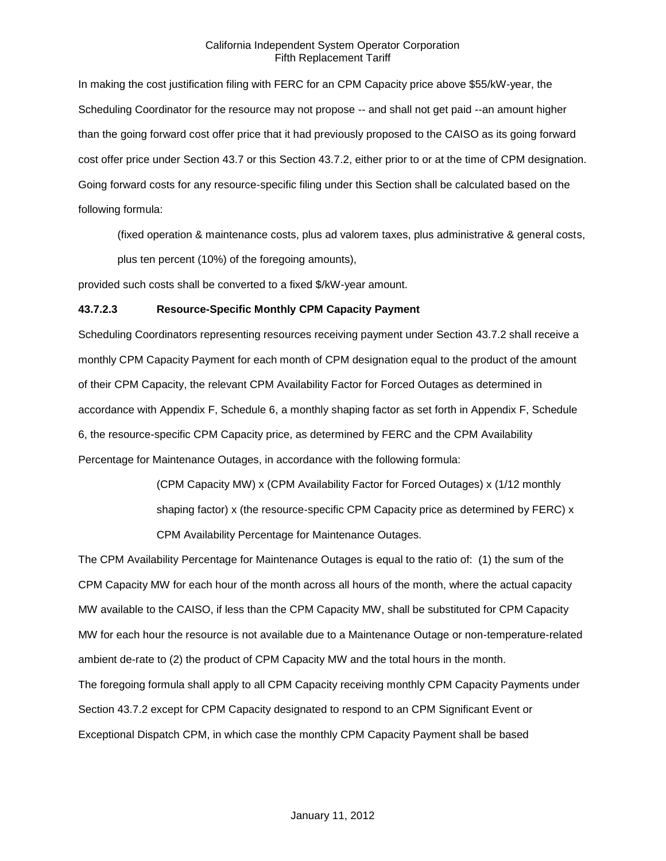In making the cost justification filing with FERC for an CPM Capacity price above \$55/kW-year, the Scheduling Coordinator for the resource may not propose -- and shall not get paid --an amount higher than the going forward cost offer price that it had previously proposed to the CAISO as its going forward cost offer price under Section 43.7 or this Section 43.7.2, either prior to or at the time of CPM designation. Going forward costs for any resource-specific filing under this Section shall be calculated based on the following formula:

(fixed operation & maintenance costs, plus ad valorem taxes, plus administrative & general costs, plus ten percent (10%) of the foregoing amounts),

provided such costs shall be converted to a fixed \$/kW-year amount.

### **43.7.2.3 Resource-Specific Monthly CPM Capacity Payment**

Scheduling Coordinators representing resources receiving payment under Section 43.7.2 shall receive a monthly CPM Capacity Payment for each month of CPM designation equal to the product of the amount of their CPM Capacity, the relevant CPM Availability Factor for Forced Outages as determined in accordance with Appendix F, Schedule 6, a monthly shaping factor as set forth in Appendix F, Schedule 6, the resource-specific CPM Capacity price, as determined by FERC and the CPM Availability Percentage for Maintenance Outages, in accordance with the following formula:

> (CPM Capacity MW) x (CPM Availability Factor for Forced Outages) x (1/12 monthly shaping factor) x (the resource-specific CPM Capacity price as determined by FERC) x CPM Availability Percentage for Maintenance Outages.

The CPM Availability Percentage for Maintenance Outages is equal to the ratio of: (1) the sum of the CPM Capacity MW for each hour of the month across all hours of the month, where the actual capacity MW available to the CAISO, if less than the CPM Capacity MW, shall be substituted for CPM Capacity MW for each hour the resource is not available due to a Maintenance Outage or non-temperature-related ambient de-rate to (2) the product of CPM Capacity MW and the total hours in the month. The foregoing formula shall apply to all CPM Capacity receiving monthly CPM Capacity Payments under Section 43.7.2 except for CPM Capacity designated to respond to an CPM Significant Event or Exceptional Dispatch CPM, in which case the monthly CPM Capacity Payment shall be based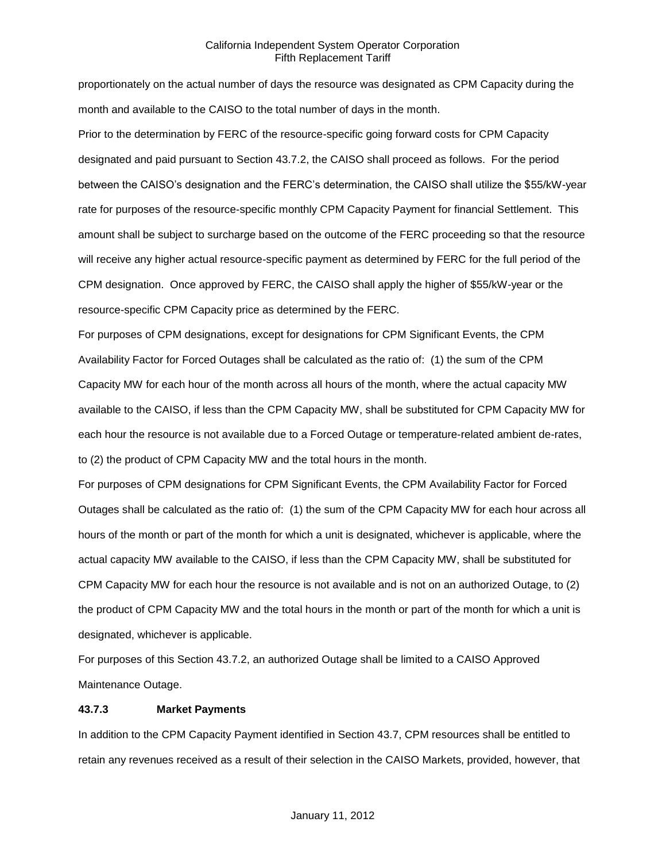proportionately on the actual number of days the resource was designated as CPM Capacity during the month and available to the CAISO to the total number of days in the month.

Prior to the determination by FERC of the resource-specific going forward costs for CPM Capacity designated and paid pursuant to Section 43.7.2, the CAISO shall proceed as follows. For the period between the CAISO's designation and the FERC's determination, the CAISO shall utilize the \$55/kW-year rate for purposes of the resource-specific monthly CPM Capacity Payment for financial Settlement. This amount shall be subject to surcharge based on the outcome of the FERC proceeding so that the resource will receive any higher actual resource-specific payment as determined by FERC for the full period of the CPM designation. Once approved by FERC, the CAISO shall apply the higher of \$55/kW-year or the resource-specific CPM Capacity price as determined by the FERC.

For purposes of CPM designations, except for designations for CPM Significant Events, the CPM Availability Factor for Forced Outages shall be calculated as the ratio of: (1) the sum of the CPM Capacity MW for each hour of the month across all hours of the month, where the actual capacity MW available to the CAISO, if less than the CPM Capacity MW, shall be substituted for CPM Capacity MW for each hour the resource is not available due to a Forced Outage or temperature-related ambient de-rates, to (2) the product of CPM Capacity MW and the total hours in the month.

For purposes of CPM designations for CPM Significant Events, the CPM Availability Factor for Forced Outages shall be calculated as the ratio of: (1) the sum of the CPM Capacity MW for each hour across all hours of the month or part of the month for which a unit is designated, whichever is applicable, where the actual capacity MW available to the CAISO, if less than the CPM Capacity MW, shall be substituted for CPM Capacity MW for each hour the resource is not available and is not on an authorized Outage, to (2) the product of CPM Capacity MW and the total hours in the month or part of the month for which a unit is designated, whichever is applicable.

For purposes of this Section 43.7.2, an authorized Outage shall be limited to a CAISO Approved Maintenance Outage.

### **43.7.3 Market Payments**

In addition to the CPM Capacity Payment identified in Section 43.7, CPM resources shall be entitled to retain any revenues received as a result of their selection in the CAISO Markets, provided, however, that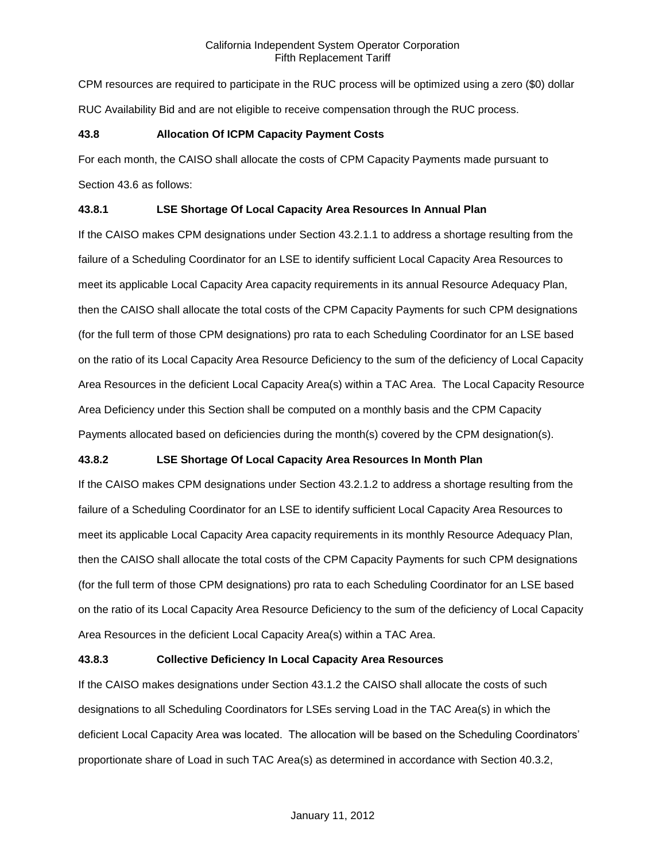CPM resources are required to participate in the RUC process will be optimized using a zero (\$0) dollar RUC Availability Bid and are not eligible to receive compensation through the RUC process.

# **43.8 Allocation Of ICPM Capacity Payment Costs**

For each month, the CAISO shall allocate the costs of CPM Capacity Payments made pursuant to Section 43.6 as follows:

# **43.8.1 LSE Shortage Of Local Capacity Area Resources In Annual Plan**

If the CAISO makes CPM designations under Section 43.2.1.1 to address a shortage resulting from the failure of a Scheduling Coordinator for an LSE to identify sufficient Local Capacity Area Resources to meet its applicable Local Capacity Area capacity requirements in its annual Resource Adequacy Plan, then the CAISO shall allocate the total costs of the CPM Capacity Payments for such CPM designations (for the full term of those CPM designations) pro rata to each Scheduling Coordinator for an LSE based on the ratio of its Local Capacity Area Resource Deficiency to the sum of the deficiency of Local Capacity Area Resources in the deficient Local Capacity Area(s) within a TAC Area. The Local Capacity Resource Area Deficiency under this Section shall be computed on a monthly basis and the CPM Capacity Payments allocated based on deficiencies during the month(s) covered by the CPM designation(s).

# **43.8.2 LSE Shortage Of Local Capacity Area Resources In Month Plan**

If the CAISO makes CPM designations under Section 43.2.1.2 to address a shortage resulting from the failure of a Scheduling Coordinator for an LSE to identify sufficient Local Capacity Area Resources to meet its applicable Local Capacity Area capacity requirements in its monthly Resource Adequacy Plan, then the CAISO shall allocate the total costs of the CPM Capacity Payments for such CPM designations (for the full term of those CPM designations) pro rata to each Scheduling Coordinator for an LSE based on the ratio of its Local Capacity Area Resource Deficiency to the sum of the deficiency of Local Capacity Area Resources in the deficient Local Capacity Area(s) within a TAC Area.

### **43.8.3 Collective Deficiency In Local Capacity Area Resources**

If the CAISO makes designations under Section 43.1.2 the CAISO shall allocate the costs of such designations to all Scheduling Coordinators for LSEs serving Load in the TAC Area(s) in which the deficient Local Capacity Area was located. The allocation will be based on the Scheduling Coordinators' proportionate share of Load in such TAC Area(s) as determined in accordance with Section 40.3.2,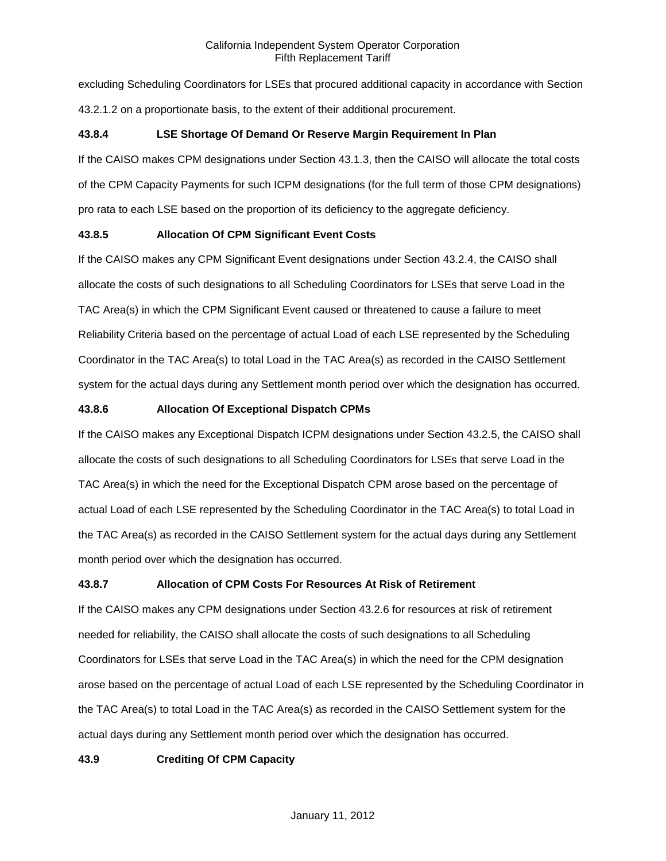excluding Scheduling Coordinators for LSEs that procured additional capacity in accordance with Section 43.2.1.2 on a proportionate basis, to the extent of their additional procurement.

# **43.8.4 LSE Shortage Of Demand Or Reserve Margin Requirement In Plan**

If the CAISO makes CPM designations under Section 43.1.3, then the CAISO will allocate the total costs of the CPM Capacity Payments for such ICPM designations (for the full term of those CPM designations) pro rata to each LSE based on the proportion of its deficiency to the aggregate deficiency.

# **43.8.5 Allocation Of CPM Significant Event Costs**

If the CAISO makes any CPM Significant Event designations under Section 43.2.4, the CAISO shall allocate the costs of such designations to all Scheduling Coordinators for LSEs that serve Load in the TAC Area(s) in which the CPM Significant Event caused or threatened to cause a failure to meet Reliability Criteria based on the percentage of actual Load of each LSE represented by the Scheduling Coordinator in the TAC Area(s) to total Load in the TAC Area(s) as recorded in the CAISO Settlement system for the actual days during any Settlement month period over which the designation has occurred.

# **43.8.6 Allocation Of Exceptional Dispatch CPMs**

If the CAISO makes any Exceptional Dispatch ICPM designations under Section 43.2.5, the CAISO shall allocate the costs of such designations to all Scheduling Coordinators for LSEs that serve Load in the TAC Area(s) in which the need for the Exceptional Dispatch CPM arose based on the percentage of actual Load of each LSE represented by the Scheduling Coordinator in the TAC Area(s) to total Load in the TAC Area(s) as recorded in the CAISO Settlement system for the actual days during any Settlement month period over which the designation has occurred.

### **43.8.7 Allocation of CPM Costs For Resources At Risk of Retirement**

If the CAISO makes any CPM designations under Section 43.2.6 for resources at risk of retirement needed for reliability, the CAISO shall allocate the costs of such designations to all Scheduling Coordinators for LSEs that serve Load in the TAC Area(s) in which the need for the CPM designation arose based on the percentage of actual Load of each LSE represented by the Scheduling Coordinator in the TAC Area(s) to total Load in the TAC Area(s) as recorded in the CAISO Settlement system for the actual days during any Settlement month period over which the designation has occurred.

# **43.9 Crediting Of CPM Capacity**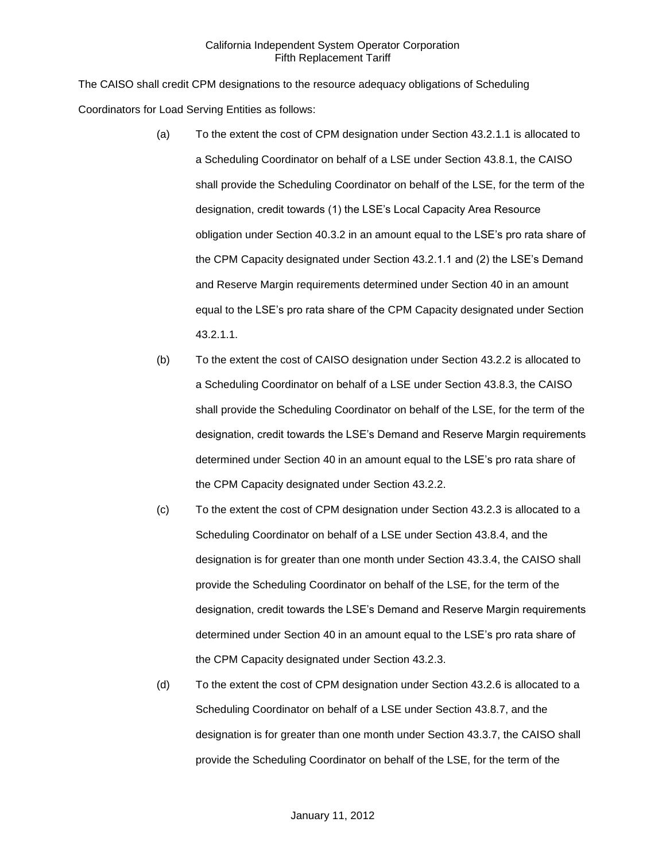The CAISO shall credit CPM designations to the resource adequacy obligations of Scheduling Coordinators for Load Serving Entities as follows:

- (a) To the extent the cost of CPM designation under Section 43.2.1.1 is allocated to a Scheduling Coordinator on behalf of a LSE under Section 43.8.1, the CAISO shall provide the Scheduling Coordinator on behalf of the LSE, for the term of the designation, credit towards (1) the LSE's Local Capacity Area Resource obligation under Section 40.3.2 in an amount equal to the LSE's pro rata share of the CPM Capacity designated under Section 43.2.1.1 and (2) the LSE's Demand and Reserve Margin requirements determined under Section 40 in an amount equal to the LSE's pro rata share of the CPM Capacity designated under Section 43.2.1.1.
- (b) To the extent the cost of CAISO designation under Section 43.2.2 is allocated to a Scheduling Coordinator on behalf of a LSE under Section 43.8.3, the CAISO shall provide the Scheduling Coordinator on behalf of the LSE, for the term of the designation, credit towards the LSE's Demand and Reserve Margin requirements determined under Section 40 in an amount equal to the LSE's pro rata share of the CPM Capacity designated under Section 43.2.2.
- (c) To the extent the cost of CPM designation under Section 43.2.3 is allocated to a Scheduling Coordinator on behalf of a LSE under Section 43.8.4, and the designation is for greater than one month under Section 43.3.4, the CAISO shall provide the Scheduling Coordinator on behalf of the LSE, for the term of the designation, credit towards the LSE's Demand and Reserve Margin requirements determined under Section 40 in an amount equal to the LSE's pro rata share of the CPM Capacity designated under Section 43.2.3.
- (d) To the extent the cost of CPM designation under Section 43.2.6 is allocated to a Scheduling Coordinator on behalf of a LSE under Section 43.8.7, and the designation is for greater than one month under Section 43.3.7, the CAISO shall provide the Scheduling Coordinator on behalf of the LSE, for the term of the